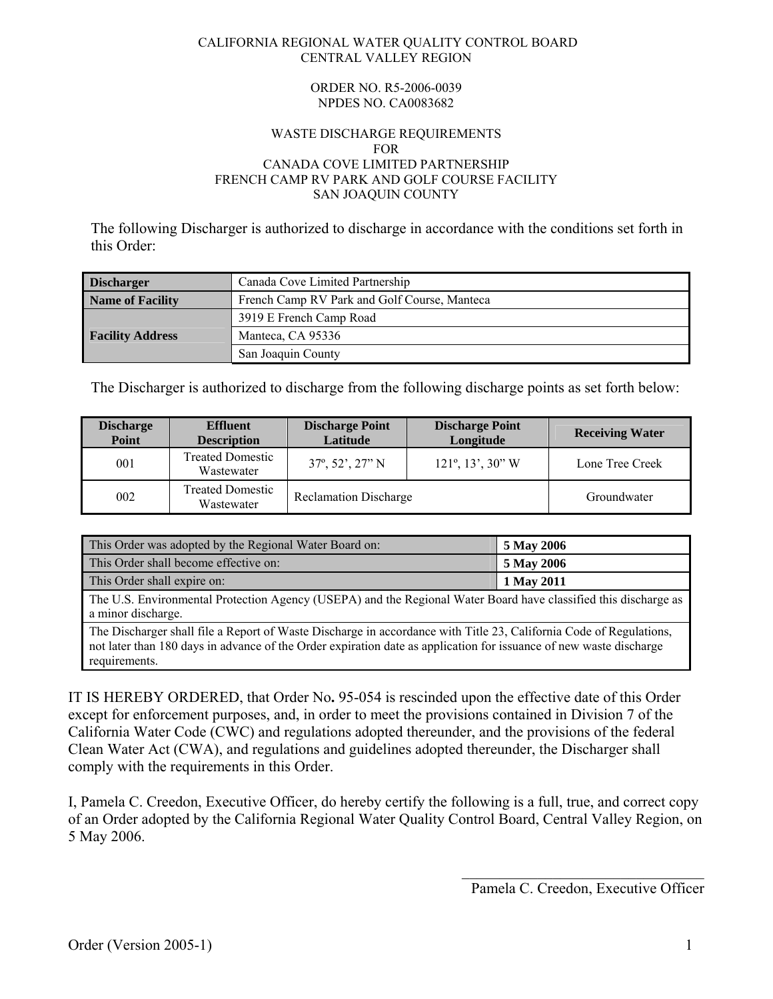#### CALIFORNIA REGIONAL WATER QUALITY CONTROL BOARD CENTRAL VALLEY REGION

#### ORDER NO. R5-2006-0039 NPDES NO. CA0083682

#### WASTE DISCHARGE REQUIREMENTS FOR CANADA COVE LIMITED PARTNERSHIP FRENCH CAMP RV PARK AND GOLF COURSE FACILITY SAN JOAQUIN COUNTY

The following Discharger is authorized to discharge in accordance with the conditions set forth in this Order:

| <b>Discharger</b>       | Canada Cove Limited Partnership              |
|-------------------------|----------------------------------------------|
| <b>Name of Facility</b> | French Camp RV Park and Golf Course, Manteca |
|                         | 3919 E French Camp Road                      |
| <b>Facility Address</b> | Manteca, CA 95336                            |
|                         | San Joaquin County                           |

The Discharger is authorized to discharge from the following discharge points as set forth below:

| <b>Discharge</b><br>Point | <b>Effluent</b><br><b>Description</b> | <b>Discharge Point</b><br>Latitude | <b>Discharge Point</b><br>Longitude       | <b>Receiving Water</b> |
|---------------------------|---------------------------------------|------------------------------------|-------------------------------------------|------------------------|
| 001                       | <b>Treated Domestic</b><br>Wastewater | $37^{\circ}, 52', 27''$ N          | $121^\circ$ , $13^\circ$ , $30^{\circ}$ W | Lone Tree Creek        |
| 002                       | <b>Treated Domestic</b><br>Wastewater | <b>Reclamation Discharge</b>       |                                           | Groundwater            |

| This Order was adopted by the Regional Water Board on:                                                                                                                                                                                                    | 5 May 2006 |
|-----------------------------------------------------------------------------------------------------------------------------------------------------------------------------------------------------------------------------------------------------------|------------|
| This Order shall become effective on:                                                                                                                                                                                                                     | 5 May 2006 |
| This Order shall expire on:                                                                                                                                                                                                                               | 1 May 2011 |
| The U.S. Environmental Protection Agency (USEPA) and the Regional Water Board have classified this discharge as<br>a minor discharge.                                                                                                                     |            |
| The Discharger shall file a Report of Waste Discharge in accordance with Title 23, California Code of Regulations,<br>not later than 180 days in advance of the Order expiration date as application for issuance of new waste discharge<br>requirements. |            |

IT IS HEREBY ORDERED, that Order No**.** 95-054 is rescinded upon the effective date of this Order except for enforcement purposes, and, in order to meet the provisions contained in Division 7 of the California Water Code (CWC) and regulations adopted thereunder, and the provisions of the federal Clean Water Act (CWA), and regulations and guidelines adopted thereunder, the Discharger shall comply with the requirements in this Order.

I, Pamela C. Creedon, Executive Officer, do hereby certify the following is a full, true, and correct copy of an Order adopted by the California Regional Water Quality Control Board, Central Valley Region, on 5 May 2006.

 $\mathcal{L}_\text{max}$ 

Pamela C. Creedon, Executive Officer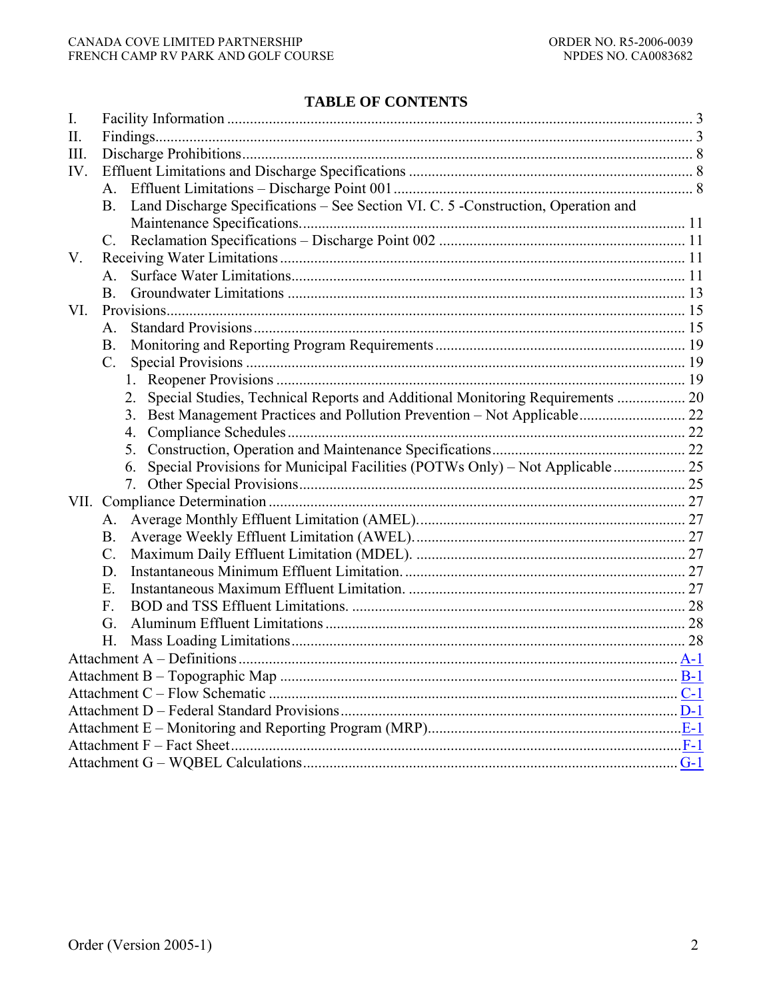# **TABLE OF CONTENTS**

| $\mathbf{I}$ . |                                                                                      |  |
|----------------|--------------------------------------------------------------------------------------|--|
| II.            |                                                                                      |  |
| III.           |                                                                                      |  |
| IV.            |                                                                                      |  |
|                |                                                                                      |  |
|                | B. Land Discharge Specifications – See Section VI. C. 5 -Construction, Operation and |  |
|                |                                                                                      |  |
|                | $C_{\cdot}$                                                                          |  |
| V.             |                                                                                      |  |
|                | $\mathsf{A}$                                                                         |  |
|                | B.                                                                                   |  |
| VI.            |                                                                                      |  |
|                | $\mathsf{A}$                                                                         |  |
|                | B <sub>1</sub>                                                                       |  |
|                | $C_{\cdot}$                                                                          |  |
|                |                                                                                      |  |
|                | Special Studies, Technical Reports and Additional Monitoring Requirements  20<br>2.  |  |
|                |                                                                                      |  |
|                | 4.                                                                                   |  |
|                | 5.                                                                                   |  |
|                | 6.                                                                                   |  |
|                | 7.                                                                                   |  |
|                |                                                                                      |  |
|                | A.                                                                                   |  |
|                | <b>B.</b>                                                                            |  |
|                | $\mathcal{C}$ .                                                                      |  |
|                | D.                                                                                   |  |
|                | E.                                                                                   |  |
|                | F.                                                                                   |  |
|                | G.                                                                                   |  |
|                | Н.                                                                                   |  |
|                |                                                                                      |  |
|                |                                                                                      |  |
|                |                                                                                      |  |
|                |                                                                                      |  |
|                |                                                                                      |  |
|                |                                                                                      |  |
|                |                                                                                      |  |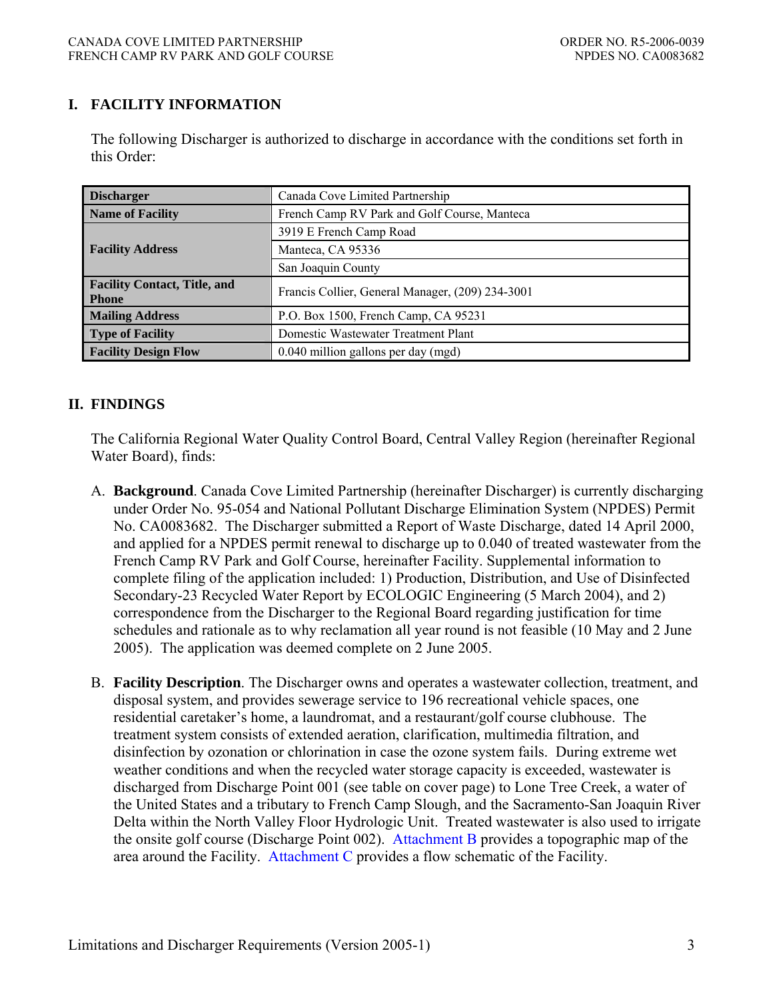# **I. FACILITY INFORMATION**

The following Discharger is authorized to discharge in accordance with the conditions set forth in this Order:

| <b>Discharger</b>                                   | Canada Cove Limited Partnership                  |
|-----------------------------------------------------|--------------------------------------------------|
| <b>Name of Facility</b>                             | French Camp RV Park and Golf Course, Manteca     |
|                                                     | 3919 E French Camp Road                          |
| <b>Facility Address</b>                             | Manteca, CA 95336                                |
|                                                     | San Joaquin County                               |
| <b>Facility Contact, Title, and</b><br><b>Phone</b> | Francis Collier, General Manager, (209) 234-3001 |
| <b>Mailing Address</b>                              | P.O. Box 1500, French Camp, CA 95231             |
| <b>Type of Facility</b>                             | Domestic Wastewater Treatment Plant              |
| <b>Facility Design Flow</b>                         | 0.040 million gallons per day (mgd)              |

### **II. FINDINGS**

The California Regional Water Quality Control Board, Central Valley Region (hereinafter Regional Water Board), finds:

- A. **Background**. Canada Cove Limited Partnership (hereinafter Discharger) is currently discharging under Order No. 95-054 and National Pollutant Discharge Elimination System (NPDES) Permit No. CA0083682. The Discharger submitted a Report of Waste Discharge, dated 14 April 2000, and applied for a NPDES permit renewal to discharge up to 0.040 of treated wastewater from the French Camp RV Park and Golf Course, hereinafter Facility. Supplemental information to complete filing of the application included: 1) Production, Distribution, and Use of Disinfected Secondary-23 Recycled Water Report by ECOLOGIC Engineering (5 March 2004), and 2) correspondence from the Discharger to the Regional Board regarding justification for time schedules and rationale as to why reclamation all year round is not feasible (10 May and 2 June 2005). The application was deemed complete on 2 June 2005.
- B. **Facility Description**. The Discharger owns and operates a wastewater collection, treatment, and disposal system, and provides sewerage service to 196 recreational vehicle spaces, one residential caretaker's home, a laundromat, and a restaurant/golf course clubhouse. The treatment system consists of extended aeration, clarification, multimedia filtration, and disinfection by ozonation or chlorination in case the ozone system fails. During extreme wet weather conditions and when the recycled water storage capacity is exceeded, wastewater is discharged from Discharge Point 001 (see table on cover page) to Lone Tree Creek, a water of the United States and a tributary to French Camp Slough, and the Sacramento-San Joaquin River Delta within the North Valley Floor Hydrologic Unit. Treated wastewater is also used to irrigate the onsite golf course (Discharge Point 002). Attachment B provides a topographic map of the area around the Facility. Attachment C provides a flow schematic of the Facility.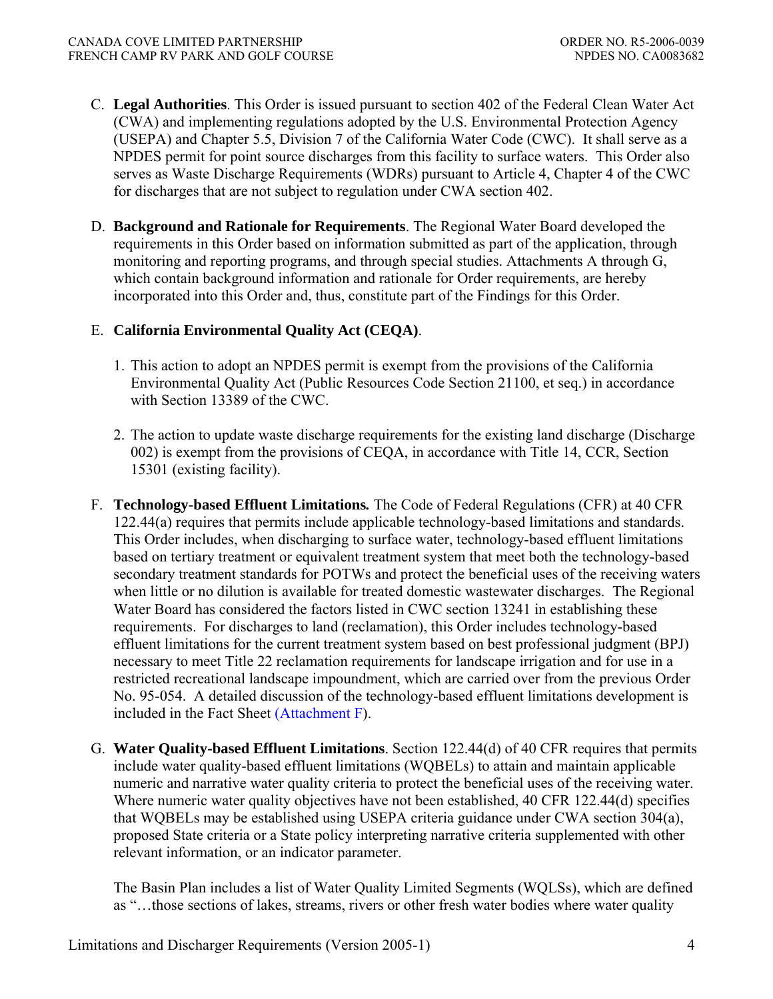- C. **Legal Authorities**. This Order is issued pursuant to section 402 of the Federal Clean Water Act (CWA) and implementing regulations adopted by the U.S. Environmental Protection Agency (USEPA) and Chapter 5.5, Division 7 of the California Water Code (CWC). It shall serve as a NPDES permit for point source discharges from this facility to surface waters. This Order also serves as Waste Discharge Requirements (WDRs) pursuant to Article 4, Chapter 4 of the CWC for discharges that are not subject to regulation under CWA section 402.
- D. **Background and Rationale for Requirements**. The Regional Water Board developed the requirements in this Order based on information submitted as part of the application, through monitoring and reporting programs, and through special studies. Attachments A through G, which contain background information and rationale for Order requirements, are hereby incorporated into this Order and, thus, constitute part of the Findings for this Order.

### E. **California Environmental Quality Act (CEQA)**.

- 1. This action to adopt an NPDES permit is exempt from the provisions of the California Environmental Quality Act (Public Resources Code Section 21100, et seq.) in accordance with Section 13389 of the CWC.
- 2. The action to update waste discharge requirements for the existing land discharge (Discharge 002) is exempt from the provisions of CEQA, in accordance with Title 14, CCR, Section 15301 (existing facility).
- F. **Technology-based Effluent Limitations***.* The Code of Federal Regulations (CFR) at 40 CFR 122.44(a) requires that permits include applicable technology-based limitations and standards. This Order includes, when discharging to surface water, technology-based effluent limitations based on tertiary treatment or equivalent treatment system that meet both the technology-based secondary treatment standards for POTWs and protect the beneficial uses of the receiving waters when little or no dilution is available for treated domestic wastewater discharges. The Regional Water Board has considered the factors listed in CWC section 13241 in establishing these requirements. For discharges to land (reclamation), this Order includes technology-based effluent limitations for the current treatment system based on best professional judgment (BPJ) necessary to meet Title 22 reclamation requirements for landscape irrigation and for use in a restricted recreational landscape impoundment, which are carried over from the previous Order No. 95-054. A detailed discussion of the technology-based effluent limitations development is included in the Fact Sheet (Attachment F).
- G. **Water Quality-based Effluent Limitations**. Section 122.44(d) of 40 CFR requires that permits include water quality-based effluent limitations (WQBELs) to attain and maintain applicable numeric and narrative water quality criteria to protect the beneficial uses of the receiving water. Where numeric water quality objectives have not been established, 40 CFR 122.44(d) specifies that WQBELs may be established using USEPA criteria guidance under CWA section 304(a), proposed State criteria or a State policy interpreting narrative criteria supplemented with other relevant information, or an indicator parameter.

The Basin Plan includes a list of Water Quality Limited Segments (WQLSs), which are defined as "…those sections of lakes, streams, rivers or other fresh water bodies where water quality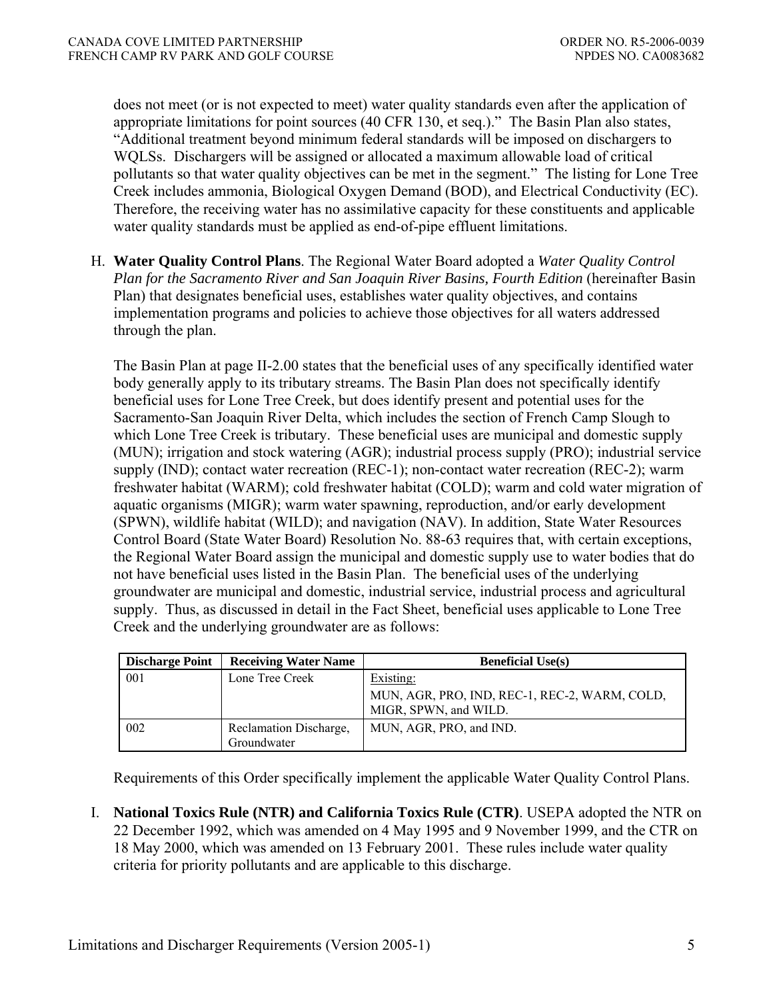does not meet (or is not expected to meet) water quality standards even after the application of appropriate limitations for point sources (40 CFR 130, et seq.)." The Basin Plan also states, "Additional treatment beyond minimum federal standards will be imposed on dischargers to WQLSs. Dischargers will be assigned or allocated a maximum allowable load of critical pollutants so that water quality objectives can be met in the segment." The listing for Lone Tree Creek includes ammonia, Biological Oxygen Demand (BOD), and Electrical Conductivity (EC). Therefore, the receiving water has no assimilative capacity for these constituents and applicable water quality standards must be applied as end-of-pipe effluent limitations.

H. **Water Quality Control Plans**. The Regional Water Board adopted a *Water Quality Control Plan for the Sacramento River and San Joaquin River Basins, Fourth Edition* (hereinafter Basin Plan) that designates beneficial uses, establishes water quality objectives, and contains implementation programs and policies to achieve those objectives for all waters addressed through the plan.

The Basin Plan at page II-2.00 states that the beneficial uses of any specifically identified water body generally apply to its tributary streams. The Basin Plan does not specifically identify beneficial uses for Lone Tree Creek, but does identify present and potential uses for the Sacramento-San Joaquin River Delta, which includes the section of French Camp Slough to which Lone Tree Creek is tributary. These beneficial uses are municipal and domestic supply (MUN); irrigation and stock watering (AGR); industrial process supply (PRO); industrial service supply (IND); contact water recreation (REC-1); non-contact water recreation (REC-2); warm freshwater habitat (WARM); cold freshwater habitat (COLD); warm and cold water migration of aquatic organisms (MIGR); warm water spawning, reproduction, and/or early development (SPWN), wildlife habitat (WILD); and navigation (NAV). In addition, State Water Resources Control Board (State Water Board) Resolution No. 88-63 requires that, with certain exceptions, the Regional Water Board assign the municipal and domestic supply use to water bodies that do not have beneficial uses listed in the Basin Plan. The beneficial uses of the underlying groundwater are municipal and domestic, industrial service, industrial process and agricultural supply. Thus, as discussed in detail in the Fact Sheet, beneficial uses applicable to Lone Tree Creek and the underlying groundwater are as follows:

| <b>Discharge Point</b> | <b>Receiving Water Name</b>           | <b>Beneficial Use(s)</b>                                               |
|------------------------|---------------------------------------|------------------------------------------------------------------------|
| 001                    | Lone Tree Creek                       | Existing:                                                              |
|                        |                                       | MUN, AGR, PRO, IND, REC-1, REC-2, WARM, COLD,<br>MIGR, SPWN, and WILD. |
| 002                    | Reclamation Discharge,<br>Groundwater | MUN, AGR, PRO, and IND.                                                |

Requirements of this Order specifically implement the applicable Water Quality Control Plans.

I. **National Toxics Rule (NTR) and California Toxics Rule (CTR)**. USEPA adopted the NTR on 22 December 1992, which was amended on 4 May 1995 and 9 November 1999, and the CTR on 18 May 2000, which was amended on 13 February 2001. These rules include water quality criteria for priority pollutants and are applicable to this discharge.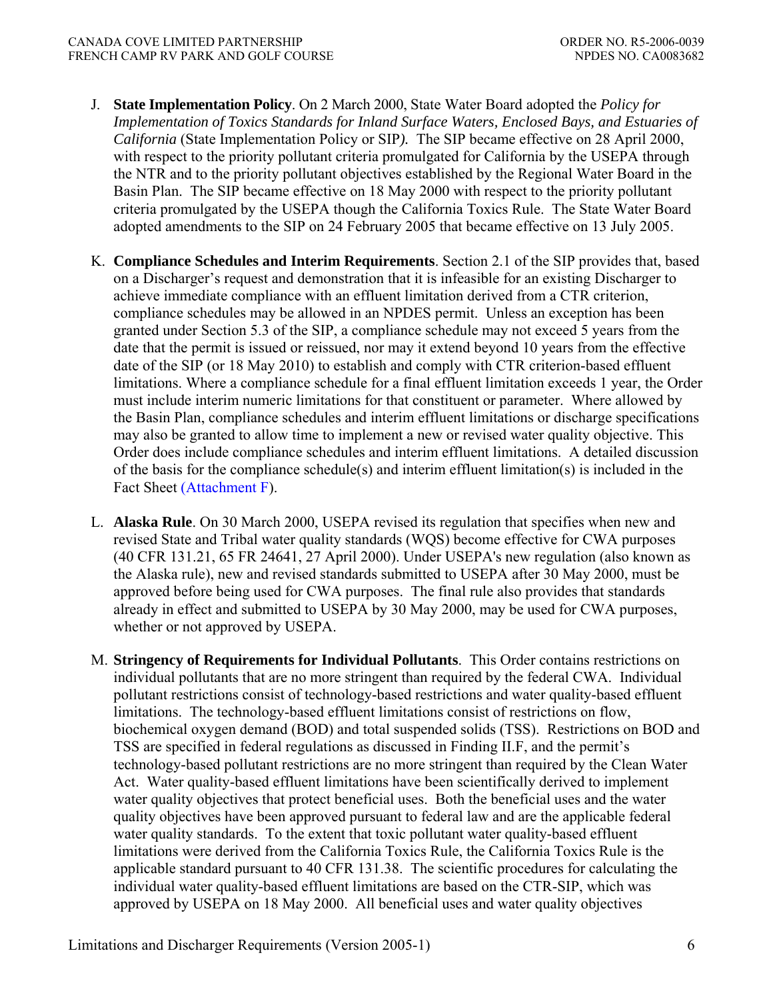- J. **State Implementation Policy**. On 2 March 2000, State Water Board adopted the *Policy for Implementation of Toxics Standards for Inland Surface Waters, Enclosed Bays, and Estuaries of California* (State Implementation Policy or SIP*).* The SIP became effective on 28 April 2000, with respect to the priority pollutant criteria promulgated for California by the USEPA through the NTR and to the priority pollutant objectives established by the Regional Water Board in the Basin Plan. The SIP became effective on 18 May 2000 with respect to the priority pollutant criteria promulgated by the USEPA though the California Toxics Rule. The State Water Board adopted amendments to the SIP on 24 February 2005 that became effective on 13 July 2005.
- K. **Compliance Schedules and Interim Requirements**. Section 2.1 of the SIP provides that, based on a Discharger's request and demonstration that it is infeasible for an existing Discharger to achieve immediate compliance with an effluent limitation derived from a CTR criterion, compliance schedules may be allowed in an NPDES permit. Unless an exception has been granted under Section 5.3 of the SIP, a compliance schedule may not exceed 5 years from the date that the permit is issued or reissued, nor may it extend beyond 10 years from the effective date of the SIP (or 18 May 2010) to establish and comply with CTR criterion-based effluent limitations. Where a compliance schedule for a final effluent limitation exceeds 1 year, the Order must include interim numeric limitations for that constituent or parameter. Where allowed by the Basin Plan, compliance schedules and interim effluent limitations or discharge specifications may also be granted to allow time to implement a new or revised water quality objective. This Order does include compliance schedules and interim effluent limitations. A detailed discussion of the basis for the compliance schedule(s) and interim effluent limitation(s) is included in the Fact Sheet (Attachment F).
- L. **Alaska Rule**. On 30 March 2000, USEPA revised its regulation that specifies when new and revised State and Tribal water quality standards (WQS) become effective for CWA purposes (40 CFR 131.21, 65 FR 24641, 27 April 2000). Under USEPA's new regulation (also known as the Alaska rule), new and revised standards submitted to USEPA after 30 May 2000, must be approved before being used for CWA purposes. The final rule also provides that standards already in effect and submitted to USEPA by 30 May 2000, may be used for CWA purposes, whether or not approved by USEPA.
- M. **Stringency of Requirements for Individual Pollutants**. This Order contains restrictions on individual pollutants that are no more stringent than required by the federal CWA. Individual pollutant restrictions consist of technology-based restrictions and water quality-based effluent limitations. The technology-based effluent limitations consist of restrictions on flow, biochemical oxygen demand (BOD) and total suspended solids (TSS). Restrictions on BOD and TSS are specified in federal regulations as discussed in Finding II.F, and the permit's technology-based pollutant restrictions are no more stringent than required by the Clean Water Act. Water quality-based effluent limitations have been scientifically derived to implement water quality objectives that protect beneficial uses. Both the beneficial uses and the water quality objectives have been approved pursuant to federal law and are the applicable federal water quality standards. To the extent that toxic pollutant water quality-based effluent limitations were derived from the California Toxics Rule, the California Toxics Rule is the applicable standard pursuant to 40 CFR 131.38. The scientific procedures for calculating the individual water quality-based effluent limitations are based on the CTR-SIP, which was approved by USEPA on 18 May 2000. All beneficial uses and water quality objectives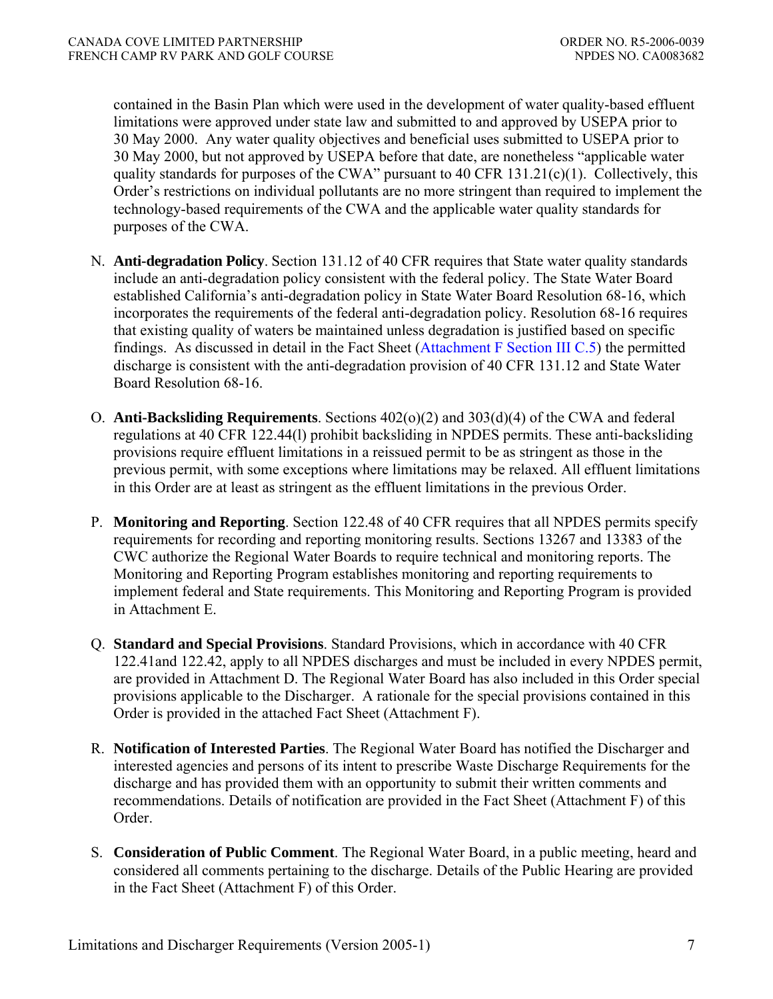contained in the Basin Plan which were used in the development of water quality-based effluent limitations were approved under state law and submitted to and approved by USEPA prior to 30 May 2000. Any water quality objectives and beneficial uses submitted to USEPA prior to 30 May 2000, but not approved by USEPA before that date, are nonetheless "applicable water quality standards for purposes of the CWA" pursuant to 40 CFR 131.21(c)(1). Collectively, this Order's restrictions on individual pollutants are no more stringent than required to implement the technology-based requirements of the CWA and the applicable water quality standards for purposes of the CWA.

- N. **Anti-degradation Policy**. Section 131.12 of 40 CFR requires that State water quality standards include an anti-degradation policy consistent with the federal policy. The State Water Board established California's anti-degradation policy in State Water Board Resolution 68-16, which incorporates the requirements of the federal anti-degradation policy. Resolution 68-16 requires that existing quality of waters be maintained unless degradation is justified based on specific findings. As discussed in detail in the Fact Sheet (Attachment F Section III C.5) the permitted discharge is consistent with the anti-degradation provision of 40 CFR 131.12 and State Water Board Resolution 68-16.
- O. **Anti-Backsliding Requirements**. Sections 402(o)(2) and 303(d)(4) of the CWA and federal regulations at 40 CFR 122.44(l) prohibit backsliding in NPDES permits. These anti-backsliding provisions require effluent limitations in a reissued permit to be as stringent as those in the previous permit, with some exceptions where limitations may be relaxed. All effluent limitations in this Order are at least as stringent as the effluent limitations in the previous Order.
- P. **Monitoring and Reporting**. Section 122.48 of 40 CFR requires that all NPDES permits specify requirements for recording and reporting monitoring results. Sections 13267 and 13383 of the CWC authorize the Regional Water Boards to require technical and monitoring reports. The Monitoring and Reporting Program establishes monitoring and reporting requirements to implement federal and State requirements. This Monitoring and Reporting Program is provided in Attachment E.
- Q. **Standard and Special Provisions**. Standard Provisions, which in accordance with 40 CFR 122.41and 122.42, apply to all NPDES discharges and must be included in every NPDES permit, are provided in Attachment D. The Regional Water Board has also included in this Order special provisions applicable to the Discharger. A rationale for the special provisions contained in this Order is provided in the attached Fact Sheet (Attachment F).
- R. **Notification of Interested Parties**. The Regional Water Board has notified the Discharger and interested agencies and persons of its intent to prescribe Waste Discharge Requirements for the discharge and has provided them with an opportunity to submit their written comments and recommendations. Details of notification are provided in the Fact Sheet (Attachment F) of this Order.
- S. **Consideration of Public Comment**. The Regional Water Board, in a public meeting, heard and considered all comments pertaining to the discharge. Details of the Public Hearing are provided in the Fact Sheet (Attachment F) of this Order.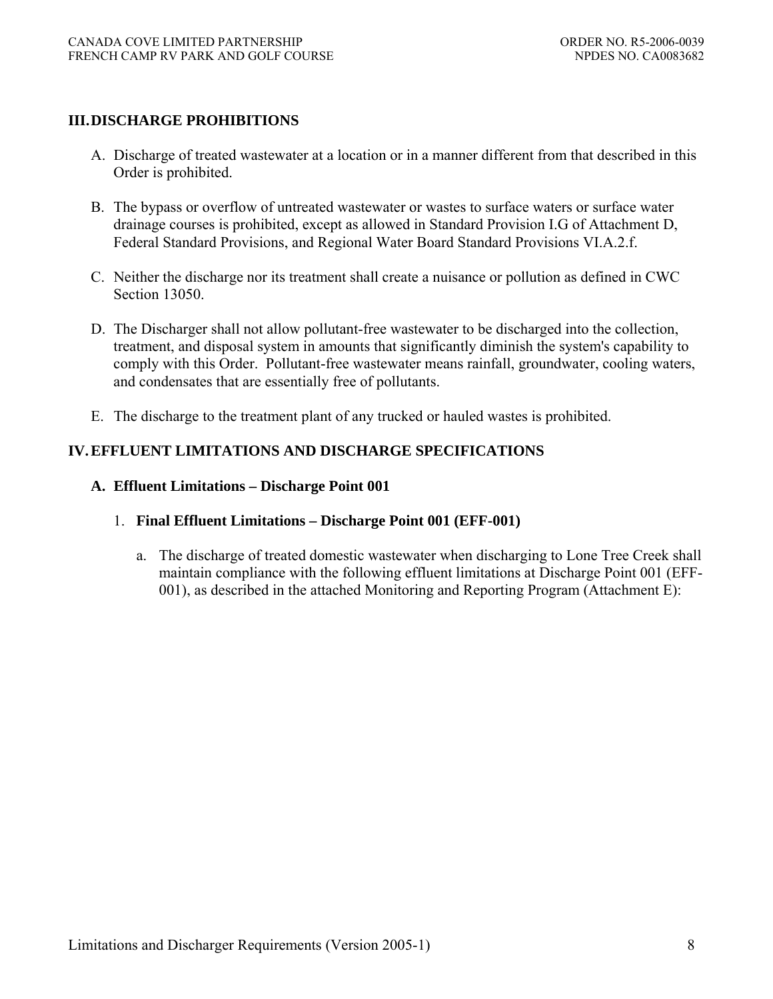### **III. DISCHARGE PROHIBITIONS**

- A. Discharge of treated wastewater at a location or in a manner different from that described in this Order is prohibited.
- B. The bypass or overflow of untreated wastewater or wastes to surface waters or surface water drainage courses is prohibited, except as allowed in Standard Provision I.G of Attachment D, Federal Standard Provisions, and Regional Water Board Standard Provisions VI.A.2.f.
- C. Neither the discharge nor its treatment shall create a nuisance or pollution as defined in CWC Section 13050
- D. The Discharger shall not allow pollutant-free wastewater to be discharged into the collection, treatment, and disposal system in amounts that significantly diminish the system's capability to comply with this Order. Pollutant-free wastewater means rainfall, groundwater, cooling waters, and condensates that are essentially free of pollutants.
- E. The discharge to the treatment plant of any trucked or hauled wastes is prohibited.

## **IV. EFFLUENT LIMITATIONS AND DISCHARGE SPECIFICATIONS**

### **A. Effluent Limitations – Discharge Point 001**

- 1. **Final Effluent Limitations Discharge Point 001 (EFF-001)** 
	- a. The discharge of treated domestic wastewater when discharging to Lone Tree Creek shall maintain compliance with the following effluent limitations at Discharge Point 001 (EFF-001), as described in the attached Monitoring and Reporting Program (Attachment E):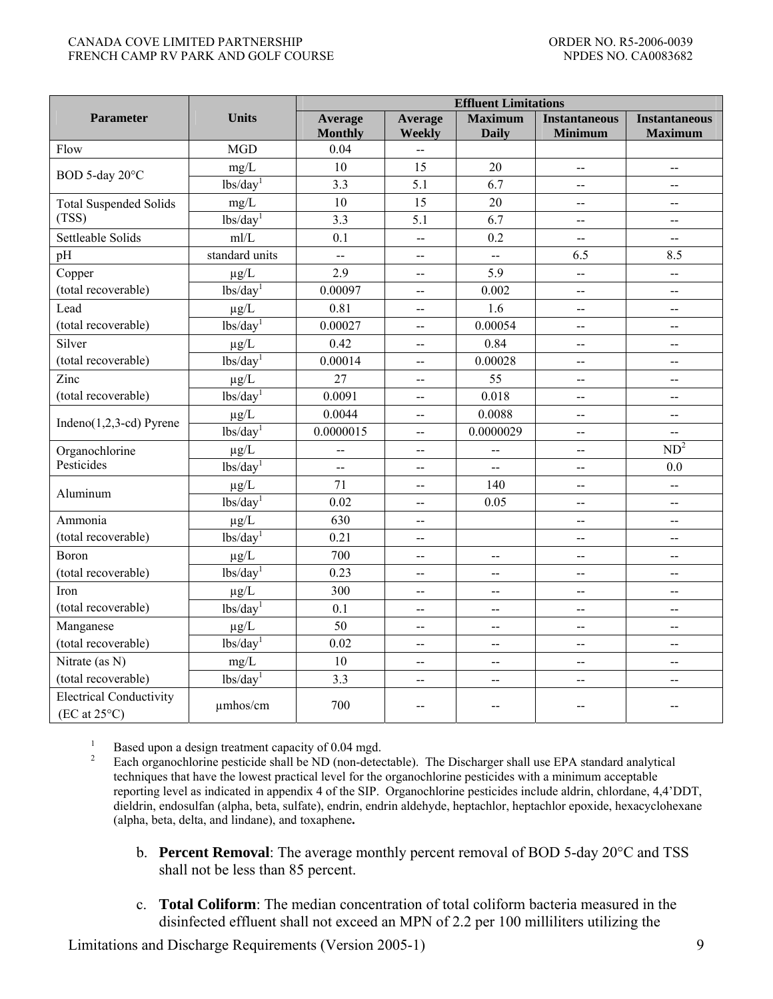#### CANADA COVE LIMITED PARTNERSHIP ORDER NO. R5-2006-0039 FRENCH CAMP RV PARK AND GOLF COURSE NEXT AND SERVICE OF A SERVICE OF A SERVICE OF A SERVICE OF A SERVICE OF A SERVICE OF A SERVICE OF A SERVICE OF A SERVICE OF A SERVICE OF A SERVICE OF A SERVICE OF A SERVICE OF A SERVICE

|                                                         |                       | <b>Effluent Limitations</b> |                          |                                |                                               |                                        |  |
|---------------------------------------------------------|-----------------------|-----------------------------|--------------------------|--------------------------------|-----------------------------------------------|----------------------------------------|--|
| <b>Parameter</b>                                        | <b>Units</b>          | Average<br><b>Monthly</b>   | Average<br>Weekly        | <b>Maximum</b><br><b>Daily</b> | <b>Instantaneous</b><br>Minimum               | <b>Instantaneous</b><br><b>Maximum</b> |  |
| Flow                                                    | <b>MGD</b>            | 0.04                        | $\ddotsc$                |                                |                                               |                                        |  |
|                                                         | mg/L                  | 10                          | 15                       | 20                             | $\overline{a}$                                | $\overline{a}$                         |  |
| BOD 5-day 20°C                                          | lbs/day <sup>1</sup>  | 3.3                         | 5.1                      | 6.7                            | $\overline{a}$                                | Ц.                                     |  |
| <b>Total Suspended Solids</b>                           | mg/L                  | 10                          | 15                       | 20                             | $\overline{a}$                                | $\overline{a}$                         |  |
| (TSS)                                                   | lbs/day <sup>1</sup>  | 3.3                         | 5.1                      | $\overline{6.7}$               | $-$                                           | $\overline{\phantom{a}}$               |  |
| Settleable Solids                                       | mI/L                  | 0.1                         | Ц.                       | 0.2                            | $-$                                           | $-$                                    |  |
| pH                                                      | standard units        | $\overline{a}$              | --                       | $\bar{\phantom{a}}$            | 6.5                                           | 8.5                                    |  |
| Copper                                                  | $\mu$ g/L             | 2.9                         | $\overline{\phantom{a}}$ | 5.9                            | --                                            | $\overline{\phantom{a}}$               |  |
| (total recoverable)                                     | lbs/day <sup>1</sup>  | 0.00097                     | $\overline{\phantom{a}}$ | 0.002                          | $\overline{a}$                                | $\overline{a}$                         |  |
| Lead                                                    | $\mu g/L$             | 0.81                        | $\overline{\phantom{a}}$ | 1.6                            | $-$                                           | $\overline{\phantom{a}}$               |  |
| (total recoverable)                                     | lbs/day <sup>1</sup>  | 0.00027                     | --                       | 0.00054                        | --                                            | $\overline{a}$                         |  |
| Silver                                                  | $\mu g/L$             | 0.42                        | $\overline{\phantom{a}}$ | 0.84                           | $\overline{\phantom{a}}$                      | $\overline{\phantom{a}}$               |  |
| (total recoverable)                                     | lbs/day <sup>1</sup>  | 0.00014                     | $\overline{a}$           | 0.00028                        | $\overline{a}$                                | $\overline{a}$                         |  |
| Zinc                                                    | $\mu g/L$             | 27                          | $\overline{a}$           | 55                             | --                                            | $\overline{a}$                         |  |
| (total recoverable)                                     | $lbs\overline{day}^1$ | 0.0091                      | $\overline{a}$           | 0.018                          | ∽–                                            | $\overline{\phantom{a}}$               |  |
|                                                         | $\mu$ g/L             | 0.0044                      | $\overline{a}$           | 0.0088                         | $\overline{a}$                                | $\overline{a}$                         |  |
| Indeno $(1,2,3$ -cd) Pyrene                             | lbs/day <sup>1</sup>  | 0.0000015                   | --                       | 0.0000029                      | $\overline{a}$                                | --                                     |  |
| Organochlorine                                          | $\mu g/L$             | $\overline{\phantom{a}}$    | $\overline{\phantom{a}}$ | $\overline{\phantom{a}}$       | --                                            | $ND^2$                                 |  |
| Pesticides                                              | lbs/day <sup>1</sup>  | $\overline{a}$              | $\overline{\phantom{a}}$ | $\overline{\phantom{a}}$       | $\mathord{\hspace{1pt}\text{--}\hspace{1pt}}$ | 0.0                                    |  |
| Aluminum                                                | $\mu g/L$             | 71                          | --                       | 140                            | --                                            | $\overline{\phantom{a}}$               |  |
|                                                         | lbs/day <sup>1</sup>  | 0.02                        | --                       | 0.05                           | $-$                                           | $-$                                    |  |
| Ammonia                                                 | $\mu g/L$             | 630                         | --                       |                                | $\overline{\phantom{0}}$                      | $\overline{a}$                         |  |
| (total recoverable)                                     | lbs/day <sup>1</sup>  | 0.21                        | $\overline{a}$           |                                | --                                            | $\overline{\phantom{a}}$               |  |
| Boron                                                   | $\mu g/L$             | 700                         | $\overline{a}$           | $-$                            | $-$                                           | $-$                                    |  |
| (total recoverable)                                     | lbs/day <sup>1</sup>  | 0.23                        | $\overline{a}$           | $\overline{a}$                 | --                                            | $\overline{a}$                         |  |
| Iron                                                    | $\mu g/L$             | 300                         | --                       | $\overline{a}$                 | --                                            | $\overline{a}$                         |  |
| (total recoverable)                                     | lbs/day <sup>1</sup>  | 0.1                         | --                       | --                             | --                                            | $\overline{\phantom{a}}$               |  |
| Manganese                                               | $\mu$ g/L             | 50                          | $\overline{a}$           | --                             | --                                            | 44                                     |  |
| (total recoverable)                                     | lbs/day <sup>1</sup>  | 0.02                        | 44                       | $\overline{\phantom{a}}$       | $\overline{\phantom{a}}$                      | $\overline{\phantom{a}}$               |  |
| Nitrate (as N)                                          | $mg/L$                | 10                          | $-$                      | $\overline{\phantom{a}}$       | $\overline{\phantom{a}}$                      | $\overline{\phantom{a}}$               |  |
| (total recoverable)                                     | lbs/day <sup>1</sup>  | 3.3                         | --                       | ∽–                             | --                                            | --                                     |  |
| <b>Electrical Conductivity</b><br>$(EC at 25^{\circ}C)$ | umhos/cm              | 700                         | $-$                      | $-$                            |                                               |                                        |  |

1 Based upon a design treatment capacity of 0.04 mgd. 2

 Each organochlorine pesticide shall be ND (non-detectable). The Discharger shall use EPA standard analytical techniques that have the lowest practical level for the organochlorine pesticides with a minimum acceptable reporting level as indicated in appendix 4 of the SIP. Organochlorine pesticides include aldrin, chlordane, 4,4'DDT, dieldrin, endosulfan (alpha, beta, sulfate), endrin, endrin aldehyde, heptachlor, heptachlor epoxide, hexacyclohexane (alpha, beta, delta, and lindane), and toxaphene**.** 

- b. **Percent Removal**: The average monthly percent removal of BOD 5-day 20°C and TSS shall not be less than 85 percent.
- c. **Total Coliform**: The median concentration of total coliform bacteria measured in the disinfected effluent shall not exceed an MPN of 2.2 per 100 milliliters utilizing the

Limitations and Discharge Requirements (Version 2005-1) 9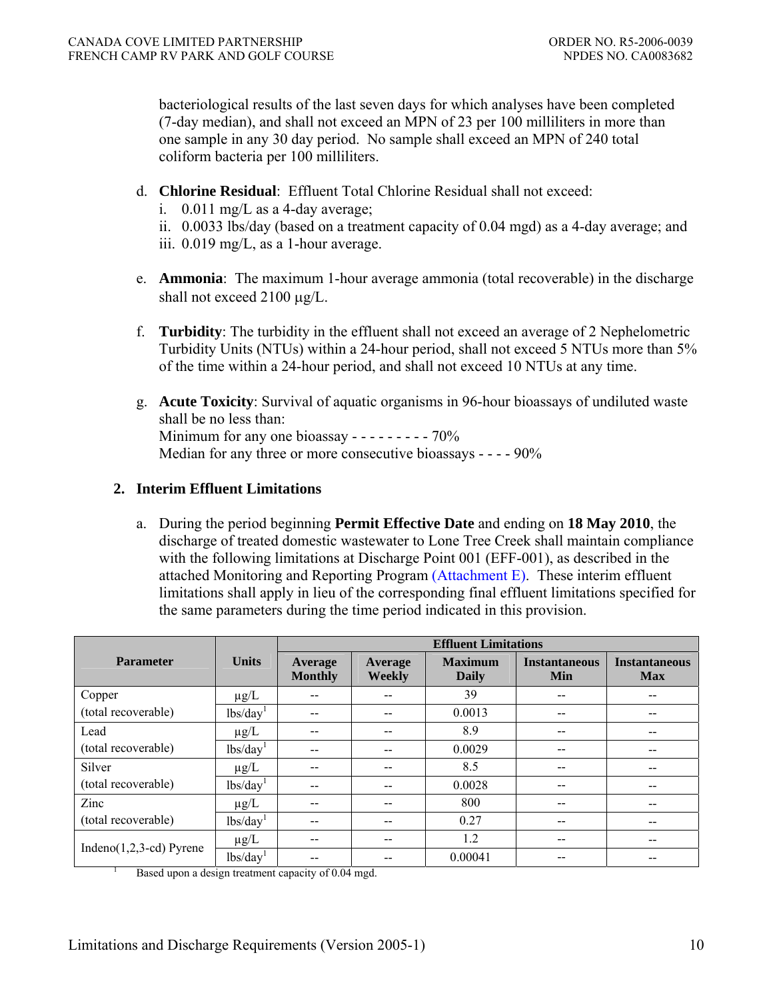bacteriological results of the last seven days for which analyses have been completed (7-day median), and shall not exceed an MPN of 23 per 100 milliliters in more than one sample in any 30 day period. No sample shall exceed an MPN of 240 total coliform bacteria per 100 milliliters.

- d. **Chlorine Residual**: Effluent Total Chlorine Residual shall not exceed:
	- i.  $0.011 \text{ mg/L}$  as a 4-day average;
	- ii. 0.0033 lbs/day (based on a treatment capacity of 0.04 mgd) as a 4-day average; and iii. 0.019 mg/L, as a 1-hour average.
- e. **Ammonia**: The maximum 1-hour average ammonia (total recoverable) in the discharge shall not exceed 2100 μg/L.
- f. **Turbidity**: The turbidity in the effluent shall not exceed an average of 2 Nephelometric Turbidity Units (NTUs) within a 24-hour period, shall not exceed 5 NTUs more than 5% of the time within a 24-hour period, and shall not exceed 10 NTUs at any time.
- g. **Acute Toxicity**: Survival of aquatic organisms in 96-hour bioassays of undiluted waste shall be no less than: Minimum for any one bioassay - - - - - - - - - 70% Median for any three or more consecutive bioassays - - - - 90%

### **2. Interim Effluent Limitations**

a. During the period beginning **Permit Effective Date** and ending on **18 May 2010**, the discharge of treated domestic wastewater to Lone Tree Creek shall maintain compliance with the following limitations at Discharge Point 001 (EFF-001), as described in the attached Monitoring and Reporting Program (Attachment E). These interim effluent limitations shall apply in lieu of the corresponding final effluent limitations specified for the same parameters during the time period indicated in this provision.

|                                                        | <b>Effluent Limitations</b> |                           |                   |                         |                             |                                    |
|--------------------------------------------------------|-----------------------------|---------------------------|-------------------|-------------------------|-----------------------------|------------------------------------|
| <b>Parameter</b>                                       | <b>Units</b>                | Average<br><b>Monthly</b> | Average<br>Weekly | <b>Maximum</b><br>Daily | <b>Instantaneous</b><br>Min | <b>Instantaneous</b><br><b>Max</b> |
| Copper                                                 | $\mu$ g/L                   |                           |                   | 39                      | $- -$                       |                                    |
| (total recoverable)                                    | lbs/day <sup>1</sup>        |                           |                   | 0.0013                  | $- -$                       |                                    |
| Lead                                                   | $\mu$ g/L                   | --                        |                   | 8.9                     | $- -$                       | --                                 |
| (total recoverable)                                    | lbs/day <sup>1</sup>        | --                        |                   | 0.0029                  | $- -$                       | --                                 |
| Silver                                                 | $\mu$ g/L                   | --                        | $- -$             | 8.5                     | $- -$                       | $- -$                              |
| (total recoverable)                                    | lbs/day <sup>1</sup>        | --                        | $ -$              | 0.0028                  | $- -$                       | --                                 |
| Zinc                                                   | $\mu$ g/L                   | --                        |                   | 800                     | $- -$                       |                                    |
| (total recoverable)                                    | lbs/day <sup>1</sup>        |                           |                   | 0.27                    | $- -$                       |                                    |
| Indeno $(1,2,3$ -cd) Pyrene                            | $\mu$ g/L                   | --                        | --                | 1.2                     | $- -$                       | $- -$                              |
|                                                        | lbs/day <sup>1</sup>        |                           |                   | 0.00041                 | --                          |                                    |
| $D_{200}$ upon a decian tractment equality of 0.04 mod |                             |                           |                   |                         |                             |                                    |

Based upon a design treatment capacity of 0.04 mgd.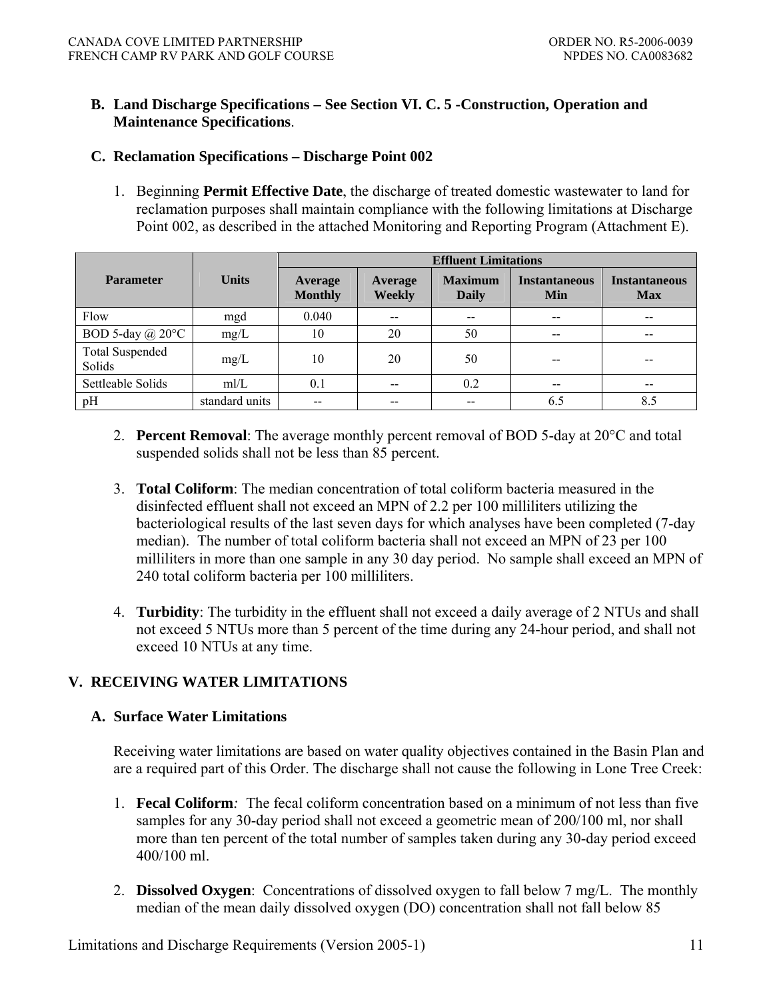### **B. Land Discharge Specifications – See Section VI. C. 5 -Construction, Operation and Maintenance Specifications**.

### **C. Reclamation Specifications – Discharge Point 002**

1. Beginning **Permit Effective Date**, the discharge of treated domestic wastewater to land for reclamation purposes shall maintain compliance with the following limitations at Discharge Point 002, as described in the attached Monitoring and Reporting Program (Attachment E).

|                                  |                | <b>Effluent Limitations</b>      |                          |                                |                             |                                    |
|----------------------------------|----------------|----------------------------------|--------------------------|--------------------------------|-----------------------------|------------------------------------|
| <b>Parameter</b>                 | <b>Units</b>   | <b>Average</b><br><b>Monthly</b> | Average<br><b>Weekly</b> | <b>Maximum</b><br><b>Daily</b> | <b>Instantaneous</b><br>Min | <b>Instantaneous</b><br><b>Max</b> |
| Flow                             | mgd            | 0.040                            | $- -$                    | $- -$                          | $- -$                       | $- -$                              |
| BOD 5-day $(a)$ 20 $\degree$ C   | mg/L           | 10                               | 20                       | 50                             | --                          | $- -$                              |
| <b>Total Suspended</b><br>Solids | mg/L           | 10                               | 20                       | 50                             |                             |                                    |
| Settleable Solids                | mI/L           | 0.1                              | $- -$                    | 0.2                            |                             |                                    |
| pH                               | standard units |                                  |                          |                                | 6.5                         | 8.5                                |

- 2. **Percent Removal**: The average monthly percent removal of BOD 5-day at 20°C and total suspended solids shall not be less than 85 percent.
- 3. **Total Coliform**: The median concentration of total coliform bacteria measured in the disinfected effluent shall not exceed an MPN of 2.2 per 100 milliliters utilizing the bacteriological results of the last seven days for which analyses have been completed (7-day median). The number of total coliform bacteria shall not exceed an MPN of 23 per 100 milliliters in more than one sample in any 30 day period. No sample shall exceed an MPN of 240 total coliform bacteria per 100 milliliters.
- 4. **Turbidity**: The turbidity in the effluent shall not exceed a daily average of 2 NTUs and shall not exceed 5 NTUs more than 5 percent of the time during any 24-hour period, and shall not exceed 10 NTUs at any time.

### **V. RECEIVING WATER LIMITATIONS**

#### **A. Surface Water Limitations**

Receiving water limitations are based on water quality objectives contained in the Basin Plan and are a required part of this Order. The discharge shall not cause the following in Lone Tree Creek:

- 1. **Fecal Coliform***:* The fecal coliform concentration based on a minimum of not less than five samples for any 30-day period shall not exceed a geometric mean of 200/100 ml, nor shall more than ten percent of the total number of samples taken during any 30-day period exceed 400/100 ml.
- 2. **Dissolved Oxygen**: Concentrations of dissolved oxygen to fall below 7 mg/L. The monthly median of the mean daily dissolved oxygen (DO) concentration shall not fall below 85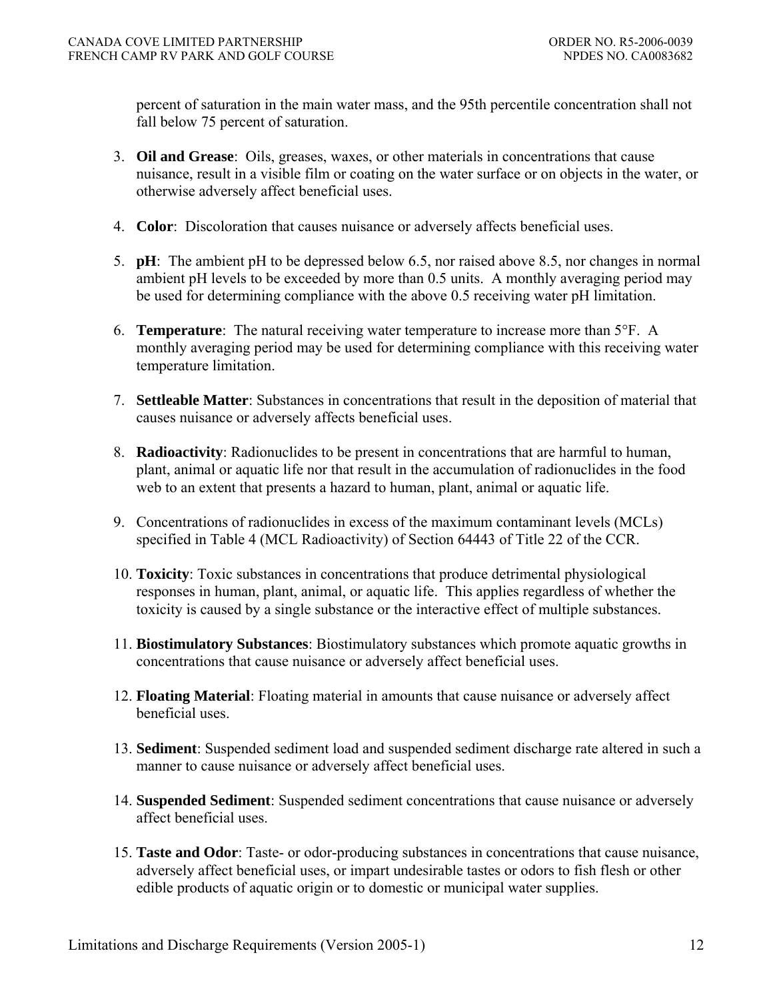percent of saturation in the main water mass, and the 95th percentile concentration shall not fall below 75 percent of saturation.

- 3. **Oil and Grease**: Oils, greases, waxes, or other materials in concentrations that cause nuisance, result in a visible film or coating on the water surface or on objects in the water, or otherwise adversely affect beneficial uses.
- 4. **Color**: Discoloration that causes nuisance or adversely affects beneficial uses.
- 5. **pH**: The ambient pH to be depressed below 6.5, nor raised above 8.5, nor changes in normal ambient pH levels to be exceeded by more than 0.5 units. A monthly averaging period may be used for determining compliance with the above 0.5 receiving water pH limitation.
- 6. **Temperature**: The natural receiving water temperature to increase more than 5°F. A monthly averaging period may be used for determining compliance with this receiving water temperature limitation.
- 7. **Settleable Matter**: Substances in concentrations that result in the deposition of material that causes nuisance or adversely affects beneficial uses.
- 8. **Radioactivity**: Radionuclides to be present in concentrations that are harmful to human, plant, animal or aquatic life nor that result in the accumulation of radionuclides in the food web to an extent that presents a hazard to human, plant, animal or aquatic life.
- 9. Concentrations of radionuclides in excess of the maximum contaminant levels (MCLs) specified in Table 4 (MCL Radioactivity) of Section 64443 of Title 22 of the CCR.
- 10. **Toxicity**: Toxic substances in concentrations that produce detrimental physiological responses in human, plant, animal, or aquatic life. This applies regardless of whether the toxicity is caused by a single substance or the interactive effect of multiple substances.
- 11. **Biostimulatory Substances**: Biostimulatory substances which promote aquatic growths in concentrations that cause nuisance or adversely affect beneficial uses.
- 12. **Floating Material**: Floating material in amounts that cause nuisance or adversely affect beneficial uses.
- 13. **Sediment**: Suspended sediment load and suspended sediment discharge rate altered in such a manner to cause nuisance or adversely affect beneficial uses.
- 14. **Suspended Sediment**: Suspended sediment concentrations that cause nuisance or adversely affect beneficial uses.
- 15. **Taste and Odor**: Taste- or odor-producing substances in concentrations that cause nuisance, adversely affect beneficial uses, or impart undesirable tastes or odors to fish flesh or other edible products of aquatic origin or to domestic or municipal water supplies.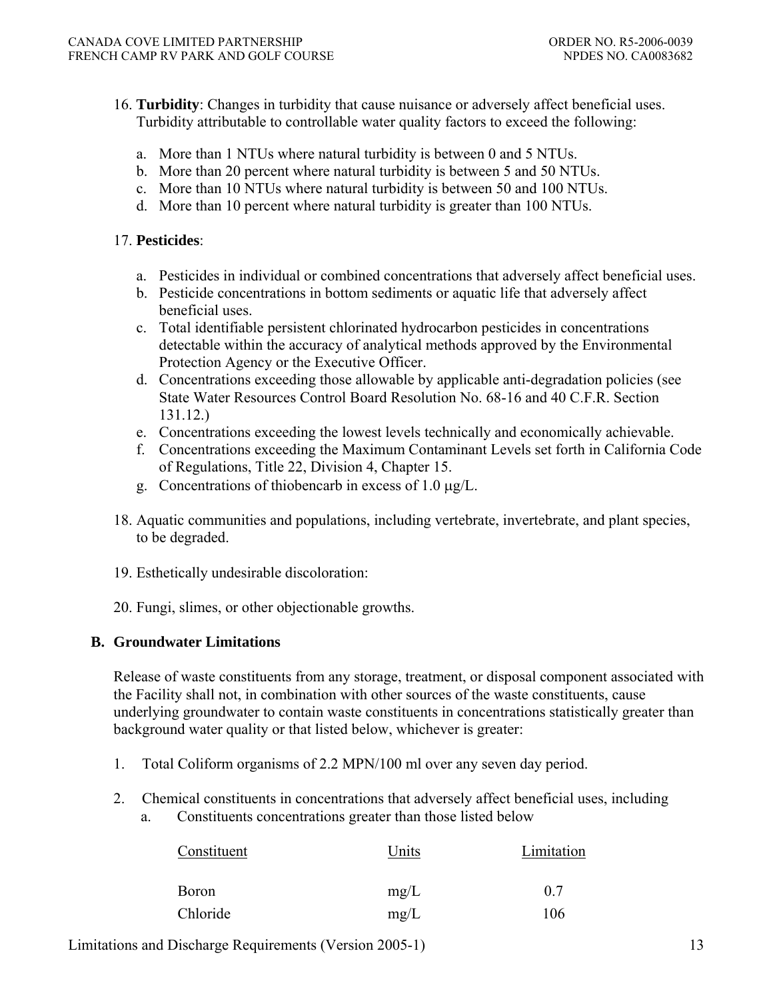- 16. **Turbidity**: Changes in turbidity that cause nuisance or adversely affect beneficial uses. Turbidity attributable to controllable water quality factors to exceed the following:
	- a. More than 1 NTUs where natural turbidity is between 0 and 5 NTUs.
	- b. More than 20 percent where natural turbidity is between 5 and 50 NTUs.
	- c. More than 10 NTUs where natural turbidity is between 50 and 100 NTUs.
	- d. More than 10 percent where natural turbidity is greater than 100 NTUs.

### 17. **Pesticides**:

- a. Pesticides in individual or combined concentrations that adversely affect beneficial uses.
- b. Pesticide concentrations in bottom sediments or aquatic life that adversely affect beneficial uses.
- c. Total identifiable persistent chlorinated hydrocarbon pesticides in concentrations detectable within the accuracy of analytical methods approved by the Environmental Protection Agency or the Executive Officer.
- d. Concentrations exceeding those allowable by applicable anti-degradation policies (see State Water Resources Control Board Resolution No. 68-16 and 40 C.F.R. Section 131.12.)
- e. Concentrations exceeding the lowest levels technically and economically achievable.
- f. Concentrations exceeding the Maximum Contaminant Levels set forth in California Code of Regulations, Title 22, Division 4, Chapter 15.
- g. Concentrations of thiobencarb in excess of 1.0 μg/L.
- 18. Aquatic communities and populations, including vertebrate, invertebrate, and plant species, to be degraded.
- 19. Esthetically undesirable discoloration:
- 20. Fungi, slimes, or other objectionable growths.

### **B. Groundwater Limitations**

Release of waste constituents from any storage, treatment, or disposal component associated with the Facility shall not, in combination with other sources of the waste constituents, cause underlying groundwater to contain waste constituents in concentrations statistically greater than background water quality or that listed below, whichever is greater:

- 1. Total Coliform organisms of 2.2 MPN/100 ml over any seven day period.
- 2. Chemical constituents in concentrations that adversely affect beneficial uses, including
	- a. Constituents concentrations greater than those listed below

| Constituent  | Units | Limitation |  |
|--------------|-------|------------|--|
| <b>Boron</b> | mg/L  | 0.7        |  |
| Chloride     | mg/L  | 106        |  |

Limitations and Discharge Requirements (Version 2005-1) 13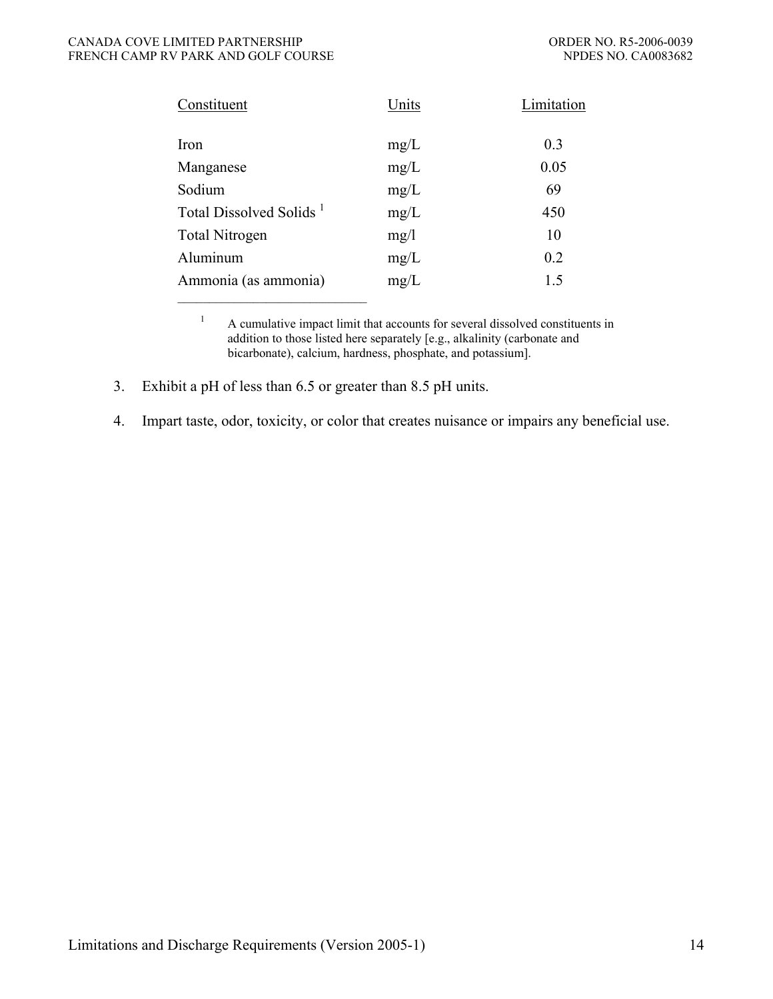#### CANADA COVE LIMITED PARTNERSHIP ORDER NO. R5-2006-0039 FRENCH CAMP RV PARK AND GOLF COURSE NEXT AND SERVICE OF A SERVICE OF A SERVICE OF A SERVICE OF A SERVICE OF A SERVICE OF A SERVICE OF A SERVICE OF A SERVICE OF A SERVICE OF A SERVICE OF A SERVICE OF A SERVICE OF A SERVICE

| Constituent                         | Units | Limitation |
|-------------------------------------|-------|------------|
| Iron                                | mg/L  | 0.3        |
| Manganese                           | mg/L  | 0.05       |
| Sodium                              | mg/L  | 69         |
| Total Dissolved Solids <sup>1</sup> | mg/L  | 450        |
| <b>Total Nitrogen</b>               | mg/1  | 10         |
| Aluminum                            | mg/L  | 0.2        |
| Ammonia (as ammonia)                | mg/L  | 1.5        |

<sup>1</sup> A cumulative impact limit that accounts for several dissolved constituents in addition to those listed here separately [e.g., alkalinity (carbonate and bicarbonate), calcium, hardness, phosphate, and potassium].

3. Exhibit a pH of less than 6.5 or greater than 8.5 pH units.

4. Impart taste, odor, toxicity, or color that creates nuisance or impairs any beneficial use.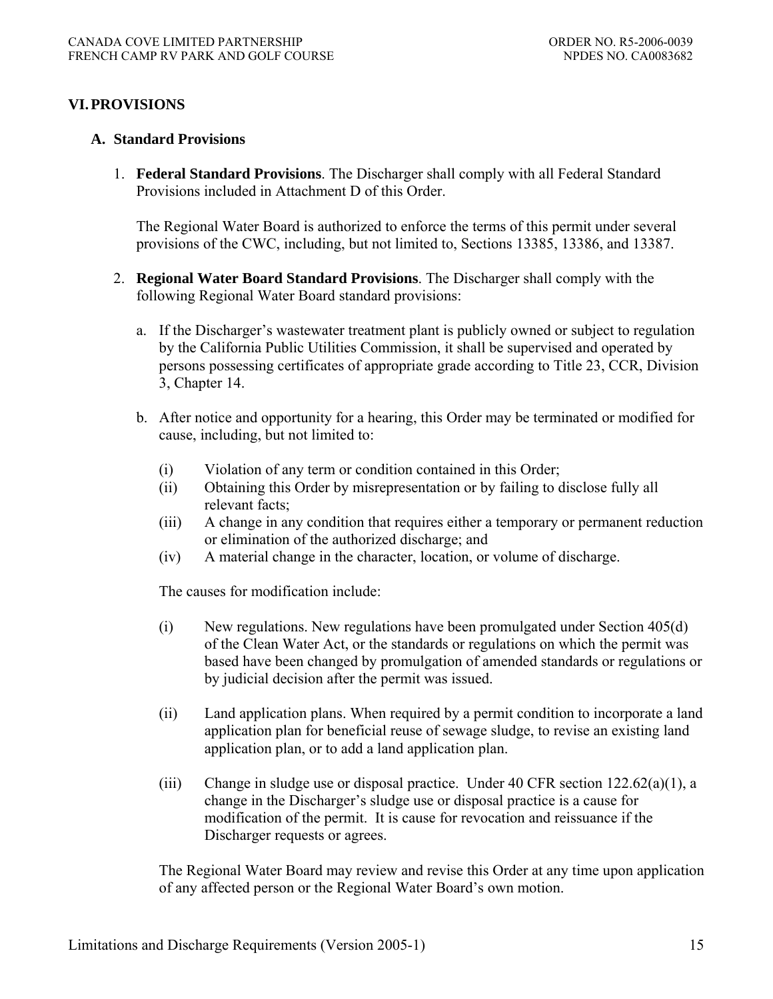## **VI. PROVISIONS**

### **A. Standard Provisions**

1. **Federal Standard Provisions**. The Discharger shall comply with all Federal Standard Provisions included in Attachment D of this Order.

The Regional Water Board is authorized to enforce the terms of this permit under several provisions of the CWC, including, but not limited to, Sections 13385, 13386, and 13387.

- 2. **Regional Water Board Standard Provisions**. The Discharger shall comply with the following Regional Water Board standard provisions:
	- a. If the Discharger's wastewater treatment plant is publicly owned or subject to regulation by the California Public Utilities Commission, it shall be supervised and operated by persons possessing certificates of appropriate grade according to Title 23, CCR, Division 3, Chapter 14.
	- b. After notice and opportunity for a hearing, this Order may be terminated or modified for cause, including, but not limited to:
		- (i) Violation of any term or condition contained in this Order;
		- (ii) Obtaining this Order by misrepresentation or by failing to disclose fully all relevant facts;
		- (iii) A change in any condition that requires either a temporary or permanent reduction or elimination of the authorized discharge; and
		- (iv) A material change in the character, location, or volume of discharge.

The causes for modification include:

- (i) New regulations. New regulations have been promulgated under Section 405(d) of the Clean Water Act, or the standards or regulations on which the permit was based have been changed by promulgation of amended standards or regulations or by judicial decision after the permit was issued.
- (ii) Land application plans. When required by a permit condition to incorporate a land application plan for beneficial reuse of sewage sludge, to revise an existing land application plan, or to add a land application plan.
- (iii) Change in sludge use or disposal practice. Under 40 CFR section 122.62(a)(1), a change in the Discharger's sludge use or disposal practice is a cause for modification of the permit. It is cause for revocation and reissuance if the Discharger requests or agrees.

The Regional Water Board may review and revise this Order at any time upon application of any affected person or the Regional Water Board's own motion.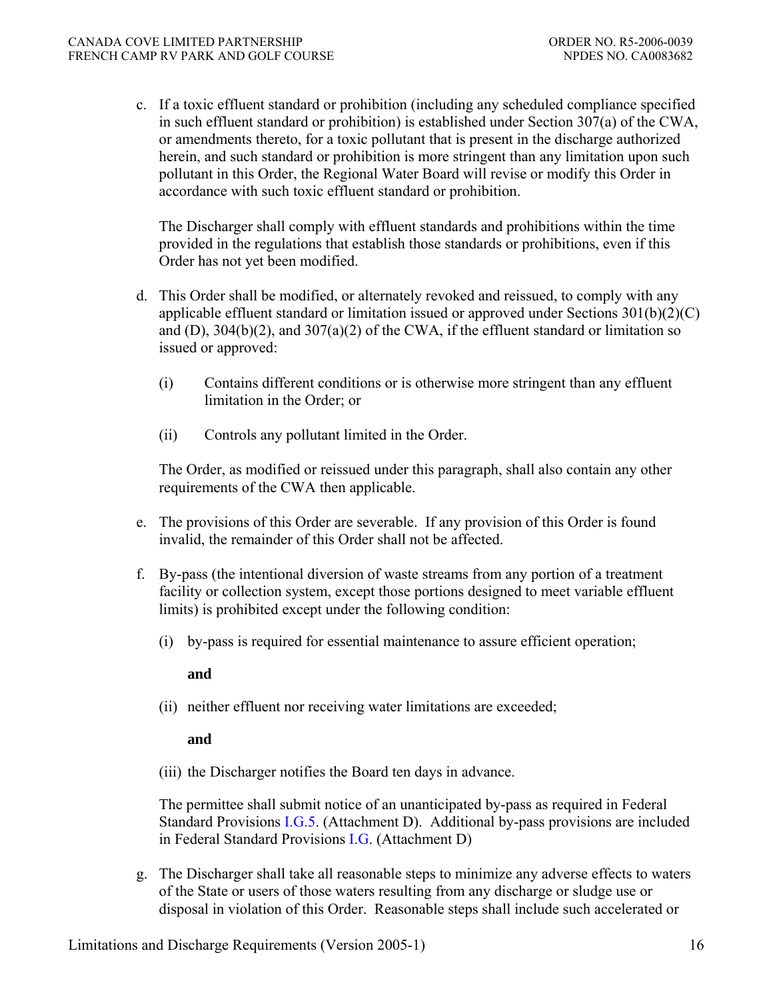c. If a toxic effluent standard or prohibition (including any scheduled compliance specified in such effluent standard or prohibition) is established under Section 307(a) of the CWA, or amendments thereto, for a toxic pollutant that is present in the discharge authorized herein, and such standard or prohibition is more stringent than any limitation upon such pollutant in this Order, the Regional Water Board will revise or modify this Order in accordance with such toxic effluent standard or prohibition.

The Discharger shall comply with effluent standards and prohibitions within the time provided in the regulations that establish those standards or prohibitions, even if this Order has not yet been modified.

- d. This Order shall be modified, or alternately revoked and reissued, to comply with any applicable effluent standard or limitation issued or approved under Sections 301(b)(2)(C) and (D),  $304(b)(2)$ , and  $307(a)(2)$  of the CWA, if the effluent standard or limitation so issued or approved:
	- (i) Contains different conditions or is otherwise more stringent than any effluent limitation in the Order; or
	- (ii) Controls any pollutant limited in the Order.

The Order, as modified or reissued under this paragraph, shall also contain any other requirements of the CWA then applicable.

- e. The provisions of this Order are severable. If any provision of this Order is found invalid, the remainder of this Order shall not be affected.
- f. By-pass (the intentional diversion of waste streams from any portion of a treatment facility or collection system, except those portions designed to meet variable effluent limits) is prohibited except under the following condition:
	- (i) by-pass is required for essential maintenance to assure efficient operation;

**and** 

(ii) neither effluent nor receiving water limitations are exceeded;

**and** 

(iii) the Discharger notifies the Board ten days in advance.

The permittee shall submit notice of an unanticipated by-pass as required in Federal Standard Provisions I.G.5. (Attachment D). Additional by-pass provisions are included in Federal Standard Provisions I.G. (Attachment D)

g. The Discharger shall take all reasonable steps to minimize any adverse effects to waters of the State or users of those waters resulting from any discharge or sludge use or disposal in violation of this Order. Reasonable steps shall include such accelerated or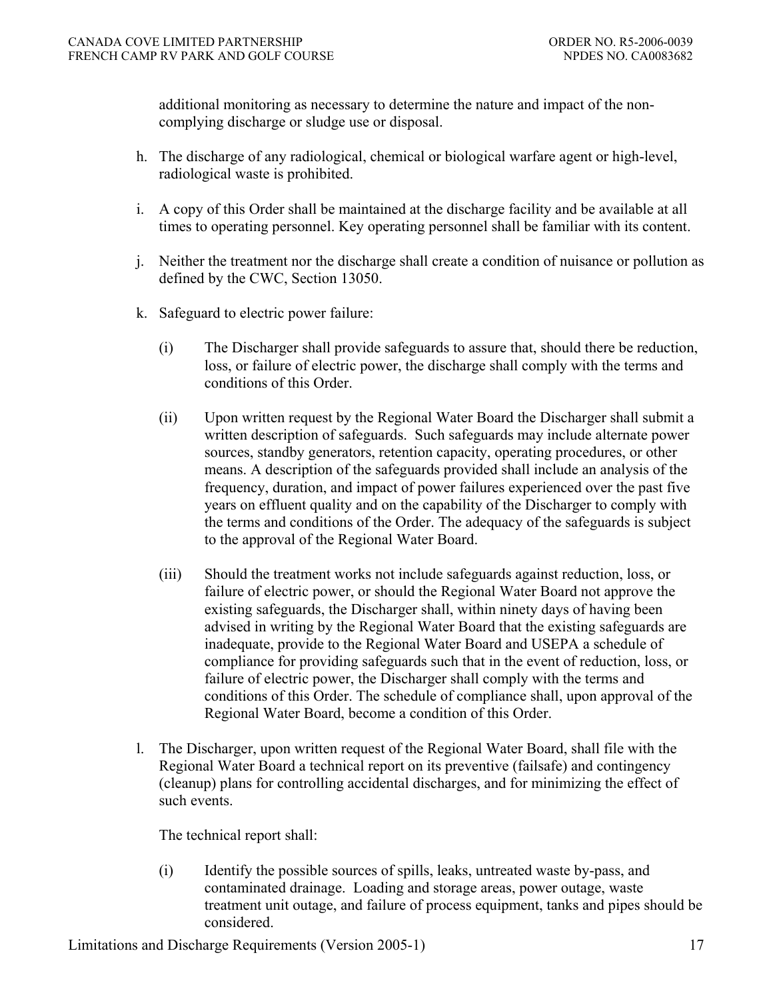additional monitoring as necessary to determine the nature and impact of the noncomplying discharge or sludge use or disposal.

- h. The discharge of any radiological, chemical or biological warfare agent or high-level, radiological waste is prohibited.
- i. A copy of this Order shall be maintained at the discharge facility and be available at all times to operating personnel. Key operating personnel shall be familiar with its content.
- j. Neither the treatment nor the discharge shall create a condition of nuisance or pollution as defined by the CWC, Section 13050.
- k. Safeguard to electric power failure:
	- (i) The Discharger shall provide safeguards to assure that, should there be reduction, loss, or failure of electric power, the discharge shall comply with the terms and conditions of this Order.
	- (ii) Upon written request by the Regional Water Board the Discharger shall submit a written description of safeguards. Such safeguards may include alternate power sources, standby generators, retention capacity, operating procedures, or other means. A description of the safeguards provided shall include an analysis of the frequency, duration, and impact of power failures experienced over the past five years on effluent quality and on the capability of the Discharger to comply with the terms and conditions of the Order. The adequacy of the safeguards is subject to the approval of the Regional Water Board.
	- (iii) Should the treatment works not include safeguards against reduction, loss, or failure of electric power, or should the Regional Water Board not approve the existing safeguards, the Discharger shall, within ninety days of having been advised in writing by the Regional Water Board that the existing safeguards are inadequate, provide to the Regional Water Board and USEPA a schedule of compliance for providing safeguards such that in the event of reduction, loss, or failure of electric power, the Discharger shall comply with the terms and conditions of this Order. The schedule of compliance shall, upon approval of the Regional Water Board, become a condition of this Order.
- l. The Discharger, upon written request of the Regional Water Board, shall file with the Regional Water Board a technical report on its preventive (failsafe) and contingency (cleanup) plans for controlling accidental discharges, and for minimizing the effect of such events.

The technical report shall:

 (i) Identify the possible sources of spills, leaks, untreated waste by-pass, and contaminated drainage. Loading and storage areas, power outage, waste treatment unit outage, and failure of process equipment, tanks and pipes should be considered.

Limitations and Discharge Requirements (Version 2005-1) 17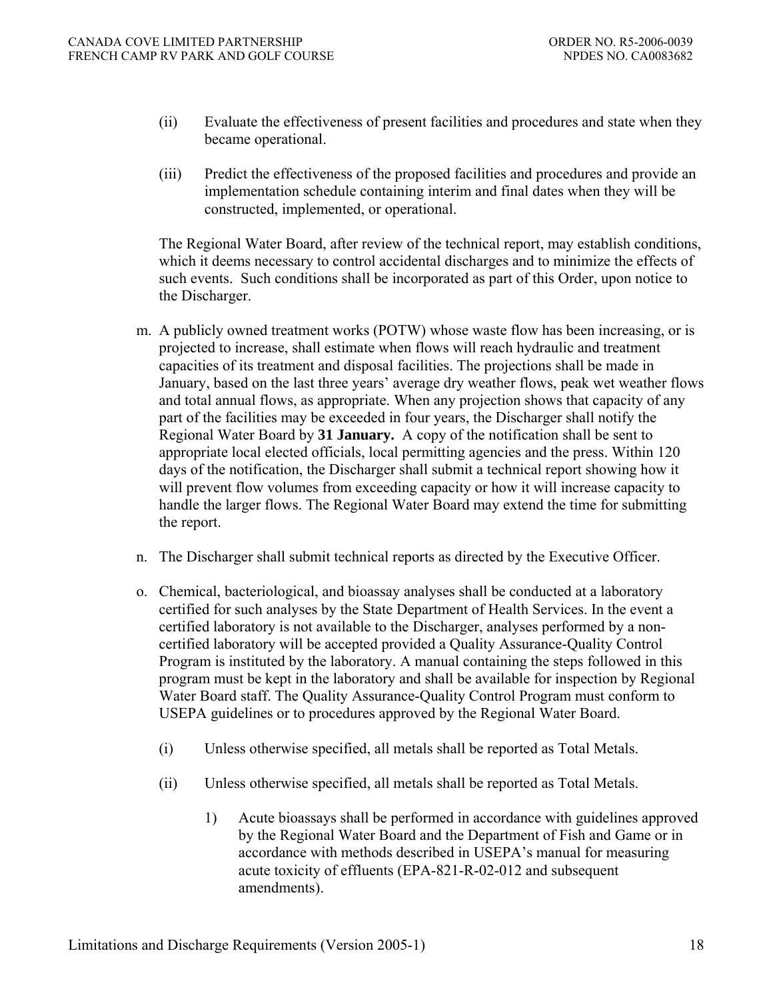- (ii) Evaluate the effectiveness of present facilities and procedures and state when they became operational.
- (iii) Predict the effectiveness of the proposed facilities and procedures and provide an implementation schedule containing interim and final dates when they will be constructed, implemented, or operational.

The Regional Water Board, after review of the technical report, may establish conditions, which it deems necessary to control accidental discharges and to minimize the effects of such events. Such conditions shall be incorporated as part of this Order, upon notice to the Discharger.

- m. A publicly owned treatment works (POTW) whose waste flow has been increasing, or is projected to increase, shall estimate when flows will reach hydraulic and treatment capacities of its treatment and disposal facilities. The projections shall be made in January, based on the last three years' average dry weather flows, peak wet weather flows and total annual flows, as appropriate. When any projection shows that capacity of any part of the facilities may be exceeded in four years, the Discharger shall notify the Regional Water Board by **31 January.** A copy of the notification shall be sent to appropriate local elected officials, local permitting agencies and the press. Within 120 days of the notification, the Discharger shall submit a technical report showing how it will prevent flow volumes from exceeding capacity or how it will increase capacity to handle the larger flows. The Regional Water Board may extend the time for submitting the report.
- n. The Discharger shall submit technical reports as directed by the Executive Officer.
- o. Chemical, bacteriological, and bioassay analyses shall be conducted at a laboratory certified for such analyses by the State Department of Health Services. In the event a certified laboratory is not available to the Discharger, analyses performed by a noncertified laboratory will be accepted provided a Quality Assurance-Quality Control Program is instituted by the laboratory. A manual containing the steps followed in this program must be kept in the laboratory and shall be available for inspection by Regional Water Board staff. The Quality Assurance-Quality Control Program must conform to USEPA guidelines or to procedures approved by the Regional Water Board.
	- (i) Unless otherwise specified, all metals shall be reported as Total Metals.
	- (ii) Unless otherwise specified, all metals shall be reported as Total Metals.
		- 1) Acute bioassays shall be performed in accordance with guidelines approved by the Regional Water Board and the Department of Fish and Game or in accordance with methods described in USEPA's manual for measuring acute toxicity of effluents (EPA-821-R-02-012 and subsequent amendments).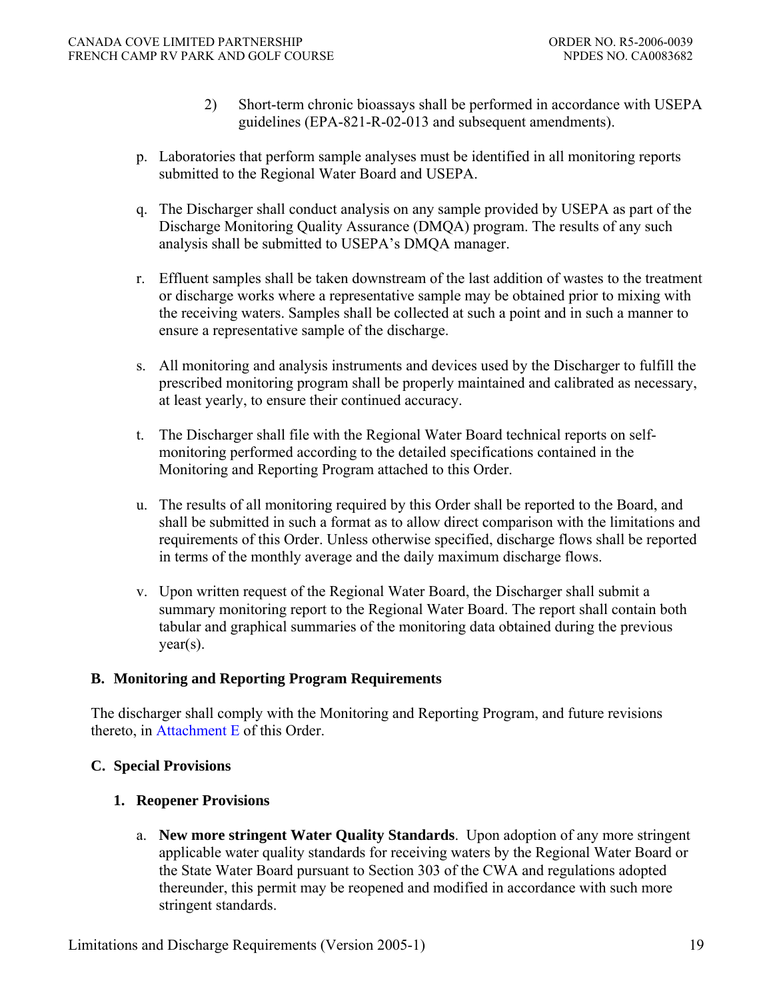- 2) Short-term chronic bioassays shall be performed in accordance with USEPA guidelines (EPA-821-R-02-013 and subsequent amendments).
- p. Laboratories that perform sample analyses must be identified in all monitoring reports submitted to the Regional Water Board and USEPA.
- q. The Discharger shall conduct analysis on any sample provided by USEPA as part of the Discharge Monitoring Quality Assurance (DMQA) program. The results of any such analysis shall be submitted to USEPA's DMQA manager.
- r. Effluent samples shall be taken downstream of the last addition of wastes to the treatment or discharge works where a representative sample may be obtained prior to mixing with the receiving waters. Samples shall be collected at such a point and in such a manner to ensure a representative sample of the discharge.
- s. All monitoring and analysis instruments and devices used by the Discharger to fulfill the prescribed monitoring program shall be properly maintained and calibrated as necessary, at least yearly, to ensure their continued accuracy.
- t. The Discharger shall file with the Regional Water Board technical reports on selfmonitoring performed according to the detailed specifications contained in the Monitoring and Reporting Program attached to this Order.
- u. The results of all monitoring required by this Order shall be reported to the Board, and shall be submitted in such a format as to allow direct comparison with the limitations and requirements of this Order. Unless otherwise specified, discharge flows shall be reported in terms of the monthly average and the daily maximum discharge flows.
- v. Upon written request of the Regional Water Board, the Discharger shall submit a summary monitoring report to the Regional Water Board. The report shall contain both tabular and graphical summaries of the monitoring data obtained during the previous year(s).

### **B. Monitoring and Reporting Program Requirements**

The discharger shall comply with the Monitoring and Reporting Program, and future revisions thereto, in Attachment E of this Order.

### **C. Special Provisions**

### **1. Reopener Provisions**

 a. **New more stringent Water Quality Standards**. Upon adoption of any more stringent applicable water quality standards for receiving waters by the Regional Water Board or the State Water Board pursuant to Section 303 of the CWA and regulations adopted thereunder, this permit may be reopened and modified in accordance with such more stringent standards.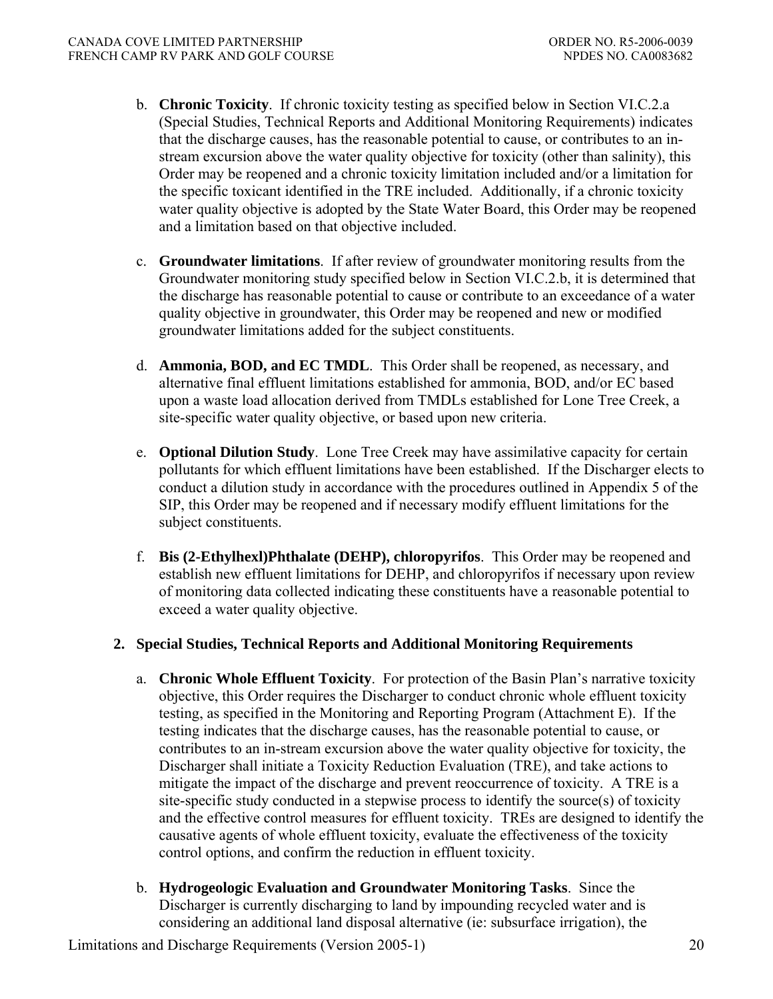- b. **Chronic Toxicity**. If chronic toxicity testing as specified below in Section VI.C.2.a (Special Studies, Technical Reports and Additional Monitoring Requirements) indicates that the discharge causes, has the reasonable potential to cause, or contributes to an instream excursion above the water quality objective for toxicity (other than salinity), this Order may be reopened and a chronic toxicity limitation included and/or a limitation for the specific toxicant identified in the TRE included. Additionally, if a chronic toxicity water quality objective is adopted by the State Water Board, this Order may be reopened and a limitation based on that objective included.
- c. **Groundwater limitations**. If after review of groundwater monitoring results from the Groundwater monitoring study specified below in Section VI.C.2.b, it is determined that the discharge has reasonable potential to cause or contribute to an exceedance of a water quality objective in groundwater, this Order may be reopened and new or modified groundwater limitations added for the subject constituents.
- d. **Ammonia, BOD, and EC TMDL**. This Order shall be reopened, as necessary, and alternative final effluent limitations established for ammonia, BOD, and/or EC based upon a waste load allocation derived from TMDLs established for Lone Tree Creek, a site-specific water quality objective, or based upon new criteria.
- e. **Optional Dilution Study**. Lone Tree Creek may have assimilative capacity for certain pollutants for which effluent limitations have been established. If the Discharger elects to conduct a dilution study in accordance with the procedures outlined in Appendix 5 of the SIP, this Order may be reopened and if necessary modify effluent limitations for the subject constituents.
- f. **Bis (2-Ethylhexl)Phthalate (DEHP), chloropyrifos**. This Order may be reopened and establish new effluent limitations for DEHP, and chloropyrifos if necessary upon review of monitoring data collected indicating these constituents have a reasonable potential to exceed a water quality objective.

### **2. Special Studies, Technical Reports and Additional Monitoring Requirements**

- a. **Chronic Whole Effluent Toxicity**. For protection of the Basin Plan's narrative toxicity objective, this Order requires the Discharger to conduct chronic whole effluent toxicity testing, as specified in the Monitoring and Reporting Program (Attachment E). If the testing indicates that the discharge causes, has the reasonable potential to cause, or contributes to an in-stream excursion above the water quality objective for toxicity, the Discharger shall initiate a Toxicity Reduction Evaluation (TRE), and take actions to mitigate the impact of the discharge and prevent reoccurrence of toxicity. A TRE is a site-specific study conducted in a stepwise process to identify the source(s) of toxicity and the effective control measures for effluent toxicity. TREs are designed to identify the causative agents of whole effluent toxicity, evaluate the effectiveness of the toxicity control options, and confirm the reduction in effluent toxicity.
- b. **Hydrogeologic Evaluation and Groundwater Monitoring Tasks**. Since the Discharger is currently discharging to land by impounding recycled water and is considering an additional land disposal alternative (ie: subsurface irrigation), the

Limitations and Discharge Requirements (Version 2005-1) 20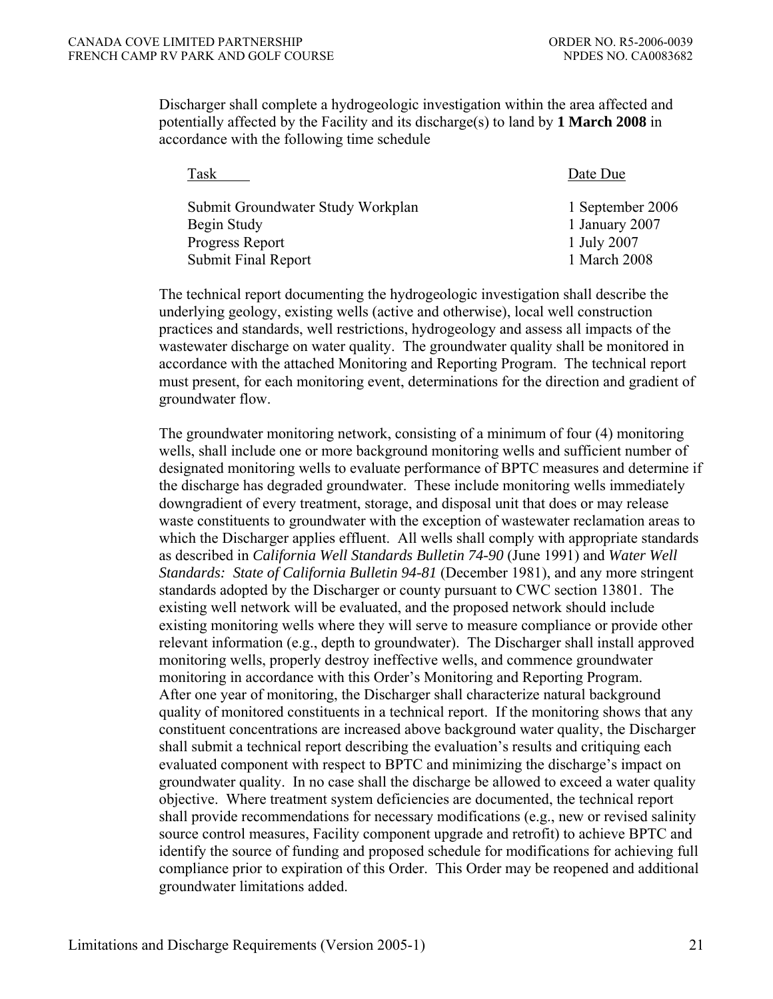Discharger shall complete a hydrogeologic investigation within the area affected and potentially affected by the Facility and its discharge(s) to land by **1 March 2008** in accordance with the following time schedule

| Task                              | Date Due         |
|-----------------------------------|------------------|
| Submit Groundwater Study Workplan | 1 September 2006 |
| Begin Study                       | 1 January 2007   |
| Progress Report                   | 1 July 2007      |
| <b>Submit Final Report</b>        | 1 March 2008     |
|                                   |                  |

 The technical report documenting the hydrogeologic investigation shall describe the underlying geology, existing wells (active and otherwise), local well construction practices and standards, well restrictions, hydrogeology and assess all impacts of the wastewater discharge on water quality. The groundwater quality shall be monitored in accordance with the attached Monitoring and Reporting Program. The technical report must present, for each monitoring event, determinations for the direction and gradient of groundwater flow.

 The groundwater monitoring network, consisting of a minimum of four (4) monitoring wells, shall include one or more background monitoring wells and sufficient number of designated monitoring wells to evaluate performance of BPTC measures and determine if the discharge has degraded groundwater. These include monitoring wells immediately downgradient of every treatment, storage, and disposal unit that does or may release waste constituents to groundwater with the exception of wastewater reclamation areas to which the Discharger applies effluent. All wells shall comply with appropriate standards as described in *California Well Standards Bulletin 74-90* (June 1991) and *Water Well Standards: State of California Bulletin 94-81* (December 1981), and any more stringent standards adopted by the Discharger or county pursuant to CWC section 13801. The existing well network will be evaluated, and the proposed network should include existing monitoring wells where they will serve to measure compliance or provide other relevant information (e.g., depth to groundwater). The Discharger shall install approved monitoring wells, properly destroy ineffective wells, and commence groundwater monitoring in accordance with this Order's Monitoring and Reporting Program. After one year of monitoring, the Discharger shall characterize natural background quality of monitored constituents in a technical report. If the monitoring shows that any constituent concentrations are increased above background water quality, the Discharger shall submit a technical report describing the evaluation's results and critiquing each evaluated component with respect to BPTC and minimizing the discharge's impact on groundwater quality. In no case shall the discharge be allowed to exceed a water quality objective. Where treatment system deficiencies are documented, the technical report shall provide recommendations for necessary modifications (e.g., new or revised salinity source control measures, Facility component upgrade and retrofit) to achieve BPTC and identify the source of funding and proposed schedule for modifications for achieving full compliance prior to expiration of this Order. This Order may be reopened and additional groundwater limitations added.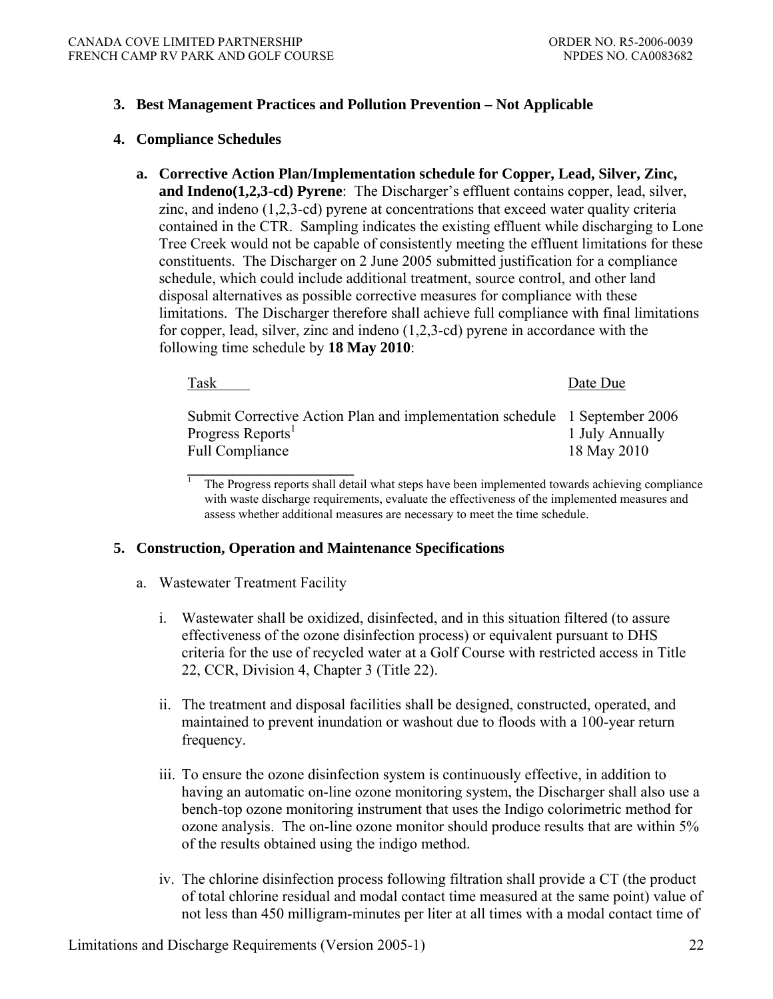### **3. Best Management Practices and Pollution Prevention – Not Applicable**

#### **4. Compliance Schedules**

**a. Corrective Action Plan/Implementation schedule for Copper, Lead, Silver, Zinc, and Indeno(1,2,3-cd) Pyrene**: The Discharger's effluent contains copper, lead, silver, zinc, and indeno (1,2,3-cd) pyrene at concentrations that exceed water quality criteria contained in the CTR. Sampling indicates the existing effluent while discharging to Lone Tree Creek would not be capable of consistently meeting the effluent limitations for these constituents. The Discharger on 2 June 2005 submitted justification for a compliance schedule, which could include additional treatment, source control, and other land disposal alternatives as possible corrective measures for compliance with these limitations. The Discharger therefore shall achieve full compliance with final limitations for copper, lead, silver, zinc and indeno (1,2,3-cd) pyrene in accordance with the following time schedule by **18 May 2010**:

| Task                                                                                                                                  | Date Due                       |
|---------------------------------------------------------------------------------------------------------------------------------------|--------------------------------|
| Submit Corrective Action Plan and implementation schedule 1 September 2006<br>Progress Reports <sup>1</sup><br><b>Full Compliance</b> | 1 July Annually<br>18 May 2010 |

<sup>1</sup> The Progress reports shall detail what steps have been implemented towards achieving compliance with waste discharge requirements, evaluate the effectiveness of the implemented measures and assess whether additional measures are necessary to meet the time schedule.

#### **5. Construction, Operation and Maintenance Specifications**

- a. Wastewater Treatment Facility
	- i. Wastewater shall be oxidized, disinfected, and in this situation filtered (to assure effectiveness of the ozone disinfection process) or equivalent pursuant to DHS criteria for the use of recycled water at a Golf Course with restricted access in Title 22, CCR, Division 4, Chapter 3 (Title 22).
	- ii. The treatment and disposal facilities shall be designed, constructed, operated, and maintained to prevent inundation or washout due to floods with a 100-year return frequency.
	- iii. To ensure the ozone disinfection system is continuously effective, in addition to having an automatic on-line ozone monitoring system, the Discharger shall also use a bench-top ozone monitoring instrument that uses the Indigo colorimetric method for ozone analysis. The on-line ozone monitor should produce results that are within 5% of the results obtained using the indigo method.
	- iv. The chlorine disinfection process following filtration shall provide a CT (the product of total chlorine residual and modal contact time measured at the same point) value of not less than 450 milligram-minutes per liter at all times with a modal contact time of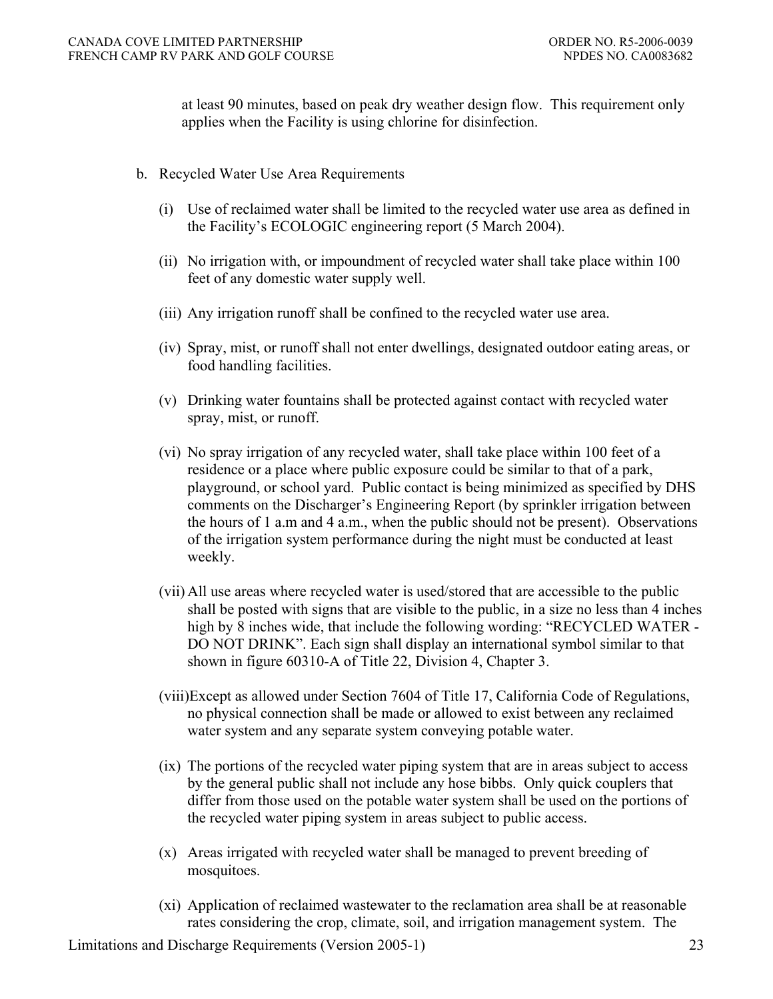at least 90 minutes, based on peak dry weather design flow. This requirement only applies when the Facility is using chlorine for disinfection.

- b. Recycled Water Use Area Requirements
	- (i) Use of reclaimed water shall be limited to the recycled water use area as defined in the Facility's ECOLOGIC engineering report (5 March 2004).
	- (ii) No irrigation with, or impoundment of recycled water shall take place within 100 feet of any domestic water supply well.
	- (iii) Any irrigation runoff shall be confined to the recycled water use area.
	- (iv) Spray, mist, or runoff shall not enter dwellings, designated outdoor eating areas, or food handling facilities.
	- (v) Drinking water fountains shall be protected against contact with recycled water spray, mist, or runoff.
	- (vi) No spray irrigation of any recycled water, shall take place within 100 feet of a residence or a place where public exposure could be similar to that of a park, playground, or school yard. Public contact is being minimized as specified by DHS comments on the Discharger's Engineering Report (by sprinkler irrigation between the hours of 1 a.m and 4 a.m., when the public should not be present). Observations of the irrigation system performance during the night must be conducted at least weekly.
	- (vii) All use areas where recycled water is used/stored that are accessible to the public shall be posted with signs that are visible to the public, in a size no less than 4 inches high by 8 inches wide, that include the following wording: "RECYCLED WATER - DO NOT DRINK". Each sign shall display an international symbol similar to that shown in figure 60310-A of Title 22, Division 4, Chapter 3.
	- (viii)Except as allowed under Section 7604 of Title 17, California Code of Regulations, no physical connection shall be made or allowed to exist between any reclaimed water system and any separate system conveying potable water.
	- (ix) The portions of the recycled water piping system that are in areas subject to access by the general public shall not include any hose bibbs. Only quick couplers that differ from those used on the potable water system shall be used on the portions of the recycled water piping system in areas subject to public access.
	- (x) Areas irrigated with recycled water shall be managed to prevent breeding of mosquitoes.
	- (xi) Application of reclaimed wastewater to the reclamation area shall be at reasonable rates considering the crop, climate, soil, and irrigation management system. The

Limitations and Discharge Requirements (Version 2005-1) 23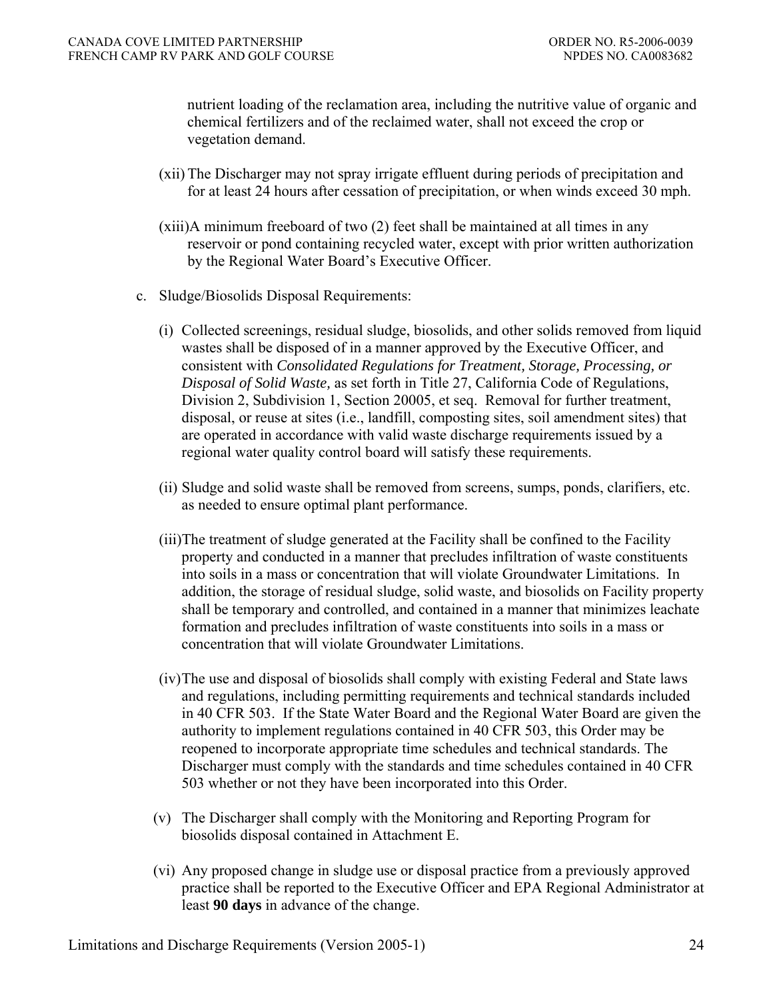nutrient loading of the reclamation area, including the nutritive value of organic and chemical fertilizers and of the reclaimed water, shall not exceed the crop or vegetation demand.

- (xii) The Discharger may not spray irrigate effluent during periods of precipitation and for at least 24 hours after cessation of precipitation, or when winds exceed 30 mph.
- (xiii)A minimum freeboard of two (2) feet shall be maintained at all times in any reservoir or pond containing recycled water, except with prior written authorization by the Regional Water Board's Executive Officer.
- c. Sludge/Biosolids Disposal Requirements:
	- (i) Collected screenings, residual sludge, biosolids, and other solids removed from liquid wastes shall be disposed of in a manner approved by the Executive Officer, and consistent with *Consolidated Regulations for Treatment, Storage, Processing, or Disposal of Solid Waste,* as set forth in Title 27, California Code of Regulations, Division 2, Subdivision 1, Section 20005, et seq. Removal for further treatment, disposal, or reuse at sites (i.e., landfill, composting sites, soil amendment sites) that are operated in accordance with valid waste discharge requirements issued by a regional water quality control board will satisfy these requirements.
	- (ii) Sludge and solid waste shall be removed from screens, sumps, ponds, clarifiers, etc. as needed to ensure optimal plant performance.
	- (iii)The treatment of sludge generated at the Facility shall be confined to the Facility property and conducted in a manner that precludes infiltration of waste constituents into soils in a mass or concentration that will violate Groundwater Limitations. In addition, the storage of residual sludge, solid waste, and biosolids on Facility property shall be temporary and controlled, and contained in a manner that minimizes leachate formation and precludes infiltration of waste constituents into soils in a mass or concentration that will violate Groundwater Limitations.
	- (iv) The use and disposal of biosolids shall comply with existing Federal and State laws and regulations, including permitting requirements and technical standards included in 40 CFR 503. If the State Water Board and the Regional Water Board are given the authority to implement regulations contained in 40 CFR 503, this Order may be reopened to incorporate appropriate time schedules and technical standards. The Discharger must comply with the standards and time schedules contained in 40 CFR 503 whether or not they have been incorporated into this Order.
	- (v) The Discharger shall comply with the Monitoring and Reporting Program for biosolids disposal contained in Attachment E.
	- (vi) Any proposed change in sludge use or disposal practice from a previously approved practice shall be reported to the Executive Officer and EPA Regional Administrator at least **90 days** in advance of the change.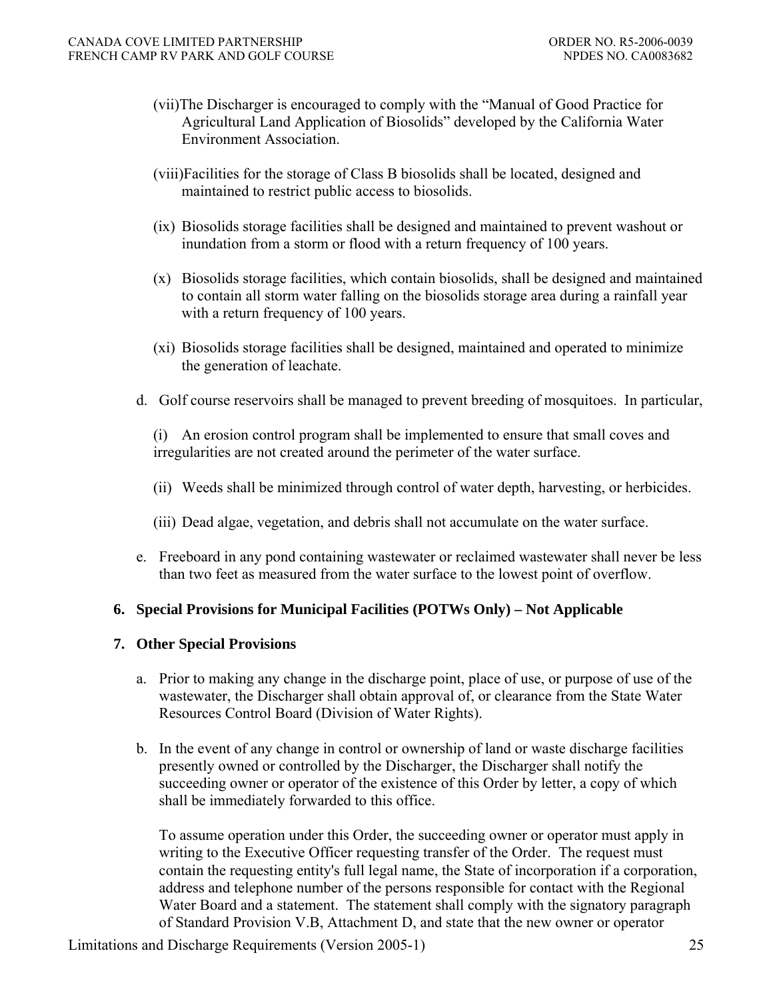- (vii)The Discharger is encouraged to comply with the "Manual of Good Practice for Agricultural Land Application of Biosolids" developed by the California Water Environment Association.
- (viii)Facilities for the storage of Class B biosolids shall be located, designed and maintained to restrict public access to biosolids.
- (ix) Biosolids storage facilities shall be designed and maintained to prevent washout or inundation from a storm or flood with a return frequency of 100 years.
- (x) Biosolids storage facilities, which contain biosolids, shall be designed and maintained to contain all storm water falling on the biosolids storage area during a rainfall year with a return frequency of 100 years.
- (xi) Biosolids storage facilities shall be designed, maintained and operated to minimize the generation of leachate.
- d. Golf course reservoirs shall be managed to prevent breeding of mosquitoes. In particular,

(i) An erosion control program shall be implemented to ensure that small coves and irregularities are not created around the perimeter of the water surface.

- (ii) Weeds shall be minimized through control of water depth, harvesting, or herbicides.
- (iii) Dead algae, vegetation, and debris shall not accumulate on the water surface.
- e. Freeboard in any pond containing wastewater or reclaimed wastewater shall never be less than two feet as measured from the water surface to the lowest point of overflow.

### **6. Special Provisions for Municipal Facilities (POTWs Only) – Not Applicable**

#### **7. Other Special Provisions**

- a. Prior to making any change in the discharge point, place of use, or purpose of use of the wastewater, the Discharger shall obtain approval of, or clearance from the State Water Resources Control Board (Division of Water Rights).
- b. In the event of any change in control or ownership of land or waste discharge facilities presently owned or controlled by the Discharger, the Discharger shall notify the succeeding owner or operator of the existence of this Order by letter, a copy of which shall be immediately forwarded to this office.

To assume operation under this Order, the succeeding owner or operator must apply in writing to the Executive Officer requesting transfer of the Order. The request must contain the requesting entity's full legal name, the State of incorporation if a corporation, address and telephone number of the persons responsible for contact with the Regional Water Board and a statement. The statement shall comply with the signatory paragraph of Standard Provision V.B, Attachment D, and state that the new owner or operator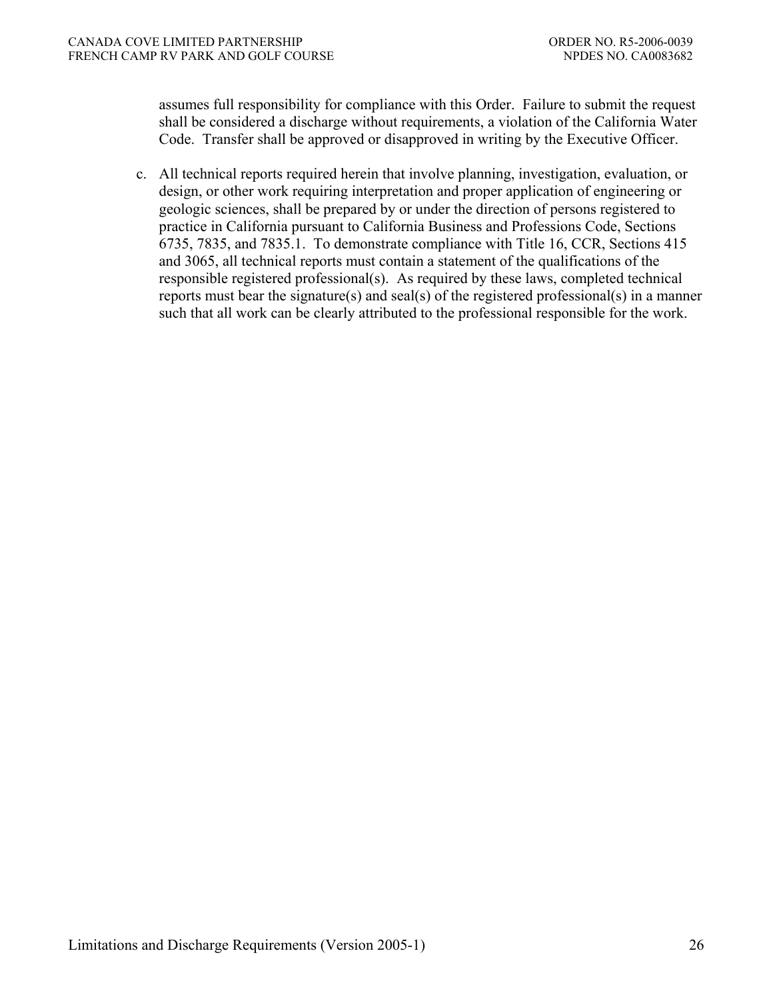assumes full responsibility for compliance with this Order. Failure to submit the request shall be considered a discharge without requirements, a violation of the California Water Code. Transfer shall be approved or disapproved in writing by the Executive Officer.

c. All technical reports required herein that involve planning, investigation, evaluation, or design, or other work requiring interpretation and proper application of engineering or geologic sciences, shall be prepared by or under the direction of persons registered to practice in California pursuant to California Business and Professions Code, Sections 6735, 7835, and 7835.1. To demonstrate compliance with Title 16, CCR, Sections 415 and 3065, all technical reports must contain a statement of the qualifications of the responsible registered professional(s). As required by these laws, completed technical reports must bear the signature(s) and seal(s) of the registered professional(s) in a manner such that all work can be clearly attributed to the professional responsible for the work.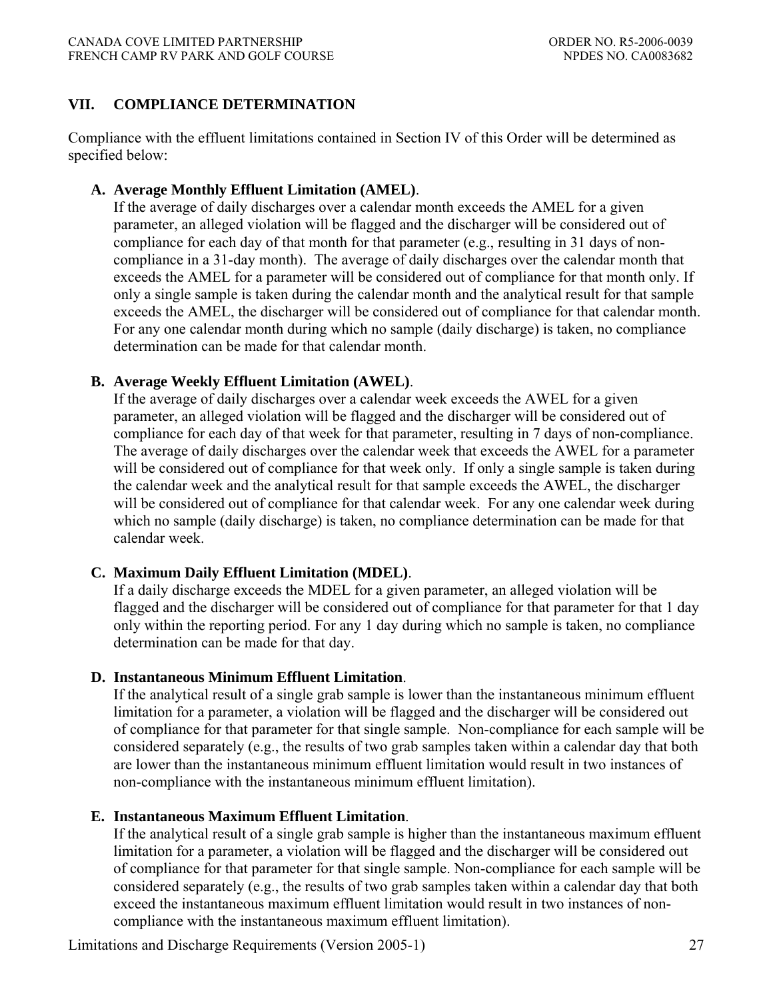## **VII. COMPLIANCE DETERMINATION**

Compliance with the effluent limitations contained in Section IV of this Order will be determined as specified below:

## **A. Average Monthly Effluent Limitation (AMEL)**.

If the average of daily discharges over a calendar month exceeds the AMEL for a given parameter, an alleged violation will be flagged and the discharger will be considered out of compliance for each day of that month for that parameter (e.g., resulting in 31 days of noncompliance in a 31-day month). The average of daily discharges over the calendar month that exceeds the AMEL for a parameter will be considered out of compliance for that month only. If only a single sample is taken during the calendar month and the analytical result for that sample exceeds the AMEL, the discharger will be considered out of compliance for that calendar month. For any one calendar month during which no sample (daily discharge) is taken, no compliance determination can be made for that calendar month.

### **B. Average Weekly Effluent Limitation (AWEL)**.

If the average of daily discharges over a calendar week exceeds the AWEL for a given parameter, an alleged violation will be flagged and the discharger will be considered out of compliance for each day of that week for that parameter, resulting in 7 days of non-compliance. The average of daily discharges over the calendar week that exceeds the AWEL for a parameter will be considered out of compliance for that week only. If only a single sample is taken during the calendar week and the analytical result for that sample exceeds the AWEL, the discharger will be considered out of compliance for that calendar week. For any one calendar week during which no sample (daily discharge) is taken, no compliance determination can be made for that calendar week.

### **C. Maximum Daily Effluent Limitation (MDEL)**.

If a daily discharge exceeds the MDEL for a given parameter, an alleged violation will be flagged and the discharger will be considered out of compliance for that parameter for that 1 day only within the reporting period. For any 1 day during which no sample is taken, no compliance determination can be made for that day.

### **D. Instantaneous Minimum Effluent Limitation**.

If the analytical result of a single grab sample is lower than the instantaneous minimum effluent limitation for a parameter, a violation will be flagged and the discharger will be considered out of compliance for that parameter for that single sample. Non-compliance for each sample will be considered separately (e.g., the results of two grab samples taken within a calendar day that both are lower than the instantaneous minimum effluent limitation would result in two instances of non-compliance with the instantaneous minimum effluent limitation).

# **E. Instantaneous Maximum Effluent Limitation**.

If the analytical result of a single grab sample is higher than the instantaneous maximum effluent limitation for a parameter, a violation will be flagged and the discharger will be considered out of compliance for that parameter for that single sample. Non-compliance for each sample will be considered separately (e.g., the results of two grab samples taken within a calendar day that both exceed the instantaneous maximum effluent limitation would result in two instances of noncompliance with the instantaneous maximum effluent limitation).

Limitations and Discharge Requirements (Version 2005-1) 27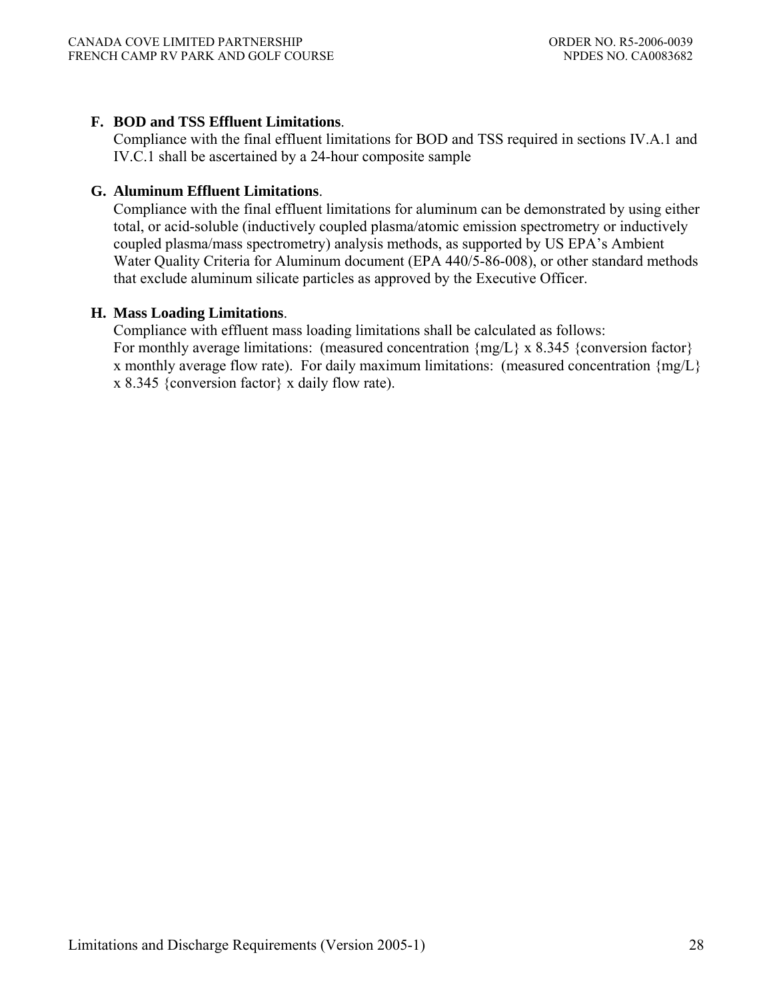## **F. BOD and TSS Effluent Limitations**.

Compliance with the final effluent limitations for BOD and TSS required in sections IV.A.1 and IV.C.1 shall be ascertained by a 24-hour composite sample

## **G. Aluminum Effluent Limitations**.

Compliance with the final effluent limitations for aluminum can be demonstrated by using either total, or acid-soluble (inductively coupled plasma/atomic emission spectrometry or inductively coupled plasma/mass spectrometry) analysis methods, as supported by US EPA's Ambient Water Quality Criteria for Aluminum document (EPA 440/5-86-008), or other standard methods that exclude aluminum silicate particles as approved by the Executive Officer.

### **H. Mass Loading Limitations**.

Compliance with effluent mass loading limitations shall be calculated as follows: For monthly average limitations: (measured concentration  $\{mg/L\} \times 8.345$  {conversion factor} x monthly average flow rate). For daily maximum limitations: (measured concentration  ${mg/L}$ ) x 8.345 {conversion factor} x daily flow rate).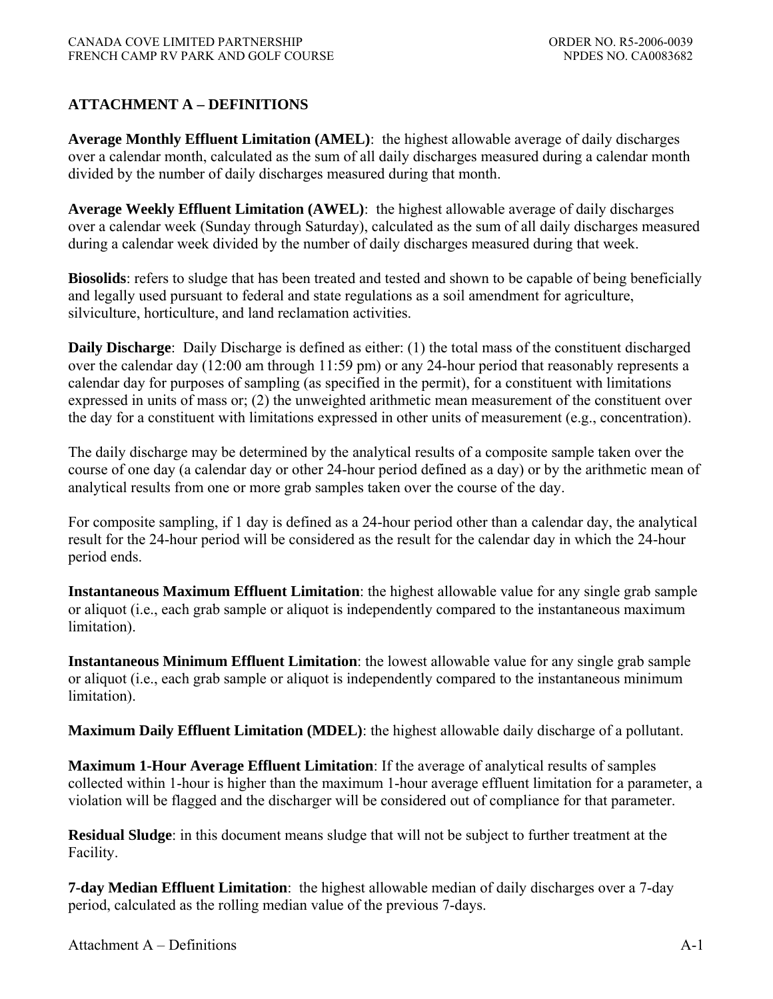# **ATTACHMENT A – DEFINITIONS**

**Average Monthly Effluent Limitation (AMEL)**: the highest allowable average of daily discharges over a calendar month, calculated as the sum of all daily discharges measured during a calendar month divided by the number of daily discharges measured during that month.

**Average Weekly Effluent Limitation (AWEL)**:the highest allowable average of daily discharges over a calendar week (Sunday through Saturday), calculated as the sum of all daily discharges measured during a calendar week divided by the number of daily discharges measured during that week.

**Biosolids**: refers to sludge that has been treated and tested and shown to be capable of being beneficially and legally used pursuant to federal and state regulations as a soil amendment for agriculture, silviculture, horticulture, and land reclamation activities.

**Daily Discharge**: Daily Discharge is defined as either: (1) the total mass of the constituent discharged over the calendar day (12:00 am through 11:59 pm) or any 24-hour period that reasonably represents a calendar day for purposes of sampling (as specified in the permit), for a constituent with limitations expressed in units of mass or; (2) the unweighted arithmetic mean measurement of the constituent over the day for a constituent with limitations expressed in other units of measurement (e.g., concentration).

The daily discharge may be determined by the analytical results of a composite sample taken over the course of one day (a calendar day or other 24-hour period defined as a day) or by the arithmetic mean of analytical results from one or more grab samples taken over the course of the day.

For composite sampling, if 1 day is defined as a 24-hour period other than a calendar day, the analytical result for the 24-hour period will be considered as the result for the calendar day in which the 24-hour period ends.

**Instantaneous Maximum Effluent Limitation**: the highest allowable value for any single grab sample or aliquot (i.e., each grab sample or aliquot is independently compared to the instantaneous maximum limitation).

**Instantaneous Minimum Effluent Limitation**: the lowest allowable value for any single grab sample or aliquot (i.e., each grab sample or aliquot is independently compared to the instantaneous minimum limitation).

**Maximum Daily Effluent Limitation (MDEL)**: the highest allowable daily discharge of a pollutant.

**Maximum 1-Hour Average Effluent Limitation**: If the average of analytical results of samples collected within 1-hour is higher than the maximum 1-hour average effluent limitation for a parameter, a violation will be flagged and the discharger will be considered out of compliance for that parameter.

**Residual Sludge**: in this document means sludge that will not be subject to further treatment at the Facility.

**7-day Median Effluent Limitation**:the highest allowable median of daily discharges over a 7-day period, calculated as the rolling median value of the previous 7-days.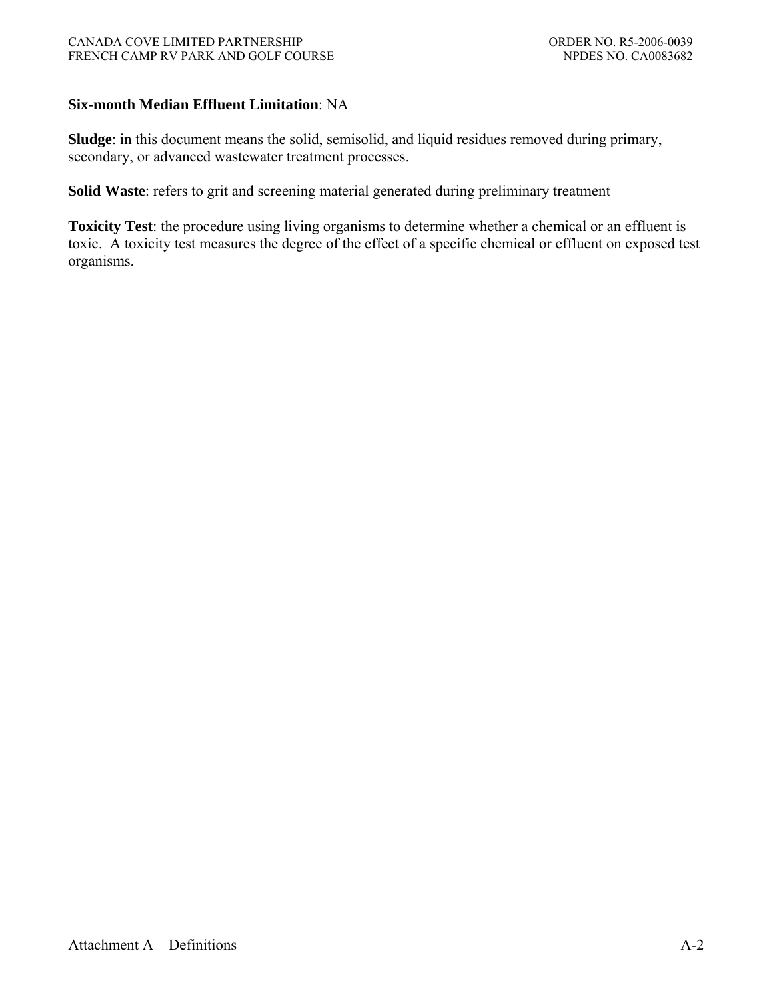### **Six-month Median Effluent Limitation**: NA

**Sludge**: in this document means the solid, semisolid, and liquid residues removed during primary, secondary, or advanced wastewater treatment processes.

**Solid Waste**: refers to grit and screening material generated during preliminary treatment

**Toxicity Test**: the procedure using living organisms to determine whether a chemical or an effluent is toxic. A toxicity test measures the degree of the effect of a specific chemical or effluent on exposed test organisms.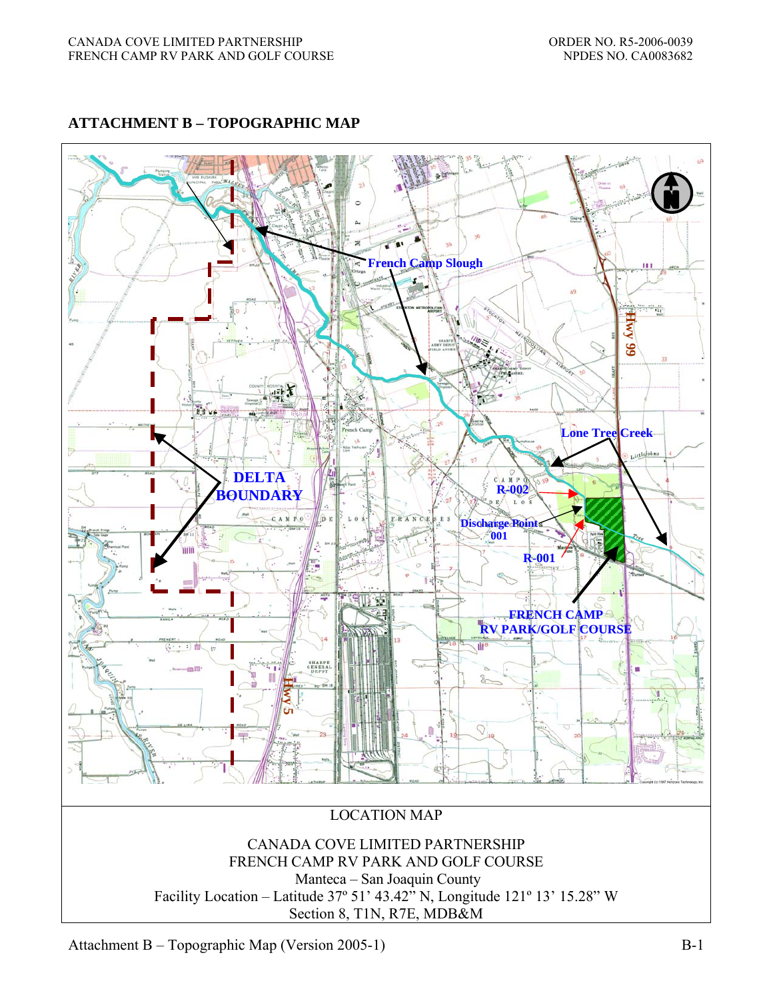## **ATTACHMENT B – TOPOGRAPHIC MAP**



Attachment B – Topographic Map (Version 2005-1) B-1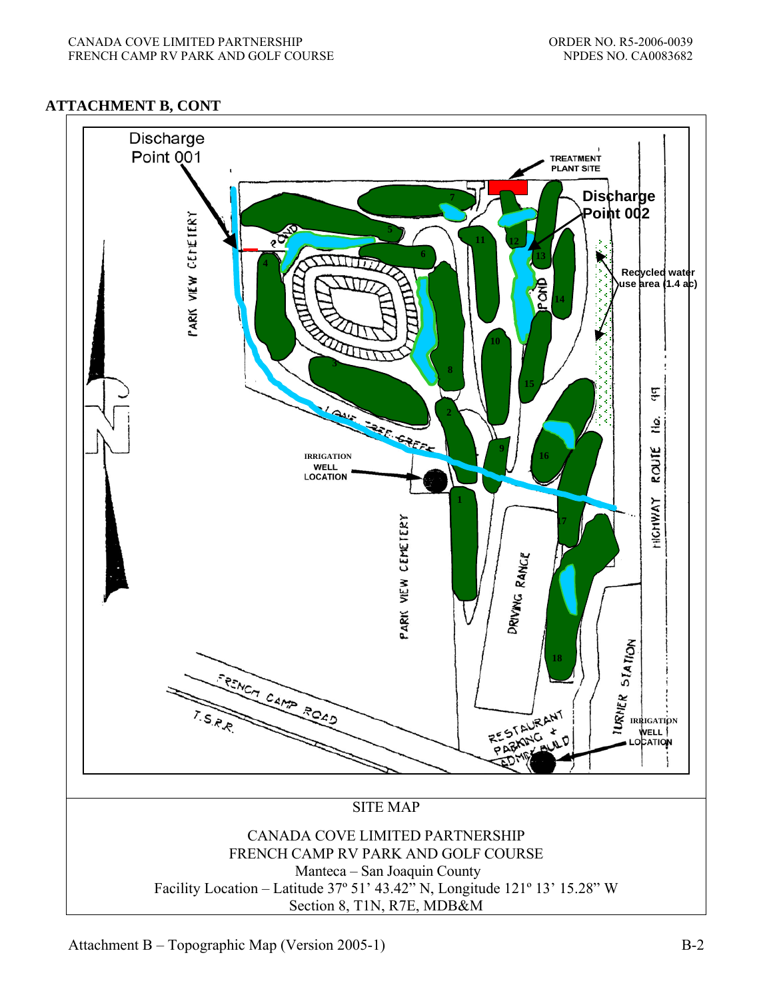### **ATTACHMENT B, CONT**



Attachment B – Topographic Map (Version 2005-1) B-2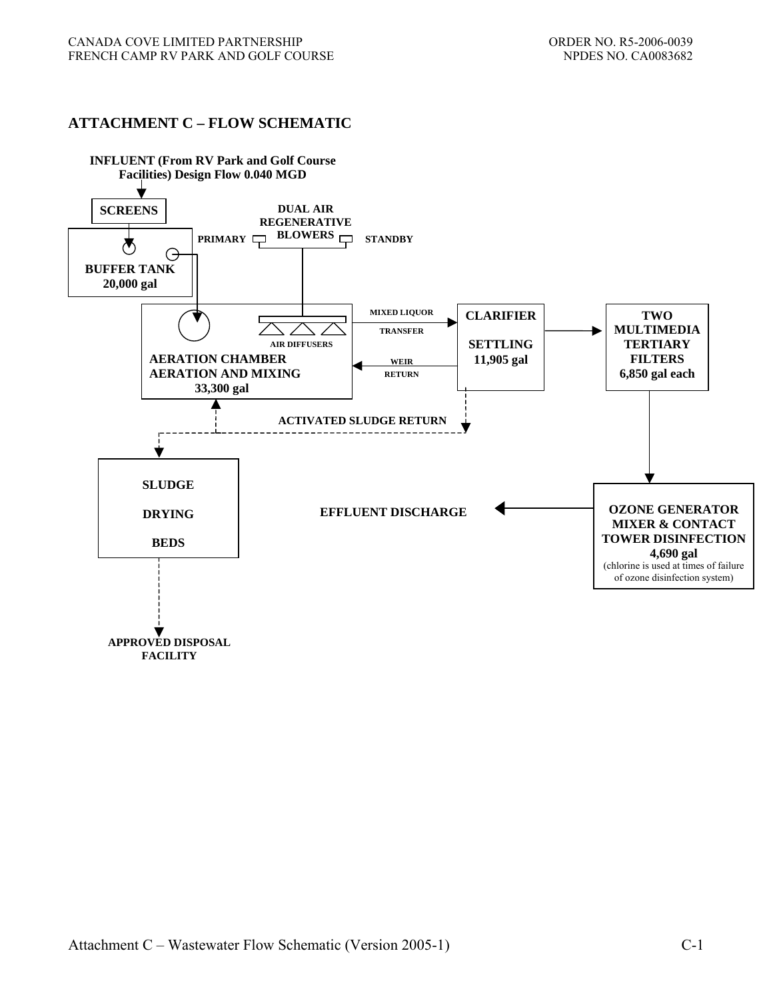### **ATTACHMENT C – FLOW SCHEMATIC**

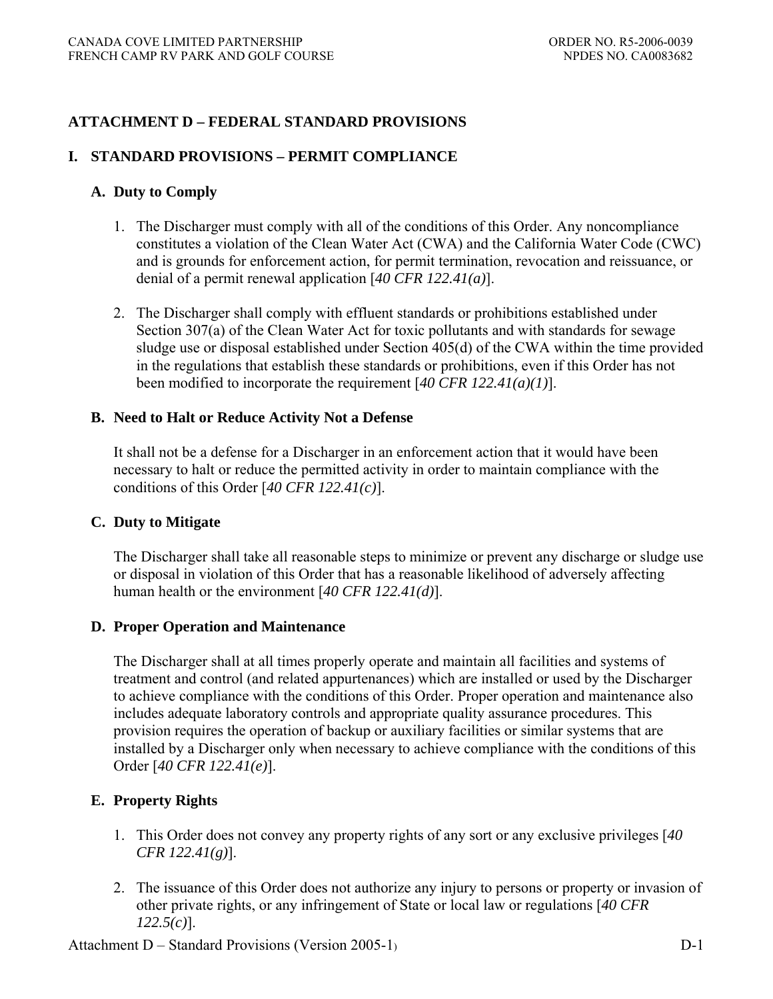# **ATTACHMENT D – FEDERAL STANDARD PROVISIONS**

### **I. STANDARD PROVISIONS – PERMIT COMPLIANCE**

#### **A. Duty to Comply**

- 1. The Discharger must comply with all of the conditions of this Order. Any noncompliance constitutes a violation of the Clean Water Act (CWA) and the California Water Code (CWC) and is grounds for enforcement action, for permit termination, revocation and reissuance, or denial of a permit renewal application [*40 CFR 122.41(a)*].
- 2. The Discharger shall comply with effluent standards or prohibitions established under Section 307(a) of the Clean Water Act for toxic pollutants and with standards for sewage sludge use or disposal established under Section 405(d) of the CWA within the time provided in the regulations that establish these standards or prohibitions, even if this Order has not been modified to incorporate the requirement [*40 CFR 122.41(a)(1)*].

#### **B. Need to Halt or Reduce Activity Not a Defense**

It shall not be a defense for a Discharger in an enforcement action that it would have been necessary to halt or reduce the permitted activity in order to maintain compliance with the conditions of this Order [*40 CFR 122.41(c)*].

#### **C. Duty to Mitigate**

The Discharger shall take all reasonable steps to minimize or prevent any discharge or sludge use or disposal in violation of this Order that has a reasonable likelihood of adversely affecting human health or the environment [*40 CFR 122.41(d)*].

#### **D. Proper Operation and Maintenance**

The Discharger shall at all times properly operate and maintain all facilities and systems of treatment and control (and related appurtenances) which are installed or used by the Discharger to achieve compliance with the conditions of this Order. Proper operation and maintenance also includes adequate laboratory controls and appropriate quality assurance procedures. This provision requires the operation of backup or auxiliary facilities or similar systems that are installed by a Discharger only when necessary to achieve compliance with the conditions of this Order [*40 CFR 122.41(e)*].

### **E. Property Rights**

- 1. This Order does not convey any property rights of any sort or any exclusive privileges [*40 CFR 122.41(g)*].
- 2. The issuance of this Order does not authorize any injury to persons or property or invasion of other private rights, or any infringement of State or local law or regulations [*40 CFR 122.5(c)*].

Attachment D – Standard Provisions (Version 2005-1) D-1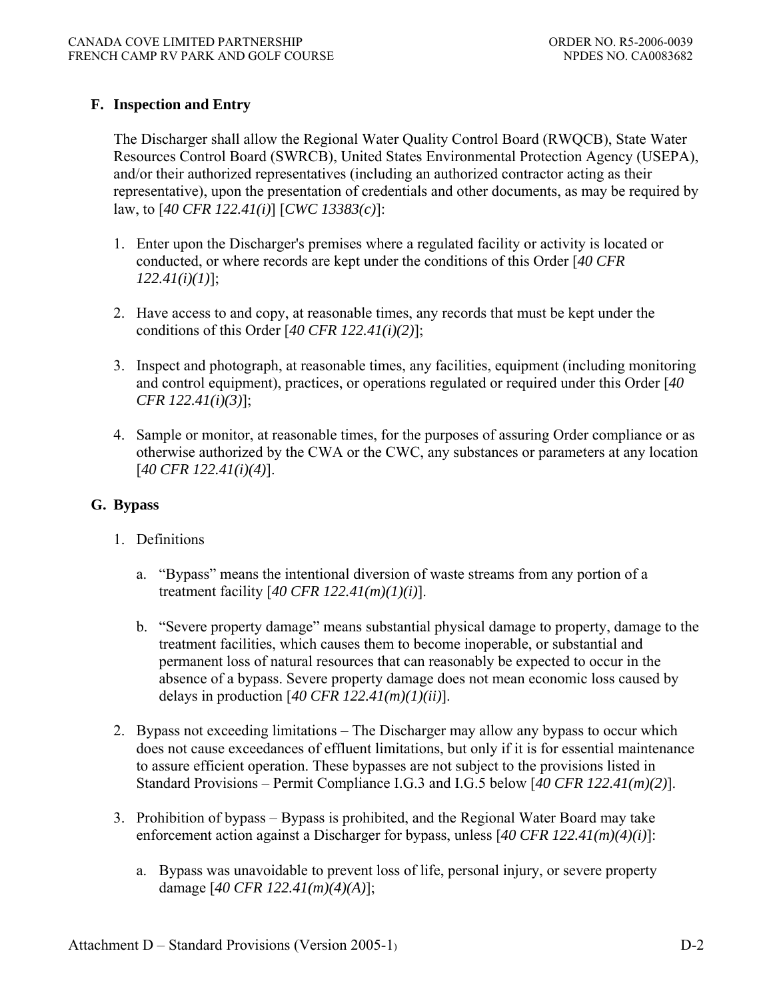# **F. Inspection and Entry**

The Discharger shall allow the Regional Water Quality Control Board (RWQCB), State Water Resources Control Board (SWRCB), United States Environmental Protection Agency (USEPA), and/or their authorized representatives (including an authorized contractor acting as their representative), upon the presentation of credentials and other documents, as may be required by law, to [*40 CFR 122.41(i)*] [*CWC 13383(c)*]:

- 1. Enter upon the Discharger's premises where a regulated facility or activity is located or conducted, or where records are kept under the conditions of this Order [*40 CFR 122.41(i)(1)*];
- 2. Have access to and copy, at reasonable times, any records that must be kept under the conditions of this Order [*40 CFR 122.41(i)(2)*];
- 3. Inspect and photograph, at reasonable times, any facilities, equipment (including monitoring and control equipment), practices, or operations regulated or required under this Order [*40 CFR 122.41(i)(3)*];
- 4. Sample or monitor, at reasonable times, for the purposes of assuring Order compliance or as otherwise authorized by the CWA or the CWC, any substances or parameters at any location [*40 CFR 122.41(i)(4)*].

# **G. Bypass**

- 1. Definitions
	- a. "Bypass" means the intentional diversion of waste streams from any portion of a treatment facility [*40 CFR 122.41(m)(1)(i)*].
	- b. "Severe property damage" means substantial physical damage to property, damage to the treatment facilities, which causes them to become inoperable, or substantial and permanent loss of natural resources that can reasonably be expected to occur in the absence of a bypass. Severe property damage does not mean economic loss caused by delays in production [*40 CFR 122.41(m)(1)(ii)*].
- 2. Bypass not exceeding limitations The Discharger may allow any bypass to occur which does not cause exceedances of effluent limitations, but only if it is for essential maintenance to assure efficient operation. These bypasses are not subject to the provisions listed in Standard Provisions – Permit Compliance I.G.3 and I.G.5 below [*40 CFR 122.41(m)(2)*].
- 3. Prohibition of bypass Bypass is prohibited, and the Regional Water Board may take enforcement action against a Discharger for bypass, unless [*40 CFR 122.41(m)(4)(i)*]:
	- a. Bypass was unavoidable to prevent loss of life, personal injury, or severe property damage [*40 CFR 122.41(m)(4)(A)*];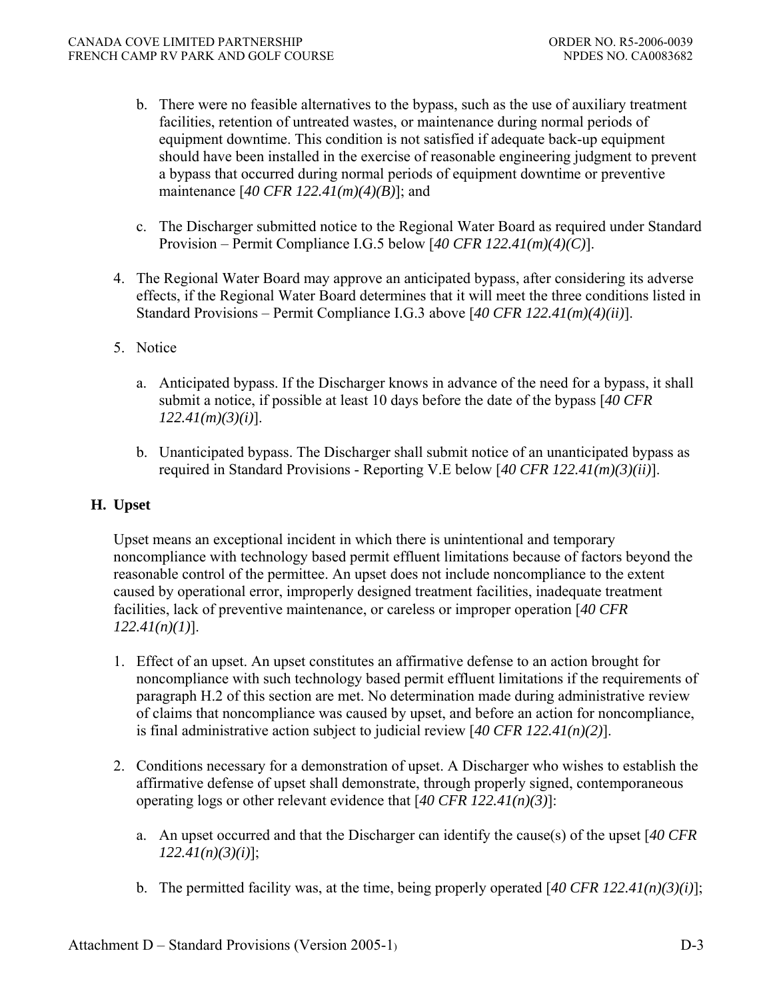- b. There were no feasible alternatives to the bypass, such as the use of auxiliary treatment facilities, retention of untreated wastes, or maintenance during normal periods of equipment downtime. This condition is not satisfied if adequate back-up equipment should have been installed in the exercise of reasonable engineering judgment to prevent a bypass that occurred during normal periods of equipment downtime or preventive maintenance [*40 CFR 122.41(m)(4)(B)*]; and
- c. The Discharger submitted notice to the Regional Water Board as required under Standard Provision – Permit Compliance I.G.5 below [*40 CFR 122.41(m)(4)(C)*].
- 4. The Regional Water Board may approve an anticipated bypass, after considering its adverse effects, if the Regional Water Board determines that it will meet the three conditions listed in Standard Provisions – Permit Compliance I.G.3 above [*40 CFR 122.41(m)(4)(ii)*].
- 5. Notice
	- a. Anticipated bypass. If the Discharger knows in advance of the need for a bypass, it shall submit a notice, if possible at least 10 days before the date of the bypass [*40 CFR 122.41(m)(3)(i)*].
	- b. Unanticipated bypass. The Discharger shall submit notice of an unanticipated bypass as required in Standard Provisions - Reporting V.E below [*40 CFR 122.41(m)(3)(ii)*].

## **H. Upset**

Upset means an exceptional incident in which there is unintentional and temporary noncompliance with technology based permit effluent limitations because of factors beyond the reasonable control of the permittee. An upset does not include noncompliance to the extent caused by operational error, improperly designed treatment facilities, inadequate treatment facilities, lack of preventive maintenance, or careless or improper operation [*40 CFR 122.41(n)(1)*].

- 1. Effect of an upset. An upset constitutes an affirmative defense to an action brought for noncompliance with such technology based permit effluent limitations if the requirements of paragraph H.2 of this section are met. No determination made during administrative review of claims that noncompliance was caused by upset, and before an action for noncompliance, is final administrative action subject to judicial review [*40 CFR 122.41(n)(2)*].
- 2. Conditions necessary for a demonstration of upset. A Discharger who wishes to establish the affirmative defense of upset shall demonstrate, through properly signed, contemporaneous operating logs or other relevant evidence that [*40 CFR 122.41(n)(3)*]:
	- a. An upset occurred and that the Discharger can identify the cause(s) of the upset [*40 CFR 122.41(n)(3)(i)*];
	- b. The permitted facility was, at the time, being properly operated [*40 CFR 122.41(n)(3)(i)*];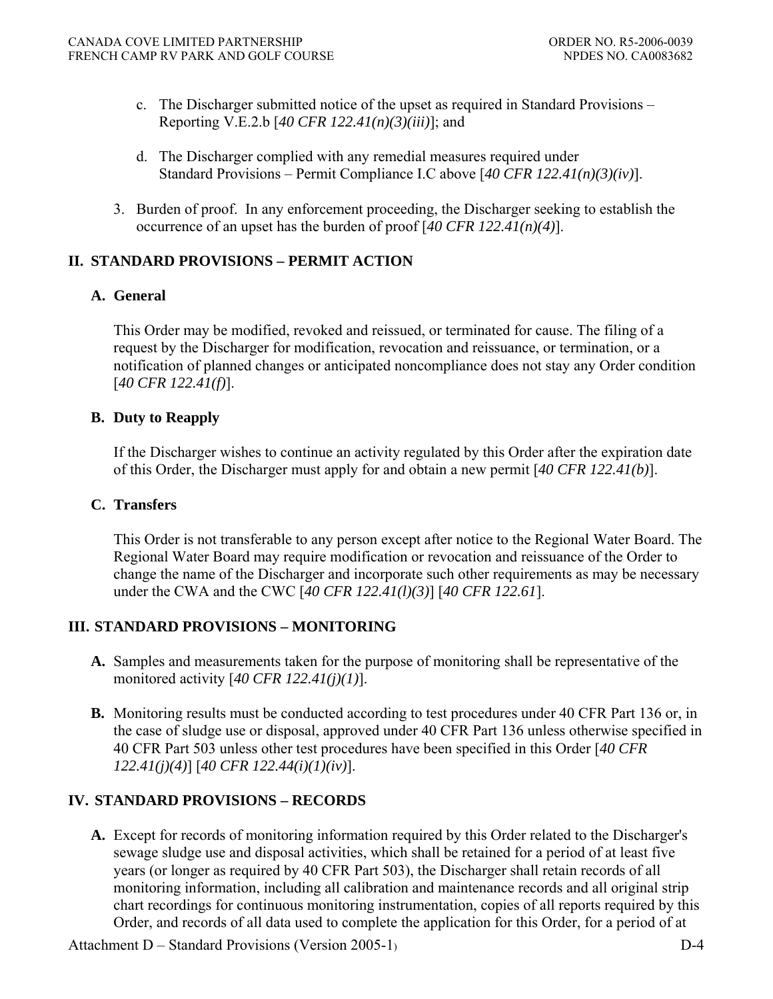- c. The Discharger submitted notice of the upset as required in Standard Provisions Reporting V.E.2.b [*40 CFR 122.41(n)(3)(iii)*]; and
- d. The Discharger complied with any remedial measures required under Standard Provisions – Permit Compliance I.C above [*40 CFR 122.41(n)(3)(iv)*].
- 3. Burden of proof. In any enforcement proceeding, the Discharger seeking to establish the occurrence of an upset has the burden of proof [*40 CFR 122.41(n)(4)*].

# **II. STANDARD PROVISIONS – PERMIT ACTION**

### **A. General**

This Order may be modified, revoked and reissued, or terminated for cause. The filing of a request by the Discharger for modification, revocation and reissuance, or termination, or a notification of planned changes or anticipated noncompliance does not stay any Order condition [*40 CFR 122.41(f)*].

### **B. Duty to Reapply**

If the Discharger wishes to continue an activity regulated by this Order after the expiration date of this Order, the Discharger must apply for and obtain a new permit [*40 CFR 122.41(b)*].

### **C. Transfers**

This Order is not transferable to any person except after notice to the Regional Water Board. The Regional Water Board may require modification or revocation and reissuance of the Order to change the name of the Discharger and incorporate such other requirements as may be necessary under the CWA and the CWC [*40 CFR 122.41(l)(3)*] [*40 CFR 122.61*].

### **III. STANDARD PROVISIONS – MONITORING**

- **A.** Samples and measurements taken for the purpose of monitoring shall be representative of the monitored activity [*40 CFR 122.41(j)(1)*].
- **B.** Monitoring results must be conducted according to test procedures under 40 CFR Part 136 or, in the case of sludge use or disposal, approved under 40 CFR Part 136 unless otherwise specified in 40 CFR Part 503 unless other test procedures have been specified in this Order [*40 CFR 122.41(j)(4)*] [*40 CFR 122.44(i)(1)(iv)*].

# **IV. STANDARD PROVISIONS – RECORDS**

**A.** Except for records of monitoring information required by this Order related to the Discharger's sewage sludge use and disposal activities, which shall be retained for a period of at least five years (or longer as required by 40 CFR Part 503), the Discharger shall retain records of all monitoring information, including all calibration and maintenance records and all original strip chart recordings for continuous monitoring instrumentation, copies of all reports required by this Order, and records of all data used to complete the application for this Order, for a period of at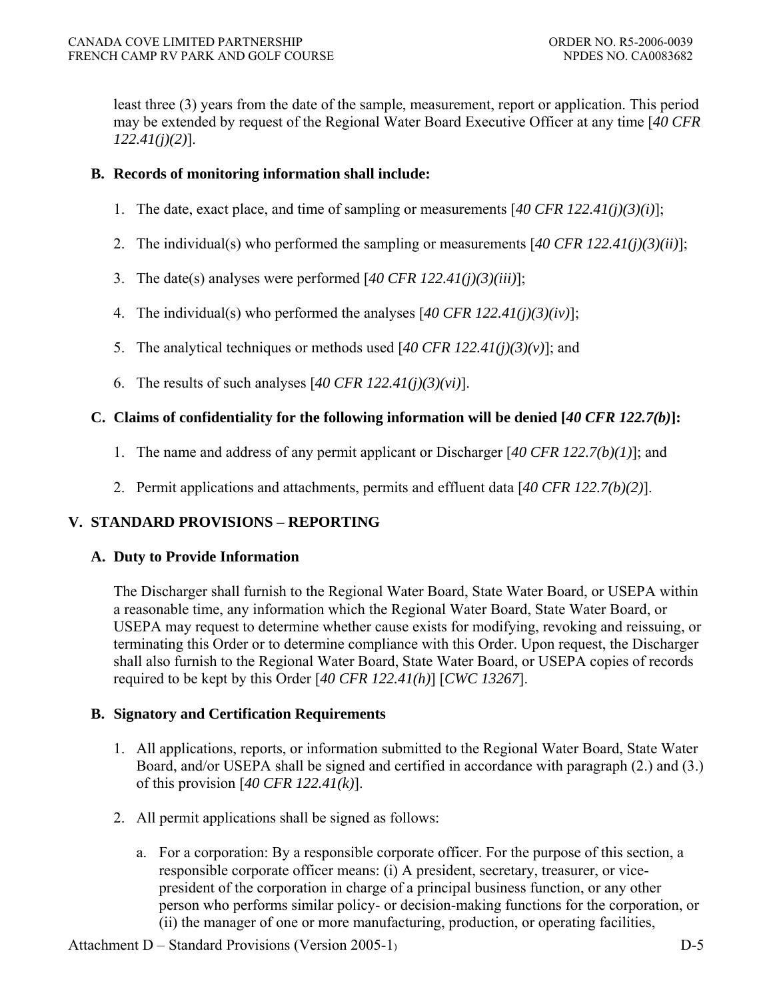least three (3) years from the date of the sample, measurement, report or application. This period may be extended by request of the Regional Water Board Executive Officer at any time [*40 CFR 122.41(j)(2)*].

### **B. Records of monitoring information shall include:**

- 1. The date, exact place, and time of sampling or measurements [*40 CFR 122.41(j)(3)(i)*];
- 2. The individual(s) who performed the sampling or measurements [*40 CFR 122.41(j)(3)(ii)*];
- 3. The date(s) analyses were performed [*40 CFR 122.41(j)(3)(iii)*];
- 4. The individual(s) who performed the analyses [*40 CFR 122.41(j)(3)(iv)*];
- 5. The analytical techniques or methods used [*40 CFR 122.41(j)(3)(v)*]; and
- 6. The results of such analyses [*40 CFR 122.41(j)(3)(vi)*].

### **C. Claims of confidentiality for the following information will be denied [***40 CFR 122.7(b)***]:**

- 1. The name and address of any permit applicant or Discharger [*40 CFR 122.7(b)(1)*]; and
- 2. Permit applications and attachments, permits and effluent data [*40 CFR 122.7(b)(2)*].

# **V. STANDARD PROVISIONS – REPORTING**

### **A. Duty to Provide Information**

The Discharger shall furnish to the Regional Water Board, State Water Board, or USEPA within a reasonable time, any information which the Regional Water Board, State Water Board, or USEPA may request to determine whether cause exists for modifying, revoking and reissuing, or terminating this Order or to determine compliance with this Order. Upon request, the Discharger shall also furnish to the Regional Water Board, State Water Board, or USEPA copies of records required to be kept by this Order [*40 CFR 122.41(h)*] [*CWC 13267*].

### **B. Signatory and Certification Requirements**

- 1. All applications, reports, or information submitted to the Regional Water Board, State Water Board, and/or USEPA shall be signed and certified in accordance with paragraph (2.) and (3.) of this provision [*40 CFR 122.41(k)*].
- 2. All permit applications shall be signed as follows:
	- a. For a corporation: By a responsible corporate officer. For the purpose of this section, a responsible corporate officer means: (i) A president, secretary, treasurer, or vicepresident of the corporation in charge of a principal business function, or any other person who performs similar policy- or decision-making functions for the corporation, or (ii) the manager of one or more manufacturing, production, or operating facilities,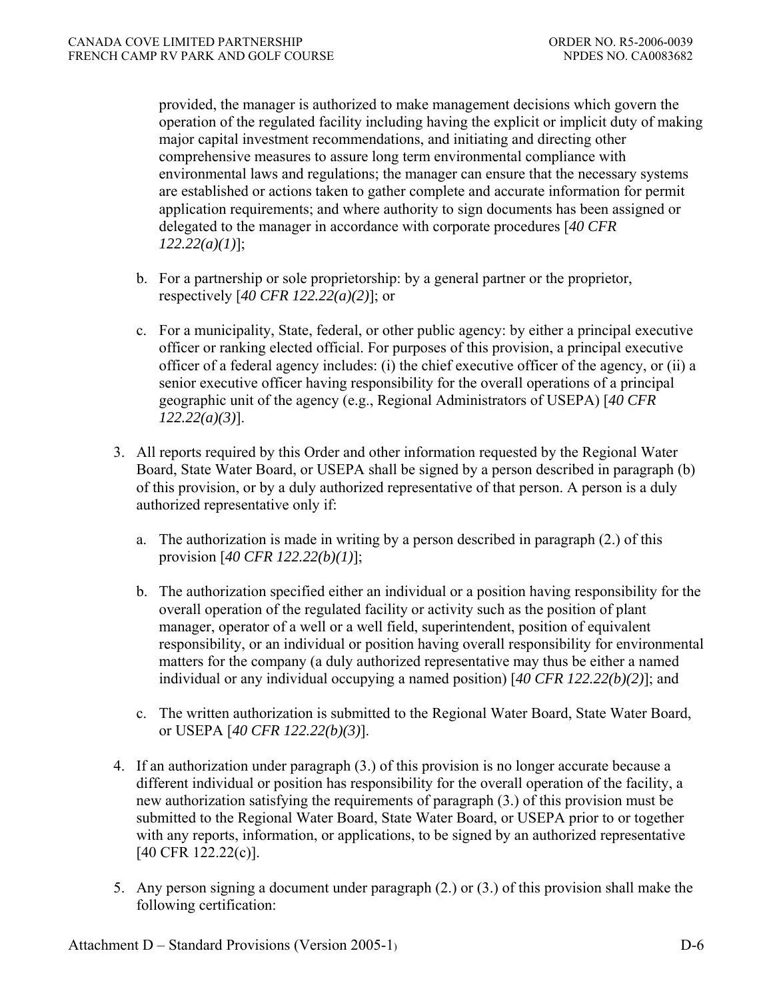provided, the manager is authorized to make management decisions which govern the operation of the regulated facility including having the explicit or implicit duty of making major capital investment recommendations, and initiating and directing other comprehensive measures to assure long term environmental compliance with environmental laws and regulations; the manager can ensure that the necessary systems are established or actions taken to gather complete and accurate information for permit application requirements; and where authority to sign documents has been assigned or delegated to the manager in accordance with corporate procedures [*40 CFR 122.22(a)(1)*];

- b. For a partnership or sole proprietorship: by a general partner or the proprietor, respectively [*40 CFR 122.22(a)(2)*]; or
- c. For a municipality, State, federal, or other public agency: by either a principal executive officer or ranking elected official. For purposes of this provision, a principal executive officer of a federal agency includes: (i) the chief executive officer of the agency, or (ii) a senior executive officer having responsibility for the overall operations of a principal geographic unit of the agency (e.g., Regional Administrators of USEPA) [*40 CFR 122.22(a)(3)*].
- 3. All reports required by this Order and other information requested by the Regional Water Board, State Water Board, or USEPA shall be signed by a person described in paragraph (b) of this provision, or by a duly authorized representative of that person. A person is a duly authorized representative only if:
	- a. The authorization is made in writing by a person described in paragraph (2.) of this provision [*40 CFR 122.22(b)(1)*];
	- b. The authorization specified either an individual or a position having responsibility for the overall operation of the regulated facility or activity such as the position of plant manager, operator of a well or a well field, superintendent, position of equivalent responsibility, or an individual or position having overall responsibility for environmental matters for the company (a duly authorized representative may thus be either a named individual or any individual occupying a named position) [*40 CFR 122.22(b)(2)*]; and
	- c. The written authorization is submitted to the Regional Water Board, State Water Board, or USEPA [*40 CFR 122.22(b)(3)*].
- 4. If an authorization under paragraph (3.) of this provision is no longer accurate because a different individual or position has responsibility for the overall operation of the facility, a new authorization satisfying the requirements of paragraph (3.) of this provision must be submitted to the Regional Water Board, State Water Board, or USEPA prior to or together with any reports, information, or applications, to be signed by an authorized representative [40 CFR 122.22(c)].
- 5. Any person signing a document under paragraph (2.) or (3.) of this provision shall make the following certification: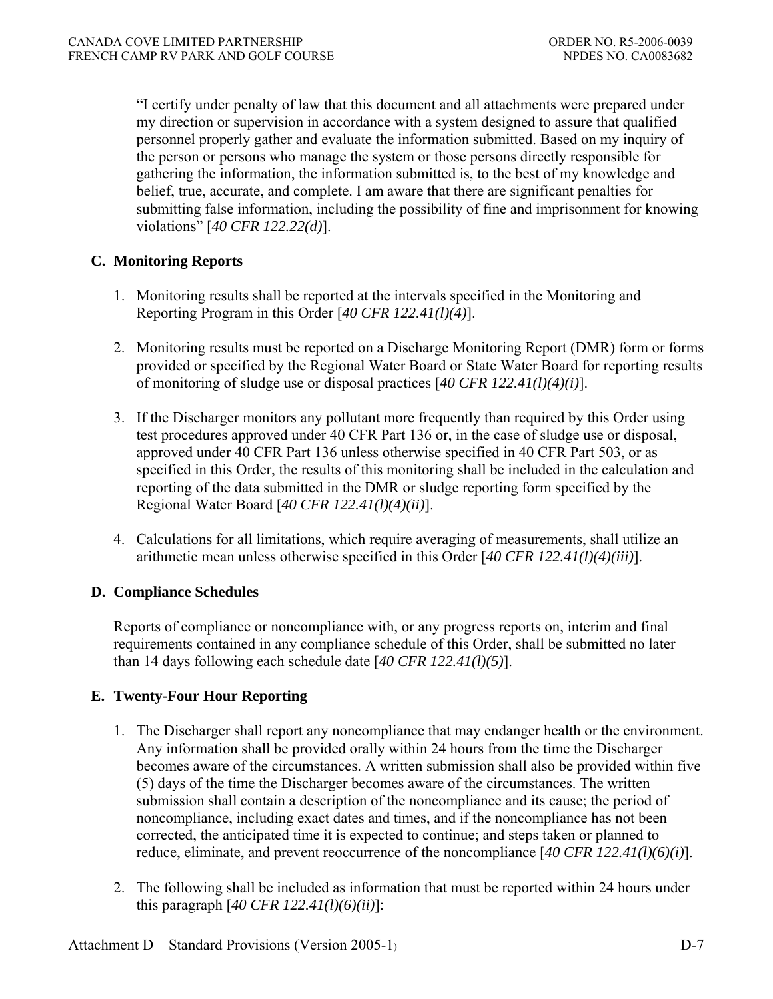"I certify under penalty of law that this document and all attachments were prepared under my direction or supervision in accordance with a system designed to assure that qualified personnel properly gather and evaluate the information submitted. Based on my inquiry of the person or persons who manage the system or those persons directly responsible for gathering the information, the information submitted is, to the best of my knowledge and belief, true, accurate, and complete. I am aware that there are significant penalties for submitting false information, including the possibility of fine and imprisonment for knowing violations" [*40 CFR 122.22(d)*].

# **C. Monitoring Reports**

- 1. Monitoring results shall be reported at the intervals specified in the Monitoring and Reporting Program in this Order [*40 CFR 122.41(l)(4)*].
- 2. Monitoring results must be reported on a Discharge Monitoring Report (DMR) form or forms provided or specified by the Regional Water Board or State Water Board for reporting results of monitoring of sludge use or disposal practices [*40 CFR 122.41(l)(4)(i)*].
- 3. If the Discharger monitors any pollutant more frequently than required by this Order using test procedures approved under 40 CFR Part 136 or, in the case of sludge use or disposal, approved under 40 CFR Part 136 unless otherwise specified in 40 CFR Part 503, or as specified in this Order, the results of this monitoring shall be included in the calculation and reporting of the data submitted in the DMR or sludge reporting form specified by the Regional Water Board [*40 CFR 122.41(l)(4)(ii)*].
- 4. Calculations for all limitations, which require averaging of measurements, shall utilize an arithmetic mean unless otherwise specified in this Order [*40 CFR 122.41(l)(4)(iii)*].

### **D. Compliance Schedules**

Reports of compliance or noncompliance with, or any progress reports on, interim and final requirements contained in any compliance schedule of this Order, shall be submitted no later than 14 days following each schedule date [*40 CFR 122.41(l)(5)*].

# **E. Twenty-Four Hour Reporting**

- 1. The Discharger shall report any noncompliance that may endanger health or the environment. Any information shall be provided orally within 24 hours from the time the Discharger becomes aware of the circumstances. A written submission shall also be provided within five (5) days of the time the Discharger becomes aware of the circumstances. The written submission shall contain a description of the noncompliance and its cause; the period of noncompliance, including exact dates and times, and if the noncompliance has not been corrected, the anticipated time it is expected to continue; and steps taken or planned to reduce, eliminate, and prevent reoccurrence of the noncompliance [*40 CFR 122.41(l)(6)(i)*].
- 2. The following shall be included as information that must be reported within 24 hours under this paragraph [*40 CFR 122.41(l)(6)(ii)*]: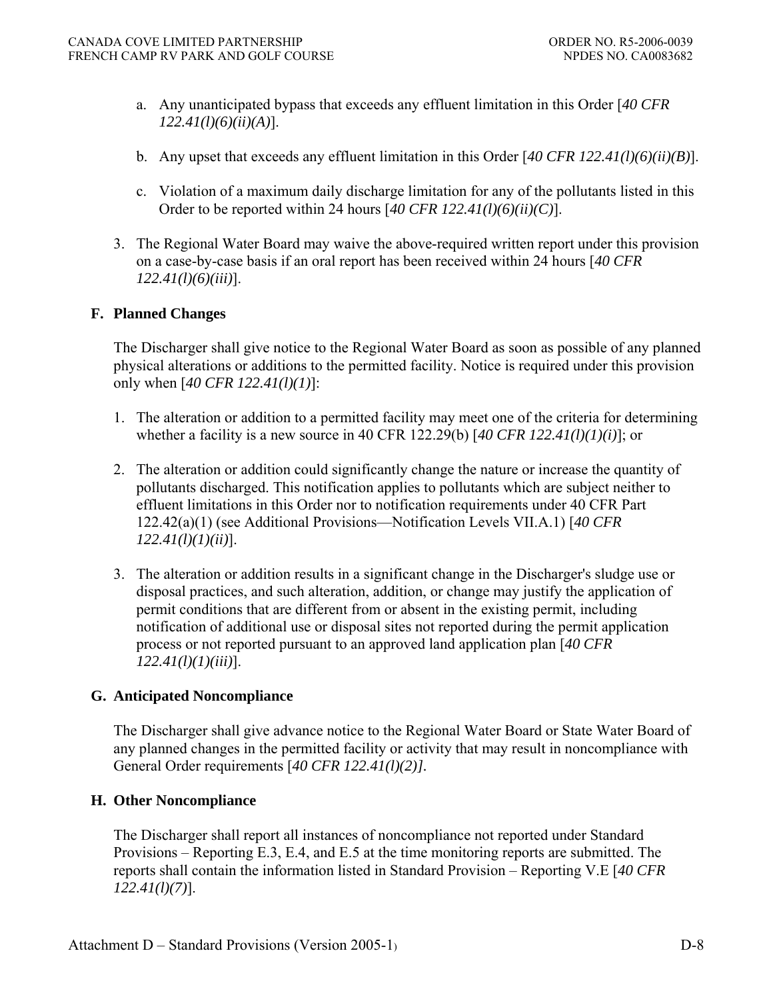- a. Any unanticipated bypass that exceeds any effluent limitation in this Order [*40 CFR 122.41(l)(6)(ii)(A)*].
- b. Any upset that exceeds any effluent limitation in this Order [*40 CFR 122.41(l)(6)(ii)(B)*].
- c. Violation of a maximum daily discharge limitation for any of the pollutants listed in this Order to be reported within 24 hours [*40 CFR 122.41(l)(6)(ii)(C)*].
- 3. The Regional Water Board may waive the above-required written report under this provision on a case-by-case basis if an oral report has been received within 24 hours [*40 CFR 122.41(l)(6)(iii)*].

### **F. Planned Changes**

The Discharger shall give notice to the Regional Water Board as soon as possible of any planned physical alterations or additions to the permitted facility. Notice is required under this provision only when [*40 CFR 122.41(l)(1)*]:

- 1. The alteration or addition to a permitted facility may meet one of the criteria for determining whether a facility is a new source in 40 CFR 122.29(b) [*40 CFR 122.41(l)(1)(i)*]; or
- 2. The alteration or addition could significantly change the nature or increase the quantity of pollutants discharged. This notification applies to pollutants which are subject neither to effluent limitations in this Order nor to notification requirements under 40 CFR Part 122.42(a)(1) (see Additional Provisions—Notification Levels VII.A.1) [*40 CFR 122.41(l)(1)(ii)*].
- 3. The alteration or addition results in a significant change in the Discharger's sludge use or disposal practices, and such alteration, addition, or change may justify the application of permit conditions that are different from or absent in the existing permit, including notification of additional use or disposal sites not reported during the permit application process or not reported pursuant to an approved land application plan [*40 CFR 122.41(l)(1)(iii)*].

### **G. Anticipated Noncompliance**

The Discharger shall give advance notice to the Regional Water Board or State Water Board of any planned changes in the permitted facility or activity that may result in noncompliance with General Order requirements [*40 CFR 122.41(l)(2)].*

### **H. Other Noncompliance**

The Discharger shall report all instances of noncompliance not reported under Standard Provisions – Reporting E.3, E.4, and E.5 at the time monitoring reports are submitted. The reports shall contain the information listed in Standard Provision – Reporting V.E [*40 CFR 122.41(l)(7)*].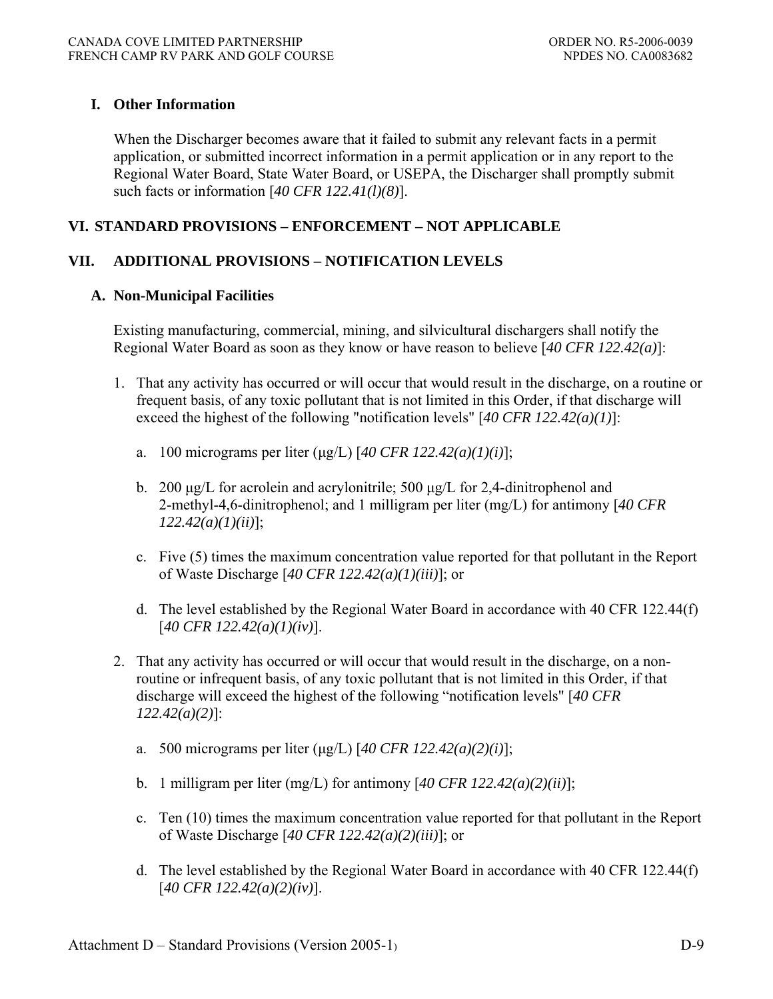### **I. Other Information**

When the Discharger becomes aware that it failed to submit any relevant facts in a permit application, or submitted incorrect information in a permit application or in any report to the Regional Water Board, State Water Board, or USEPA, the Discharger shall promptly submit such facts or information [*40 CFR 122.41(l)(8)*].

### **VI. STANDARD PROVISIONS – ENFORCEMENT – NOT APPLICABLE**

### **VII. ADDITIONAL PROVISIONS – NOTIFICATION LEVELS**

#### **A. Non-Municipal Facilities**

Existing manufacturing, commercial, mining, and silvicultural dischargers shall notify the Regional Water Board as soon as they know or have reason to believe [*40 CFR 122.42(a)*]:

- 1. That any activity has occurred or will occur that would result in the discharge, on a routine or frequent basis, of any toxic pollutant that is not limited in this Order, if that discharge will exceed the highest of the following "notification levels" [*40 CFR 122.42(a)(1)*]:
	- a. 100 micrograms per liter (μg/L) [*40 CFR 122.42(a)(1)(i)*];
	- b. 200 μg/L for acrolein and acrylonitrile; 500 μg/L for 2,4-dinitrophenol and 2-methyl-4,6-dinitrophenol; and 1 milligram per liter (mg/L) for antimony [*40 CFR 122.42(a)(1)(ii)*];
	- c. Five (5) times the maximum concentration value reported for that pollutant in the Report of Waste Discharge [*40 CFR 122.42(a)(1)(iii)*]; or
	- d. The level established by the Regional Water Board in accordance with 40 CFR 122.44(f) [*40 CFR 122.42(a)(1)(iv)*].
- 2. That any activity has occurred or will occur that would result in the discharge, on a nonroutine or infrequent basis, of any toxic pollutant that is not limited in this Order, if that discharge will exceed the highest of the following "notification levels" [*40 CFR 122.42(a)(2)*]:
	- a. 500 micrograms per liter (μg/L) [*40 CFR 122.42(a)(2)(i)*];
	- b. 1 milligram per liter (mg/L) for antimony [*40 CFR 122.42(a)(2)(ii)*];
	- c. Ten (10) times the maximum concentration value reported for that pollutant in the Report of Waste Discharge [*40 CFR 122.42(a)(2)(iii)*]; or
	- d. The level established by the Regional Water Board in accordance with 40 CFR 122.44(f) [*40 CFR 122.42(a)(2)(iv)*].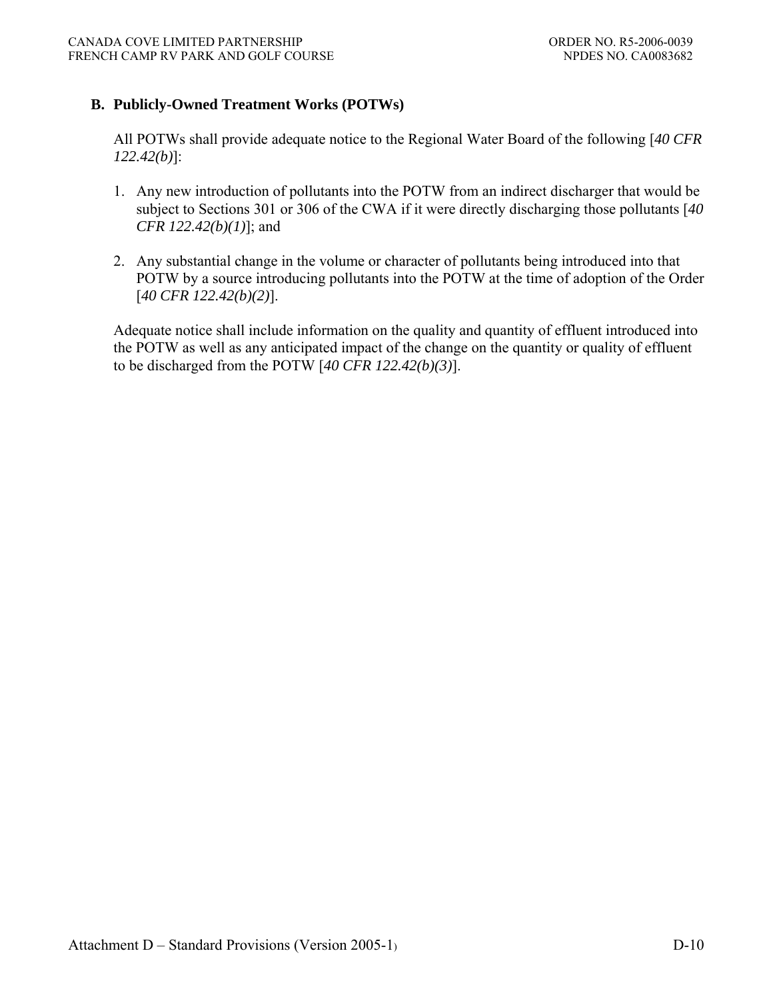### **B. Publicly-Owned Treatment Works (POTWs)**

All POTWs shall provide adequate notice to the Regional Water Board of the following [*40 CFR 122.42(b)*]:

- 1. Any new introduction of pollutants into the POTW from an indirect discharger that would be subject to Sections 301 or 306 of the CWA if it were directly discharging those pollutants [*40 CFR 122.42(b)(1)*]; and
- 2. Any substantial change in the volume or character of pollutants being introduced into that POTW by a source introducing pollutants into the POTW at the time of adoption of the Order [*40 CFR 122.42(b)(2)*].

Adequate notice shall include information on the quality and quantity of effluent introduced into the POTW as well as any anticipated impact of the change on the quantity or quality of effluent to be discharged from the POTW [*40 CFR 122.42(b)(3)*].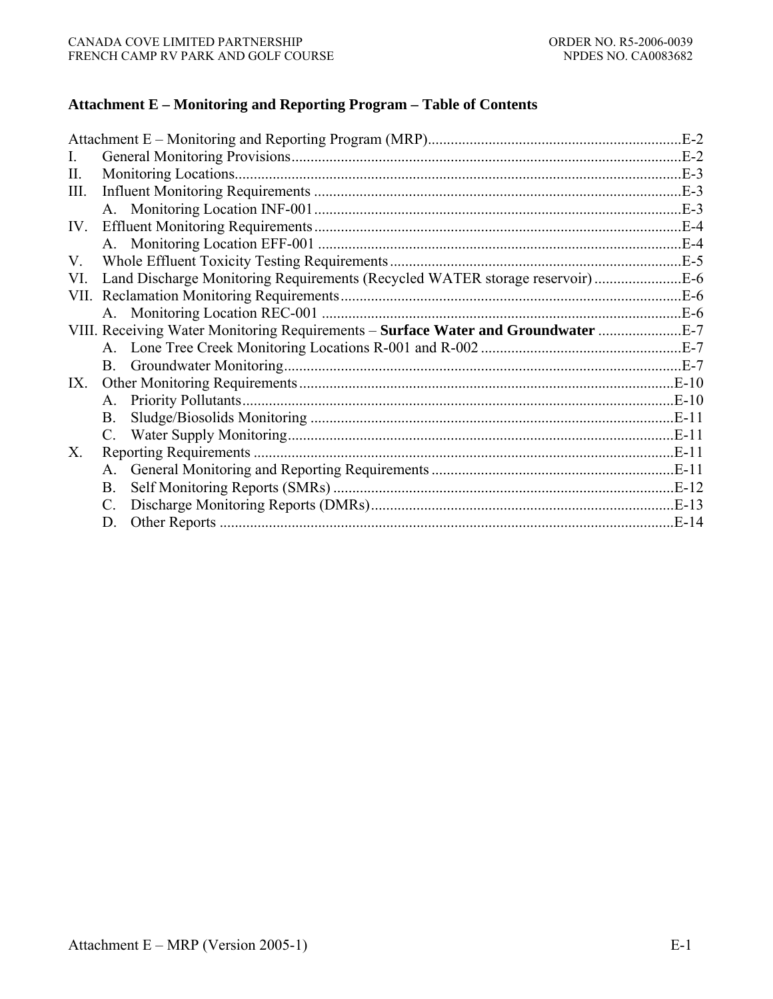### **Attachment E – Monitoring and Reporting Program – Table of Contents**

|      |                                                                               | $E-2$      |
|------|-------------------------------------------------------------------------------|------------|
| L    |                                                                               | $E-2$      |
| П.   |                                                                               |            |
| III. |                                                                               |            |
|      |                                                                               | $E-3$      |
| IV.  |                                                                               | <b>E-4</b> |
|      |                                                                               | $E-4$      |
| V.   |                                                                               |            |
| VI.  |                                                                               |            |
|      |                                                                               | $E-6$      |
|      |                                                                               |            |
|      | VIII. Receiving Water Monitoring Requirements – Surface Water and Groundwater |            |
|      |                                                                               |            |
|      |                                                                               |            |
| IX.  |                                                                               |            |
|      | A.                                                                            | $E-10$     |
|      | <b>B</b> .                                                                    | $.E-11$    |
|      | $C_{\cdot}$                                                                   |            |
| X.   |                                                                               |            |
|      |                                                                               | $E-11$     |
|      | <b>B.</b>                                                                     |            |
|      |                                                                               |            |
|      | D.                                                                            | $E-14$     |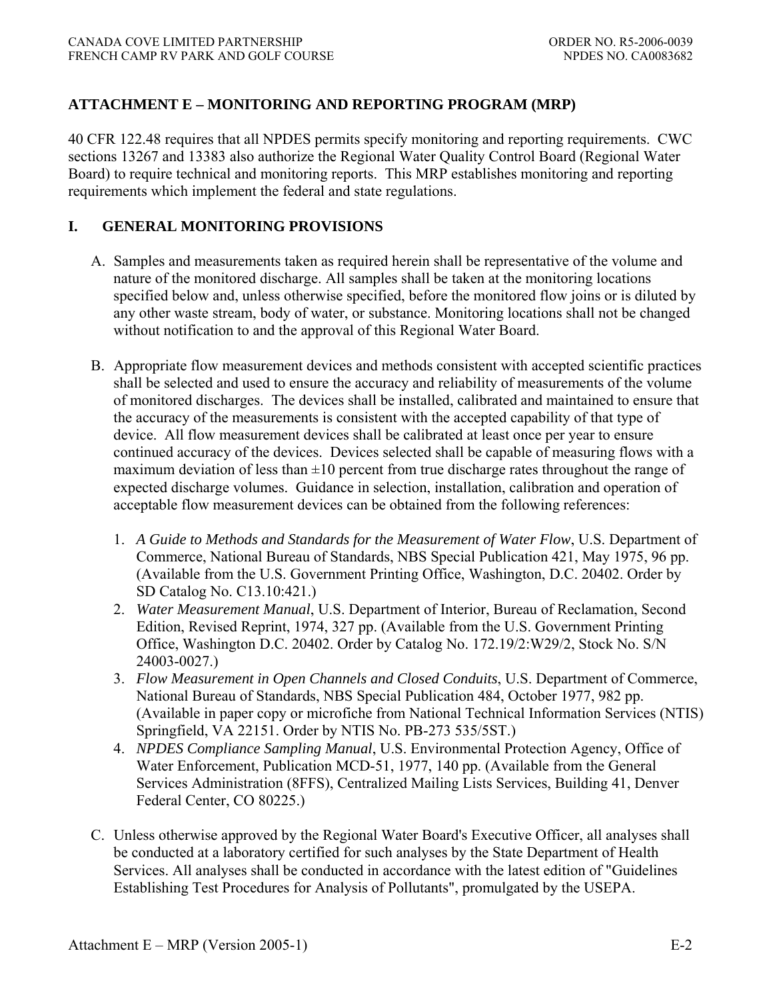# **ATTACHMENT E – MONITORING AND REPORTING PROGRAM (MRP)**

40 CFR 122.48 requires that all NPDES permits specify monitoring and reporting requirements. CWC sections 13267 and 13383 also authorize the Regional Water Quality Control Board (Regional Water Board) to require technical and monitoring reports. This MRP establishes monitoring and reporting requirements which implement the federal and state regulations.

### **I. GENERAL MONITORING PROVISIONS**

- A. Samples and measurements taken as required herein shall be representative of the volume and nature of the monitored discharge. All samples shall be taken at the monitoring locations specified below and, unless otherwise specified, before the monitored flow joins or is diluted by any other waste stream, body of water, or substance. Monitoring locations shall not be changed without notification to and the approval of this Regional Water Board.
- B. Appropriate flow measurement devices and methods consistent with accepted scientific practices shall be selected and used to ensure the accuracy and reliability of measurements of the volume of monitored discharges. The devices shall be installed, calibrated and maintained to ensure that the accuracy of the measurements is consistent with the accepted capability of that type of device. All flow measurement devices shall be calibrated at least once per year to ensure continued accuracy of the devices. Devices selected shall be capable of measuring flows with a maximum deviation of less than  $\pm 10$  percent from true discharge rates throughout the range of expected discharge volumes. Guidance in selection, installation, calibration and operation of acceptable flow measurement devices can be obtained from the following references:
	- 1. *A Guide to Methods and Standards for the Measurement of Water Flow*, U.S. Department of Commerce, National Bureau of Standards, NBS Special Publication 421, May 1975, 96 pp. (Available from the U.S. Government Printing Office, Washington, D.C. 20402. Order by SD Catalog No. C13.10:421.)
	- 2. *Water Measurement Manual*, U.S. Department of Interior, Bureau of Reclamation, Second Edition, Revised Reprint, 1974, 327 pp. (Available from the U.S. Government Printing Office, Washington D.C. 20402. Order by Catalog No. 172.19/2:W29/2, Stock No. S/N 24003-0027.)
	- 3. *Flow Measurement in Open Channels and Closed Conduits*, U.S. Department of Commerce, National Bureau of Standards, NBS Special Publication 484, October 1977, 982 pp. (Available in paper copy or microfiche from National Technical Information Services (NTIS) Springfield, VA 22151. Order by NTIS No. PB-273 535/5ST.)
	- 4. *NPDES Compliance Sampling Manual*, U.S. Environmental Protection Agency, Office of Water Enforcement, Publication MCD-51, 1977, 140 pp. (Available from the General Services Administration (8FFS), Centralized Mailing Lists Services, Building 41, Denver Federal Center, CO 80225.)
- C. Unless otherwise approved by the Regional Water Board's Executive Officer, all analyses shall be conducted at a laboratory certified for such analyses by the State Department of Health Services. All analyses shall be conducted in accordance with the latest edition of "Guidelines Establishing Test Procedures for Analysis of Pollutants", promulgated by the USEPA.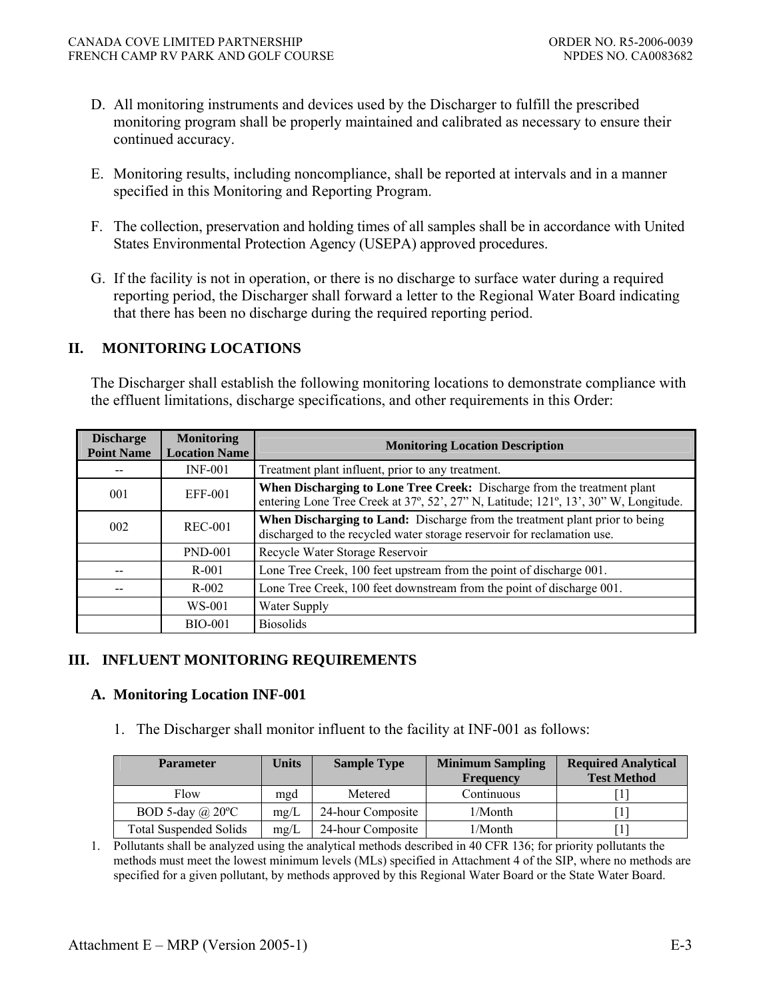- D. All monitoring instruments and devices used by the Discharger to fulfill the prescribed monitoring program shall be properly maintained and calibrated as necessary to ensure their continued accuracy.
- E. Monitoring results, including noncompliance, shall be reported at intervals and in a manner specified in this Monitoring and Reporting Program.
- F. The collection, preservation and holding times of all samples shall be in accordance with United States Environmental Protection Agency (USEPA) approved procedures.
- G. If the facility is not in operation, or there is no discharge to surface water during a required reporting period, the Discharger shall forward a letter to the Regional Water Board indicating that there has been no discharge during the required reporting period.

# **II. MONITORING LOCATIONS**

The Discharger shall establish the following monitoring locations to demonstrate compliance with the effluent limitations, discharge specifications, and other requirements in this Order:

| <b>Discharge</b><br><b>Point Name</b> | <b>Monitoring</b><br><b>Location Name</b> | <b>Monitoring Location Description</b>                                                                                                                         |  |  |
|---------------------------------------|-------------------------------------------|----------------------------------------------------------------------------------------------------------------------------------------------------------------|--|--|
|                                       | $INF-001$                                 | Treatment plant influent, prior to any treatment.                                                                                                              |  |  |
| 001                                   | EFF-001                                   | When Discharging to Lone Tree Creek: Discharge from the treatment plant<br>entering Lone Tree Creek at 37°, 52', 27" N, Latitude; 121°, 13', 30" W, Longitude. |  |  |
| 002                                   | REC-001                                   | When Discharging to Land: Discharge from the treatment plant prior to being<br>discharged to the recycled water storage reservoir for reclamation use.         |  |  |
|                                       | <b>PND-001</b>                            | Recycle Water Storage Reservoir                                                                                                                                |  |  |
|                                       | R-001                                     | Lone Tree Creek, 100 feet upstream from the point of discharge 001.                                                                                            |  |  |
|                                       | $R - 002$                                 | Lone Tree Creek, 100 feet downstream from the point of discharge 001.                                                                                          |  |  |
|                                       | WS-001                                    | Water Supply                                                                                                                                                   |  |  |
|                                       | <b>BIO-001</b>                            | <b>Biosolids</b>                                                                                                                                               |  |  |

# **III. INFLUENT MONITORING REQUIREMENTS**

### **A. Monitoring Location INF-001**

1. The Discharger shall monitor influent to the facility at INF-001 as follows:

| <b>Units</b><br><b>Sample Type</b><br><b>Parameter</b> |      | <b>Minimum Sampling</b> | <b>Required Analytical</b> |                    |
|--------------------------------------------------------|------|-------------------------|----------------------------|--------------------|
|                                                        |      |                         | <b>Frequency</b>           | <b>Test Method</b> |
| Flow                                                   | mgd  | Metered                 | Continuous                 |                    |
| BOD 5-day $\omega$ 20°C                                | mg/L | 24-hour Composite       | 1/Month                    |                    |
| <b>Total Suspended Solids</b>                          | mg/L | 24-hour Composite       | 1/Month                    |                    |

1. Pollutants shall be analyzed using the analytical methods described in 40 CFR 136; for priority pollutants the methods must meet the lowest minimum levels (MLs) specified in Attachment 4 of the SIP, where no methods are specified for a given pollutant, by methods approved by this Regional Water Board or the State Water Board.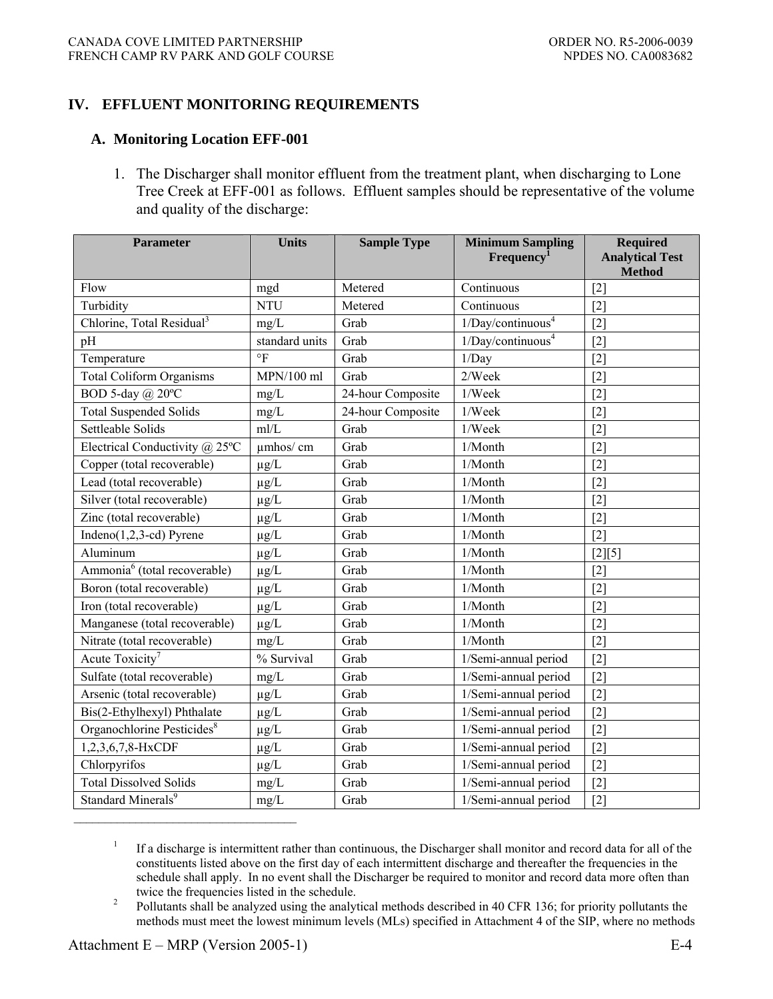### **IV. EFFLUENT MONITORING REQUIREMENTS**

#### **A. Monitoring Location EFF-001**

1. The Discharger shall monitor effluent from the treatment plant, when discharging to Lone Tree Creek at EFF-001 as follows. Effluent samples should be representative of the volume and quality of the discharge:

| <b>Parameter</b>                           | <b>Units</b>                 | <b>Sample Type</b> | <b>Minimum Sampling</b>          | <b>Required</b>                         |
|--------------------------------------------|------------------------------|--------------------|----------------------------------|-----------------------------------------|
|                                            |                              |                    | Frequency <sup>1</sup>           | <b>Analytical Test</b><br><b>Method</b> |
| Flow                                       | mgd                          | Metered            | Continuous                       | $[2]$                                   |
| Turbidity                                  | <b>NTU</b>                   | Metered            | Continuous                       | $[2]$                                   |
| Chlorine, Total Residual <sup>3</sup>      | mg/L                         | Grab               | $1/Day$ /continuous <sup>4</sup> | $[2]$                                   |
| pH                                         | standard units               | Grab               | 1/Day/continuous <sup>4</sup>    | $[2]$                                   |
| Temperature                                | $\circ$ F                    | Grab               | 1/Day                            | $[2]$                                   |
| <b>Total Coliform Organisms</b>            | $MPN/100$ ml                 | Grab               | 2/Week                           | $[2]$                                   |
| BOD 5-day @ 20°C                           | mg/L                         | 24-hour Composite  | 1/Week                           | $[2]$                                   |
| <b>Total Suspended Solids</b>              | mg/L                         | 24-hour Composite  | 1/Week                           | $[2]$                                   |
| Settleable Solids                          | mI/L                         | Grab               | 1/Week                           | $\lceil 2 \rceil$                       |
| Electrical Conductivity @ 25°C             | umhos/cm                     | Grab               | 1/Month                          | $[2]$                                   |
| Copper (total recoverable)                 | $\mu g/L$                    | Grab               | 1/Month                          | $[2]$                                   |
| Lead (total recoverable)                   | $\mu g/L$                    | Grab               | 1/Month                          | $[2]$                                   |
| Silver (total recoverable)                 | $\mu g/L$                    | Grab               | 1/Month                          | $[2]$                                   |
| Zinc (total recoverable)                   | $\mu g/L$                    | Grab               | 1/Month                          | $[2]$                                   |
| Indeno $(1,2,3$ -cd) Pyrene                | $\mu g/L$                    | Grab               | 1/Month                          | $[2]$                                   |
| Aluminum                                   | $\mu g/L$                    | Grab               | 1/Month                          | $[2][5]$                                |
| $\overline{Ammonia^6}$ (total recoverable) | $\mu g/L$                    | Grab               | 1/Month                          | $[2]$                                   |
| Boron (total recoverable)                  | $\mu g/L$                    | Grab               | 1/Month                          | $[2]$                                   |
| Iron (total recoverable)                   | $\mu g/L$                    | Grab               | 1/Month                          | $\lceil 2 \rceil$                       |
| Manganese (total recoverable)              | $\mu g/L$                    | Grab               | 1/Month                          | $[2]$                                   |
| Nitrate (total recoverable)                | mg/L                         | Grab               | 1/Month                          | $[2]$                                   |
| Acute Toxicity <sup>7</sup>                | $\sqrt{\frac{6}{}}$ Survival | Grab               | 1/Semi-annual period             | $[2]$                                   |
| Sulfate (total recoverable)                | mg/L                         | Grab               | 1/Semi-annual period             | $[2]$                                   |
| Arsenic (total recoverable)                | $\mu g/L$                    | Grab               | 1/Semi-annual period             | $[2]$                                   |
| Bis(2-Ethylhexyl) Phthalate                | $\mu g/L$                    | Grab               | 1/Semi-annual period             | $[2]$                                   |
| Organochlorine Pesticides <sup>8</sup>     | $\mu g/L$                    | Grab               | 1/Semi-annual period             | $[2]$                                   |
| 1,2,3,6,7,8-HxCDF                          | $\mu g/L$                    | Grab               | 1/Semi-annual period             | $[2]$                                   |
| Chlorpyrifos                               | $\mu g/L$                    | Grab               | 1/Semi-annual period             | $[2]$                                   |
| <b>Total Dissolved Solids</b>              | mg/L                         | Grab               | 1/Semi-annual period             | $[2]$                                   |
| Standard Minerals <sup>9</sup>             | $mg/L$                       | Grab               | 1/Semi-annual period             | $[2]$                                   |

<sup>1</sup> If a discharge is intermittent rather than continuous, the Discharger shall monitor and record data for all of the constituents listed above on the first day of each intermittent discharge and thereafter the frequencies in the schedule shall apply. In no event shall the Discharger be required to monitor and record data more often than twice the frequencies listed in the schedule.<br>Pollutants shall be analyzed using the analyze

 Pollutants shall be analyzed using the analytical methods described in 40 CFR 136; for priority pollutants the methods must meet the lowest minimum levels (MLs) specified in Attachment 4 of the SIP, where no methods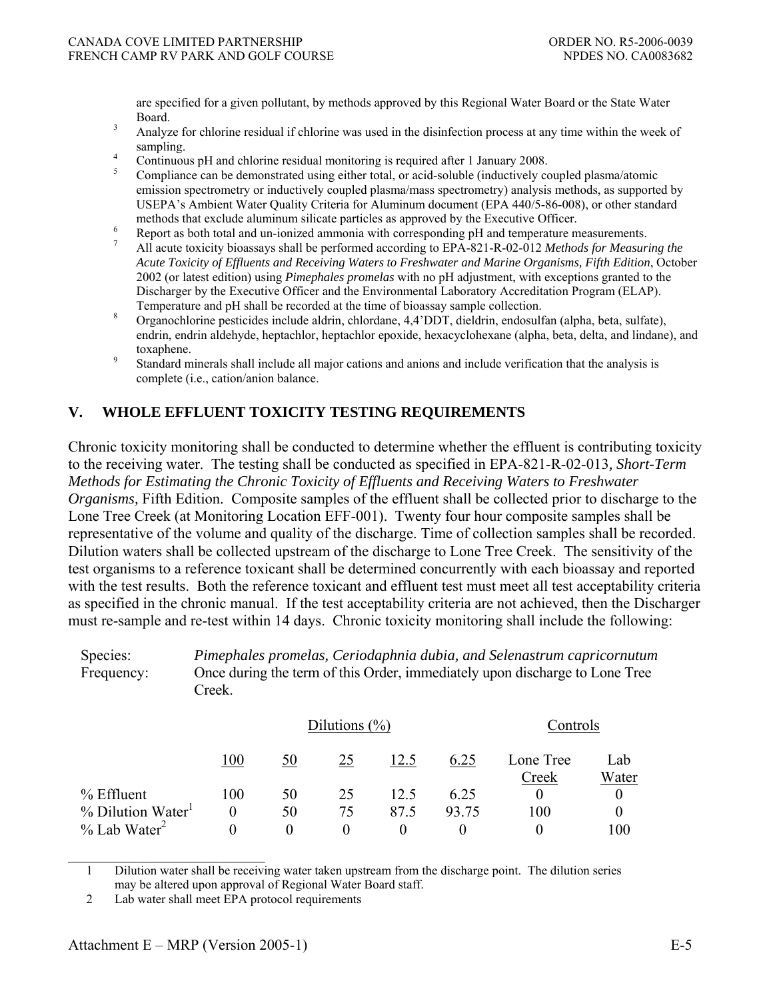are specified for a given pollutant, by methods approved by this Regional Water Board or the State Water  $3 \qquad \text{Board.}$ 

- Analyze for chlorine residual if chlorine was used in the disinfection process at any time within the week of sampling.
- Continuous pH and chlorine residual monitoring is required after 1 January 2008.
- 5 Compliance can be demonstrated using either total, or acid-soluble (inductively coupled plasma/atomic emission spectrometry or inductively coupled plasma/mass spectrometry) analysis methods, as supported by USEPA's Ambient Water Quality Criteria for Aluminum document (EPA 440/5-86-008), or other standard methods that exclude aluminum silicate particles as approved by the Executive Officer.
- Report as both total and un-ionized ammonia with corresponding pH and temperature measurements. 7
- All acute toxicity bioassays shall be performed according to EPA-821-R-02-012 *Methods for Measuring the Acute Toxicity of Effluents and Receiving Waters to Freshwater and Marine Organisms, Fifth Edition*, October 2002 (or latest edition) using *Pimephales promelas* with no pH adjustment, with exceptions granted to the Discharger by the Executive Officer and the Environmental Laboratory Accreditation Program (ELAP). Temperature and pH shall be recorded at the time of bioassay sample collection.
- Organochlorine pesticides include aldrin, chlordane, 4,4'DDT, dieldrin, endosulfan (alpha, beta, sulfate), endrin, endrin aldehyde, heptachlor, heptachlor epoxide, hexacyclohexane (alpha, beta, delta, and lindane), and  $\frac{1}{2}$  toxaphene.
- Standard minerals shall include all major cations and anions and include verification that the analysis is complete (i.e., cation/anion balance.

### **V. WHOLE EFFLUENT TOXICITY TESTING REQUIREMENTS**

Chronic toxicity monitoring shall be conducted to determine whether the effluent is contributing toxicity to the receiving water. The testing shall be conducted as specified in EPA-821-R-02-013*, Short-Term Methods for Estimating the Chronic Toxicity of Effluents and Receiving Waters to Freshwater Organisms,* Fifth Edition. Composite samples of the effluent shall be collected prior to discharge to the Lone Tree Creek (at Monitoring Location EFF-001). Twenty four hour composite samples shall be representative of the volume and quality of the discharge. Time of collection samples shall be recorded. Dilution waters shall be collected upstream of the discharge to Lone Tree Creek. The sensitivity of the test organisms to a reference toxicant shall be determined concurrently with each bioassay and reported with the test results. Both the reference toxicant and effluent test must meet all test acceptability criteria as specified in the chronic manual. If the test acceptability criteria are not achieved, then the Discharger must re-sample and re-test within 14 days. Chronic toxicity monitoring shall include the following:

Species: *Pimephales promelas, Ceriodaphnia dubia, and Selenastrum capricornutum* Frequency: Once during the term of this Order, immediately upon discharge to Lone Tree Creek.

|                                 |          | Dilutions $(\%)$ |    |      |       | Controls           |              |
|---------------------------------|----------|------------------|----|------|-------|--------------------|--------------|
|                                 | 100      | 50               | 25 | 12.5 | 6.25  | Lone Tree<br>Creek | Lab<br>Water |
| % Effluent                      | 100      | 50               | 25 | 12.5 | 6.25  |                    |              |
| $%$ Dilution Water <sup>1</sup> | $\theta$ | 50               | 75 | 87.5 | 93.75 | 100                |              |
| $\%$ Lab Water <sup>2</sup>     |          |                  |    |      |       |                    | 100          |

\_\_\_\_\_\_\_\_\_\_\_\_\_\_\_\_\_\_\_\_\_\_\_\_\_\_ 1 Dilution water shall be receiving water taken upstream from the discharge point. The dilution series may be altered upon approval of Regional Water Board staff.

<sup>2</sup> Lab water shall meet EPA protocol requirements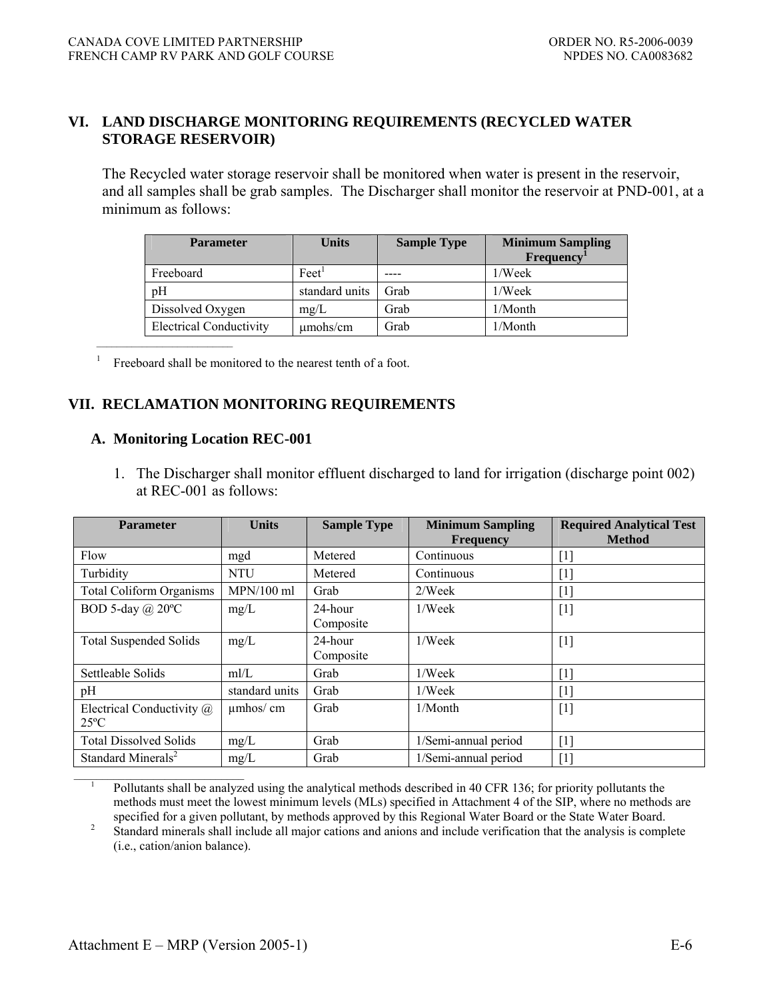### **VI. LAND DISCHARGE MONITORING REQUIREMENTS (RECYCLED WATER STORAGE RESERVOIR)**

The Recycled water storage reservoir shall be monitored when water is present in the reservoir, and all samples shall be grab samples. The Discharger shall monitor the reservoir at PND-001, at a minimum as follows:

| <b>Parameter</b>               | <b>Units</b>                | <b>Sample Type</b> | <b>Minimum Sampling</b><br><b>Frequency</b> |
|--------------------------------|-----------------------------|--------------------|---------------------------------------------|
| Freeboard                      | $\text{F}$ eet <sup>1</sup> |                    | 1/Week                                      |
| pH                             | standard units              | Grab               | 1/Week                                      |
| Dissolved Oxygen               | mg/L                        | Grab               | $1/M$ onth                                  |
| <b>Electrical Conductivity</b> | $\mu$ mohs/cm               | Grab               | $1/M$ onth                                  |

<sup>1</sup> Freeboard shall be monitored to the nearest tenth of a foot.

### **VII. RECLAMATION MONITORING REQUIREMENTS**

#### **A. Monitoring Location REC-001**

1. The Discharger shall monitor effluent discharged to land for irrigation (discharge point 002) at REC-001 as follows:

| <b>Parameter</b>                           | <b>Units</b>   | <b>Sample Type</b>   | <b>Minimum Sampling</b><br><b>Frequency</b> | <b>Required Analytical Test</b><br><b>Method</b>                                                                                                                                                                                                                                                                                                                                                                                                                 |
|--------------------------------------------|----------------|----------------------|---------------------------------------------|------------------------------------------------------------------------------------------------------------------------------------------------------------------------------------------------------------------------------------------------------------------------------------------------------------------------------------------------------------------------------------------------------------------------------------------------------------------|
| Flow                                       | mgd            | Metered              | Continuous                                  | [1]                                                                                                                                                                                                                                                                                                                                                                                                                                                              |
| Turbidity                                  | <b>NTU</b>     | Metered              | Continuous                                  | [1]                                                                                                                                                                                                                                                                                                                                                                                                                                                              |
| <b>Total Coliform Organisms</b>            | $MPN/100$ ml   | Grab                 | 2/Week                                      | $[1] % \includegraphics[width=0.9\columnwidth]{figures/fig_10.pdf} \caption{The graph $\mathcal{N}_1$ is a function of the parameter $\mathcal{N}_1$ and the number of parameters $\mathcal{N}_2$ is a function of the parameter $\mathcal{N}_1$ and the number of parameters $\mathcal{N}_2$ is a function of the parameter $\mathcal{N}_1$ and the number of parameters $\mathcal{N}_2$ is a function of the parameter $\mathcal{N}_1$.} \label{fig:fig:time}$ |
| BOD 5-day $(a)$ 20°C                       | mg/L           | 24-hour<br>Composite | 1/Week                                      | $[1]$                                                                                                                                                                                                                                                                                                                                                                                                                                                            |
| <b>Total Suspended Solids</b>              | mg/L           | 24-hour<br>Composite | 1/Week                                      | $[1]$                                                                                                                                                                                                                                                                                                                                                                                                                                                            |
| Settleable Solids                          | mI/L           | Grab                 | 1/Week                                      | [1]                                                                                                                                                                                                                                                                                                                                                                                                                                                              |
| pH                                         | standard units | Grab                 | 1/Week                                      | $[1] % \includegraphics[width=0.9\columnwidth]{figures/fig_10.pdf} \caption{The figure shows the number of times of the estimators in the left and right.} \label{fig:time} %$                                                                                                                                                                                                                                                                                   |
| Electrical Conductivity @<br>$25^{\circ}C$ | $\mu$ mhos/cm  | Grab                 | $1/M$ onth                                  | $[1]$                                                                                                                                                                                                                                                                                                                                                                                                                                                            |
| <b>Total Dissolved Solids</b>              | mg/L           | Grab                 | 1/Semi-annual period                        | [1]                                                                                                                                                                                                                                                                                                                                                                                                                                                              |
| Standard Minerals <sup>2</sup>             | mg/L           | Grab                 | 1/Semi-annual period                        | $[1] % \includegraphics[width=0.9\columnwidth]{figures/fig_10.pdf} \caption{The figure shows the number of times of the estimators in the left and right.} \label{fig:time} %$                                                                                                                                                                                                                                                                                   |

Pollutants shall be analyzed using the analytical methods described in 40 CFR 136; for priority pollutants the methods must meet the lowest minimum levels (MLs) specified in Attachment 4 of the SIP, where no methods are

specified for a given pollutant, by methods approved by this Regional Water Board or the State Water Board.<br><sup>2</sup> Standard minerals shall include all major estions and anions and include verification that the analysis is com Standard minerals shall include all major cations and anions and include verification that the analysis is complete (i.e., cation/anion balance).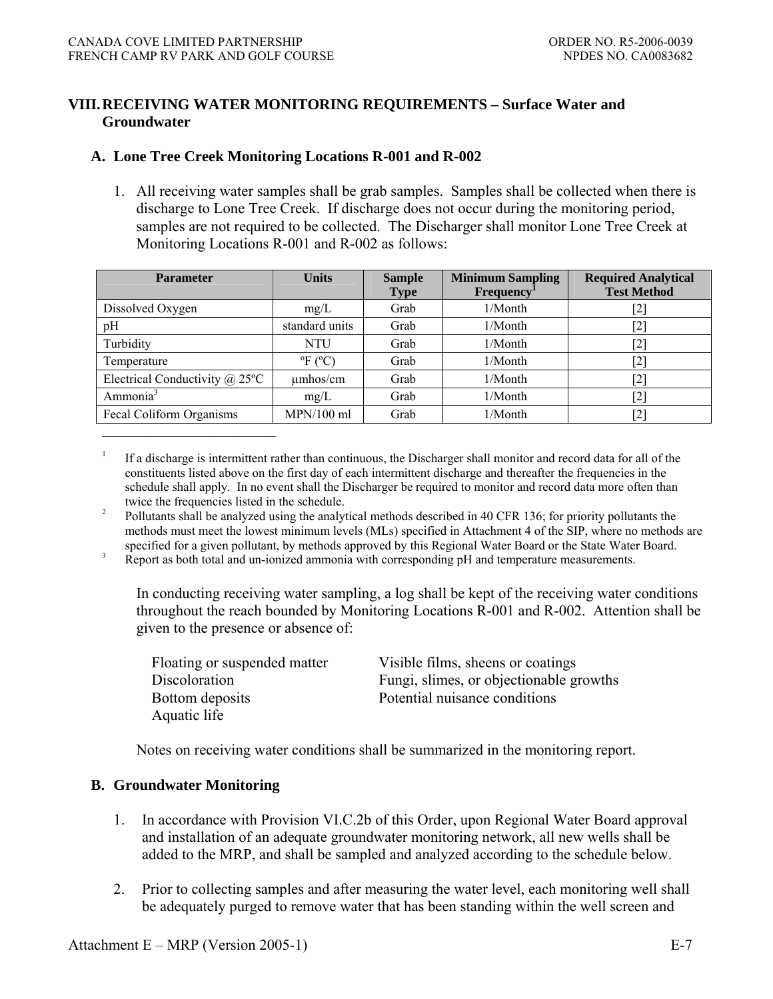### **VIII. RECEIVING WATER MONITORING REQUIREMENTS – Surface Water and Groundwater**

### **A. Lone Tree Creek Monitoring Locations R-001 and R-002**

1. All receiving water samples shall be grab samples. Samples shall be collected when there is discharge to Lone Tree Creek. If discharge does not occur during the monitoring period, samples are not required to be collected. The Discharger shall monitor Lone Tree Creek at Monitoring Locations R-001 and R-002 as follows:

| <b>Parameter</b>                      | <b>Units</b>       | <b>Sample</b><br><b>Type</b> | <b>Minimum Sampling</b><br><b>Frequency</b> | <b>Required Analytical</b><br><b>Test Method</b> |
|---------------------------------------|--------------------|------------------------------|---------------------------------------------|--------------------------------------------------|
| Dissolved Oxygen                      | mg/L               | Grab                         | 1/Month                                     | $\left[ 2\right]$                                |
| pH                                    | standard units     | Grab                         | 1/Month                                     | $^{[2]}$                                         |
| Turbidity                             | <b>NTU</b>         | Grab                         | 1/Month                                     | [2]                                              |
| Temperature                           | $\mathrm{P}F$ (°C) | Grab                         | 1/Month                                     | [2]                                              |
| Electrical Conductivity $\omega$ 25°C | umhos/cm           | Grab                         | 1/Month                                     | [2]                                              |
| Ammonia <sup>3</sup>                  | mg/L               | Grab                         | $1/M$ onth                                  | $\left[ 2\right]$                                |
| Fecal Coliform Organisms              | $MPN/100$ ml       | Grab                         | 1/Month                                     | $\left\lceil 2 \right\rceil$                     |

<sup>1</sup> If a discharge is intermittent rather than continuous, the Discharger shall monitor and record data for all of the constituents listed above on the first day of each intermittent discharge and thereafter the frequencies in the schedule shall apply. In no event shall the Discharger be required to monitor and record data more often than twice the frequencies listed in the schedule.

<sup>2</sup> Pollutants shall be analyzed using the analytical methods described in 40 CFR 136; for priority pollutants the methods must meet the lowest minimum levels (MLs) specified in Attachment 4 of the SIP, where no methods are specified for a given pollutant, by methods approved by this Regional Water Board or the State Water Board.

<sup>3</sup> Report as both total and un-ionized ammonia with corresponding pH and temperature measurements.

 In conducting receiving water sampling, a log shall be kept of the receiving water conditions throughout the reach bounded by Monitoring Locations R-001 and R-002. Attention shall be given to the presence or absence of:

| Floating or suspended matter | Visible films, sheens or coatings       |
|------------------------------|-----------------------------------------|
| Discoloration                | Fungi, slimes, or objectionable growths |
| Bottom deposits              | Potential nuisance conditions           |
| Aquatic life                 |                                         |

Notes on receiving water conditions shall be summarized in the monitoring report.

### **B. Groundwater Monitoring**

 $\mathcal{L}_\text{max} = \frac{1}{2} \sum_{i=1}^{n} \frac{1}{2} \sum_{i=1}^{n} \frac{1}{2} \sum_{i=1}^{n} \frac{1}{2} \sum_{i=1}^{n} \frac{1}{2} \sum_{i=1}^{n} \frac{1}{2} \sum_{i=1}^{n} \frac{1}{2} \sum_{i=1}^{n} \frac{1}{2} \sum_{i=1}^{n} \frac{1}{2} \sum_{i=1}^{n} \frac{1}{2} \sum_{i=1}^{n} \frac{1}{2} \sum_{i=1}^{n} \frac{1}{2} \sum_{i=1}^{n} \frac{1$ 

- 1. In accordance with Provision VI.C.2b of this Order, upon Regional Water Board approval and installation of an adequate groundwater monitoring network, all new wells shall be added to the MRP, and shall be sampled and analyzed according to the schedule below.
- 2. Prior to collecting samples and after measuring the water level, each monitoring well shall be adequately purged to remove water that has been standing within the well screen and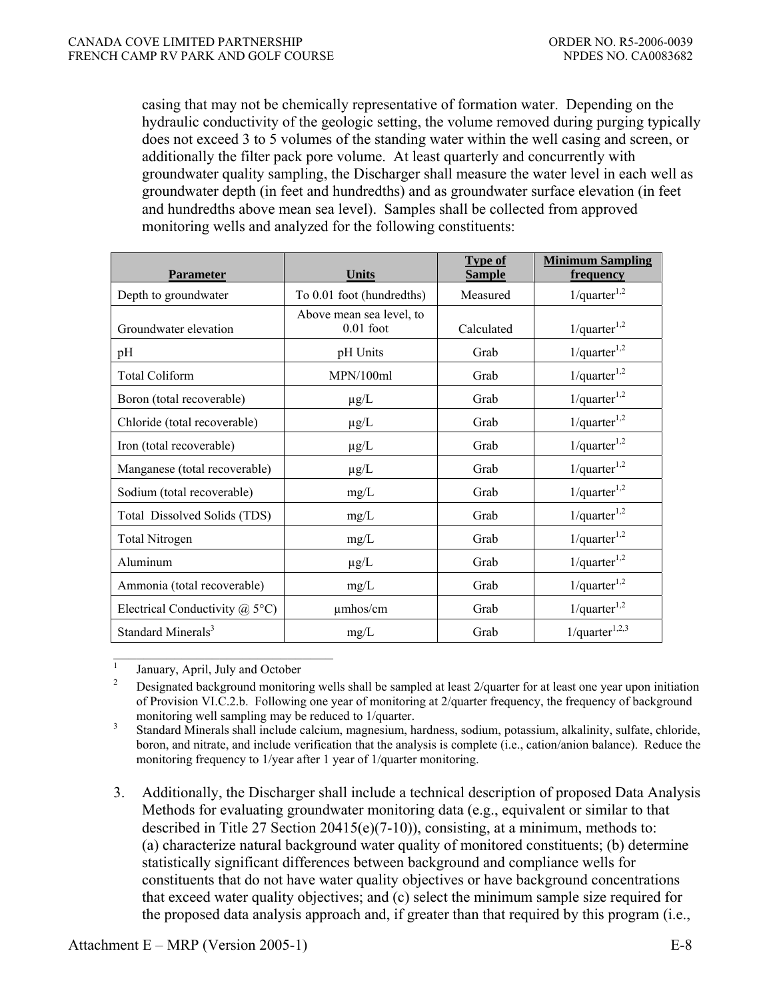casing that may not be chemically representative of formation water. Depending on the hydraulic conductivity of the geologic setting, the volume removed during purging typically does not exceed 3 to 5 volumes of the standing water within the well casing and screen, or additionally the filter pack pore volume. At least quarterly and concurrently with groundwater quality sampling, the Discharger shall measure the water level in each well as groundwater depth (in feet and hundredths) and as groundwater surface elevation (in feet and hundredths above mean sea level). Samples shall be collected from approved monitoring wells and analyzed for the following constituents:

|                                       |                                         | Type of       | <b>Minimum Sampling</b>       |
|---------------------------------------|-----------------------------------------|---------------|-------------------------------|
| <b>Parameter</b>                      | <b>Units</b>                            | <b>Sample</b> | frequency                     |
| Depth to groundwater                  | To 0.01 foot (hundredths)               | Measured      | $1$ /quarter <sup>1,2</sup>   |
| Groundwater elevation                 | Above mean sea level, to<br>$0.01$ foot | Calculated    | $1$ /quarter <sup>1,2</sup>   |
| pH                                    | pH Units                                | Grab          | 1/quarter <sup>1,2</sup>      |
| <b>Total Coliform</b>                 | MPN/100ml                               | Grab          | $1$ /quarter <sup>1,2</sup>   |
| Boron (total recoverable)             | $\mu$ g/L                               | Grab          | $1$ /quarter <sup>1,2</sup>   |
| Chloride (total recoverable)          | $\mu$ g/L                               | Grab          | $1$ /quarter <sup>1,2</sup>   |
| Iron (total recoverable)              | $\mu$ g/L                               | Grab          | $1$ /quarter <sup>1,2</sup>   |
| Manganese (total recoverable)         | $\mu$ g/L                               | Grab          | 1/quarter <sup>1,2</sup>      |
| Sodium (total recoverable)            | mg/L                                    | Grab          | 1/quarter <sup>1,2</sup>      |
| Total Dissolved Solids (TDS)          | mg/L                                    | Grab          | $1$ /quarter <sup>1,2</sup>   |
| <b>Total Nitrogen</b>                 | mg/L                                    | Grab          | 1/quarter <sup>1,2</sup>      |
| Aluminum                              | $\mu$ g/L                               | Grab          | $1$ /quarter <sup>1,2</sup>   |
| Ammonia (total recoverable)           | mg/L                                    | Grab          | $1$ /quarter <sup>1,2</sup>   |
| Electrical Conductivity $\omega$ 5°C) | umhos/cm                                | Grab          | 1/quarter <sup>1,2</sup>      |
| Standard Minerals <sup>3</sup>        | mg/L                                    | Grab          | $1$ /quarter <sup>1,2,3</sup> |

 $\mathcal{L}_\text{max}$ 

 $\frac{1}{2}$  January, April, July and October  $\frac{2}{2}$  Designated background monitoring wells shall be sampled at least 2/quarter for at least one year upon initiation of Provision VI.C.2.b. Following one year of monitoring at 2/quarter frequency, the frequency of background

monitoring well sampling may be reduced to 1/quarter.<br>3 Standard Minerals shall include calcium, magnesium, hardness, sodium, potassium, alkalinity, sulfate, chloride, boron, and nitrate, and include verification that the analysis is complete (i.e., cation/anion balance). Reduce the monitoring frequency to 1/year after 1 year of 1/quarter monitoring.

 3. Additionally, the Discharger shall include a technical description of proposed Data Analysis Methods for evaluating groundwater monitoring data (e.g., equivalent or similar to that described in Title 27 Section 20415(e)(7-10)), consisting, at a minimum, methods to: (a) characterize natural background water quality of monitored constituents; (b) determine statistically significant differences between background and compliance wells for constituents that do not have water quality objectives or have background concentrations that exceed water quality objectives; and (c) select the minimum sample size required for the proposed data analysis approach and, if greater than that required by this program (i.e.,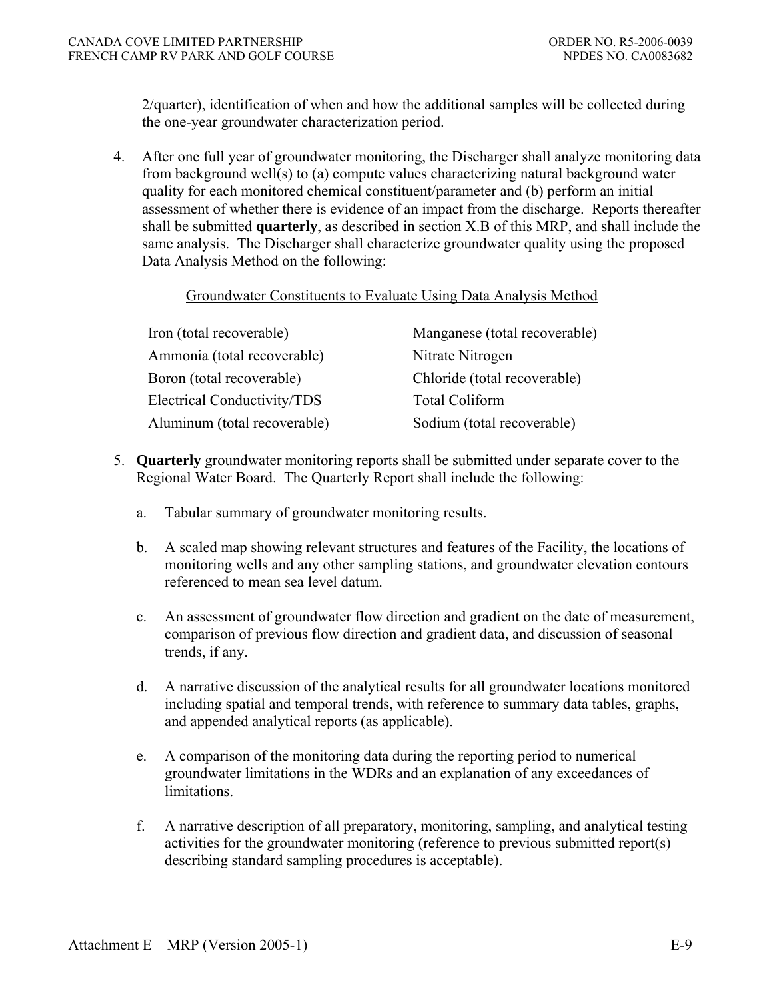2/quarter), identification of when and how the additional samples will be collected during the one-year groundwater characterization period.

 4. After one full year of groundwater monitoring, the Discharger shall analyze monitoring data from background well(s) to (a) compute values characterizing natural background water quality for each monitored chemical constituent/parameter and (b) perform an initial assessment of whether there is evidence of an impact from the discharge. Reports thereafter shall be submitted **quarterly**, as described in section X.B of this MRP, and shall include the same analysis. The Discharger shall characterize groundwater quality using the proposed Data Analysis Method on the following:

#### Groundwater Constituents to Evaluate Using Data Analysis Method

| Iron (total recoverable)           | Manganese (total recoverable) |
|------------------------------------|-------------------------------|
| Ammonia (total recoverable)        | Nitrate Nitrogen              |
| Boron (total recoverable)          | Chloride (total recoverable)  |
| <b>Electrical Conductivity/TDS</b> | <b>Total Coliform</b>         |
| Aluminum (total recoverable)       | Sodium (total recoverable)    |

- 5. **Quarterly** groundwater monitoring reports shall be submitted under separate cover to the Regional Water Board. The Quarterly Report shall include the following:
	- a. Tabular summary of groundwater monitoring results.
	- b. A scaled map showing relevant structures and features of the Facility, the locations of monitoring wells and any other sampling stations, and groundwater elevation contours referenced to mean sea level datum.
	- c. An assessment of groundwater flow direction and gradient on the date of measurement, comparison of previous flow direction and gradient data, and discussion of seasonal trends, if any.
	- d. A narrative discussion of the analytical results for all groundwater locations monitored including spatial and temporal trends, with reference to summary data tables, graphs, and appended analytical reports (as applicable).
	- e. A comparison of the monitoring data during the reporting period to numerical groundwater limitations in the WDRs and an explanation of any exceedances of limitations.
	- f. A narrative description of all preparatory, monitoring, sampling, and analytical testing activities for the groundwater monitoring (reference to previous submitted report(s) describing standard sampling procedures is acceptable).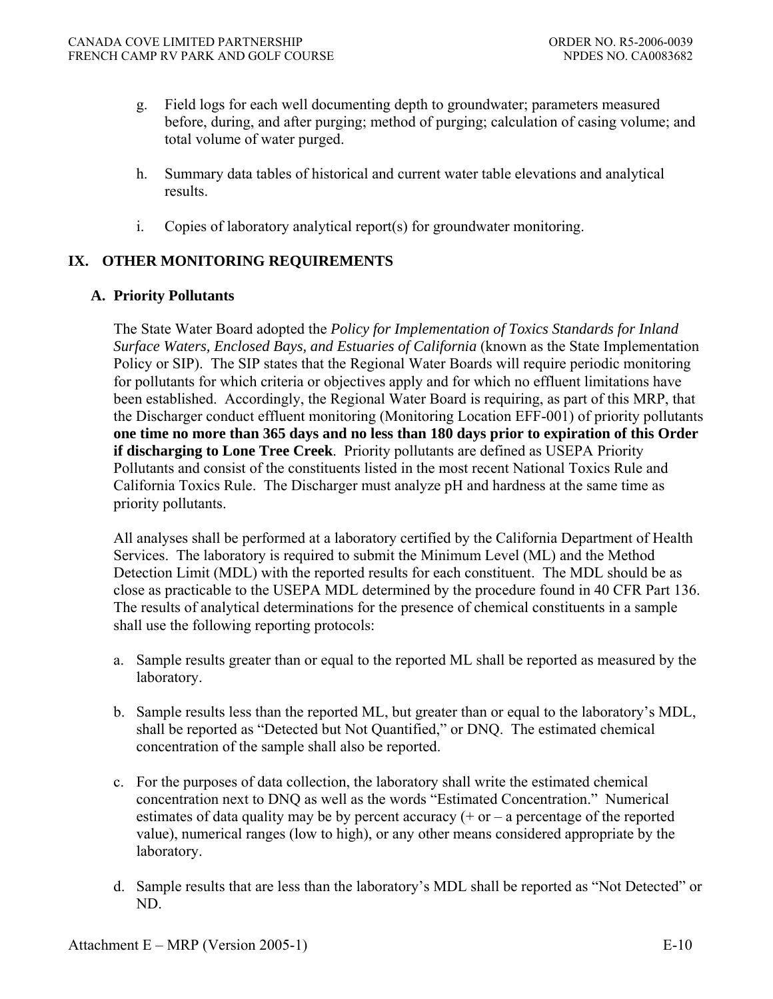- g. Field logs for each well documenting depth to groundwater; parameters measured before, during, and after purging; method of purging; calculation of casing volume; and total volume of water purged.
- h. Summary data tables of historical and current water table elevations and analytical results.
- i. Copies of laboratory analytical report(s) for groundwater monitoring.

# **IX. OTHER MONITORING REQUIREMENTS**

### **A. Priority Pollutants**

The State Water Board adopted the *Policy for Implementation of Toxics Standards for Inland Surface Waters, Enclosed Bays, and Estuaries of California* (known as the State Implementation Policy or SIP). The SIP states that the Regional Water Boards will require periodic monitoring for pollutants for which criteria or objectives apply and for which no effluent limitations have been established. Accordingly, the Regional Water Board is requiring, as part of this MRP, that the Discharger conduct effluent monitoring (Monitoring Location EFF-001) of priority pollutants **one time no more than 365 days and no less than 180 days prior to expiration of this Order if discharging to Lone Tree Creek**. Priority pollutants are defined as USEPA Priority Pollutants and consist of the constituents listed in the most recent National Toxics Rule and California Toxics Rule. The Discharger must analyze pH and hardness at the same time as priority pollutants.

All analyses shall be performed at a laboratory certified by the California Department of Health Services. The laboratory is required to submit the Minimum Level (ML) and the Method Detection Limit (MDL) with the reported results for each constituent. The MDL should be as close as practicable to the USEPA MDL determined by the procedure found in 40 CFR Part 136. The results of analytical determinations for the presence of chemical constituents in a sample shall use the following reporting protocols:

- a. Sample results greater than or equal to the reported ML shall be reported as measured by the laboratory.
- b. Sample results less than the reported ML, but greater than or equal to the laboratory's MDL, shall be reported as "Detected but Not Quantified," or DNQ. The estimated chemical concentration of the sample shall also be reported.
- c. For the purposes of data collection, the laboratory shall write the estimated chemical concentration next to DNQ as well as the words "Estimated Concentration." Numerical estimates of data quality may be by percent accuracy  $(+)$  or  $-$  a percentage of the reported value), numerical ranges (low to high), or any other means considered appropriate by the laboratory.
- d. Sample results that are less than the laboratory's MDL shall be reported as "Not Detected" or ND.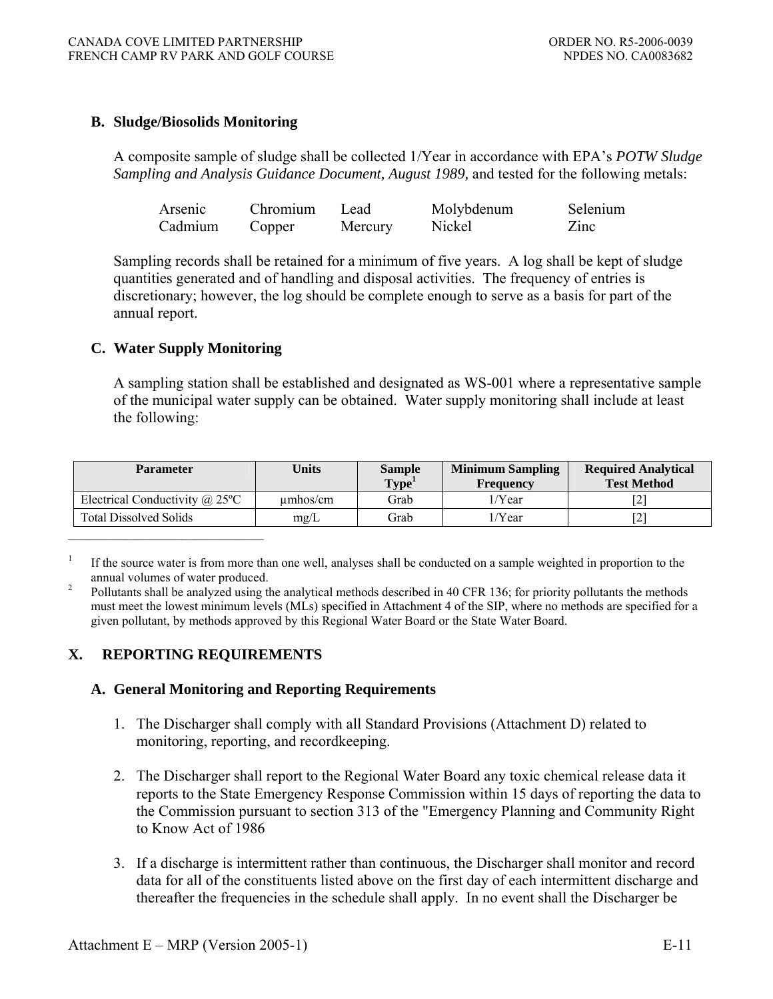### **B. Sludge/Biosolids Monitoring**

A composite sample of sludge shall be collected 1/Year in accordance with EPA's *POTW Sludge Sampling and Analysis Guidance Document, August 1989,* and tested for the following metals:

| Arsenic | Chromium | Lead    | Molybdenum | Selenium |
|---------|----------|---------|------------|----------|
| Cadmium | Copper   | Mercury | Nickel     | Zinc     |

Sampling records shall be retained for a minimum of five years. A log shall be kept of sludge quantities generated and of handling and disposal activities. The frequency of entries is discretionary; however, the log should be complete enough to serve as a basis for part of the annual report.

### **C. Water Supply Monitoring**

A sampling station shall be established and designated as WS-001 where a representative sample of the municipal water supply can be obtained. Water supply monitoring shall include at least the following:

| <b>Parameter</b>                                   | <b>Units</b> | <b>Sample</b><br>Type <sup>1</sup> | <b>Minimum Sampling</b><br>Frequency | <b>Required Analytical</b><br><b>Test Method</b> |
|----------------------------------------------------|--------------|------------------------------------|--------------------------------------|--------------------------------------------------|
| Electrical Conductivity $\omega$ 25 <sup>o</sup> C | umbos/cm     | Grab                               | 1/Year                               | ∠                                                |
| <b>Total Dissolved Solids</b>                      | mg/L         | Grab                               | 1/Year                               | $\overline{v}$                                   |

1 If the source water is from more than one well, analyses shall be conducted on a sample weighted in proportion to the annual volumes of water produced.

### **X. REPORTING REQUIREMENTS**

### **A. General Monitoring and Reporting Requirements**

- 1. The Discharger shall comply with all Standard Provisions (Attachment D) related to monitoring, reporting, and recordkeeping.
- 2. The Discharger shall report to the Regional Water Board any toxic chemical release data it reports to the State Emergency Response Commission within 15 days of reporting the data to the Commission pursuant to section 313 of the "Emergency Planning and Community Right to Know Act of 1986
- 3. If a discharge is intermittent rather than continuous, the Discharger shall monitor and record data for all of the constituents listed above on the first day of each intermittent discharge and thereafter the frequencies in the schedule shall apply. In no event shall the Discharger be

Pollutants shall be analyzed using the analytical methods described in 40 CFR 136; for priority pollutants the methods must meet the lowest minimum levels (MLs) specified in Attachment 4 of the SIP, where no methods are specified for a given pollutant, by methods approved by this Regional Water Board or the State Water Board.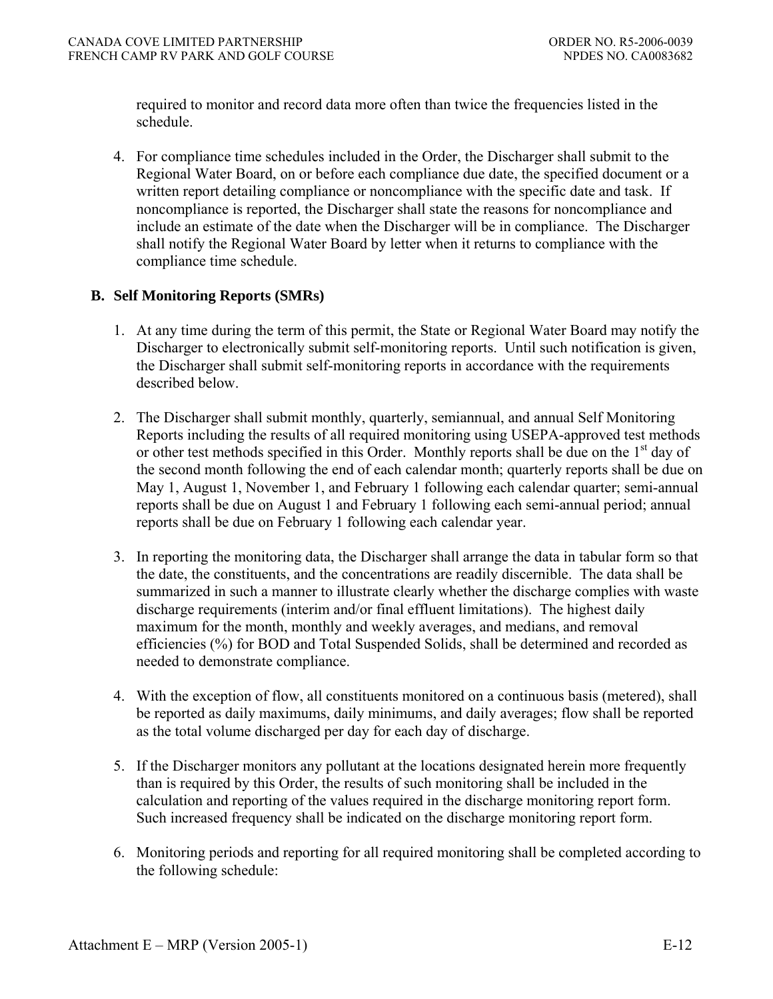required to monitor and record data more often than twice the frequencies listed in the schedule.

4. For compliance time schedules included in the Order, the Discharger shall submit to the Regional Water Board, on or before each compliance due date, the specified document or a written report detailing compliance or noncompliance with the specific date and task. If noncompliance is reported, the Discharger shall state the reasons for noncompliance and include an estimate of the date when the Discharger will be in compliance. The Discharger shall notify the Regional Water Board by letter when it returns to compliance with the compliance time schedule.

### **B. Self Monitoring Reports (SMRs)**

- 1. At any time during the term of this permit, the State or Regional Water Board may notify the Discharger to electronically submit self-monitoring reports. Until such notification is given, the Discharger shall submit self-monitoring reports in accordance with the requirements described below.
- 2. The Discharger shall submit monthly, quarterly, semiannual, and annual Self Monitoring Reports including the results of all required monitoring using USEPA-approved test methods or other test methods specified in this Order. Monthly reports shall be due on the  $1<sup>st</sup>$  day of the second month following the end of each calendar month; quarterly reports shall be due on May 1, August 1, November 1, and February 1 following each calendar quarter; semi-annual reports shall be due on August 1 and February 1 following each semi-annual period; annual reports shall be due on February 1 following each calendar year.
- 3. In reporting the monitoring data, the Discharger shall arrange the data in tabular form so that the date, the constituents, and the concentrations are readily discernible. The data shall be summarized in such a manner to illustrate clearly whether the discharge complies with waste discharge requirements (interim and/or final effluent limitations). The highest daily maximum for the month, monthly and weekly averages, and medians, and removal efficiencies (%) for BOD and Total Suspended Solids, shall be determined and recorded as needed to demonstrate compliance.
- 4. With the exception of flow, all constituents monitored on a continuous basis (metered), shall be reported as daily maximums, daily minimums, and daily averages; flow shall be reported as the total volume discharged per day for each day of discharge.
- 5. If the Discharger monitors any pollutant at the locations designated herein more frequently than is required by this Order, the results of such monitoring shall be included in the calculation and reporting of the values required in the discharge monitoring report form. Such increased frequency shall be indicated on the discharge monitoring report form.
- 6. Monitoring periods and reporting for all required monitoring shall be completed according to the following schedule: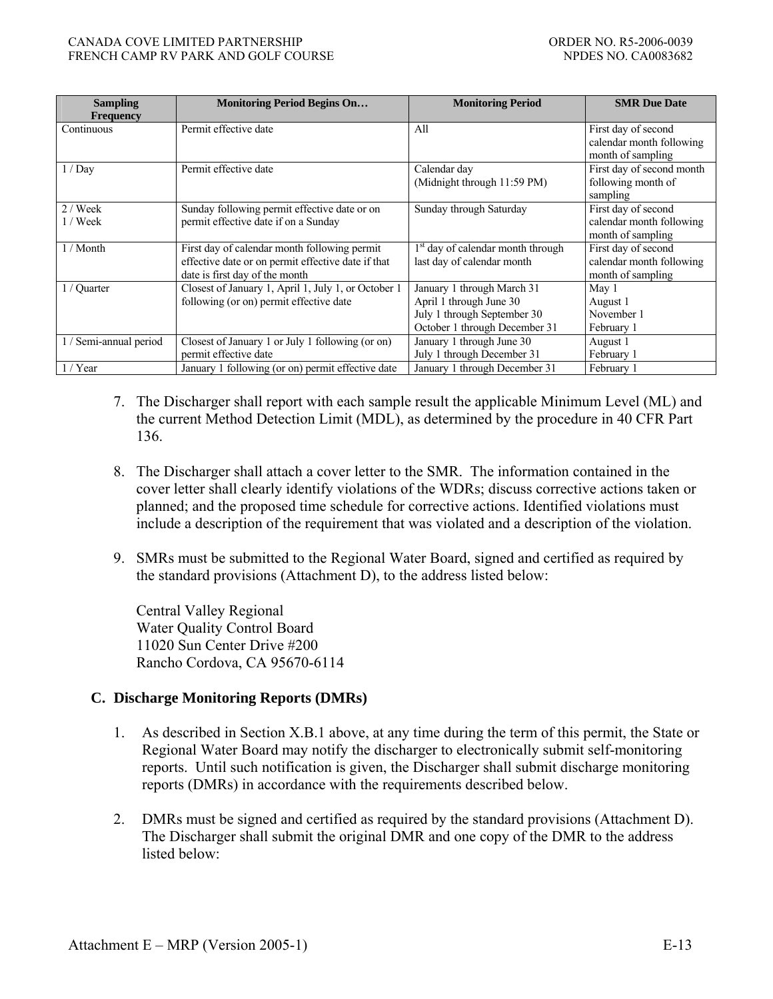| <b>Sampling</b><br><b>Frequency</b> | <b>Monitoring Period Begins On</b>                                                                                                   | <b>Monitoring Period</b>                                                                                              | <b>SMR Due Date</b>                                                  |
|-------------------------------------|--------------------------------------------------------------------------------------------------------------------------------------|-----------------------------------------------------------------------------------------------------------------------|----------------------------------------------------------------------|
| Continuous                          | Permit effective date                                                                                                                | All                                                                                                                   | First day of second<br>calendar month following<br>month of sampling |
| 1/Dav                               | Permit effective date                                                                                                                | Calendar day<br>(Midnight through 11:59 PM)                                                                           | First day of second month<br>following month of<br>sampling          |
| $2 /$ Week<br>$1$ / Week            | Sunday following permit effective date or on<br>permit effective date if on a Sunday                                                 | Sunday through Saturday                                                                                               | First day of second<br>calendar month following<br>month of sampling |
| $1/M$ onth                          | First day of calendar month following permit<br>effective date or on permit effective date if that<br>date is first day of the month | 1 <sup>st</sup> day of calendar month through<br>last day of calendar month                                           | First day of second<br>calendar month following<br>month of sampling |
| 1 / Quarter                         | Closest of January 1, April 1, July 1, or October 1<br>following (or on) permit effective date                                       | January 1 through March 31<br>April 1 through June 30<br>July 1 through September 30<br>October 1 through December 31 | May 1<br>August 1<br>November 1<br>February 1                        |
| 1 / Semi-annual period              | Closest of January 1 or July 1 following (or on)<br>permit effective date                                                            | January 1 through June 30<br>July 1 through December 31                                                               | August 1<br>February 1                                               |
| $1 /$ Year                          | January 1 following (or on) permit effective date                                                                                    | January 1 through December 31                                                                                         | February 1                                                           |

- 7. The Discharger shall report with each sample result the applicable Minimum Level (ML) and the current Method Detection Limit (MDL), as determined by the procedure in 40 CFR Part 136.
- 8. The Discharger shall attach a cover letter to the SMR. The information contained in the cover letter shall clearly identify violations of the WDRs; discuss corrective actions taken or planned; and the proposed time schedule for corrective actions. Identified violations must include a description of the requirement that was violated and a description of the violation.
- 9. SMRs must be submitted to the Regional Water Board, signed and certified as required by the standard provisions (Attachment D), to the address listed below:

 Central Valley Regional Water Quality Control Board 11020 Sun Center Drive #200 Rancho Cordova, CA 95670-6114

### **C. Discharge Monitoring Reports (DMRs)**

- 1. As described in Section X.B.1 above, at any time during the term of this permit, the State or Regional Water Board may notify the discharger to electronically submit self-monitoring reports. Until such notification is given, the Discharger shall submit discharge monitoring reports (DMRs) in accordance with the requirements described below.
- 2. DMRs must be signed and certified as required by the standard provisions (Attachment D). The Discharger shall submit the original DMR and one copy of the DMR to the address listed below: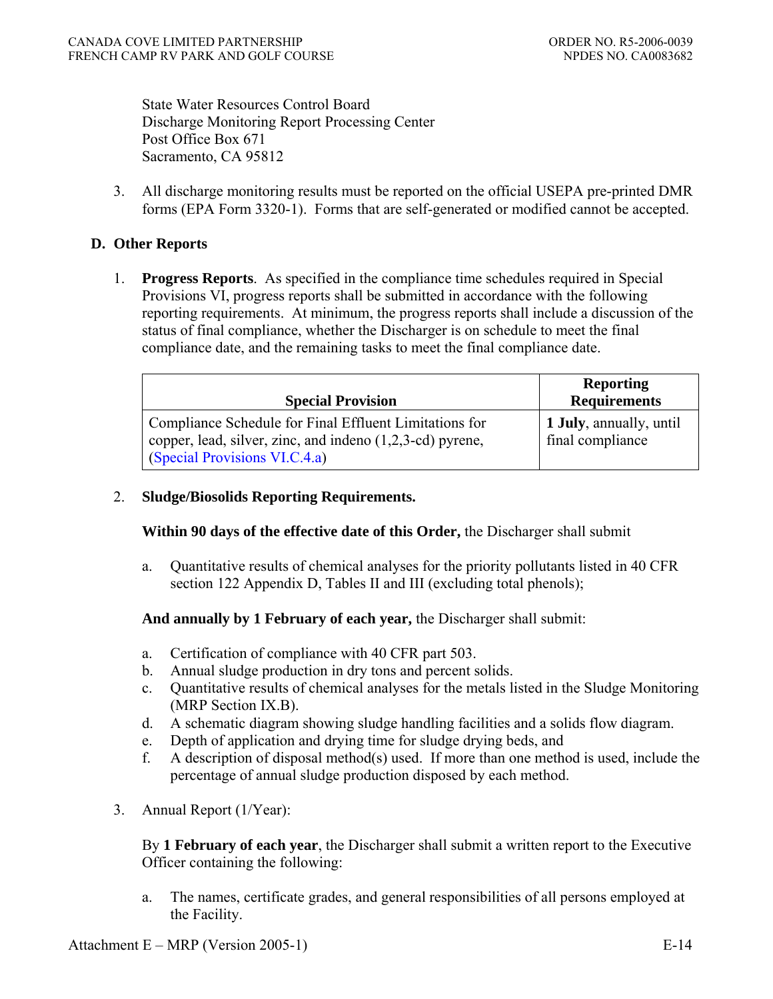State Water Resources Control Board Discharge Monitoring Report Processing Center Post Office Box 671 Sacramento, CA 95812

3. All discharge monitoring results must be reported on the official USEPA pre-printed DMR forms (EPA Form 3320-1). Forms that are self-generated or modified cannot be accepted.

### **D. Other Reports**

 1. **Progress Reports**. As specified in the compliance time schedules required in Special Provisions VI, progress reports shall be submitted in accordance with the following reporting requirements. At minimum, the progress reports shall include a discussion of the status of final compliance, whether the Discharger is on schedule to meet the final compliance date, and the remaining tasks to meet the final compliance date.

| <b>Special Provision</b>                                                                                                                               | <b>Reporting</b><br><b>Requirements</b>     |
|--------------------------------------------------------------------------------------------------------------------------------------------------------|---------------------------------------------|
| Compliance Schedule for Final Effluent Limitations for<br>copper, lead, silver, zinc, and indeno $(1,2,3-cd)$ pyrene,<br>(Special Provisions VI.C.4.a) | 1 July, annually, until<br>final compliance |

#### 2. **Sludge/Biosolids Reporting Requirements.**

**Within 90 days of the effective date of this Order,** the Discharger shall submit

a. Quantitative results of chemical analyses for the priority pollutants listed in 40 CFR section 122 Appendix D, Tables II and III (excluding total phenols);

**And annually by 1 February of each year,** the Discharger shall submit:

- a. Certification of compliance with 40 CFR part 503.
- b. Annual sludge production in dry tons and percent solids.
- c. Quantitative results of chemical analyses for the metals listed in the Sludge Monitoring (MRP Section IX.B).
- d. A schematic diagram showing sludge handling facilities and a solids flow diagram.
- e. Depth of application and drying time for sludge drying beds, and
- f. A description of disposal method(s) used. If more than one method is used, include the percentage of annual sludge production disposed by each method.
- 3. Annual Report (1/Year):

By **1 February of each year**, the Discharger shall submit a written report to the Executive Officer containing the following:

a. The names, certificate grades, and general responsibilities of all persons employed at the Facility.

Attachment  $E - MRP$  (Version 2005-1) E-14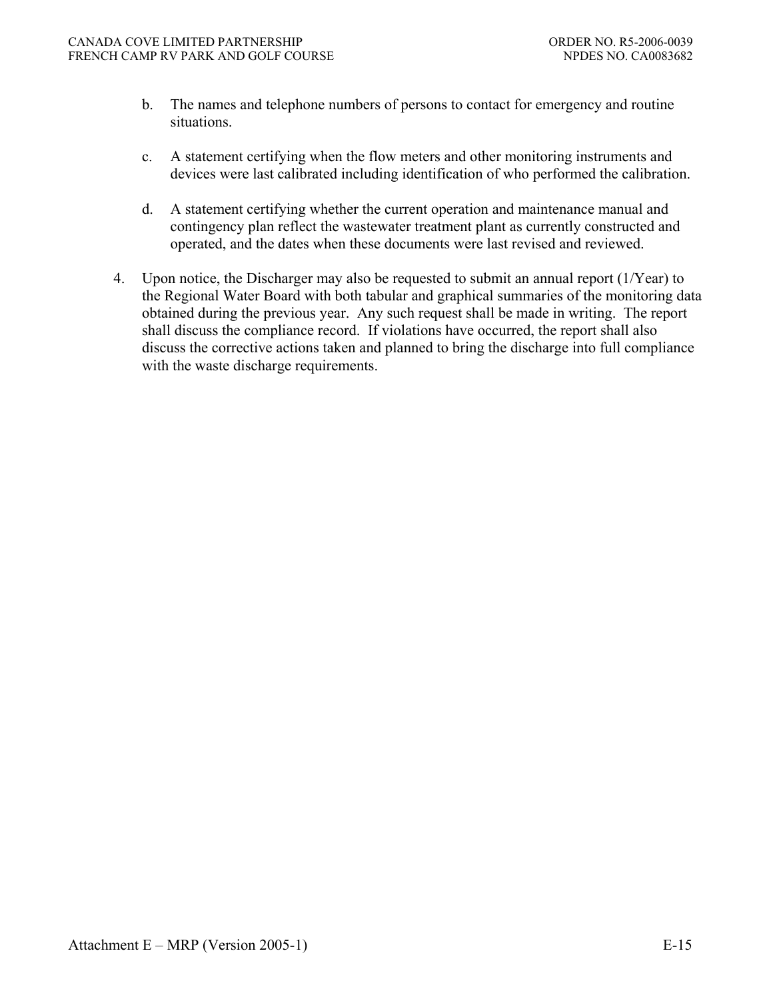- b. The names and telephone numbers of persons to contact for emergency and routine situations.
- c. A statement certifying when the flow meters and other monitoring instruments and devices were last calibrated including identification of who performed the calibration.
- d. A statement certifying whether the current operation and maintenance manual and contingency plan reflect the wastewater treatment plant as currently constructed and operated, and the dates when these documents were last revised and reviewed.
- 4. Upon notice, the Discharger may also be requested to submit an annual report (1/Year) to the Regional Water Board with both tabular and graphical summaries of the monitoring data obtained during the previous year. Any such request shall be made in writing. The report shall discuss the compliance record. If violations have occurred, the report shall also discuss the corrective actions taken and planned to bring the discharge into full compliance with the waste discharge requirements.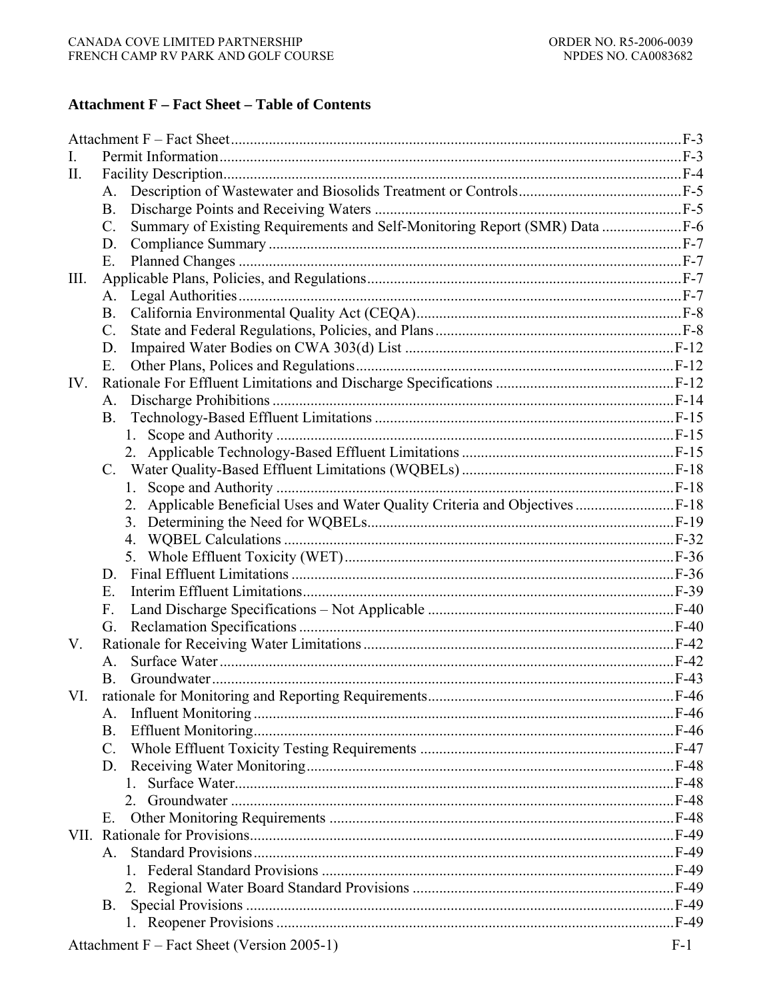#### **Attachment F - Fact Sheet - Table of Contents**

| $\mathbf{I}$ . |                                                                                                |       |
|----------------|------------------------------------------------------------------------------------------------|-------|
| П.             |                                                                                                |       |
|                | $A_{-}$                                                                                        |       |
|                | <b>B.</b>                                                                                      |       |
|                | Summary of Existing Requirements and Self-Monitoring Report (SMR) Data  F-6<br>$\mathcal{C}$ . |       |
|                | D.                                                                                             |       |
|                | Ε.                                                                                             |       |
| Ш.             |                                                                                                |       |
|                | A.                                                                                             |       |
|                | <b>B.</b>                                                                                      |       |
|                | $\mathcal{C}$ .                                                                                |       |
|                | D.                                                                                             |       |
|                | Е.                                                                                             |       |
| IV.            |                                                                                                |       |
|                | A.                                                                                             |       |
|                | <b>B.</b>                                                                                      |       |
|                |                                                                                                |       |
|                |                                                                                                |       |
|                | $C_{\cdot}$                                                                                    |       |
|                | $1_{-}$                                                                                        |       |
|                | Applicable Beneficial Uses and Water Quality Criteria and Objectives  F-18<br>2.               |       |
|                |                                                                                                |       |
|                |                                                                                                |       |
|                |                                                                                                |       |
|                |                                                                                                |       |
|                | E.                                                                                             |       |
|                | F.                                                                                             |       |
|                | G.                                                                                             |       |
| V.             |                                                                                                |       |
|                | $A_{-}$                                                                                        |       |
|                | <b>B</b> .                                                                                     |       |
| VI.            |                                                                                                |       |
|                | А.                                                                                             |       |
|                | <b>B.</b>                                                                                      |       |
|                | $C_{\cdot}$                                                                                    |       |
|                | D.<br>$1 \quad$                                                                                |       |
|                |                                                                                                |       |
|                | E.                                                                                             |       |
|                |                                                                                                |       |
|                | A                                                                                              |       |
|                |                                                                                                |       |
|                |                                                                                                |       |
|                | B.                                                                                             |       |
|                |                                                                                                |       |
|                |                                                                                                | $F-1$ |
|                | Attachment F – Fact Sheet (Version 2005-1)                                                     |       |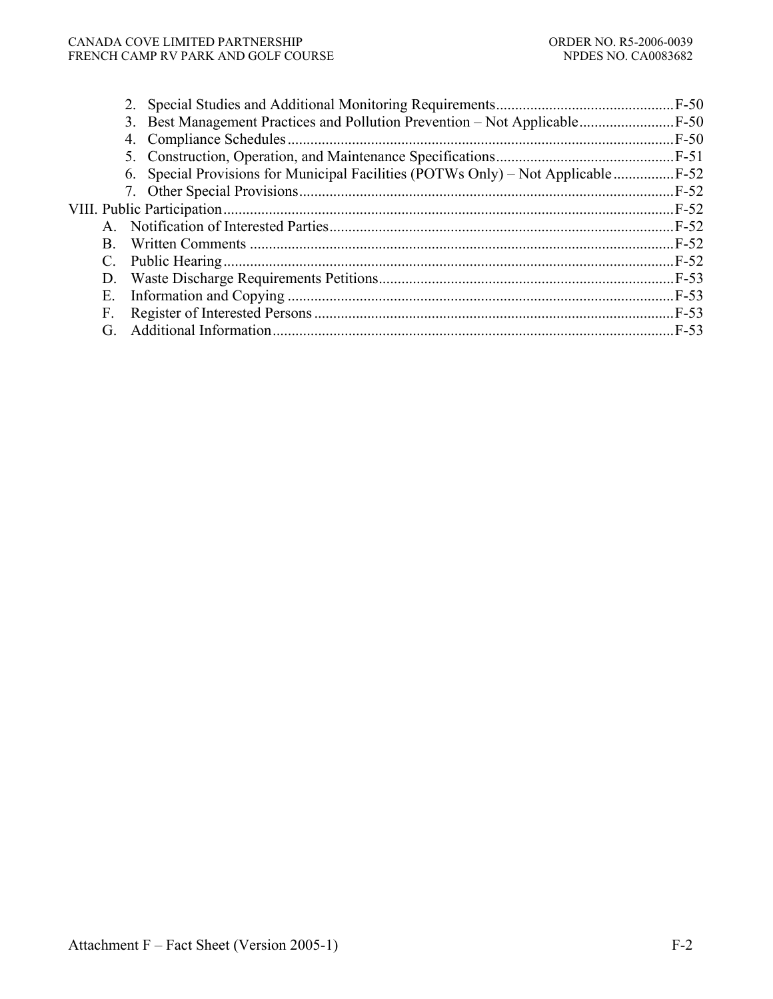#### CANADA COVE LIMITED PARTNERSHIP ORDER NO. R5-2006-0039<br>FRENCH CAMP RV PARK AND GOLF COURSE NO DESIGNATION ORDER NO. CA0083682 FRENCH CAMP RV PARK AND GOLF COURSE

|             |                                                                                    | $F-50$ |
|-------------|------------------------------------------------------------------------------------|--------|
|             |                                                                                    |        |
|             | 6. Special Provisions for Municipal Facilities (POTWs Only) – Not Applicable  F-52 |        |
|             |                                                                                    | $F-52$ |
|             |                                                                                    |        |
|             |                                                                                    |        |
| B.          |                                                                                    | $F-52$ |
| $C_{\cdot}$ |                                                                                    |        |
|             |                                                                                    |        |
| Ε.          |                                                                                    |        |
| F.          |                                                                                    |        |
| G.          |                                                                                    | $F-53$ |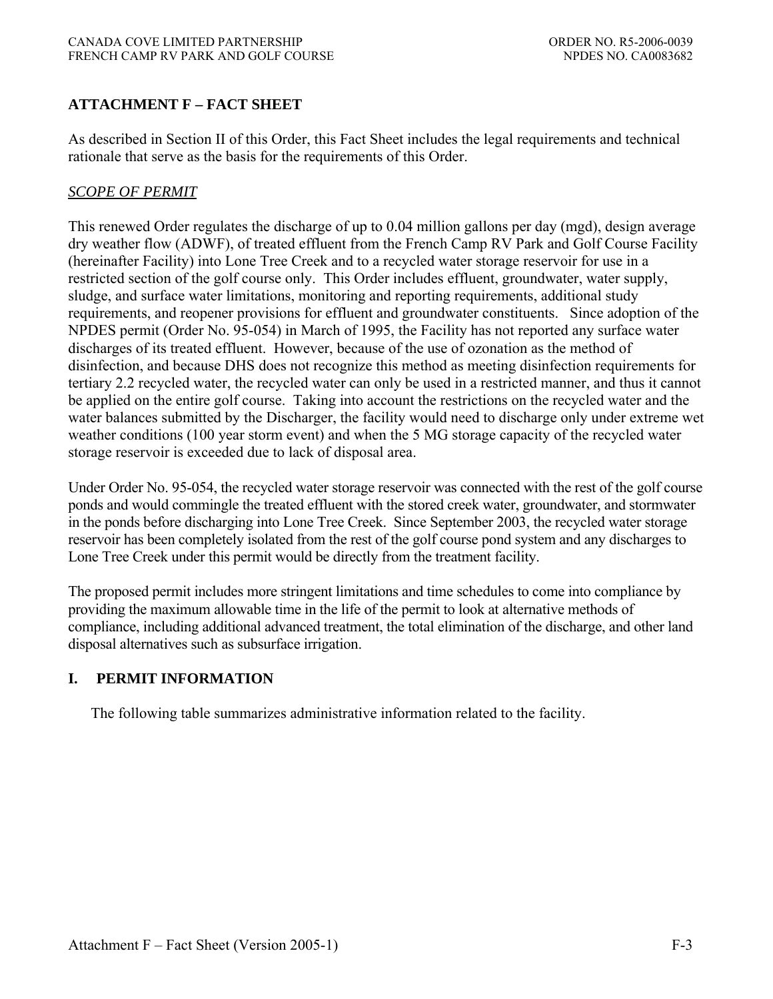# **ATTACHMENT F – FACT SHEET**

As described in Section II of this Order, this Fact Sheet includes the legal requirements and technical rationale that serve as the basis for the requirements of this Order.

### *SCOPE OF PERMIT*

This renewed Order regulates the discharge of up to 0.04 million gallons per day (mgd), design average dry weather flow (ADWF), of treated effluent from the French Camp RV Park and Golf Course Facility (hereinafter Facility) into Lone Tree Creek and to a recycled water storage reservoir for use in a restricted section of the golf course only. This Order includes effluent, groundwater, water supply, sludge, and surface water limitations, monitoring and reporting requirements, additional study requirements, and reopener provisions for effluent and groundwater constituents. Since adoption of the NPDES permit (Order No. 95-054) in March of 1995, the Facility has not reported any surface water discharges of its treated effluent. However, because of the use of ozonation as the method of disinfection, and because DHS does not recognize this method as meeting disinfection requirements for tertiary 2.2 recycled water, the recycled water can only be used in a restricted manner, and thus it cannot be applied on the entire golf course. Taking into account the restrictions on the recycled water and the water balances submitted by the Discharger, the facility would need to discharge only under extreme wet weather conditions (100 year storm event) and when the 5 MG storage capacity of the recycled water storage reservoir is exceeded due to lack of disposal area.

Under Order No. 95-054, the recycled water storage reservoir was connected with the rest of the golf course ponds and would commingle the treated effluent with the stored creek water, groundwater, and stormwater in the ponds before discharging into Lone Tree Creek. Since September 2003, the recycled water storage reservoir has been completely isolated from the rest of the golf course pond system and any discharges to Lone Tree Creek under this permit would be directly from the treatment facility.

The proposed permit includes more stringent limitations and time schedules to come into compliance by providing the maximum allowable time in the life of the permit to look at alternative methods of compliance, including additional advanced treatment, the total elimination of the discharge, and other land disposal alternatives such as subsurface irrigation.

### **I. PERMIT INFORMATION**

The following table summarizes administrative information related to the facility.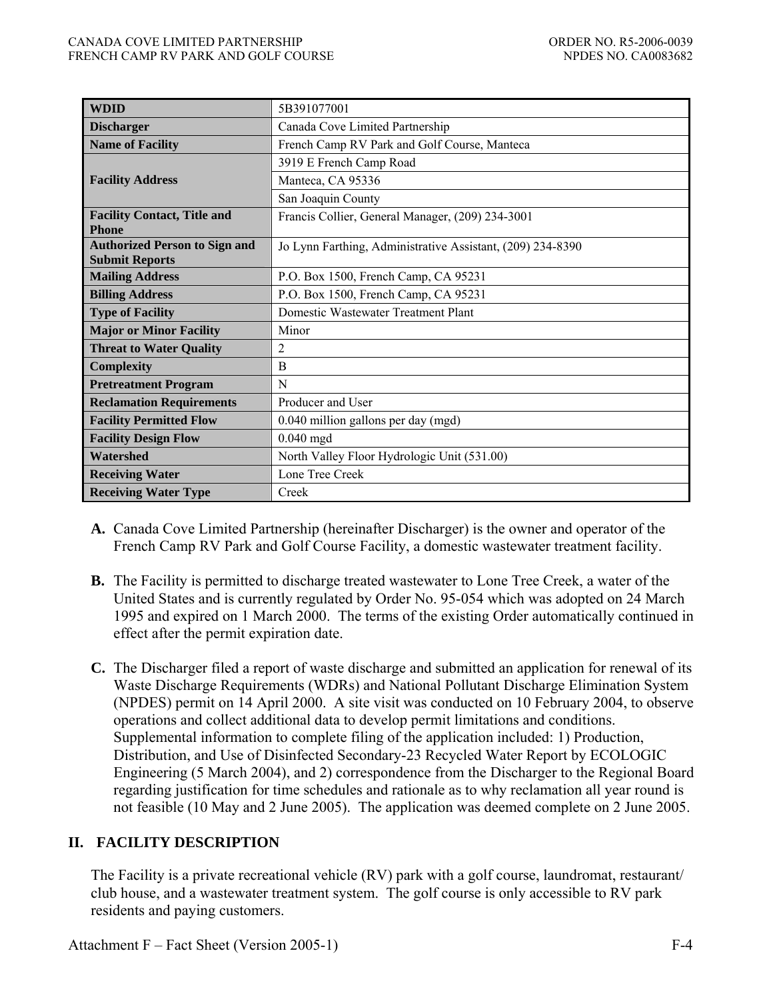| <b>WDID</b>                                                   | 5B391077001                                                |  |  |
|---------------------------------------------------------------|------------------------------------------------------------|--|--|
| <b>Discharger</b>                                             | Canada Cove Limited Partnership                            |  |  |
| <b>Name of Facility</b>                                       | French Camp RV Park and Golf Course, Manteca               |  |  |
|                                                               | 3919 E French Camp Road                                    |  |  |
| <b>Facility Address</b>                                       | Manteca, CA 95336                                          |  |  |
|                                                               | San Joaquin County                                         |  |  |
| <b>Facility Contact, Title and</b><br><b>Phone</b>            | Francis Collier, General Manager, (209) 234-3001           |  |  |
| <b>Authorized Person to Sign and</b><br><b>Submit Reports</b> | Jo Lynn Farthing, Administrative Assistant, (209) 234-8390 |  |  |
| <b>Mailing Address</b>                                        | P.O. Box 1500, French Camp, CA 95231                       |  |  |
| <b>Billing Address</b>                                        | P.O. Box 1500, French Camp, CA 95231                       |  |  |
| <b>Type of Facility</b>                                       | Domestic Wastewater Treatment Plant                        |  |  |
| <b>Major or Minor Facility</b>                                | Minor                                                      |  |  |
| <b>Threat to Water Quality</b>                                | $\overline{2}$                                             |  |  |
| <b>Complexity</b>                                             | B                                                          |  |  |
| <b>Pretreatment Program</b>                                   | N                                                          |  |  |
| <b>Reclamation Requirements</b>                               | Producer and User                                          |  |  |
| <b>Facility Permitted Flow</b>                                | 0.040 million gallons per day (mgd)                        |  |  |
| <b>Facility Design Flow</b>                                   | $0.040$ mgd                                                |  |  |
| Watershed                                                     | North Valley Floor Hydrologic Unit (531.00)                |  |  |
| <b>Receiving Water</b>                                        | Lone Tree Creek                                            |  |  |
| <b>Receiving Water Type</b>                                   | Creek                                                      |  |  |

- **A.** Canada Cove Limited Partnership (hereinafter Discharger) is the owner and operator of the French Camp RV Park and Golf Course Facility, a domestic wastewater treatment facility.
- **B.** The Facility is permitted to discharge treated wastewater to Lone Tree Creek, a water of the United States and is currently regulated by Order No. 95-054 which was adopted on 24 March 1995 and expired on 1 March 2000. The terms of the existing Order automatically continued in effect after the permit expiration date.
- **C.** The Discharger filed a report of waste discharge and submitted an application for renewal of its Waste Discharge Requirements (WDRs) and National Pollutant Discharge Elimination System (NPDES) permit on 14 April 2000. A site visit was conducted on 10 February 2004, to observe operations and collect additional data to develop permit limitations and conditions. Supplemental information to complete filing of the application included: 1) Production, Distribution, and Use of Disinfected Secondary-23 Recycled Water Report by ECOLOGIC Engineering (5 March 2004), and 2) correspondence from the Discharger to the Regional Board regarding justification for time schedules and rationale as to why reclamation all year round is not feasible (10 May and 2 June 2005). The application was deemed complete on 2 June 2005.

# **II. FACILITY DESCRIPTION**

The Facility is a private recreational vehicle (RV) park with a golf course, laundromat, restaurant/ club house, and a wastewater treatment system. The golf course is only accessible to RV park residents and paying customers.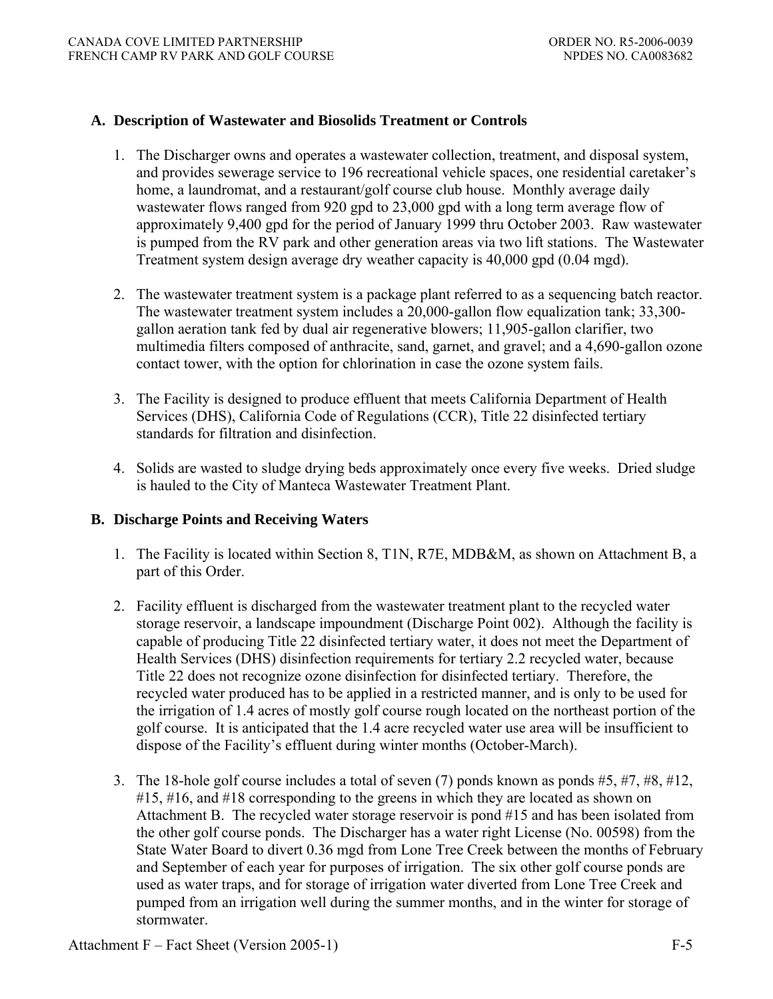### **A. Description of Wastewater and Biosolids Treatment or Controls**

- 1. The Discharger owns and operates a wastewater collection, treatment, and disposal system, and provides sewerage service to 196 recreational vehicle spaces, one residential caretaker's home, a laundromat, and a restaurant/golf course club house. Monthly average daily wastewater flows ranged from 920 gpd to 23,000 gpd with a long term average flow of approximately 9,400 gpd for the period of January 1999 thru October 2003. Raw wastewater is pumped from the RV park and other generation areas via two lift stations. The Wastewater Treatment system design average dry weather capacity is 40,000 gpd (0.04 mgd).
- 2. The wastewater treatment system is a package plant referred to as a sequencing batch reactor. The wastewater treatment system includes a 20,000-gallon flow equalization tank; 33,300 gallon aeration tank fed by dual air regenerative blowers; 11,905-gallon clarifier, two multimedia filters composed of anthracite, sand, garnet, and gravel; and a 4,690-gallon ozone contact tower, with the option for chlorination in case the ozone system fails.
- 3. The Facility is designed to produce effluent that meets California Department of Health Services (DHS), California Code of Regulations (CCR), Title 22 disinfected tertiary standards for filtration and disinfection.
- 4. Solids are wasted to sludge drying beds approximately once every five weeks. Dried sludge is hauled to the City of Manteca Wastewater Treatment Plant.

### **B. Discharge Points and Receiving Waters**

- 1. The Facility is located within Section 8, T1N, R7E, MDB&M, as shown on Attachment B, a part of this Order.
- 2. Facility effluent is discharged from the wastewater treatment plant to the recycled water storage reservoir, a landscape impoundment (Discharge Point 002). Although the facility is capable of producing Title 22 disinfected tertiary water, it does not meet the Department of Health Services (DHS) disinfection requirements for tertiary 2.2 recycled water, because Title 22 does not recognize ozone disinfection for disinfected tertiary. Therefore, the recycled water produced has to be applied in a restricted manner, and is only to be used for the irrigation of 1.4 acres of mostly golf course rough located on the northeast portion of the golf course. It is anticipated that the 1.4 acre recycled water use area will be insufficient to dispose of the Facility's effluent during winter months (October-March).
- 3. The 18-hole golf course includes a total of seven (7) ponds known as ponds #5, #7, #8, #12, #15, #16, and #18 corresponding to the greens in which they are located as shown on Attachment B. The recycled water storage reservoir is pond #15 and has been isolated from the other golf course ponds. The Discharger has a water right License (No. 00598) from the State Water Board to divert 0.36 mgd from Lone Tree Creek between the months of February and September of each year for purposes of irrigation. The six other golf course ponds are used as water traps, and for storage of irrigation water diverted from Lone Tree Creek and pumped from an irrigation well during the summer months, and in the winter for storage of stormwater.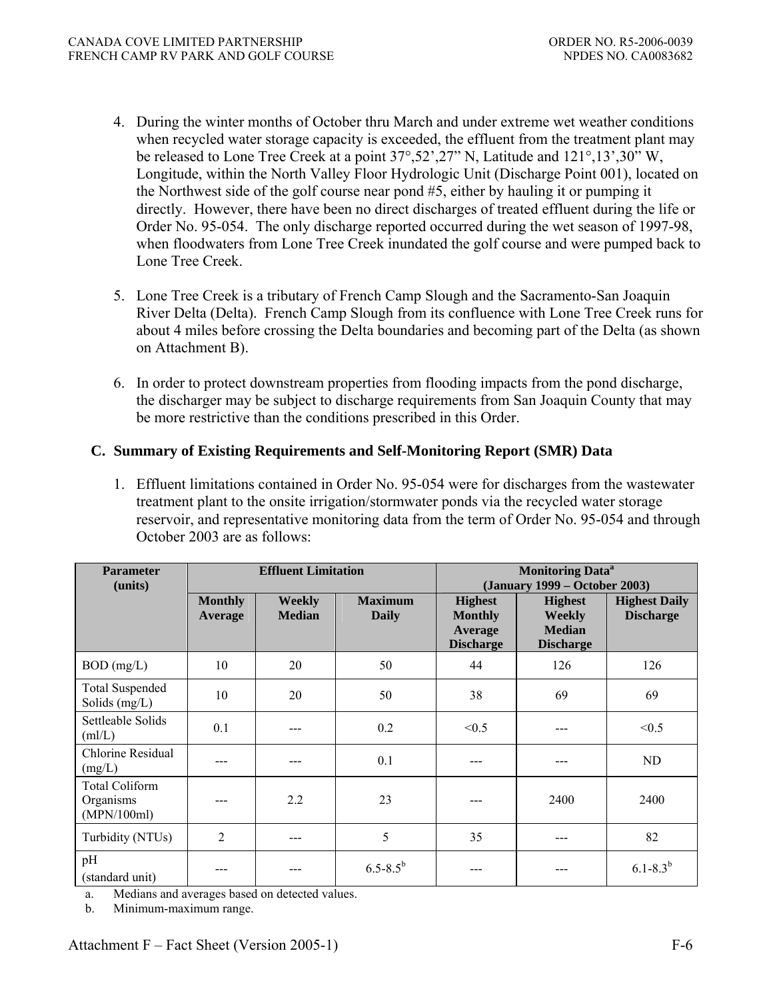- 4. During the winter months of October thru March and under extreme wet weather conditions when recycled water storage capacity is exceeded, the effluent from the treatment plant may be released to Lone Tree Creek at a point 37°,52',27" N, Latitude and 121°,13',30" W, Longitude, within the North Valley Floor Hydrologic Unit (Discharge Point 001), located on the Northwest side of the golf course near pond #5, either by hauling it or pumping it directly. However, there have been no direct discharges of treated effluent during the life or Order No. 95-054. The only discharge reported occurred during the wet season of 1997-98, when floodwaters from Lone Tree Creek inundated the golf course and were pumped back to Lone Tree Creek.
- 5. Lone Tree Creek is a tributary of French Camp Slough and the Sacramento-San Joaquin River Delta (Delta). French Camp Slough from its confluence with Lone Tree Creek runs for about 4 miles before crossing the Delta boundaries and becoming part of the Delta (as shown on Attachment B).
- 6. In order to protect downstream properties from flooding impacts from the pond discharge, the discharger may be subject to discharge requirements from San Joaquin County that may be more restrictive than the conditions prescribed in this Order.

### **C. Summary of Existing Requirements and Self-Monitoring Report (SMR) Data**

1. Effluent limitations contained in Order No. 95-054 were for discharges from the wastewater treatment plant to the onsite irrigation/stormwater ponds via the recycled water storage reservoir, and representative monitoring data from the term of Order No. 95-054 and through October 2003 are as follows:

| <b>Parameter</b><br>(units)                       | <b>Effluent Limitation</b> |                                |                         | <b>Monitoring Data<sup>a</sup></b><br>(January 1999 – October 2003) |                                                                      |                                          |
|---------------------------------------------------|----------------------------|--------------------------------|-------------------------|---------------------------------------------------------------------|----------------------------------------------------------------------|------------------------------------------|
|                                                   | <b>Monthly</b><br>Average  | <b>Weekly</b><br><b>Median</b> | <b>Maximum</b><br>Daily | <b>Highest</b><br><b>Monthly</b><br>Average<br><b>Discharge</b>     | <b>Highest</b><br><b>Weekly</b><br><b>Median</b><br><b>Discharge</b> | <b>Highest Daily</b><br><b>Discharge</b> |
| $BOD$ (mg/L)                                      | 10                         | 20                             | 50                      | 44                                                                  | 126                                                                  | 126                                      |
| <b>Total Suspended</b><br>Solids $(mg/L)$         | 10                         | 20                             | 50                      | 38                                                                  | 69                                                                   | 69                                       |
| Settleable Solids<br>(mI/L)                       | 0.1                        |                                | 0.2                     | < 0.5                                                               | ---                                                                  | < 0.5                                    |
| Chlorine Residual<br>(mg/L)                       |                            | ---                            | 0.1                     | ---                                                                 | ---                                                                  | ND                                       |
| <b>Total Coliform</b><br>Organisms<br>(MPN/100ml) |                            | 2.2                            | 23                      |                                                                     | 2400                                                                 | 2400                                     |
| Turbidity (NTUs)                                  | $\overline{c}$             | ---                            | 5                       | 35                                                                  | ---                                                                  | 82                                       |
| pH<br>(standard unit)                             |                            |                                | $6.5 - 8.5^{b}$         |                                                                     |                                                                      | $6.1 - 8.3^{b}$                          |

a. Medians and averages based on detected values.

b. Minimum-maximum range.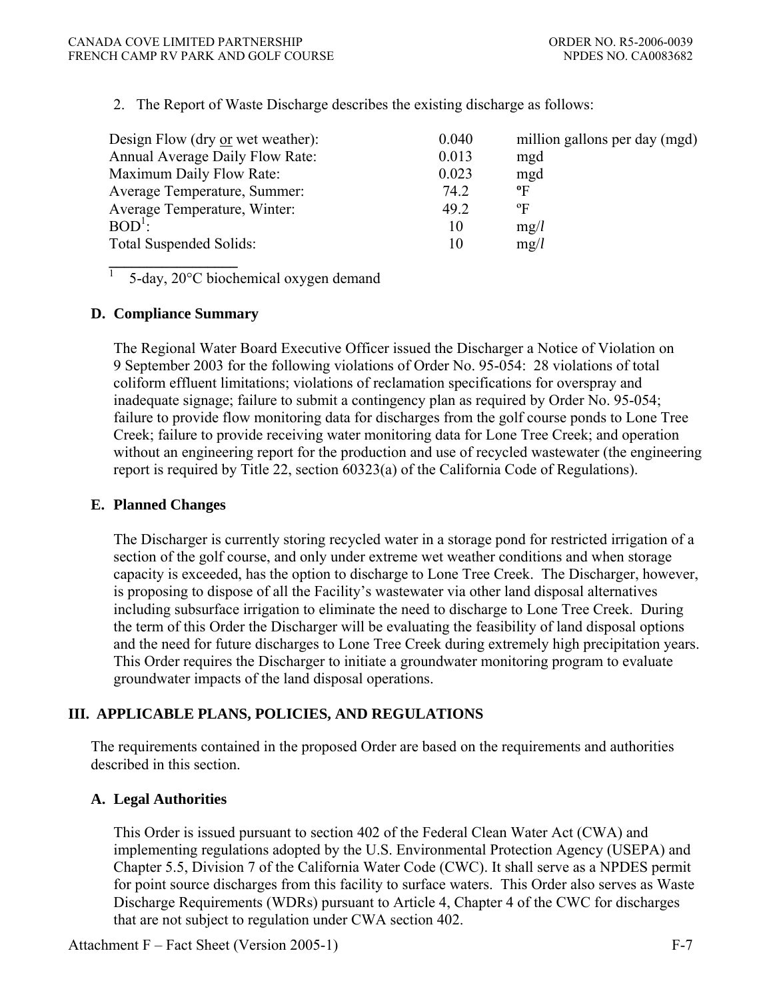2. The Report of Waste Discharge describes the existing discharge as follows:

| Design Flow (dry or wet weather): | 0.040 | million gallons per day (mgd) |
|-----------------------------------|-------|-------------------------------|
| Annual Average Daily Flow Rate:   | 0.013 | mgd                           |
| Maximum Daily Flow Rate:          | 0.023 | mgd                           |
| Average Temperature, Summer:      | 74.2  | $\mathbf{P}$                  |
| Average Temperature, Winter:      | 49.2  | $\mathrm{P}$                  |
| $BOD^{\perp}$ :                   | 10    | mg/l                          |
| Total Suspended Solids:           | 10    | mg/l                          |
|                                   |       |                               |

5-day, 20°C biochemical oxygen demand

#### **D. Compliance Summary**

 $\overline{1}$ 

The Regional Water Board Executive Officer issued the Discharger a Notice of Violation on 9 September 2003 for the following violations of Order No. 95-054: 28 violations of total coliform effluent limitations; violations of reclamation specifications for overspray and inadequate signage; failure to submit a contingency plan as required by Order No. 95-054; failure to provide flow monitoring data for discharges from the golf course ponds to Lone Tree Creek; failure to provide receiving water monitoring data for Lone Tree Creek; and operation without an engineering report for the production and use of recycled wastewater (the engineering report is required by Title 22, section 60323(a) of the California Code of Regulations).

#### **E. Planned Changes**

The Discharger is currently storing recycled water in a storage pond for restricted irrigation of a section of the golf course, and only under extreme wet weather conditions and when storage capacity is exceeded, has the option to discharge to Lone Tree Creek. The Discharger, however, is proposing to dispose of all the Facility's wastewater via other land disposal alternatives including subsurface irrigation to eliminate the need to discharge to Lone Tree Creek. During the term of this Order the Discharger will be evaluating the feasibility of land disposal options and the need for future discharges to Lone Tree Creek during extremely high precipitation years. This Order requires the Discharger to initiate a groundwater monitoring program to evaluate groundwater impacts of the land disposal operations.

### **III. APPLICABLE PLANS, POLICIES, AND REGULATIONS**

The requirements contained in the proposed Order are based on the requirements and authorities described in this section.

### **A. Legal Authorities**

This Order is issued pursuant to section 402 of the Federal Clean Water Act (CWA) and implementing regulations adopted by the U.S. Environmental Protection Agency (USEPA) and Chapter 5.5, Division 7 of the California Water Code (CWC). It shall serve as a NPDES permit for point source discharges from this facility to surface waters. This Order also serves as Waste Discharge Requirements (WDRs) pursuant to Article 4, Chapter 4 of the CWC for discharges that are not subject to regulation under CWA section 402.

Attachment F – Fact Sheet (Version 2005-1) F-7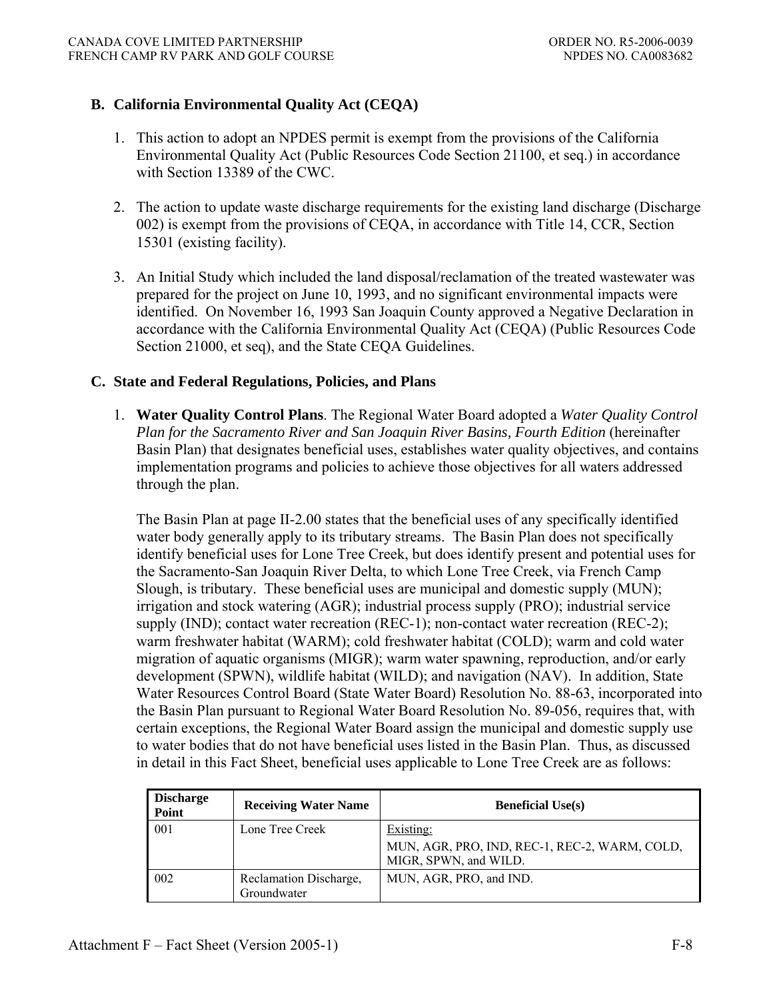### **B. California Environmental Quality Act (CEQA)**

- 1. This action to adopt an NPDES permit is exempt from the provisions of the California Environmental Quality Act (Public Resources Code Section 21100, et seq.) in accordance with Section 13389 of the CWC.
- 2. The action to update waste discharge requirements for the existing land discharge (Discharge 002) is exempt from the provisions of CEQA, in accordance with Title 14, CCR, Section 15301 (existing facility).
- 3. An Initial Study which included the land disposal/reclamation of the treated wastewater was prepared for the project on June 10, 1993, and no significant environmental impacts were identified. On November 16, 1993 San Joaquin County approved a Negative Declaration in accordance with the California Environmental Quality Act (CEQA) (Public Resources Code Section 21000, et seq), and the State CEQA Guidelines.

#### **C. State and Federal Regulations, Policies, and Plans**

1. **Water Quality Control Plans**. The Regional Water Board adopted a *Water Quality Control Plan for the Sacramento River and San Joaquin River Basins, Fourth Edition* (hereinafter Basin Plan) that designates beneficial uses, establishes water quality objectives, and contains implementation programs and policies to achieve those objectives for all waters addressed through the plan.

The Basin Plan at page II-2.00 states that the beneficial uses of any specifically identified water body generally apply to its tributary streams. The Basin Plan does not specifically identify beneficial uses for Lone Tree Creek, but does identify present and potential uses for the Sacramento-San Joaquin River Delta, to which Lone Tree Creek, via French Camp Slough, is tributary. These beneficial uses are municipal and domestic supply (MUN); irrigation and stock watering (AGR); industrial process supply (PRO); industrial service supply (IND); contact water recreation (REC-1); non-contact water recreation (REC-2); warm freshwater habitat (WARM); cold freshwater habitat (COLD); warm and cold water migration of aquatic organisms (MIGR); warm water spawning, reproduction, and/or early development (SPWN), wildlife habitat (WILD); and navigation (NAV). In addition, State Water Resources Control Board (State Water Board) Resolution No. 88-63, incorporated into the Basin Plan pursuant to Regional Water Board Resolution No. 89-056, requires that, with certain exceptions, the Regional Water Board assign the municipal and domestic supply use to water bodies that do not have beneficial uses listed in the Basin Plan. Thus, as discussed in detail in this Fact Sheet, beneficial uses applicable to Lone Tree Creek are as follows:

| <b>Discharge</b><br>Point | <b>Receiving Water Name</b>           | <b>Beneficial Use(s)</b>                                                            |
|---------------------------|---------------------------------------|-------------------------------------------------------------------------------------|
| 001                       | Lone Tree Creek                       | Existing:<br>MUN, AGR, PRO, IND, REC-1, REC-2, WARM, COLD,<br>MIGR, SPWN, and WILD. |
| 002                       | Reclamation Discharge,<br>Groundwater | MUN, AGR, PRO, and IND.                                                             |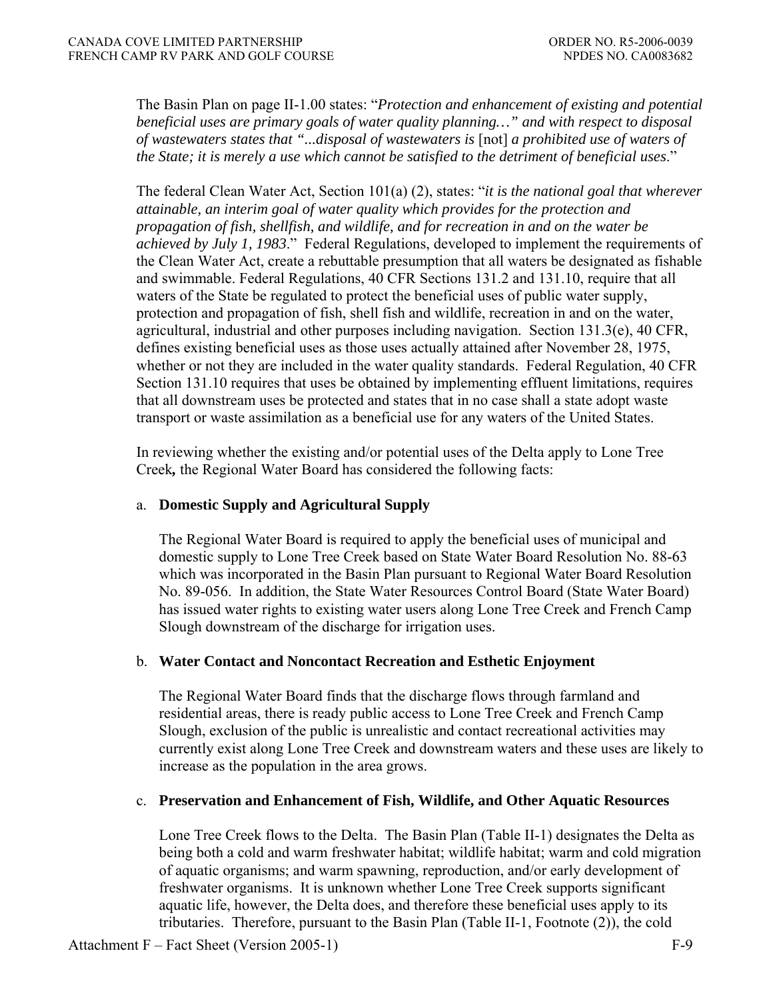The Basin Plan on page II-1.00 states: "*Protection and enhancement of existing and potential beneficial uses are primary goals of water quality planning…" and with respect to disposal of wastewaters states that "...disposal of wastewaters is* [not] *a prohibited use of waters of the State; it is merely a use which cannot be satisfied to the detriment of beneficial uses*."

The federal Clean Water Act, Section 101(a) (2), states: "*it is the national goal that wherever attainable, an interim goal of water quality which provides for the protection and propagation of fish, shellfish, and wildlife, and for recreation in and on the water be achieved by July 1, 1983*." Federal Regulations, developed to implement the requirements of the Clean Water Act, create a rebuttable presumption that all waters be designated as fishable and swimmable. Federal Regulations, 40 CFR Sections 131.2 and 131.10, require that all waters of the State be regulated to protect the beneficial uses of public water supply, protection and propagation of fish, shell fish and wildlife, recreation in and on the water, agricultural, industrial and other purposes including navigation. Section  $131.3(e)$ , 40 CFR, defines existing beneficial uses as those uses actually attained after November 28, 1975, whether or not they are included in the water quality standards. Federal Regulation, 40 CFR Section 131.10 requires that uses be obtained by implementing effluent limitations, requires that all downstream uses be protected and states that in no case shall a state adopt waste transport or waste assimilation as a beneficial use for any waters of the United States.

In reviewing whether the existing and/or potential uses of the Delta apply to Lone Tree Creek*,* the Regional Water Board has considered the following facts:

### a. **Domestic Supply and Agricultural Supply**

The Regional Water Board is required to apply the beneficial uses of municipal and domestic supply to Lone Tree Creek based on State Water Board Resolution No. 88-63 which was incorporated in the Basin Plan pursuant to Regional Water Board Resolution No. 89-056. In addition, the State Water Resources Control Board (State Water Board) has issued water rights to existing water users along Lone Tree Creek and French Camp Slough downstream of the discharge for irrigation uses.

#### b. **Water Contact and Noncontact Recreation and Esthetic Enjoyment**

 The Regional Water Board finds that the discharge flows through farmland and residential areas, there is ready public access to Lone Tree Creek and French Camp Slough, exclusion of the public is unrealistic and contact recreational activities may currently exist along Lone Tree Creek and downstream waters and these uses are likely to increase as the population in the area grows.

#### c. **Preservation and Enhancement of Fish, Wildlife, and Other Aquatic Resources**

Lone Tree Creek flows to the Delta. The Basin Plan (Table II-1) designates the Delta as being both a cold and warm freshwater habitat; wildlife habitat; warm and cold migration of aquatic organisms; and warm spawning, reproduction, and/or early development of freshwater organisms. It is unknown whether Lone Tree Creek supports significant aquatic life, however, the Delta does, and therefore these beneficial uses apply to its tributaries. Therefore, pursuant to the Basin Plan (Table II-1, Footnote (2)), the cold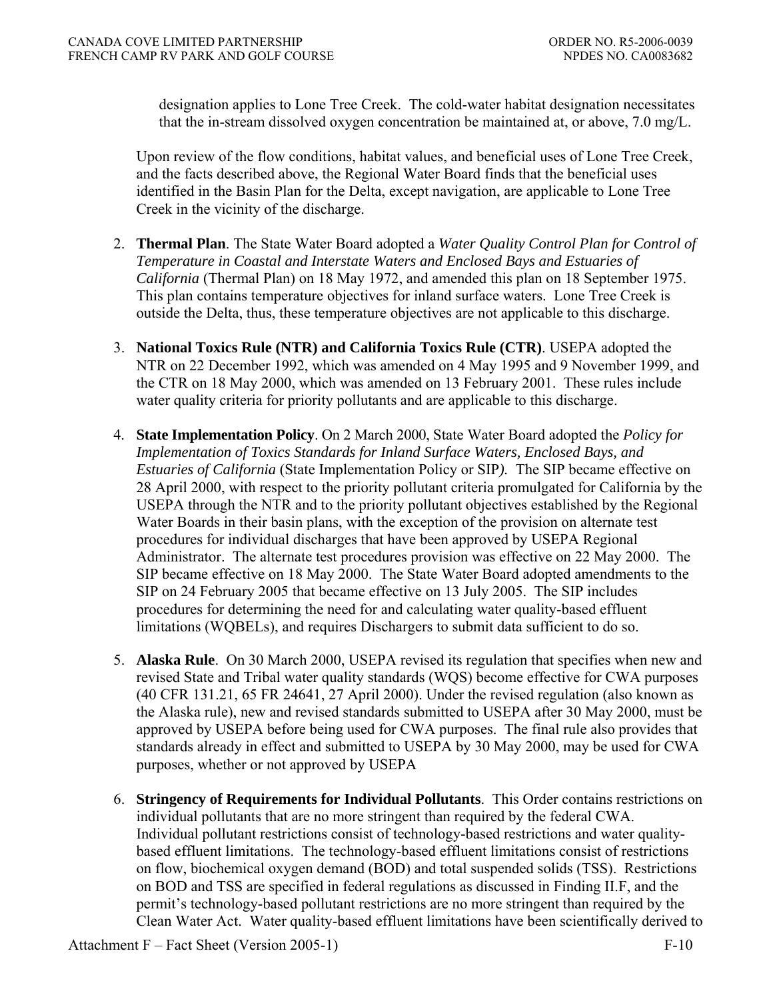designation applies to Lone Tree Creek. The cold-water habitat designation necessitates that the in-stream dissolved oxygen concentration be maintained at, or above, 7.0 mg/L.

Upon review of the flow conditions, habitat values, and beneficial uses of Lone Tree Creek, and the facts described above, the Regional Water Board finds that the beneficial uses identified in the Basin Plan for the Delta, except navigation, are applicable to Lone Tree Creek in the vicinity of the discharge.

- 2. **Thermal Plan**. The State Water Board adopted a *Water Quality Control Plan for Control of Temperature in Coastal and Interstate Waters and Enclosed Bays and Estuaries of California* (Thermal Plan) on 18 May 1972, and amended this plan on 18 September 1975. This plan contains temperature objectives for inland surface waters. Lone Tree Creek is outside the Delta, thus, these temperature objectives are not applicable to this discharge.
- 3. **National Toxics Rule (NTR) and California Toxics Rule (CTR)**. USEPA adopted the NTR on 22 December 1992, which was amended on 4 May 1995 and 9 November 1999, and the CTR on 18 May 2000, which was amended on 13 February 2001. These rules include water quality criteria for priority pollutants and are applicable to this discharge.
- 4. **State Implementation Policy**. On 2 March 2000, State Water Board adopted the *Policy for Implementation of Toxics Standards for Inland Surface Waters, Enclosed Bays, and Estuaries of California* (State Implementation Policy or SIP*).* The SIP became effective on 28 April 2000, with respect to the priority pollutant criteria promulgated for California by the USEPA through the NTR and to the priority pollutant objectives established by the Regional Water Boards in their basin plans, with the exception of the provision on alternate test procedures for individual discharges that have been approved by USEPA Regional Administrator. The alternate test procedures provision was effective on 22 May 2000. The SIP became effective on 18 May 2000. The State Water Board adopted amendments to the SIP on 24 February 2005 that became effective on 13 July 2005. The SIP includes procedures for determining the need for and calculating water quality-based effluent limitations (WQBELs), and requires Dischargers to submit data sufficient to do so.
- 5. **Alaska Rule**.On 30 March 2000, USEPA revised its regulation that specifies when new and revised State and Tribal water quality standards (WQS) become effective for CWA purposes (40 CFR 131.21, 65 FR 24641, 27 April 2000). Under the revised regulation (also known as the Alaska rule), new and revised standards submitted to USEPA after 30 May 2000, must be approved by USEPA before being used for CWA purposes. The final rule also provides that standards already in effect and submitted to USEPA by 30 May 2000, may be used for CWA purposes, whether or not approved by USEPA
- 6. **Stringency of Requirements for Individual Pollutants**. This Order contains restrictions on individual pollutants that are no more stringent than required by the federal CWA. Individual pollutant restrictions consist of technology-based restrictions and water qualitybased effluent limitations. The technology-based effluent limitations consist of restrictions on flow, biochemical oxygen demand (BOD) and total suspended solids (TSS). Restrictions on BOD and TSS are specified in federal regulations as discussed in Finding II.F, and the permit's technology-based pollutant restrictions are no more stringent than required by the Clean Water Act. Water quality-based effluent limitations have been scientifically derived to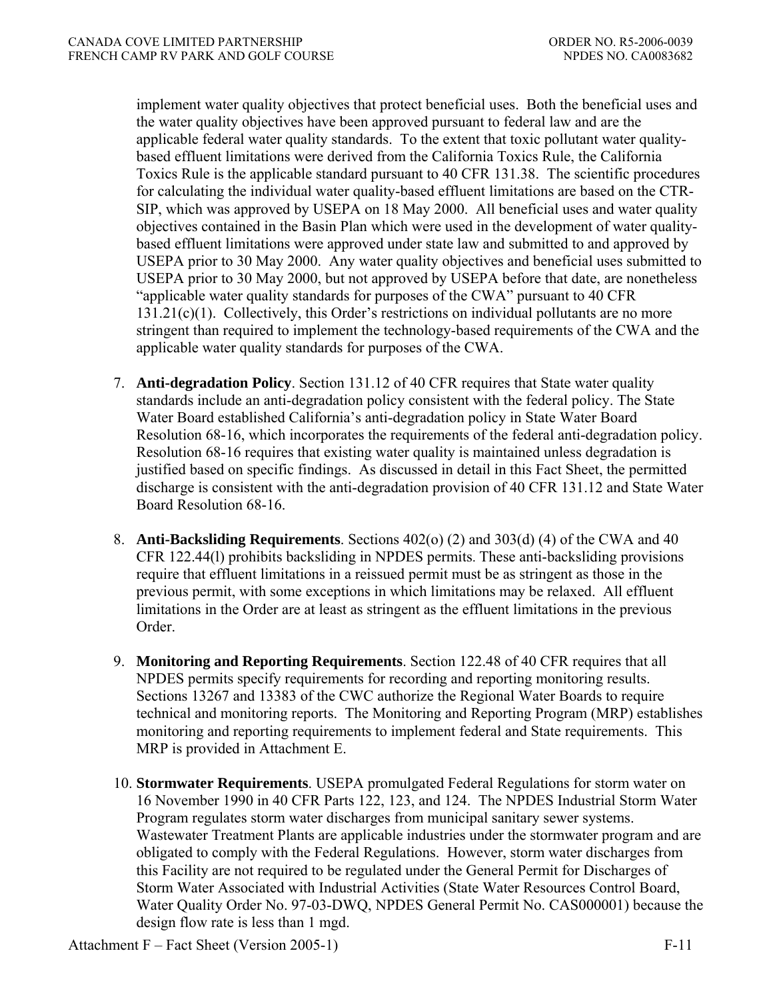implement water quality objectives that protect beneficial uses. Both the beneficial uses and the water quality objectives have been approved pursuant to federal law and are the applicable federal water quality standards. To the extent that toxic pollutant water qualitybased effluent limitations were derived from the California Toxics Rule, the California Toxics Rule is the applicable standard pursuant to 40 CFR 131.38. The scientific procedures for calculating the individual water quality-based effluent limitations are based on the CTR-SIP, which was approved by USEPA on 18 May 2000. All beneficial uses and water quality objectives contained in the Basin Plan which were used in the development of water qualitybased effluent limitations were approved under state law and submitted to and approved by USEPA prior to 30 May 2000. Any water quality objectives and beneficial uses submitted to USEPA prior to 30 May 2000, but not approved by USEPA before that date, are nonetheless "applicable water quality standards for purposes of the CWA" pursuant to 40 CFR 131.21(c)(1). Collectively, this Order's restrictions on individual pollutants are no more stringent than required to implement the technology-based requirements of the CWA and the applicable water quality standards for purposes of the CWA.

- 7. **Anti-degradation Policy**. Section 131.12 of 40 CFR requires that State water quality standards include an anti-degradation policy consistent with the federal policy. The State Water Board established California's anti-degradation policy in State Water Board Resolution 68-16, which incorporates the requirements of the federal anti-degradation policy. Resolution 68-16 requires that existing water quality is maintained unless degradation is justified based on specific findings. As discussed in detail in this Fact Sheet, the permitted discharge is consistent with the anti-degradation provision of 40 CFR 131.12 and State Water Board Resolution 68-16.
- 8. **Anti-Backsliding Requirements**. Sections 402(o) (2) and 303(d) (4) of the CWA and 40 CFR 122.44(l) prohibits backsliding in NPDES permits. These anti-backsliding provisions require that effluent limitations in a reissued permit must be as stringent as those in the previous permit, with some exceptions in which limitations may be relaxed. All effluent limitations in the Order are at least as stringent as the effluent limitations in the previous Order.
- 9. **Monitoring and Reporting Requirements**. Section 122.48 of 40 CFR requires that all NPDES permits specify requirements for recording and reporting monitoring results. Sections 13267 and 13383 of the CWC authorize the Regional Water Boards to require technical and monitoring reports. The Monitoring and Reporting Program (MRP) establishes monitoring and reporting requirements to implement federal and State requirements. This MRP is provided in Attachment E.
- 10. **Stormwater Requirements**. USEPA promulgated Federal Regulations for storm water on 16 November 1990 in 40 CFR Parts 122, 123, and 124. The NPDES Industrial Storm Water Program regulates storm water discharges from municipal sanitary sewer systems. Wastewater Treatment Plants are applicable industries under the stormwater program and are obligated to comply with the Federal Regulations. However, storm water discharges from this Facility are not required to be regulated under the General Permit for Discharges of Storm Water Associated with Industrial Activities (State Water Resources Control Board, Water Quality Order No. 97-03-DWQ, NPDES General Permit No. CAS000001) because the design flow rate is less than 1 mgd.

Attachment  $F -$  Fact Sheet (Version 2005-1) F-11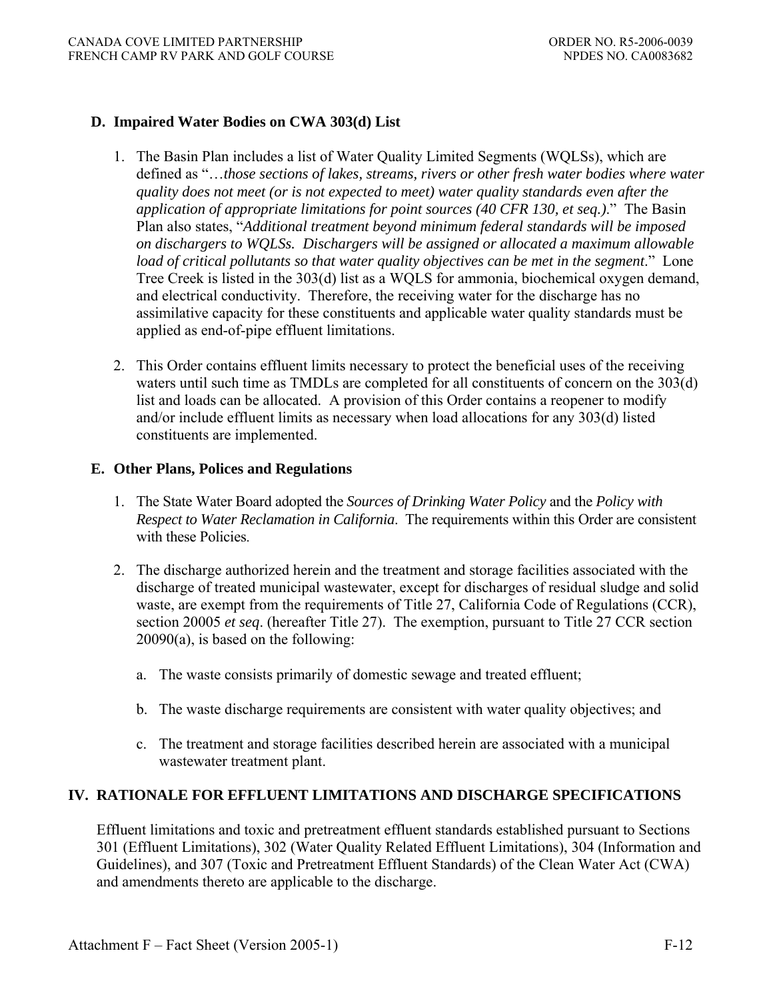### **D. Impaired Water Bodies on CWA 303(d) List**

- 1. The Basin Plan includes a list of Water Quality Limited Segments (WQLSs), which are defined as "…*those sections of lakes, streams, rivers or other fresh water bodies where water quality does not meet (or is not expected to meet) water quality standards even after the application of appropriate limitations for point sources (40 CFR 130, et seq.)*." The Basin Plan also states, "*Additional treatment beyond minimum federal standards will be imposed on dischargers to WQLSs. Dischargers will be assigned or allocated a maximum allowable load of critical pollutants so that water quality objectives can be met in the segment*." Lone Tree Creek is listed in the 303(d) list as a WQLS for ammonia, biochemical oxygen demand, and electrical conductivity. Therefore, the receiving water for the discharge has no assimilative capacity for these constituents and applicable water quality standards must be applied as end-of-pipe effluent limitations.
- 2. This Order contains effluent limits necessary to protect the beneficial uses of the receiving waters until such time as TMDLs are completed for all constituents of concern on the 303(d) list and loads can be allocated. A provision of this Order contains a reopener to modify and/or include effluent limits as necessary when load allocations for any 303(d) listed constituents are implemented.

### **E. Other Plans, Polices and Regulations**

- 1. The State Water Board adopted the *Sources of Drinking Water Policy* and the *Policy with Respect to Water Reclamation in California*. The requirements within this Order are consistent with these Policies.
- 2. The discharge authorized herein and the treatment and storage facilities associated with the discharge of treated municipal wastewater, except for discharges of residual sludge and solid waste, are exempt from the requirements of Title 27, California Code of Regulations (CCR), section 20005 *et seq*. (hereafter Title 27). The exemption, pursuant to Title 27 CCR section 20090(a), is based on the following:
	- a. The waste consists primarily of domestic sewage and treated effluent;
	- b. The waste discharge requirements are consistent with water quality objectives; and
	- c. The treatment and storage facilities described herein are associated with a municipal wastewater treatment plant.

### **IV. RATIONALE FOR EFFLUENT LIMITATIONS AND DISCHARGE SPECIFICATIONS**

Effluent limitations and toxic and pretreatment effluent standards established pursuant to Sections 301 (Effluent Limitations), 302 (Water Quality Related Effluent Limitations), 304 (Information and Guidelines), and 307 (Toxic and Pretreatment Effluent Standards) of the Clean Water Act (CWA) and amendments thereto are applicable to the discharge.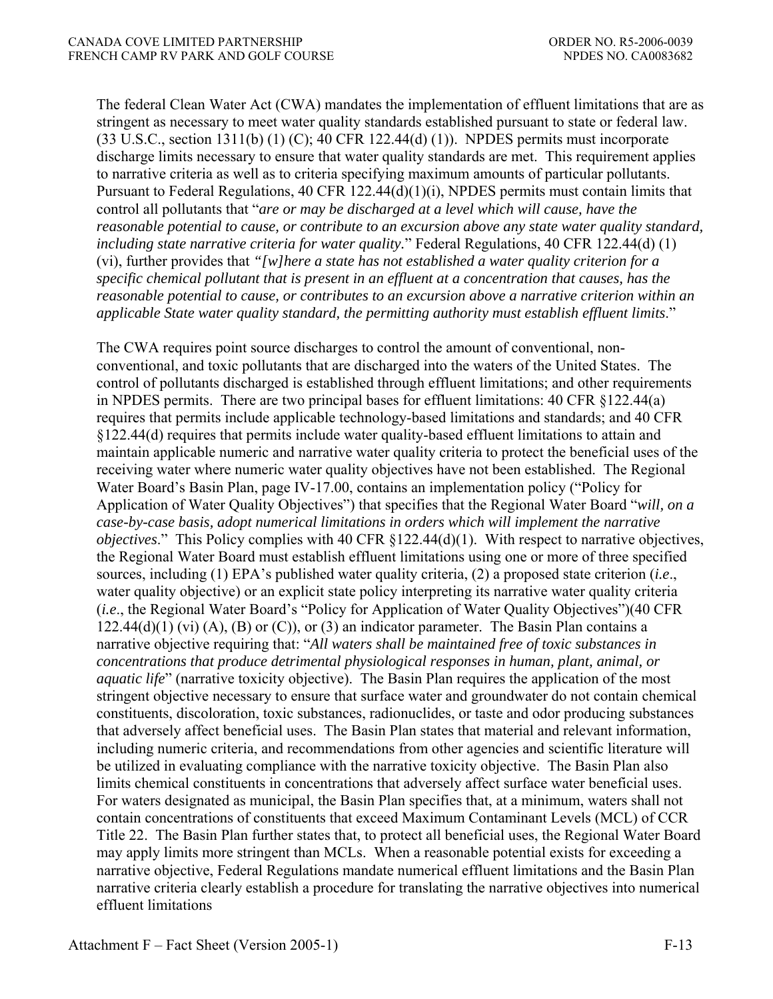The federal Clean Water Act (CWA) mandates the implementation of effluent limitations that are as stringent as necessary to meet water quality standards established pursuant to state or federal law. (33 U.S.C., section 1311(b) (1) (C); 40 CFR 122.44(d) (1)). NPDES permits must incorporate discharge limits necessary to ensure that water quality standards are met. This requirement applies to narrative criteria as well as to criteria specifying maximum amounts of particular pollutants. Pursuant to Federal Regulations, 40 CFR 122.44(d)(1)(i), NPDES permits must contain limits that control all pollutants that "*are or may be discharged at a level which will cause, have the reasonable potential to cause, or contribute to an excursion above any state water quality standard, including state narrative criteria for water quality.*" Federal Regulations, 40 CFR 122.44(d) (1) (vi), further provides that *"[w]here a state has not established a water quality criterion for a specific chemical pollutant that is present in an effluent at a concentration that causes, has the reasonable potential to cause, or contributes to an excursion above a narrative criterion within an applicable State water quality standard, the permitting authority must establish effluent limits*."

The CWA requires point source discharges to control the amount of conventional, nonconventional, and toxic pollutants that are discharged into the waters of the United States. The control of pollutants discharged is established through effluent limitations; and other requirements in NPDES permits. There are two principal bases for effluent limitations: 40 CFR §122.44(a) requires that permits include applicable technology-based limitations and standards; and 40 CFR §122.44(d) requires that permits include water quality-based effluent limitations to attain and maintain applicable numeric and narrative water quality criteria to protect the beneficial uses of the receiving water where numeric water quality objectives have not been established. The Regional Water Board's Basin Plan, page IV-17.00, contains an implementation policy ("Policy for Application of Water Quality Objectives") that specifies that the Regional Water Board "*will, on a case-by-case basis, adopt numerical limitations in orders which will implement the narrative objectives*." This Policy complies with 40 CFR §122.44(d)(1). With respect to narrative objectives, the Regional Water Board must establish effluent limitations using one or more of three specified sources, including (1) EPA's published water quality criteria, (2) a proposed state criterion (*i.e*., water quality objective) or an explicit state policy interpreting its narrative water quality criteria (*i.e*., the Regional Water Board's "Policy for Application of Water Quality Objectives")(40 CFR  $122.44(d)(1)$  (vi) (A), (B) or (C)), or (3) an indicator parameter. The Basin Plan contains a narrative objective requiring that: "*All waters shall be maintained free of toxic substances in concentrations that produce detrimental physiological responses in human, plant, animal, or aquatic life*" (narrative toxicity objective). The Basin Plan requires the application of the most stringent objective necessary to ensure that surface water and groundwater do not contain chemical constituents, discoloration, toxic substances, radionuclides, or taste and odor producing substances that adversely affect beneficial uses. The Basin Plan states that material and relevant information, including numeric criteria, and recommendations from other agencies and scientific literature will be utilized in evaluating compliance with the narrative toxicity objective. The Basin Plan also limits chemical constituents in concentrations that adversely affect surface water beneficial uses. For waters designated as municipal, the Basin Plan specifies that, at a minimum, waters shall not contain concentrations of constituents that exceed Maximum Contaminant Levels (MCL) of CCR Title 22. The Basin Plan further states that, to protect all beneficial uses, the Regional Water Board may apply limits more stringent than MCLs. When a reasonable potential exists for exceeding a narrative objective, Federal Regulations mandate numerical effluent limitations and the Basin Plan narrative criteria clearly establish a procedure for translating the narrative objectives into numerical effluent limitations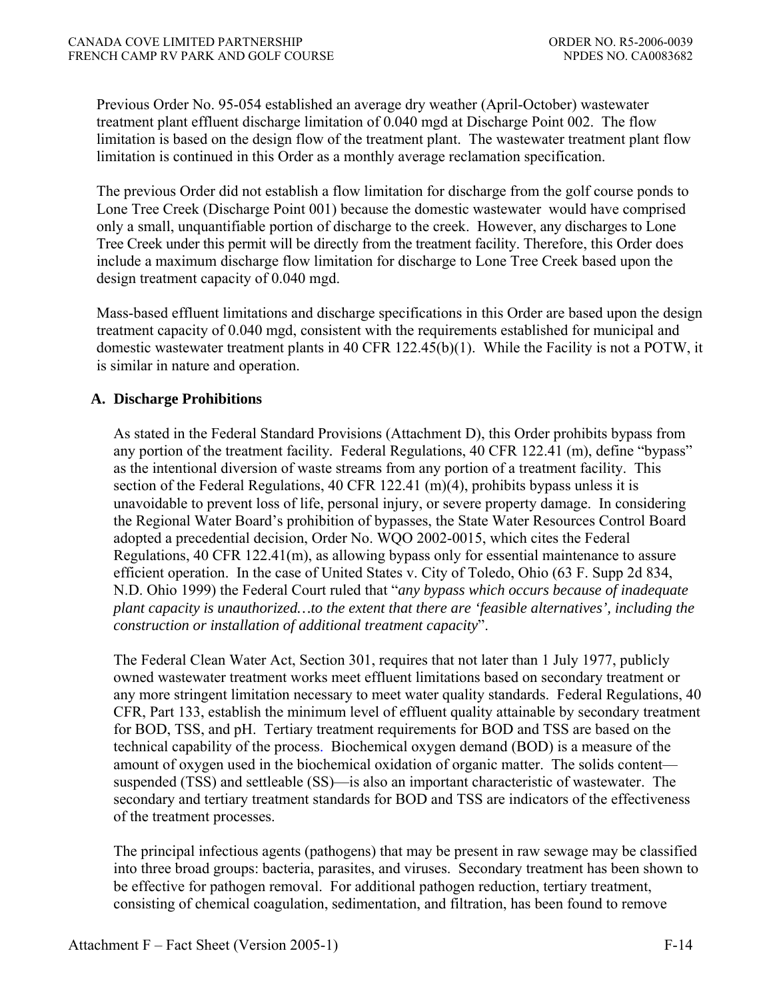Previous Order No. 95-054 established an average dry weather (April-October) wastewater treatment plant effluent discharge limitation of 0.040 mgd at Discharge Point 002. The flow limitation is based on the design flow of the treatment plant. The wastewater treatment plant flow limitation is continued in this Order as a monthly average reclamation specification.

The previous Order did not establish a flow limitation for discharge from the golf course ponds to Lone Tree Creek (Discharge Point 001) because the domestic wastewater would have comprised only a small, unquantifiable portion of discharge to the creek. However, any discharges to Lone Tree Creek under this permit will be directly from the treatment facility. Therefore, this Order does include a maximum discharge flow limitation for discharge to Lone Tree Creek based upon the design treatment capacity of 0.040 mgd.

Mass-based effluent limitations and discharge specifications in this Order are based upon the design treatment capacity of 0.040 mgd, consistent with the requirements established for municipal and domestic wastewater treatment plants in 40 CFR 122.45(b)(1). While the Facility is not a POTW, it is similar in nature and operation.

### **A. Discharge Prohibitions**

 As stated in the Federal Standard Provisions (Attachment D), this Order prohibits bypass from any portion of the treatment facility*.* Federal Regulations, 40 CFR 122.41 (m), define "bypass" as the intentional diversion of waste streams from any portion of a treatment facility. This section of the Federal Regulations, 40 CFR 122.41 (m)(4), prohibits bypass unless it is unavoidable to prevent loss of life, personal injury, or severe property damage. In considering the Regional Water Board's prohibition of bypasses, the State Water Resources Control Board adopted a precedential decision, Order No. WQO 2002-0015, which cites the Federal Regulations, 40 CFR 122.41(m), as allowing bypass only for essential maintenance to assure efficient operation. In the case of United States v. City of Toledo, Ohio (63 F. Supp 2d 834, N.D. Ohio 1999) the Federal Court ruled that "*any bypass which occurs because of inadequate plant capacity is unauthorized…to the extent that there are 'feasible alternatives', including the construction or installation of additional treatment capacity*".

The Federal Clean Water Act, Section 301, requires that not later than 1 July 1977, publicly owned wastewater treatment works meet effluent limitations based on secondary treatment or any more stringent limitation necessary to meet water quality standards. Federal Regulations, 40 CFR, Part 133, establish the minimum level of effluent quality attainable by secondary treatment for BOD, TSS, and pH. Tertiary treatment requirements for BOD and TSS are based on the technical capability of the process. Biochemical oxygen demand (BOD) is a measure of the amount of oxygen used in the biochemical oxidation of organic matter. The solids content suspended (TSS) and settleable (SS)—is also an important characteristic of wastewater. The secondary and tertiary treatment standards for BOD and TSS are indicators of the effectiveness of the treatment processes.

The principal infectious agents (pathogens) that may be present in raw sewage may be classified into three broad groups: bacteria, parasites, and viruses. Secondary treatment has been shown to be effective for pathogen removal. For additional pathogen reduction, tertiary treatment, consisting of chemical coagulation, sedimentation, and filtration, has been found to remove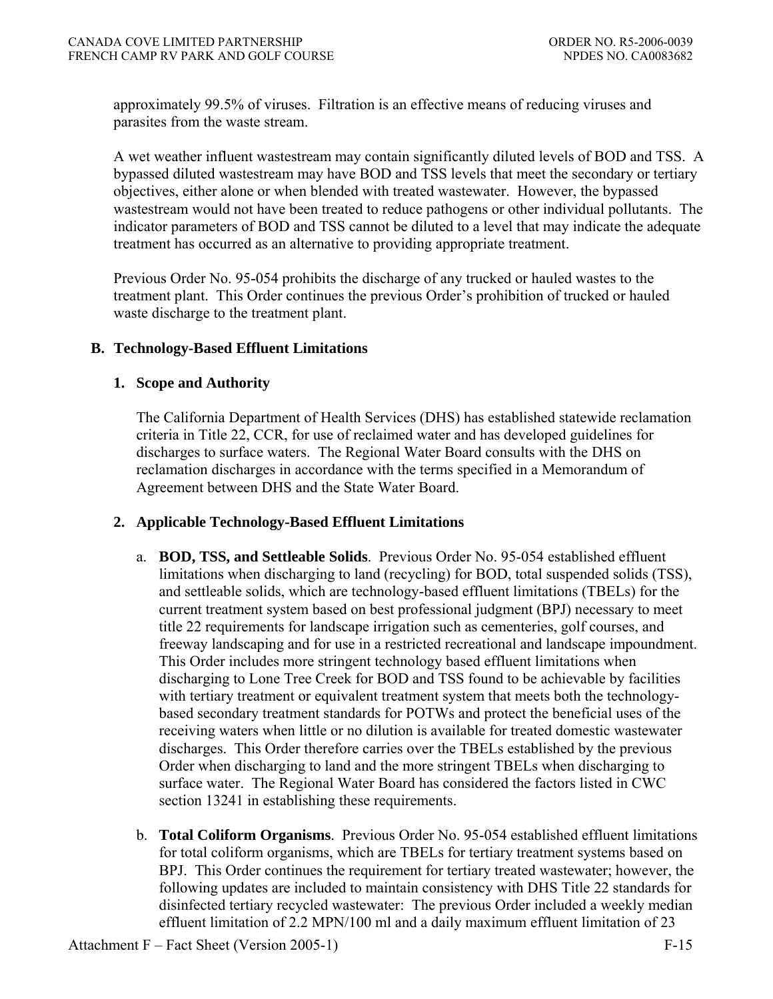approximately 99.5% of viruses. Filtration is an effective means of reducing viruses and parasites from the waste stream.

A wet weather influent wastestream may contain significantly diluted levels of BOD and TSS. A bypassed diluted wastestream may have BOD and TSS levels that meet the secondary or tertiary objectives, either alone or when blended with treated wastewater. However, the bypassed wastestream would not have been treated to reduce pathogens or other individual pollutants. The indicator parameters of BOD and TSS cannot be diluted to a level that may indicate the adequate treatment has occurred as an alternative to providing appropriate treatment.

Previous Order No. 95-054 prohibits the discharge of any trucked or hauled wastes to the treatment plant. This Order continues the previous Order's prohibition of trucked or hauled waste discharge to the treatment plant.

## **B. Technology-Based Effluent Limitations**

## **1. Scope and Authority**

 The California Department of Health Services (DHS) has established statewide reclamation criteria in Title 22, CCR, for use of reclaimed water and has developed guidelines for discharges to surface waters. The Regional Water Board consults with the DHS on reclamation discharges in accordance with the terms specified in a Memorandum of Agreement between DHS and the State Water Board.

# **2. Applicable Technology-Based Effluent Limitations**

- a. **BOD, TSS, and Settleable Solids**.Previous Order No. 95-054 established effluent limitations when discharging to land (recycling) for BOD, total suspended solids (TSS), and settleable solids, which are technology-based effluent limitations (TBELs) for the current treatment system based on best professional judgment (BPJ) necessary to meet title 22 requirements for landscape irrigation such as cementeries, golf courses, and freeway landscaping and for use in a restricted recreational and landscape impoundment. This Order includes more stringent technology based effluent limitations when discharging to Lone Tree Creek for BOD and TSS found to be achievable by facilities with tertiary treatment or equivalent treatment system that meets both the technologybased secondary treatment standards for POTWs and protect the beneficial uses of the receiving waters when little or no dilution is available for treated domestic wastewater discharges. This Order therefore carries over the TBELs established by the previous Order when discharging to land and the more stringent TBELs when discharging to surface water. The Regional Water Board has considered the factors listed in CWC section 13241 in establishing these requirements.
- b. **Total Coliform Organisms**.Previous Order No. 95-054 established effluent limitations for total coliform organisms, which are TBELs for tertiary treatment systems based on BPJ. This Order continues the requirement for tertiary treated wastewater; however, the following updates are included to maintain consistency with DHS Title 22 standards for disinfected tertiary recycled wastewater: The previous Order included a weekly median effluent limitation of 2.2 MPN/100 ml and a daily maximum effluent limitation of 23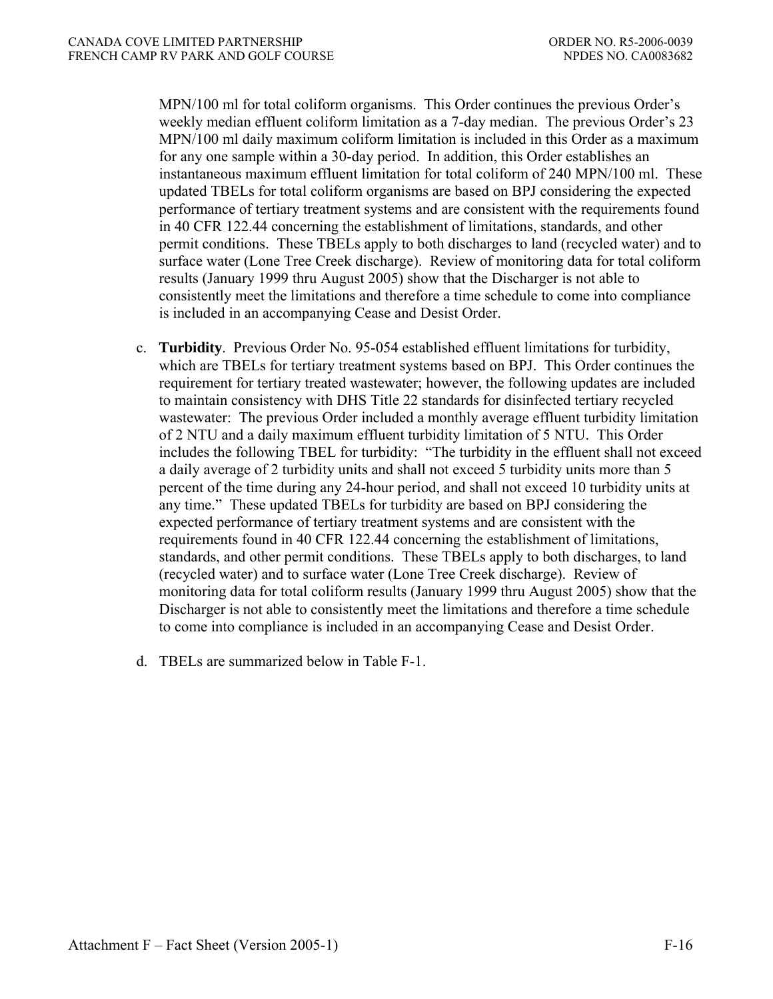MPN/100 ml for total coliform organisms. This Order continues the previous Order's weekly median effluent coliform limitation as a 7-day median. The previous Order's 23 MPN/100 ml daily maximum coliform limitation is included in this Order as a maximum for any one sample within a 30-day period. In addition, this Order establishes an instantaneous maximum effluent limitation for total coliform of 240 MPN/100 ml. These updated TBELs for total coliform organisms are based on BPJ considering the expected performance of tertiary treatment systems and are consistent with the requirements found in 40 CFR 122.44 concerning the establishment of limitations, standards, and other permit conditions. These TBELs apply to both discharges to land (recycled water) and to surface water (Lone Tree Creek discharge). Review of monitoring data for total coliform results (January 1999 thru August 2005) show that the Discharger is not able to consistently meet the limitations and therefore a time schedule to come into compliance is included in an accompanying Cease and Desist Order.

- c. **Turbidity**.Previous Order No. 95-054 established effluent limitations for turbidity, which are TBELs for tertiary treatment systems based on BPJ. This Order continues the requirement for tertiary treated wastewater; however, the following updates are included to maintain consistency with DHS Title 22 standards for disinfected tertiary recycled wastewater: The previous Order included a monthly average effluent turbidity limitation of 2 NTU and a daily maximum effluent turbidity limitation of 5 NTU. This Order includes the following TBEL for turbidity: "The turbidity in the effluent shall not exceed a daily average of 2 turbidity units and shall not exceed 5 turbidity units more than 5 percent of the time during any 24-hour period, and shall not exceed 10 turbidity units at any time." These updated TBELs for turbidity are based on BPJ considering the expected performance of tertiary treatment systems and are consistent with the requirements found in 40 CFR 122.44 concerning the establishment of limitations, standards, and other permit conditions. These TBELs apply to both discharges, to land (recycled water) and to surface water (Lone Tree Creek discharge). Review of monitoring data for total coliform results (January 1999 thru August 2005) show that the Discharger is not able to consistently meet the limitations and therefore a time schedule to come into compliance is included in an accompanying Cease and Desist Order.
- d. TBELs are summarized below in Table F-1.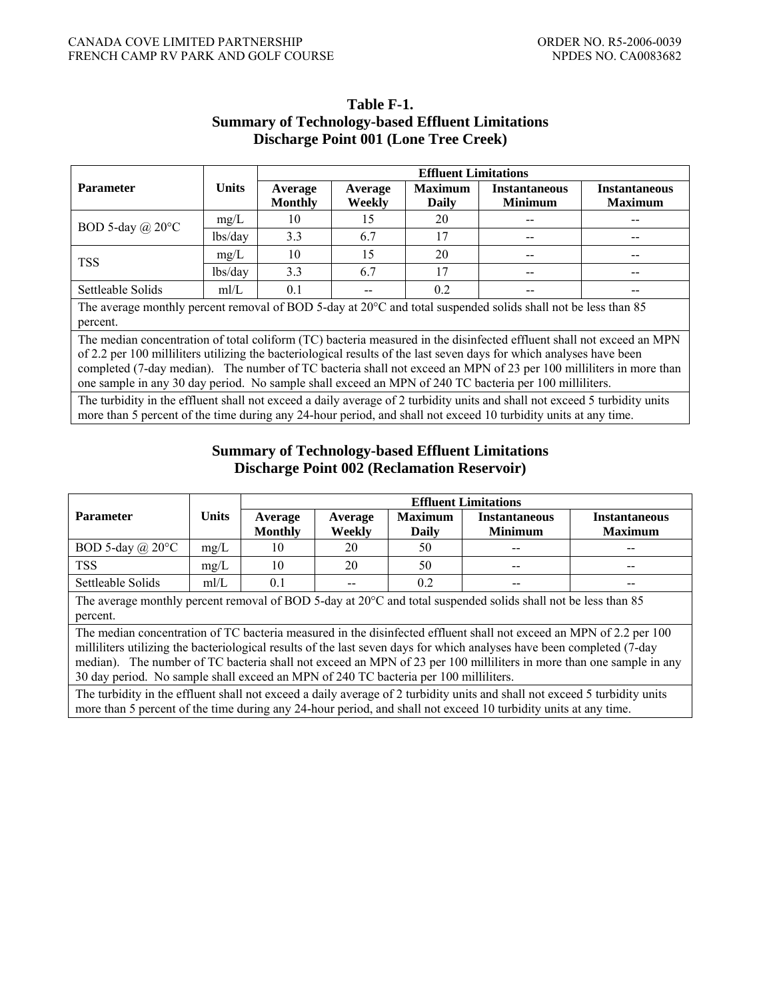|                                                                                                                                                                                                                                                                                                                                                                                                                                                                               |                                                                                                                                                                                                                                               | <b>Effluent Limitations</b> |                          |                         |                                        |                                        |  |  |
|-------------------------------------------------------------------------------------------------------------------------------------------------------------------------------------------------------------------------------------------------------------------------------------------------------------------------------------------------------------------------------------------------------------------------------------------------------------------------------|-----------------------------------------------------------------------------------------------------------------------------------------------------------------------------------------------------------------------------------------------|-----------------------------|--------------------------|-------------------------|----------------------------------------|----------------------------------------|--|--|
| <b>Parameter</b>                                                                                                                                                                                                                                                                                                                                                                                                                                                              | <b>Units</b>                                                                                                                                                                                                                                  | Average<br><b>Monthly</b>   | Average<br><b>Weekly</b> | <b>Maximum</b><br>Daily | <b>Instantaneous</b><br><b>Minimum</b> | <b>Instantaneous</b><br><b>Maximum</b> |  |  |
| BOD 5-day $(a)$ 20 $\degree$ C                                                                                                                                                                                                                                                                                                                                                                                                                                                | mg/L                                                                                                                                                                                                                                          | 10                          | 15                       | 20                      |                                        |                                        |  |  |
|                                                                                                                                                                                                                                                                                                                                                                                                                                                                               | lbs/day                                                                                                                                                                                                                                       | 3.3                         | 6.7                      | 17                      |                                        |                                        |  |  |
|                                                                                                                                                                                                                                                                                                                                                                                                                                                                               | mg/L                                                                                                                                                                                                                                          | 10                          | 15                       | 20                      |                                        |                                        |  |  |
| <b>TSS</b>                                                                                                                                                                                                                                                                                                                                                                                                                                                                    | lbs/day                                                                                                                                                                                                                                       | 3.3                         | 6.7                      | 17                      |                                        |                                        |  |  |
| Settleable Solids                                                                                                                                                                                                                                                                                                                                                                                                                                                             | m/L                                                                                                                                                                                                                                           | 0.1                         |                          | 0.2                     |                                        |                                        |  |  |
| The average monthly percent removal of BOD 5-day at 20°C and total suspended solids shall not be less than 85<br>percent.                                                                                                                                                                                                                                                                                                                                                     |                                                                                                                                                                                                                                               |                             |                          |                         |                                        |                                        |  |  |
| The median concentration of total coliform (TC) bacteria measured in the disinfected effluent shall not exceed an MPN<br>of 2.2 per 100 milliliters utilizing the bacteriological results of the last seven days for which analyses have been<br>completed (7-day median). The number of TC bacteria shall not exceed an MPN of 23 per 100 milliliters in more than<br>one sample in any 30 day period. No sample shall exceed an MPN of 240 TC bacteria per 100 milliliters. |                                                                                                                                                                                                                                               |                             |                          |                         |                                        |                                        |  |  |
|                                                                                                                                                                                                                                                                                                                                                                                                                                                                               | The turbidity in the effluent shall not exceed a daily average of 2 turbidity units and shall not exceed 5 turbidity units<br>more than 5 percent of the time during any 24-hour period, and shall not exceed 10 turbidity units at any time. |                             |                          |                         |                                        |                                        |  |  |

## **Table F-1. Summary of Technology-based Effluent Limitations Discharge Point 001 (Lone Tree Creek)**

## **Summary of Technology-based Effluent Limitations Discharge Point 002 (Reclamation Reservoir)**

|                                                                                                                                                                                                                                                                                                                                                                                                                                                               |              | <b>Effluent Limitations</b> |         |                |                      |                      |  |  |  |
|---------------------------------------------------------------------------------------------------------------------------------------------------------------------------------------------------------------------------------------------------------------------------------------------------------------------------------------------------------------------------------------------------------------------------------------------------------------|--------------|-----------------------------|---------|----------------|----------------------|----------------------|--|--|--|
| <b>Parameter</b>                                                                                                                                                                                                                                                                                                                                                                                                                                              | <b>Units</b> | Average                     | Average | <b>Maximum</b> | <b>Instantaneous</b> | <b>Instantaneous</b> |  |  |  |
|                                                                                                                                                                                                                                                                                                                                                                                                                                                               |              | <b>Monthly</b>              | Weekly  | Daily          | <b>Minimum</b>       | <b>Maximum</b>       |  |  |  |
| BOD 5-day $(a)$ 20 $\degree$ C                                                                                                                                                                                                                                                                                                                                                                                                                                | mg/L         | 10                          | 20      | 50             |                      |                      |  |  |  |
| <b>TSS</b>                                                                                                                                                                                                                                                                                                                                                                                                                                                    | mg/L         | 10                          | 20      | 50             |                      |                      |  |  |  |
| Settleable Solids                                                                                                                                                                                                                                                                                                                                                                                                                                             | mI/L         | 0.1                         |         | 0.2            |                      |                      |  |  |  |
| The average monthly percent removal of BOD 5-day at $20^{\circ}$ C and total suspended solids shall not be less than 85<br>percent.                                                                                                                                                                                                                                                                                                                           |              |                             |         |                |                      |                      |  |  |  |
| The median concentration of TC bacteria measured in the disinfected effluent shall not exceed an MPN of 2.2 per 100<br>millilitiers utilizing the bacteriological results of the last seven days for which analyses have been completed (7-day<br>median). The number of TC bacteria shall not exceed an MPN of 23 per 100 milliliters in more than one sample in any<br>30 day period. No sample shall exceed an MPN of 240 TC bacteria per 100 milliliters. |              |                             |         |                |                      |                      |  |  |  |
| The turbidity in the effluent shall not exceed a daily average of 2 turbidity units and shall not exceed 5 turbidity units                                                                                                                                                                                                                                                                                                                                    |              |                             |         |                |                      |                      |  |  |  |

The turbidity in the effluent shall not exceed a daily average of 2 turbidity units and shall not exceed 5 turbidity units more than 5 percent of the time during any 24-hour period, and shall not exceed 10 turbidity units at any time.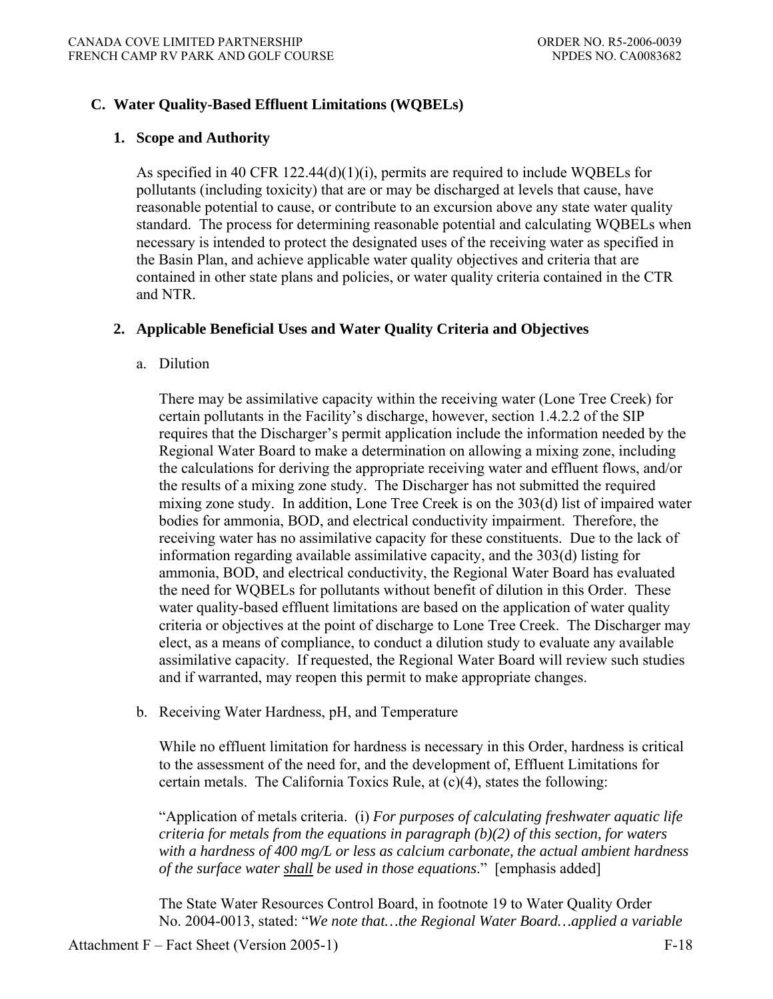## **C. Water Quality-Based Effluent Limitations (WQBELs)**

### **1. Scope and Authority**

As specified in 40 CFR 122.44(d)(1)(i), permits are required to include WQBELs for pollutants (including toxicity) that are or may be discharged at levels that cause, have reasonable potential to cause, or contribute to an excursion above any state water quality standard. The process for determining reasonable potential and calculating WQBELs when necessary is intended to protect the designated uses of the receiving water as specified in the Basin Plan, and achieve applicable water quality objectives and criteria that are contained in other state plans and policies, or water quality criteria contained in the CTR and NTR.

### **2. Applicable Beneficial Uses and Water Quality Criteria and Objectives**

#### a. Dilution

 There may be assimilative capacity within the receiving water (Lone Tree Creek) for certain pollutants in the Facility's discharge, however, section 1.4.2.2 of the SIP requires that the Discharger's permit application include the information needed by the Regional Water Board to make a determination on allowing a mixing zone, including the calculations for deriving the appropriate receiving water and effluent flows, and/or the results of a mixing zone study. The Discharger has not submitted the required mixing zone study. In addition, Lone Tree Creek is on the 303(d) list of impaired water bodies for ammonia, BOD, and electrical conductivity impairment. Therefore, the receiving water has no assimilative capacity for these constituents. Due to the lack of information regarding available assimilative capacity, and the 303(d) listing for ammonia, BOD, and electrical conductivity, the Regional Water Board has evaluated the need for WQBELs for pollutants without benefit of dilution in this Order. These water quality-based effluent limitations are based on the application of water quality criteria or objectives at the point of discharge to Lone Tree Creek. The Discharger may elect, as a means of compliance, to conduct a dilution study to evaluate any available assimilative capacity. If requested, the Regional Water Board will review such studies and if warranted, may reopen this permit to make appropriate changes.

b. Receiving Water Hardness, pH, and Temperature

 While no effluent limitation for hardness is necessary in this Order, hardness is critical to the assessment of the need for, and the development of, Effluent Limitations for certain metals. The California Toxics Rule, at (c)(4), states the following:

 "Application of metals criteria. (i) *For purposes of calculating freshwater aquatic life criteria for metals from the equations in paragraph (b)(2) of this section, for waters with a hardness of 400 mg/L or less as calcium carbonate, the actual ambient hardness of the surface water shall be used in those equations*." [emphasis added]

The State Water Resources Control Board, in footnote 19 to Water Quality Order No. 2004-0013, stated: "*We note that…the Regional Water Board…applied a variable*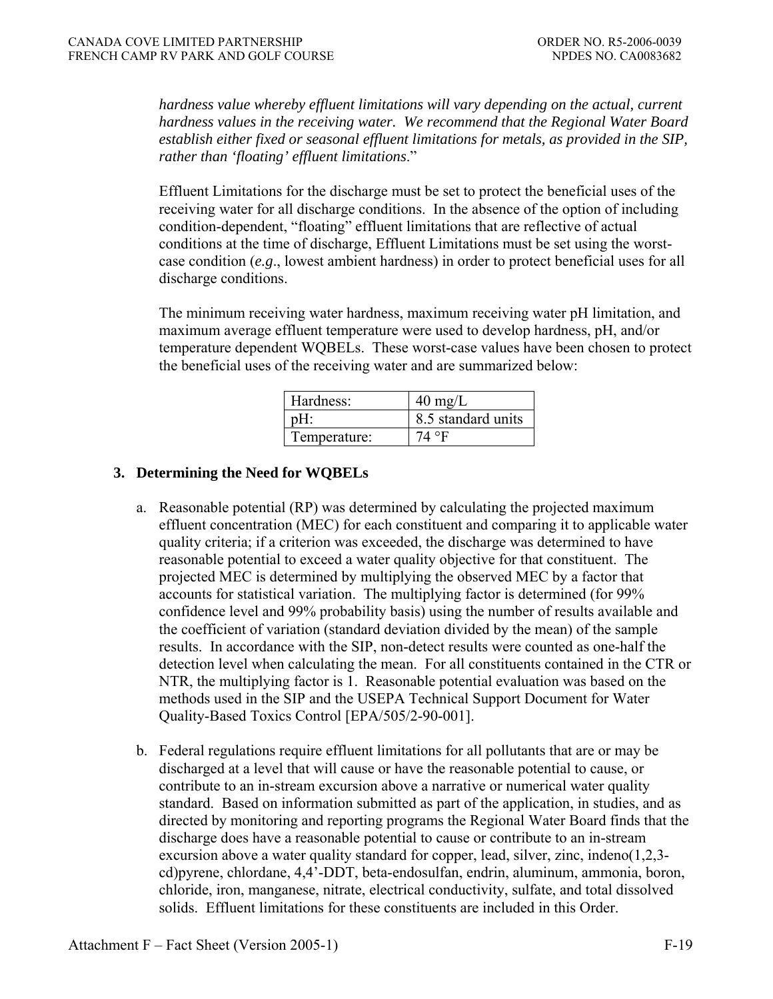*hardness value whereby effluent limitations will vary depending on the actual, current hardness values in the receiving water. We recommend that the Regional Water Board establish either fixed or seasonal effluent limitations for metals, as provided in the SIP, rather than 'floating' effluent limitations*."

Effluent Limitations for the discharge must be set to protect the beneficial uses of the receiving water for all discharge conditions. In the absence of the option of including condition-dependent, "floating" effluent limitations that are reflective of actual conditions at the time of discharge, Effluent Limitations must be set using the worstcase condition (*e.g*., lowest ambient hardness) in order to protect beneficial uses for all discharge conditions.

 The minimum receiving water hardness, maximum receiving water pH limitation, and maximum average effluent temperature were used to develop hardness, pH, and/or temperature dependent WQBELs. These worst-case values have been chosen to protect the beneficial uses of the receiving water and are summarized below:

| Hardness:    | $40 \text{ mg/L}$  |
|--------------|--------------------|
|              | 8.5 standard units |
| Temperature: | $4^{\circ}$        |

# **3. Determining the Need for WQBELs**

- a. Reasonable potential (RP) was determined by calculating the projected maximum effluent concentration (MEC) for each constituent and comparing it to applicable water quality criteria; if a criterion was exceeded, the discharge was determined to have reasonable potential to exceed a water quality objective for that constituent. The projected MEC is determined by multiplying the observed MEC by a factor that accounts for statistical variation. The multiplying factor is determined (for 99% confidence level and 99% probability basis) using the number of results available and the coefficient of variation (standard deviation divided by the mean) of the sample results. In accordance with the SIP, non-detect results were counted as one-half the detection level when calculating the mean. For all constituents contained in the CTR or NTR, the multiplying factor is 1. Reasonable potential evaluation was based on the methods used in the SIP and the USEPA Technical Support Document for Water Quality-Based Toxics Control [EPA/505/2-90-001].
- b. Federal regulations require effluent limitations for all pollutants that are or may be discharged at a level that will cause or have the reasonable potential to cause, or contribute to an in-stream excursion above a narrative or numerical water quality standard. Based on information submitted as part of the application, in studies, and as directed by monitoring and reporting programs the Regional Water Board finds that the discharge does have a reasonable potential to cause or contribute to an in-stream excursion above a water quality standard for copper, lead, silver, zinc, indeno(1,2,3 cd)pyrene, chlordane, 4,4'-DDT, beta-endosulfan, endrin, aluminum, ammonia, boron, chloride, iron, manganese, nitrate, electrical conductivity, sulfate, and total dissolved solids. Effluent limitations for these constituents are included in this Order.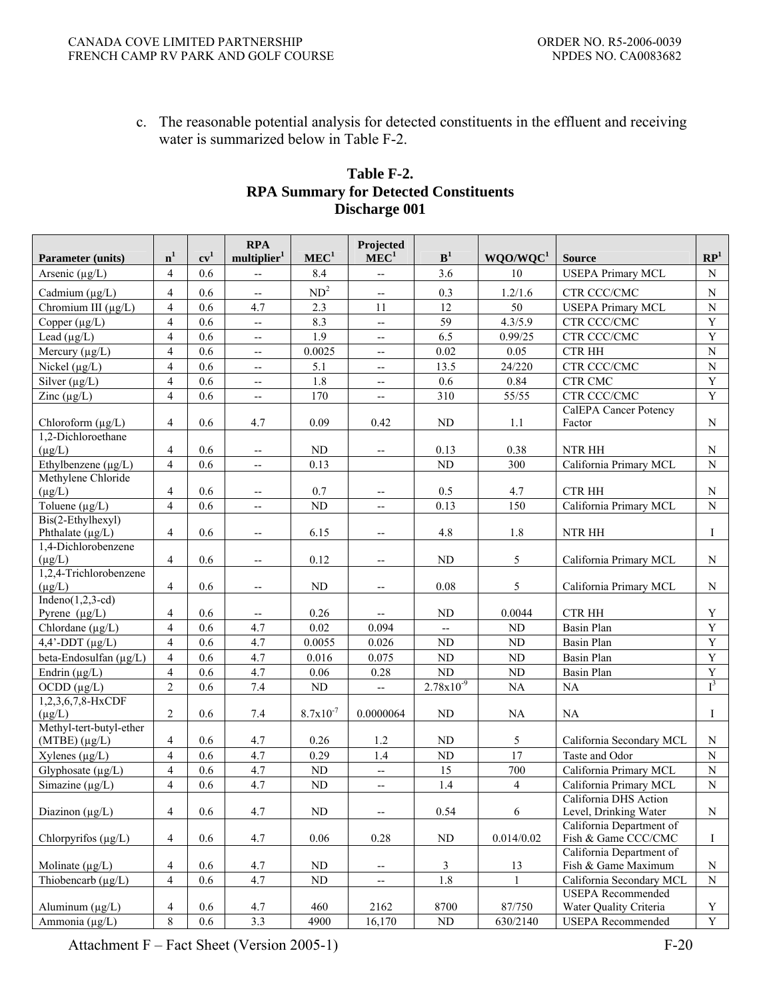c. The reasonable potential analysis for detected constituents in the effluent and receiving water is summarized below in Table F-2.

|                                   |                          |        | <b>RPA</b>               |                  | Projected                |                |                      |                                                    |                 |
|-----------------------------------|--------------------------|--------|--------------------------|------------------|--------------------------|----------------|----------------------|----------------------------------------------------|-----------------|
| <b>Parameter (units)</b>          | n <sup>1</sup>           | $cv^1$ | multiplier <sup>1</sup>  | MEC <sup>1</sup> | MEC <sup>1</sup>         | B <sup>1</sup> | WQO/WQC <sup>1</sup> | <b>Source</b>                                      | $\mathbb{RP}^1$ |
| Arsenic $(\mu g/L)$               | $\overline{4}$           | 0.6    | $-$                      | 8.4              | $\overline{\phantom{a}}$ | 3.6            | 10                   | <b>USEPA Primary MCL</b>                           | $\mathbf N$     |
| Cadmium $(\mu g/L)$               | $\overline{4}$           | 0.6    | $\overline{\phantom{m}}$ | $\mathrm{ND}^2$  | $\overline{\phantom{a}}$ | 0.3            | 1.2/1.6              | CTR CCC/CMC                                        | $\mathbf N$     |
| Chromium III (µg/L)               | $\overline{\mathcal{A}}$ | 0.6    | 4.7                      | 2.3              | 11                       | 12             | 50                   | <b>USEPA Primary MCL</b>                           | ${\bf N}$       |
| Copper $(\mu g/L)$                | $\overline{4}$           | 0.6    | $\overline{a}$           | 8.3              | ΞĒ,                      | 59             | 4.3/5.9              | CTR CCC/CMC                                        | $\mathbf Y$     |
| Lead $(\mu g/L)$                  | $\overline{4}$           | 0.6    | $\overline{a}$           | 1.9              | $\overline{a}$           | 6.5            | 0.99/25              | CTR CCC/CMC                                        | Y               |
| Mercury $(\mu g/L)$               | $\overline{4}$           | 0.6    | --                       | 0.0025           | --                       | 0.02           | 0.05                 | <b>CTR HH</b>                                      | ${\bf N}$       |
| Nickel $(\mu g/L)$                | $\overline{4}$           | 0.6    | $-$                      | 5.1              | $-$                      | 13.5           | 24/220               | CTR CCC/CMC                                        | ${\bf N}$       |
| Silver $(\mu g/L)$                | $\overline{4}$           | 0.6    | $-$                      | 1.8              | $-$                      | 0.6            | 0.84                 | <b>CTR CMC</b>                                     | Y               |
| Zinc $(\mu g/L)$                  | $\overline{4}$           | 0.6    | Щ.                       | 170              | Ξ.                       | 310            | 55/55                | CTR CCC/CMC                                        | $\mathbf Y$     |
|                                   |                          |        |                          |                  |                          |                |                      | <b>CalEPA Cancer Potency</b>                       |                 |
| Chloroform (µg/L)                 | 4                        | 0.6    | 4.7                      | 0.09             | 0.42                     | ND             | 1.1                  | Factor                                             | $\mathbf N$     |
| 1,2-Dichloroethane                |                          |        |                          |                  |                          |                |                      |                                                    |                 |
| $(\mu g/L)$                       | $\overline{4}$           | 0.6    | $\overline{\phantom{a}}$ | ND               | $\overline{\phantom{a}}$ | 0.13           | 0.38                 | NTR HH                                             | $\mathbf N$     |
| Ethylbenzene $(\mu g/L)$          | $\overline{4}$           | 0.6    | Ξ.                       | 0.13             |                          | ND             | 300                  | California Primary MCL                             | ${\bf N}$       |
| Methylene Chloride<br>$(\mu g/L)$ | $\overline{4}$           | 0.6    | --                       | 0.7              |                          | 0.5            | 4.7                  | <b>CTR HH</b>                                      | $\mathbf N$     |
| Toluene $(\mu g/L)$               | $\overline{4}$           | 0.6    | $-$                      | $\rm ND$         | --<br>$\overline{a}$     | 0.13           | 150                  | California Primary MCL                             | ${\bf N}$       |
| Bis(2-Ethylhexyl)                 |                          |        |                          |                  |                          |                |                      |                                                    |                 |
| Phthalate $(\mu g/L)$             | $\overline{4}$           | 0.6    | $\overline{\phantom{a}}$ | 6.15             | $-$                      | 4.8            | 1.8                  | NTR HH                                             | Ι               |
| 1,4-Dichlorobenzene               |                          |        |                          |                  |                          |                |                      |                                                    |                 |
| $(\mu g/L)$                       | $\overline{4}$           | 0.6    | $\overline{\phantom{a}}$ | 0.12             | --                       | ND             | 5                    | California Primary MCL                             | $\mathbf N$     |
| 1,2,4-Trichlorobenzene            |                          |        |                          |                  |                          |                |                      |                                                    |                 |
| $(\mu g/L)$                       | $\overline{4}$           | 0.6    | $\overline{\phantom{a}}$ | ND               | --                       | 0.08           | 5                    | California Primary MCL                             | N               |
| Indeno $(1,2,3-cd)$               |                          |        |                          |                  |                          |                |                      |                                                    |                 |
| Pyrene $(\mu g/L)$                | $\overline{4}$           | 0.6    | $\overline{\phantom{a}}$ | 0.26             | --                       | <b>ND</b>      | 0.0044               | <b>CTR HH</b>                                      | $\mathbf Y$     |
| Chlordane $(\mu g/L)$             | $\overline{4}$           | 0.6    | 4.7                      | 0.02             | 0.094                    | --             | ND                   | <b>Basin Plan</b>                                  | $\mathbf Y$     |
| $4,4$ '-DDT ( $\mu$ g/L)          | $\overline{4}$           | 0.6    | 4.7                      | 0.0055           | 0.026                    | ND             | $\rm ND$             | <b>Basin Plan</b>                                  | $\mathbf Y$     |
| beta-Endosulfan (µg/L)            | $\overline{\mathcal{A}}$ | 0.6    | 4.7                      | 0.016            | 0.075                    | $\rm ND$       | $\rm ND$             | <b>Basin Plan</b>                                  | $\mathbf Y$     |
| Endrin $(\mu g/L)$                | $\overline{4}$           | 0.6    | 4.7                      | $0.06\,$         | 0.28                     | ND             | ND                   | <b>Basin Plan</b>                                  | $\overline{Y}$  |
| OCDD $(\mu g/L)$                  | $\overline{2}$           | 0.6    | 7.4                      | $\rm ND$         | Щ.                       | $2.78x10^{-9}$ | $\rm NA$             | <b>NA</b>                                          | $I^3$           |
| 1,2,3,6,7,8-HxCDF<br>$(\mu g/L)$  | $\overline{c}$           | 0.6    | 7.4                      | $8.7x10^{-7}$    | 0.0000064                | ND             | NA                   | <b>NA</b>                                          | I               |
| Methyl-tert-butyl-ether           |                          |        |                          |                  |                          |                |                      |                                                    |                 |
| $(MTBE)$ ( $\mu$ g/L)             | $\overline{4}$           | 0.6    | 4.7                      | 0.26             | 1.2                      | ${\rm ND}$     | 5                    | California Secondary MCL                           | N               |
| Xylenes $(\mu g/L)$               | $\overline{4}$           | 0.6    | 4.7                      | 0.29             | 1.4                      | N <sub>D</sub> | 17                   | Taste and Odor                                     | ${\bf N}$       |
| Glyphosate $(\mu g/L)$            | $\overline{4}$           | 0.6    | 4.7                      | ${\rm ND}$       | --                       | 15             | 700                  | California Primary MCL                             | ${\bf N}$       |
| Simazine $(\mu g/L)$              | $\overline{4}$           | 0.6    | 4.7                      | ${\rm ND}$       | $\overline{\phantom{a}}$ | 1.4            | $\overline{4}$       | California Primary MCL                             | $\mathbf N$     |
|                                   |                          |        |                          |                  |                          |                |                      | California DHS Action                              |                 |
| Diazinon $(\mu g/L)$              | $\overline{4}$           | 0.6    | 4.7                      | ND               | --                       | 0.54           | 6                    | Level, Drinking Water                              | N               |
|                                   |                          |        |                          |                  |                          |                |                      | California Department of                           |                 |
| Chlorpyrifos $(\mu g/L)$          | 4                        | 0.6    | 4.7                      | 0.06             | 0.28                     | <b>ND</b>      | 0.014/0.02           | Fish & Game CCC/CMC                                | Ι               |
|                                   |                          |        |                          |                  |                          |                |                      | California Department of                           |                 |
| Molinate $(\mu g/L)$              | 4                        | 0.6    | 4.7                      | <b>ND</b>        | --                       | 3              | 13                   | Fish & Game Maximum                                | ${\bf N}$       |
| Thiobencarb $(\mu g/L)$           | $\overline{4}$           | 0.6    | 4.7                      | ND               | $\overline{\phantom{a}}$ | 1.8            |                      | California Secondary MCL                           | ${\bf N}$       |
|                                   |                          |        |                          |                  |                          |                |                      | <b>USEPA</b> Recommended                           |                 |
| Aluminum $(\mu g/L)$              | 4                        | 0.6    | 4.7                      | 460              | 2162                     | 8700           | 87/750               | Water Quality Criteria<br><b>USEPA</b> Recommended | Y               |
| Ammonia (µg/L)                    | $\,8\,$                  | 0.6    | 3.3                      | 4900             | 16,170                   | ND             | 630/2140             |                                                    | $\mathbf Y$     |

# **Table F-2. RPA Summary for Detected Constituents Discharge 001**

Attachment F – Fact Sheet (Version 2005-1) F-20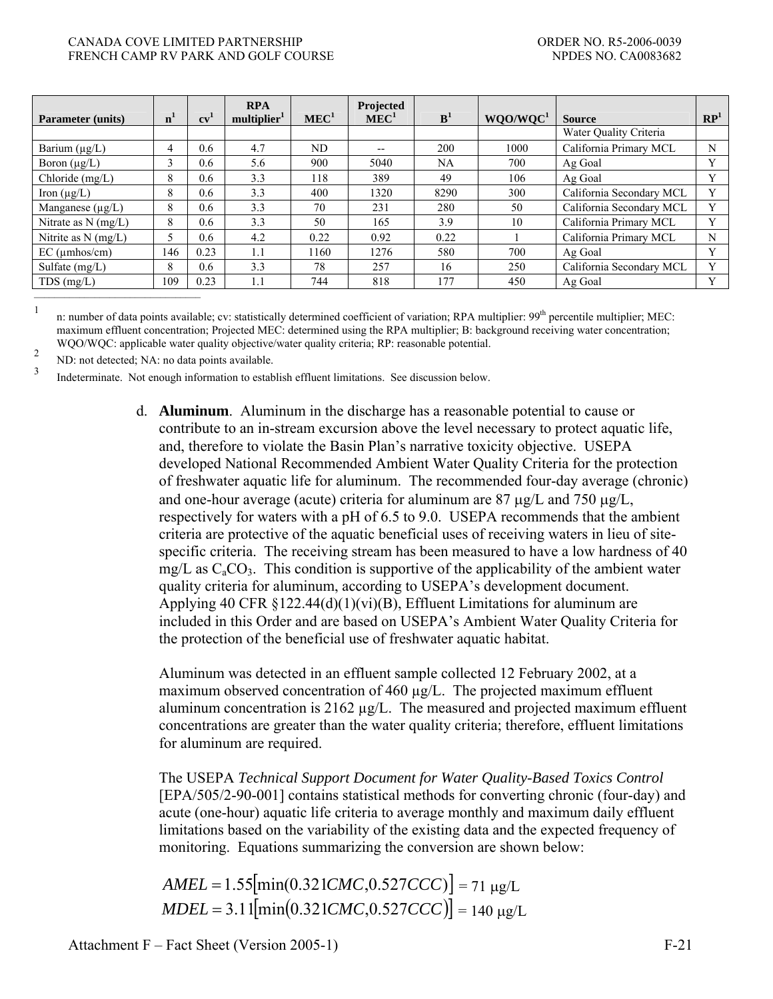#### CANADA COVE LIMITED PARTNERSHIP **EXECUTE 1** ORDER NO. R5-2006-0039 FRENCH CAMP RV PARK AND GOLF COURSE NEXT AND SERVICE OF A SERVICE OF A SERVICE OF A SERVICE OF A SERVICE OF A SERVICE OF A SERVICE OF A SERVICE OF A SERVICE OF A SERVICE OF A SERVICE OF A SERVICE OF A SERVICE OF A SERVICE

| <b>Parameter (units)</b> | $\mathbf{n}^{\prime}$ | $cv^1$ | <b>RPA</b><br>multiplier <sup>1</sup> | MEC <sup>1</sup> | Projected<br>MEC <sup>1</sup> | B <sup>1</sup> | WQO/WQC <sup>1</sup> | <b>Source</b>            | $\mathbb{RP}^1$ |
|--------------------------|-----------------------|--------|---------------------------------------|------------------|-------------------------------|----------------|----------------------|--------------------------|-----------------|
|                          |                       |        |                                       |                  |                               |                |                      | Water Quality Criteria   |                 |
| Barium $(\mu g/L)$       | 4                     | 0.6    | 4.7                                   | ND               | $-$                           | 200            | 1000                 | California Primary MCL   | N               |
| Boron $(\mu g/L)$        | $\sim$<br>$\Delta$    | 0.6    | 5.6                                   | 900              | 5040                          | NA             | 700                  | Ag Goal                  | $\mathbf{v}$    |
| Chloride (mg/L)          | 8                     | 0.6    | 3.3                                   | 118              | 389                           | 49             | 106                  | Ag Goal                  | v               |
| Iron $(\mu g/L)$         | 8                     | 0.6    | 3.3                                   | 400              | 1320                          | 8290           | 300                  | California Secondary MCL | $\mathbf{V}$    |
| Manganese $(\mu g/L)$    | 8                     | 0.6    | 3.3                                   | 70               | 231                           | 280            | 50                   | California Secondary MCL | Y               |
| Nitrate as $N$ (mg/L)    | 8                     | 0.6    | 3.3                                   | 50               | 165                           | 3.9            | 10                   | California Primary MCL   | $\mathbf{v}$    |
| Nitrite as $N$ (mg/L)    |                       | 0.6    | 4.2                                   | 0.22             | 0.92                          | 0.22           |                      | California Primary MCL   | N               |
| $EC$ ( $\mu$ mhos/cm)    | 146                   | 0.23   | 1.1                                   | 1160             | 1276                          | 580            | 700                  | Ag Goal                  | v               |
| Sulfate (mg/L)           | 8                     | 0.6    | 3.3                                   | 78               | 257                           | 16             | 250                  | California Secondary MCL | $\mathbf{V}$    |
| $TDS$ (mg/L)             | 109                   | 0.23   | 1.1                                   | 744              | 818                           | 177            | 450                  | Ag Goal                  | $\mathbf{v}$    |
|                          |                       |        |                                       |                  |                               |                |                      |                          |                 |

<sup>1</sup>

n: number of data points available; cv: statistically determined coefficient of variation; RPA multiplier: 99<sup>th</sup> percentile multiplier; MEC: maximum effluent concentration; Projected MEC: determined using the RPA multiplier; B: background receiving water concentration; WQO/WQC: applicable water quality objective/water quality criteria; RP: reasonable potential.

2 ND: not detected; NA: no data points available.

3 Indeterminate. Not enough information to establish effluent limitations. See discussion below.

> d. **Aluminum**. Aluminum in the discharge has a reasonable potential to cause or contribute to an in-stream excursion above the level necessary to protect aquatic life, and, therefore to violate the Basin Plan's narrative toxicity objective. USEPA developed National Recommended Ambient Water Quality Criteria for the protection of freshwater aquatic life for aluminum. The recommended four-day average (chronic) and one-hour average (acute) criteria for aluminum are  $87 \mu g/L$  and  $750 \mu g/L$ , respectively for waters with a pH of 6.5 to 9.0. USEPA recommends that the ambient criteria are protective of the aquatic beneficial uses of receiving waters in lieu of sitespecific criteria. The receiving stream has been measured to have a low hardness of 40 mg/L as  $C_4CO_3$ . This condition is supportive of the applicability of the ambient water quality criteria for aluminum, according to USEPA's development document. Applying 40 CFR  $\S 122.44(d)(1)(vi)(B)$ , Effluent Limitations for aluminum are included in this Order and are based on USEPA's Ambient Water Quality Criteria for the protection of the beneficial use of freshwater aquatic habitat.

 Aluminum was detected in an effluent sample collected 12 February 2002, at a maximum observed concentration of 460 µg/L. The projected maximum effluent aluminum concentration is 2162 µg/L. The measured and projected maximum effluent concentrations are greater than the water quality criteria; therefore, effluent limitations for aluminum are required.

 The USEPA *Technical Support Document for Water Quality-Based Toxics Control* [EPA/505/2-90-001] contains statistical methods for converting chronic (four-day) and acute (one-hour) aquatic life criteria to average monthly and maximum daily effluent limitations based on the variability of the existing data and the expected frequency of monitoring. Equations summarizing the conversion are shown below:

 $AMEL = 1.55$ [ $min(0.321CMC, 0.527CCC)$ ] = 71 μg/L  $MDEL = 3.11$ [ $min( 0.321 CMC, 0.527 CCC)$ ] = 140 μg/L

Attachment F – Fact Sheet (Version 2005-1) F-21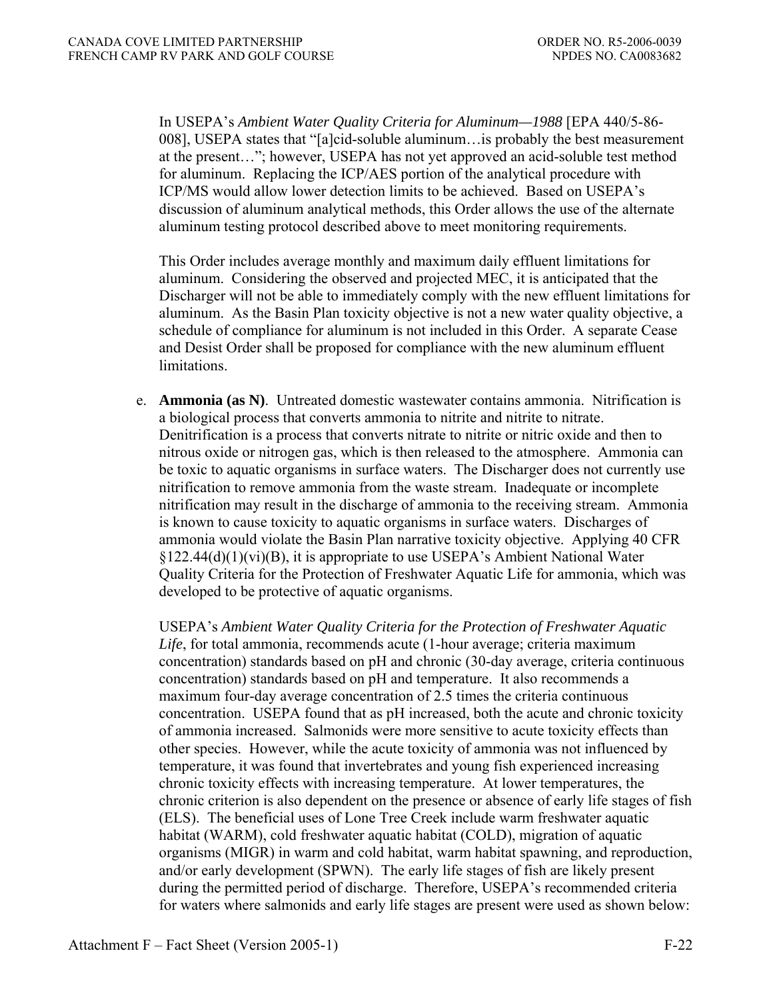In USEPA's *Ambient Water Quality Criteria for Aluminum—1988* [EPA 440/5-86- 008], USEPA states that "[a]cid-soluble aluminum…is probably the best measurement at the present…"; however, USEPA has not yet approved an acid-soluble test method for aluminum. Replacing the ICP/AES portion of the analytical procedure with ICP/MS would allow lower detection limits to be achieved. Based on USEPA's discussion of aluminum analytical methods, this Order allows the use of the alternate aluminum testing protocol described above to meet monitoring requirements.

 This Order includes average monthly and maximum daily effluent limitations for aluminum. Considering the observed and projected MEC, it is anticipated that the Discharger will not be able to immediately comply with the new effluent limitations for aluminum. As the Basin Plan toxicity objective is not a new water quality objective, a schedule of compliance for aluminum is not included in this Order. A separate Cease and Desist Order shall be proposed for compliance with the new aluminum effluent limitations.

 e. **Ammonia (as N)**. Untreated domestic wastewater contains ammonia. Nitrification is a biological process that converts ammonia to nitrite and nitrite to nitrate. Denitrification is a process that converts nitrate to nitrite or nitric oxide and then to nitrous oxide or nitrogen gas, which is then released to the atmosphere. Ammonia can be toxic to aquatic organisms in surface waters. The Discharger does not currently use nitrification to remove ammonia from the waste stream. Inadequate or incomplete nitrification may result in the discharge of ammonia to the receiving stream. Ammonia is known to cause toxicity to aquatic organisms in surface waters. Discharges of ammonia would violate the Basin Plan narrative toxicity objective. Applying 40 CFR §122.44(d)(1)(vi)(B), it is appropriate to use USEPA's Ambient National Water Quality Criteria for the Protection of Freshwater Aquatic Life for ammonia, which was developed to be protective of aquatic organisms.

 USEPA's *Ambient Water Quality Criteria for the Protection of Freshwater Aquatic Life*, for total ammonia, recommends acute (1-hour average; criteria maximum concentration) standards based on pH and chronic (30-day average, criteria continuous concentration) standards based on pH and temperature. It also recommends a maximum four-day average concentration of 2.5 times the criteria continuous concentration. USEPA found that as pH increased, both the acute and chronic toxicity of ammonia increased. Salmonids were more sensitive to acute toxicity effects than other species. However, while the acute toxicity of ammonia was not influenced by temperature, it was found that invertebrates and young fish experienced increasing chronic toxicity effects with increasing temperature. At lower temperatures, the chronic criterion is also dependent on the presence or absence of early life stages of fish (ELS). The beneficial uses of Lone Tree Creek include warm freshwater aquatic habitat (WARM), cold freshwater aquatic habitat (COLD), migration of aquatic organisms (MIGR) in warm and cold habitat, warm habitat spawning, and reproduction, and/or early development (SPWN). The early life stages of fish are likely present during the permitted period of discharge. Therefore, USEPA's recommended criteria for waters where salmonids and early life stages are present were used as shown below: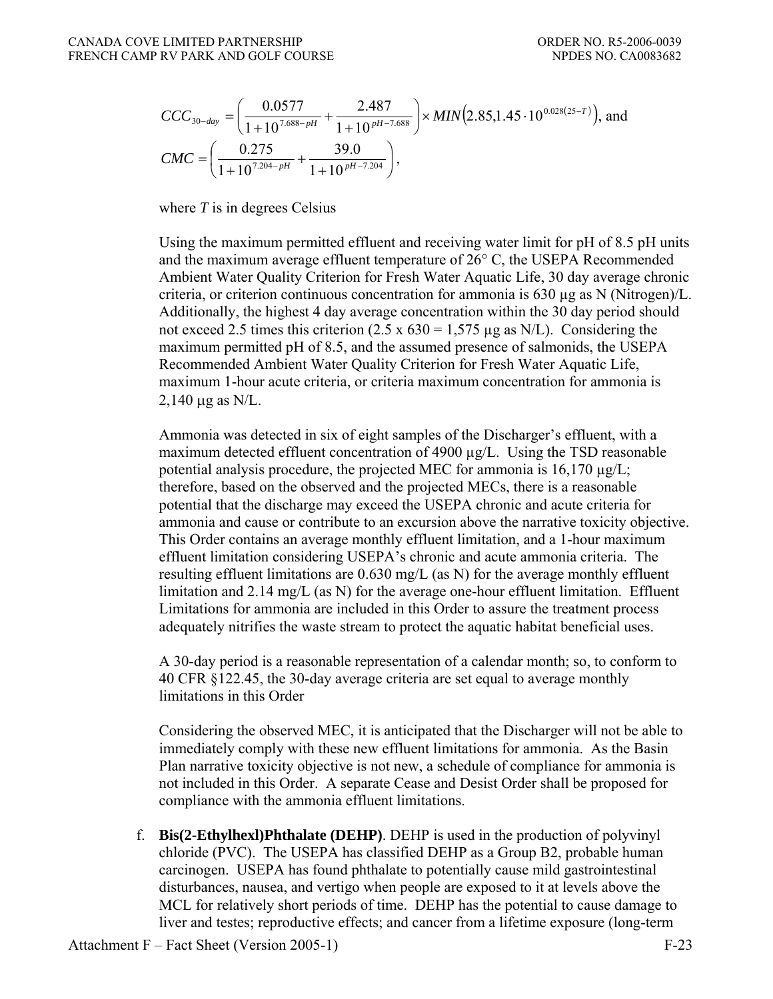$$
CCC_{30-day} = \left(\frac{0.0577}{1+10^{7.688-pH}} + \frac{2.487}{1+10^{pH-7.688}}\right) \times MIN(2.85,1.45 \cdot 10^{0.028(25-T)}), and
$$
  
\n
$$
CMC = \left(\frac{0.275}{1+10^{7.204-pH}} + \frac{39.0}{1+10^{pH-7.204}}\right),
$$

where *T* is in degrees Celsius

 Using the maximum permitted effluent and receiving water limit for pH of 8.5 pH units and the maximum average effluent temperature of 26° C, the USEPA Recommended Ambient Water Quality Criterion for Fresh Water Aquatic Life, 30 day average chronic criteria, or criterion continuous concentration for ammonia is 630 µg as N (Nitrogen)/L. Additionally, the highest 4 day average concentration within the 30 day period should not exceed 2.5 times this criterion  $(2.5 \times 630 = 1,575 \mu g$  as N/L). Considering the maximum permitted pH of 8.5, and the assumed presence of salmonids, the USEPA Recommended Ambient Water Quality Criterion for Fresh Water Aquatic Life, maximum 1-hour acute criteria, or criteria maximum concentration for ammonia is 2,140 μg as N/L.

 Ammonia was detected in six of eight samples of the Discharger's effluent, with a maximum detected effluent concentration of 4900  $\mu$ g/L. Using the TSD reasonable potential analysis procedure, the projected MEC for ammonia is  $16,170 \mu g/L$ ; therefore, based on the observed and the projected MECs, there is a reasonable potential that the discharge may exceed the USEPA chronic and acute criteria for ammonia and cause or contribute to an excursion above the narrative toxicity objective. This Order contains an average monthly effluent limitation, and a 1-hour maximum effluent limitation considering USEPA's chronic and acute ammonia criteria. The resulting effluent limitations are 0.630 mg/L (as N) for the average monthly effluent limitation and 2.14 mg/L (as N) for the average one-hour effluent limitation. Effluent Limitations for ammonia are included in this Order to assure the treatment process adequately nitrifies the waste stream to protect the aquatic habitat beneficial uses.

 A 30-day period is a reasonable representation of a calendar month; so, to conform to 40 CFR §122.45, the 30-day average criteria are set equal to average monthly limitations in this Order

 Considering the observed MEC, it is anticipated that the Discharger will not be able to immediately comply with these new effluent limitations for ammonia. As the Basin Plan narrative toxicity objective is not new, a schedule of compliance for ammonia is not included in this Order. A separate Cease and Desist Order shall be proposed for compliance with the ammonia effluent limitations.

 f. **Bis(2-Ethylhexl)Phthalate (DEHP)**. DEHP is used in the production of polyvinyl chloride (PVC). The USEPA has classified DEHP as a Group B2, probable human carcinogen. USEPA has found phthalate to potentially cause mild gastrointestinal disturbances, nausea, and vertigo when people are exposed to it at levels above the MCL for relatively short periods of time. DEHP has the potential to cause damage to liver and testes; reproductive effects; and cancer from a lifetime exposure (long-term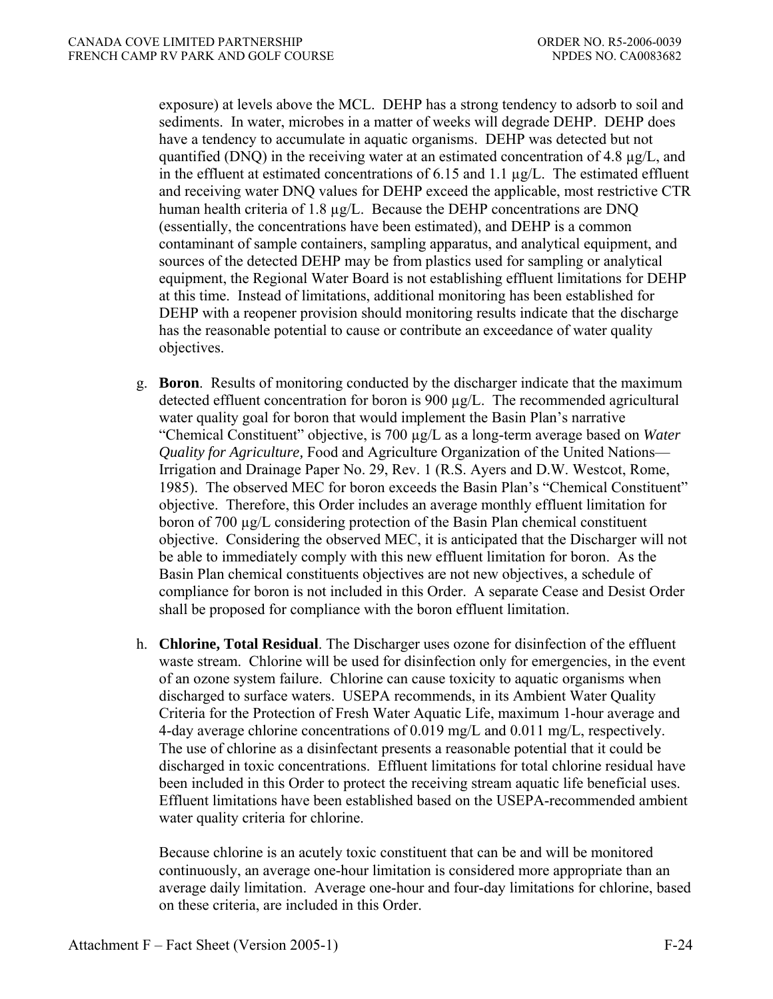exposure) at levels above the MCL. DEHP has a strong tendency to adsorb to soil and sediments. In water, microbes in a matter of weeks will degrade DEHP. DEHP does have a tendency to accumulate in aquatic organisms. DEHP was detected but not quantified (DNQ) in the receiving water at an estimated concentration of 4.8 µg/L, and in the effluent at estimated concentrations of 6.15 and 1.1 µg/L. The estimated effluent and receiving water DNQ values for DEHP exceed the applicable, most restrictive CTR human health criteria of 1.8  $\mu$ g/L. Because the DEHP concentrations are DNQ (essentially, the concentrations have been estimated), and DEHP is a common contaminant of sample containers, sampling apparatus, and analytical equipment, and sources of the detected DEHP may be from plastics used for sampling or analytical equipment, the Regional Water Board is not establishing effluent limitations for DEHP at this time. Instead of limitations, additional monitoring has been established for DEHP with a reopener provision should monitoring results indicate that the discharge has the reasonable potential to cause or contribute an exceedance of water quality objectives.

- g. **Boron**.Results of monitoring conducted by the discharger indicate that the maximum detected effluent concentration for boron is 900 µg/L. The recommended agricultural water quality goal for boron that would implement the Basin Plan's narrative "Chemical Constituent" objective, is 700 µg/L as a long-term average based on *Water Quality for Agriculture,* Food and Agriculture Organization of the United Nations— Irrigation and Drainage Paper No. 29, Rev. 1 (R.S. Ayers and D.W. Westcot, Rome, 1985). The observed MEC for boron exceeds the Basin Plan's "Chemical Constituent" objective. Therefore, this Order includes an average monthly effluent limitation for boron of 700 µg/L considering protection of the Basin Plan chemical constituent objective. Considering the observed MEC, it is anticipated that the Discharger will not be able to immediately comply with this new effluent limitation for boron. As the Basin Plan chemical constituents objectives are not new objectives, a schedule of compliance for boron is not included in this Order. A separate Cease and Desist Order shall be proposed for compliance with the boron effluent limitation.
- h. **Chlorine, Total Residual**. The Discharger uses ozone for disinfection of the effluent waste stream. Chlorine will be used for disinfection only for emergencies, in the event of an ozone system failure. Chlorine can cause toxicity to aquatic organisms when discharged to surface waters. USEPA recommends, in its Ambient Water Quality Criteria for the Protection of Fresh Water Aquatic Life, maximum 1-hour average and 4-day average chlorine concentrations of 0.019 mg/L and 0.011 mg/L, respectively. The use of chlorine as a disinfectant presents a reasonable potential that it could be discharged in toxic concentrations. Effluent limitations for total chlorine residual have been included in this Order to protect the receiving stream aquatic life beneficial uses. Effluent limitations have been established based on the USEPA-recommended ambient water quality criteria for chlorine.

 Because chlorine is an acutely toxic constituent that can be and will be monitored continuously, an average one-hour limitation is considered more appropriate than an average daily limitation. Average one-hour and four-day limitations for chlorine, based on these criteria, are included in this Order.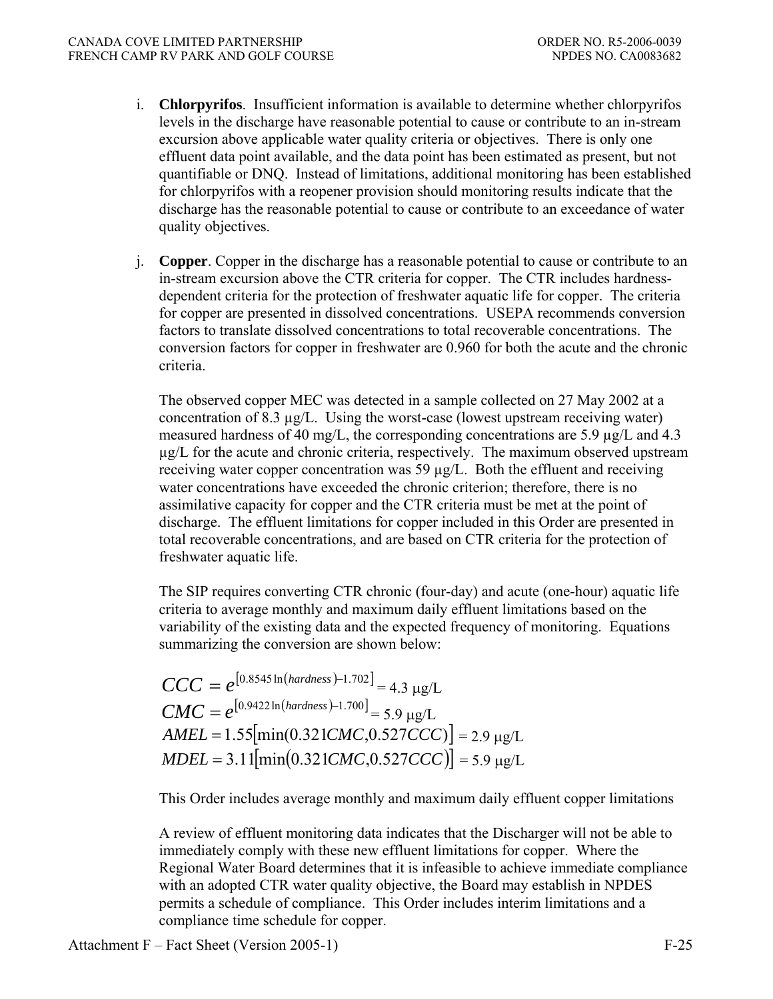- i. **Chlorpyrifos**. Insufficient information is available to determine whether chlorpyrifos levels in the discharge have reasonable potential to cause or contribute to an in-stream excursion above applicable water quality criteria or objectives. There is only one effluent data point available, and the data point has been estimated as present, but not quantifiable or DNQ. Instead of limitations, additional monitoring has been established for chlorpyrifos with a reopener provision should monitoring results indicate that the discharge has the reasonable potential to cause or contribute to an exceedance of water quality objectives.
- j. **Copper**. Copper in the discharge has a reasonable potential to cause or contribute to an in-stream excursion above the CTR criteria for copper. The CTR includes hardnessdependent criteria for the protection of freshwater aquatic life for copper. The criteria for copper are presented in dissolved concentrations. USEPA recommends conversion factors to translate dissolved concentrations to total recoverable concentrations. The conversion factors for copper in freshwater are 0.960 for both the acute and the chronic criteria.

The observed copper MEC was detected in a sample collected on 27 May 2002 at a concentration of 8.3  $\mu$ g/L. Using the worst-case (lowest upstream receiving water) measured hardness of 40 mg/L, the corresponding concentrations are 5.9  $\mu$ g/L and 4.3  $\mu$ g/L for the acute and chronic criteria, respectively. The maximum observed upstream receiving water copper concentration was 59 µg/L. Both the effluent and receiving water concentrations have exceeded the chronic criterion; therefore, there is no assimilative capacity for copper and the CTR criteria must be met at the point of discharge. The effluent limitations for copper included in this Order are presented in total recoverable concentrations, and are based on CTR criteria for the protection of freshwater aquatic life.

The SIP requires converting CTR chronic (four-day) and acute (one-hour) aquatic life criteria to average monthly and maximum daily effluent limitations based on the variability of the existing data and the expected frequency of monitoring. Equations summarizing the conversion are shown below:

 $CCC = e^{[0.8545 \ln (hardness) - 1.702]} = 4.3 \text{ µg/L}$  $CMC = e^{[0.9422 \ln(hardness) - 1.700]} = 5.9 \text{ µg/L}$  $AMEL = 1.55$ [min(0.321*CMC*,0.527*CCC*)] = 2.9 μg/L  $MDEL = 3.11$ [ $min( 0.321 CMC, 0.527 CCC)$ ] = 5.9 μg/L

This Order includes average monthly and maximum daily effluent copper limitations

A review of effluent monitoring data indicates that the Discharger will not be able to immediately comply with these new effluent limitations for copper. Where the Regional Water Board determines that it is infeasible to achieve immediate compliance with an adopted CTR water quality objective, the Board may establish in NPDES permits a schedule of compliance. This Order includes interim limitations and a compliance time schedule for copper.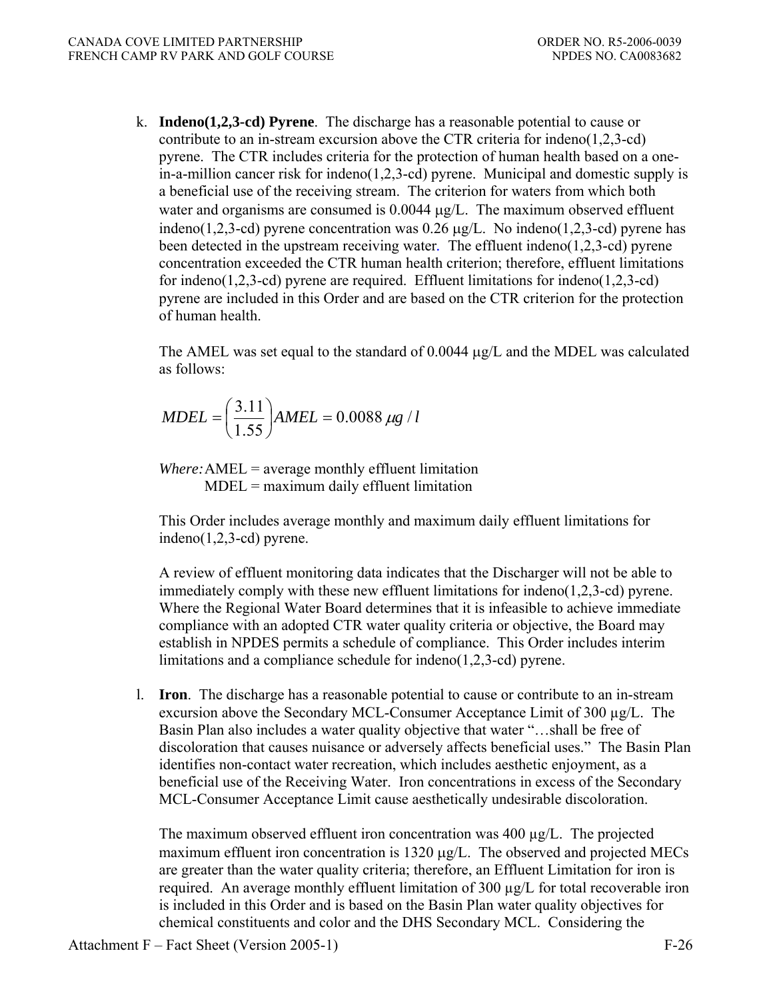k. **Indeno(1,2,3-cd) Pyrene**.The discharge has a reasonable potential to cause or contribute to an in-stream excursion above the CTR criteria for indeno(1,2,3-cd) pyrene. The CTR includes criteria for the protection of human health based on a onein-a-million cancer risk for indeno(1,2,3-cd) pyrene. Municipal and domestic supply is a beneficial use of the receiving stream. The criterion for waters from which both water and organisms are consumed is 0.0044 μg/L. The maximum observed effluent indeno(1,2,3-cd) pyrene concentration was  $0.26 \mu g/L$ . No indeno(1,2,3-cd) pyrene has been detected in the upstream receiving water*.* The effluent indeno(1,2,3-cd) pyrene concentration exceeded the CTR human health criterion; therefore, effluent limitations for indeno(1,2,3-cd) pyrene are required. Effluent limitations for indeno(1,2,3-cd) pyrene are included in this Order and are based on the CTR criterion for the protection of human health.

 The AMEL was set equal to the standard of 0.0044 μg/L and the MDEL was calculated as follows:

$$
MDEL = \left(\frac{3.11}{1.55}\right) AMEL = 0.0088 \ \mu g / l
$$

*Where:* AMEL = average monthly effluent limitation MDEL = maximum daily effluent limitation

This Order includes average monthly and maximum daily effluent limitations for indeno(1,2,3-cd) pyrene.

 A review of effluent monitoring data indicates that the Discharger will not be able to immediately comply with these new effluent limitations for indeno(1,2,3-cd) pyrene. Where the Regional Water Board determines that it is infeasible to achieve immediate compliance with an adopted CTR water quality criteria or objective, the Board may establish in NPDES permits a schedule of compliance. This Order includes interim limitations and a compliance schedule for indeno(1,2,3-cd) pyrene.

 l. **Iron**. The discharge has a reasonable potential to cause or contribute to an in-stream excursion above the Secondary MCL-Consumer Acceptance Limit of  $300 \mu g/L$ . The Basin Plan also includes a water quality objective that water "…shall be free of discoloration that causes nuisance or adversely affects beneficial uses." The Basin Plan identifies non-contact water recreation, which includes aesthetic enjoyment, as a beneficial use of the Receiving Water. Iron concentrations in excess of the Secondary MCL-Consumer Acceptance Limit cause aesthetically undesirable discoloration.

 The maximum observed effluent iron concentration was 400 µg/L. The projected maximum effluent iron concentration is 1320 μg/L. The observed and projected MECs are greater than the water quality criteria; therefore, an Effluent Limitation for iron is required. An average monthly effluent limitation of 300 µg/L for total recoverable iron is included in this Order and is based on the Basin Plan water quality objectives for chemical constituents and color and the DHS Secondary MCL. Considering the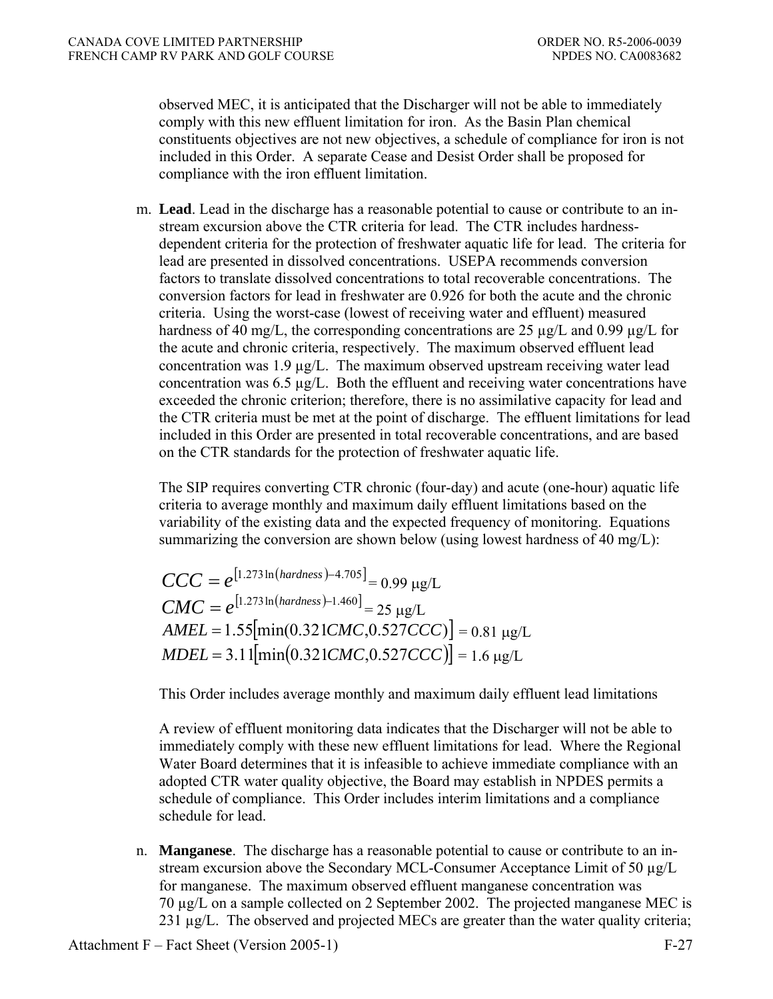observed MEC, it is anticipated that the Discharger will not be able to immediately comply with this new effluent limitation for iron. As the Basin Plan chemical constituents objectives are not new objectives, a schedule of compliance for iron is not included in this Order. A separate Cease and Desist Order shall be proposed for compliance with the iron effluent limitation.

 m. **Lead**. Lead in the discharge has a reasonable potential to cause or contribute to an instream excursion above the CTR criteria for lead. The CTR includes hardnessdependent criteria for the protection of freshwater aquatic life for lead. The criteria for lead are presented in dissolved concentrations. USEPA recommends conversion factors to translate dissolved concentrations to total recoverable concentrations. The conversion factors for lead in freshwater are 0.926 for both the acute and the chronic criteria. Using the worst-case (lowest of receiving water and effluent) measured hardness of 40 mg/L, the corresponding concentrations are 25  $\mu$ g/L and 0.99  $\mu$ g/L for the acute and chronic criteria, respectively. The maximum observed effluent lead concentration was 1.9 µg/L. The maximum observed upstream receiving water lead concentration was 6.5  $\mu$ g/L. Both the effluent and receiving water concentrations have exceeded the chronic criterion; therefore, there is no assimilative capacity for lead and the CTR criteria must be met at the point of discharge. The effluent limitations for lead included in this Order are presented in total recoverable concentrations, and are based on the CTR standards for the protection of freshwater aquatic life.

 The SIP requires converting CTR chronic (four-day) and acute (one-hour) aquatic life criteria to average monthly and maximum daily effluent limitations based on the variability of the existing data and the expected frequency of monitoring. Equations summarizing the conversion are shown below (using lowest hardness of 40 mg/L):

$$
CCC = e^{[1.273 \ln(hardness) - 4.705]} = 0.99 \text{ µg/L}
$$
  
\n
$$
CMC = e^{[1.273 \ln(hardness) - 1.460]} = 25 \text{ µg/L}
$$
  
\n
$$
AMEL = 1.55[\text{min}(0.321CMC, 0.527CCC)] = 0.81 \text{ µg/L}
$$
  
\n
$$
MDEL = 3.11[\text{min}(0.321CMC, 0.527CCC)] = 1.6 \text{ µg/L}
$$

This Order includes average monthly and maximum daily effluent lead limitations

 A review of effluent monitoring data indicates that the Discharger will not be able to immediately comply with these new effluent limitations for lead. Where the Regional Water Board determines that it is infeasible to achieve immediate compliance with an adopted CTR water quality objective, the Board may establish in NPDES permits a schedule of compliance. This Order includes interim limitations and a compliance schedule for lead.

 n. **Manganese**. The discharge has a reasonable potential to cause or contribute to an instream excursion above the Secondary MCL-Consumer Acceptance Limit of 50 µg/L for manganese. The maximum observed effluent manganese concentration was 70 µg/L on a sample collected on 2 September 2002. The projected manganese MEC is 231 µg/L. The observed and projected MECs are greater than the water quality criteria;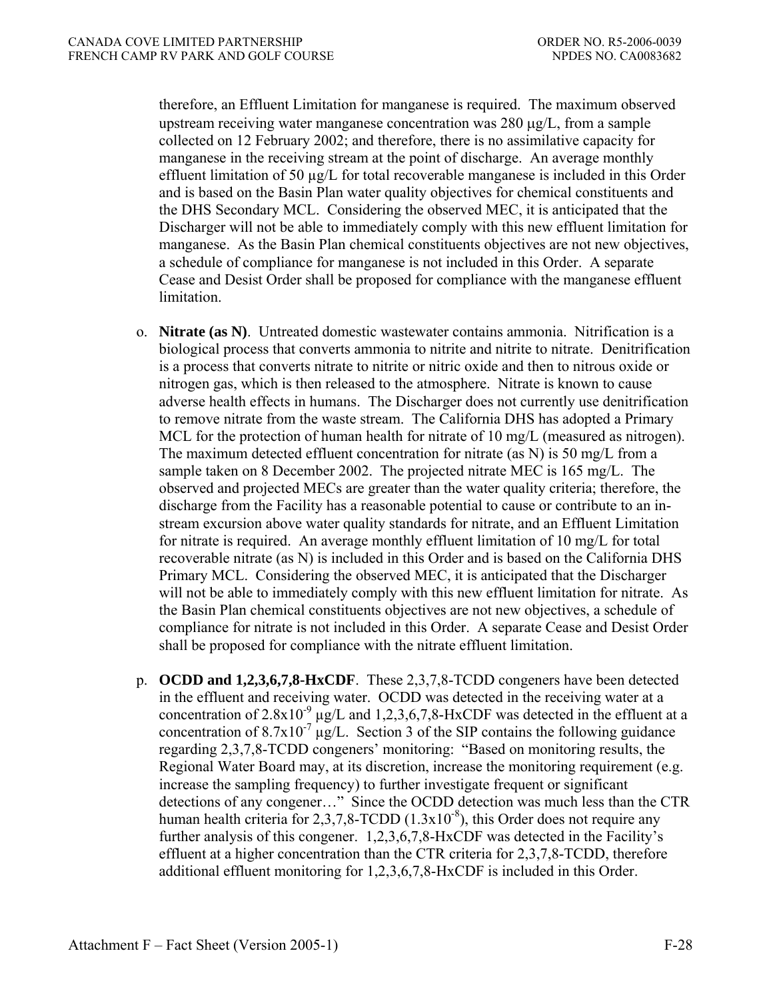therefore, an Effluent Limitation for manganese is required. The maximum observed upstream receiving water manganese concentration was 280 μg/L, from a sample collected on 12 February 2002; and therefore, there is no assimilative capacity for manganese in the receiving stream at the point of discharge. An average monthly effluent limitation of 50  $\mu$ g/L for total recoverable manganese is included in this Order and is based on the Basin Plan water quality objectives for chemical constituents and the DHS Secondary MCL. Considering the observed MEC, it is anticipated that the Discharger will not be able to immediately comply with this new effluent limitation for manganese. As the Basin Plan chemical constituents objectives are not new objectives, a schedule of compliance for manganese is not included in this Order. A separate Cease and Desist Order shall be proposed for compliance with the manganese effluent limitation.

- o. **Nitrate (as N)**.Untreated domestic wastewater contains ammonia. Nitrification is a biological process that converts ammonia to nitrite and nitrite to nitrate. Denitrification is a process that converts nitrate to nitrite or nitric oxide and then to nitrous oxide or nitrogen gas, which is then released to the atmosphere. Nitrate is known to cause adverse health effects in humans. The Discharger does not currently use denitrification to remove nitrate from the waste stream. The California DHS has adopted a Primary MCL for the protection of human health for nitrate of 10 mg/L (measured as nitrogen). The maximum detected effluent concentration for nitrate (as N) is 50 mg/L from a sample taken on 8 December 2002. The projected nitrate MEC is 165 mg/L. The observed and projected MECs are greater than the water quality criteria; therefore, the discharge from the Facility has a reasonable potential to cause or contribute to an instream excursion above water quality standards for nitrate, and an Effluent Limitation for nitrate is required. An average monthly effluent limitation of 10 mg/L for total recoverable nitrate (as N) is included in this Order and is based on the California DHS Primary MCL. Considering the observed MEC, it is anticipated that the Discharger will not be able to immediately comply with this new effluent limitation for nitrate. As the Basin Plan chemical constituents objectives are not new objectives, a schedule of compliance for nitrate is not included in this Order. A separate Cease and Desist Order shall be proposed for compliance with the nitrate effluent limitation.
- p. **OCDD and 1,2,3,6,7,8-HxCDF**. These 2,3,7,8-TCDD congeners have been detected in the effluent and receiving water. OCDD was detected in the receiving water at a concentration of  $2.8x10^{-9}$   $\mu$ g/L and 1,2,3,6,7,8-HxCDF was detected in the effluent at a concentration of  $8.7 \times 10^{-7}$  µg/L. Section 3 of the SIP contains the following guidance regarding 2,3,7,8-TCDD congeners' monitoring: "Based on monitoring results, the Regional Water Board may, at its discretion, increase the monitoring requirement (e.g. increase the sampling frequency) to further investigate frequent or significant detections of any congener…" Since the OCDD detection was much less than the CTR human health criteria for 2,3,7,8-TCDD  $(1.3x10^{-8})$ , this Order does not require any further analysis of this congener. 1,2,3,6,7,8-HxCDF was detected in the Facility's effluent at a higher concentration than the CTR criteria for 2,3,7,8-TCDD, therefore additional effluent monitoring for 1,2,3,6,7,8-HxCDF is included in this Order.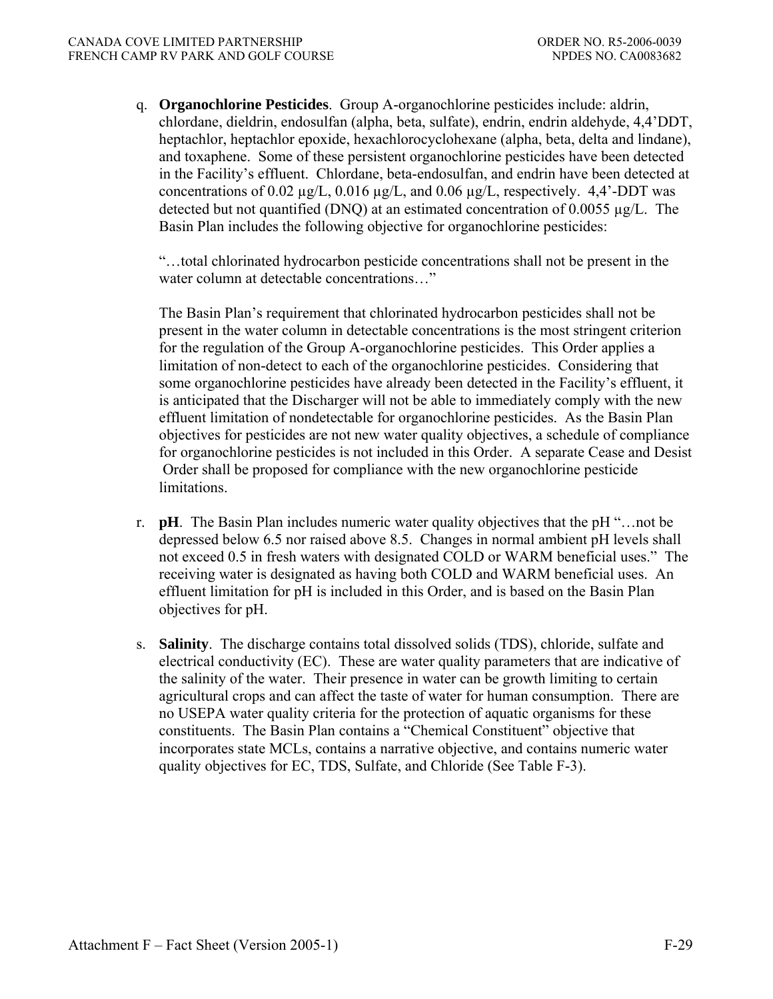q. **Organochlorine Pesticides**. Group A-organochlorine pesticides include: aldrin, chlordane, dieldrin, endosulfan (alpha, beta, sulfate), endrin, endrin aldehyde, 4,4'DDT, heptachlor, heptachlor epoxide, hexachlorocyclohexane (alpha, beta, delta and lindane), and toxaphene. Some of these persistent organochlorine pesticides have been detected in the Facility's effluent. Chlordane, beta-endosulfan, and endrin have been detected at concentrations of 0.02  $\mu$ g/L, 0.016  $\mu$ g/L, and 0.06  $\mu$ g/L, respectively. 4,4'-DDT was detected but not quantified (DNQ) at an estimated concentration of 0.0055 µg/L. The Basin Plan includes the following objective for organochlorine pesticides:

 "…total chlorinated hydrocarbon pesticide concentrations shall not be present in the water column at detectable concentrations..."

 The Basin Plan's requirement that chlorinated hydrocarbon pesticides shall not be present in the water column in detectable concentrations is the most stringent criterion for the regulation of the Group A-organochlorine pesticides. This Order applies a limitation of non-detect to each of the organochlorine pesticides. Considering that some organochlorine pesticides have already been detected in the Facility's effluent, it is anticipated that the Discharger will not be able to immediately comply with the new effluent limitation of nondetectable for organochlorine pesticides. As the Basin Plan objectives for pesticides are not new water quality objectives, a schedule of compliance for organochlorine pesticides is not included in this Order. A separate Cease and Desist Order shall be proposed for compliance with the new organochlorine pesticide limitations.

- r. **pH**.The Basin Plan includes numeric water quality objectives that the pH "…not be depressed below 6.5 nor raised above 8.5. Changes in normal ambient pH levels shall not exceed 0.5 in fresh waters with designated COLD or WARM beneficial uses." The receiving water is designated as having both COLD and WARM beneficial uses. An effluent limitation for pH is included in this Order, and is based on the Basin Plan objectives for pH.
- s. **Salinity**. The discharge contains total dissolved solids (TDS), chloride, sulfate and electrical conductivity (EC). These are water quality parameters that are indicative of the salinity of the water. Their presence in water can be growth limiting to certain agricultural crops and can affect the taste of water for human consumption. There are no USEPA water quality criteria for the protection of aquatic organisms for these constituents. The Basin Plan contains a "Chemical Constituent" objective that incorporates state MCLs, contains a narrative objective, and contains numeric water quality objectives for EC, TDS, Sulfate, and Chloride (See Table F-3).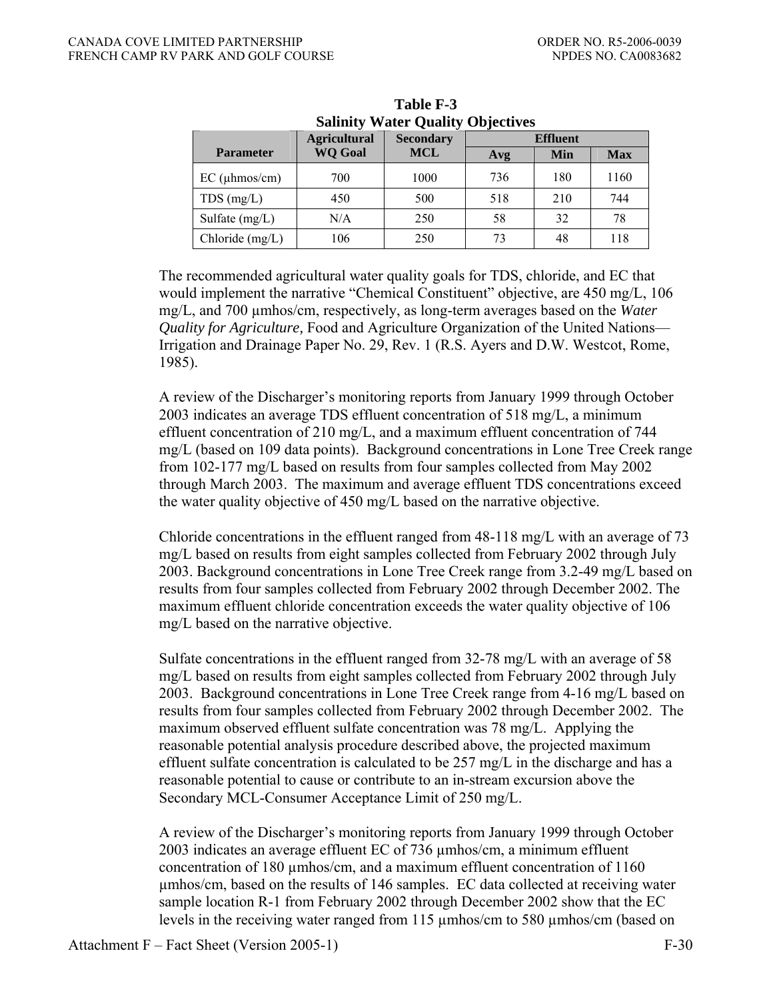| <b>Salinity Water Quality Objectives</b> |                                                            |            |     |     |            |  |  |  |
|------------------------------------------|------------------------------------------------------------|------------|-----|-----|------------|--|--|--|
|                                          | <b>Agricultural</b><br><b>Effluent</b><br><b>Secondary</b> |            |     |     |            |  |  |  |
| <b>Parameter</b>                         | <b>WQ Goal</b>                                             | <b>MCL</b> | Avg | Min | <b>Max</b> |  |  |  |
| $EC$ (µhmos/cm)                          | 700                                                        | 1000       | 736 | 180 | 1160       |  |  |  |
| TDS(mg/L)                                | 450                                                        | 500        | 518 | 210 | 744        |  |  |  |
| Sulfate $(mg/L)$                         | N/A                                                        | 250        | 58  | 32  | 78         |  |  |  |
| Chloride (mg/L)                          | 106                                                        | 250        | 73  | 48  | 118        |  |  |  |

**Table F-3 Salinity Water Quality Objectives** 

The recommended agricultural water quality goals for TDS, chloride, and EC that would implement the narrative "Chemical Constituent" objective, are 450 mg/L, 106 mg/L, and 700 µmhos/cm, respectively, as long-term averages based on the *Water Quality for Agriculture,* Food and Agriculture Organization of the United Nations— Irrigation and Drainage Paper No. 29, Rev. 1 (R.S. Ayers and D.W. Westcot, Rome, 1985).

A review of the Discharger's monitoring reports from January 1999 through October 2003 indicates an average TDS effluent concentration of 518 mg/L, a minimum effluent concentration of 210 mg/L, and a maximum effluent concentration of 744 mg/L (based on 109 data points). Background concentrations in Lone Tree Creek range from 102-177 mg/L based on results from four samples collected from May 2002 through March 2003. The maximum and average effluent TDS concentrations exceed the water quality objective of 450 mg/L based on the narrative objective.

 Chloride concentrations in the effluent ranged from 48-118 mg/L with an average of 73 mg/L based on results from eight samples collected from February 2002 through July 2003. Background concentrations in Lone Tree Creek range from 3.2-49 mg/L based on results from four samples collected from February 2002 through December 2002. The maximum effluent chloride concentration exceeds the water quality objective of 106 mg/L based on the narrative objective.

Sulfate concentrations in the effluent ranged from 32-78 mg/L with an average of 58 mg/L based on results from eight samples collected from February 2002 through July 2003. Background concentrations in Lone Tree Creek range from 4-16 mg/L based on results from four samples collected from February 2002 through December 2002. The maximum observed effluent sulfate concentration was 78 mg/L. Applying the reasonable potential analysis procedure described above, the projected maximum effluent sulfate concentration is calculated to be 257 mg/L in the discharge and has a reasonable potential to cause or contribute to an in-stream excursion above the Secondary MCL-Consumer Acceptance Limit of 250 mg/L.

 A review of the Discharger's monitoring reports from January 1999 through October 2003 indicates an average effluent EC of 736 µmhos/cm, a minimum effluent concentration of 180 µmhos/cm, and a maximum effluent concentration of 1160 µmhos/cm, based on the results of 146 samples. EC data collected at receiving water sample location R-1 from February 2002 through December 2002 show that the EC levels in the receiving water ranged from 115 µmhos/cm to 580 µmhos/cm (based on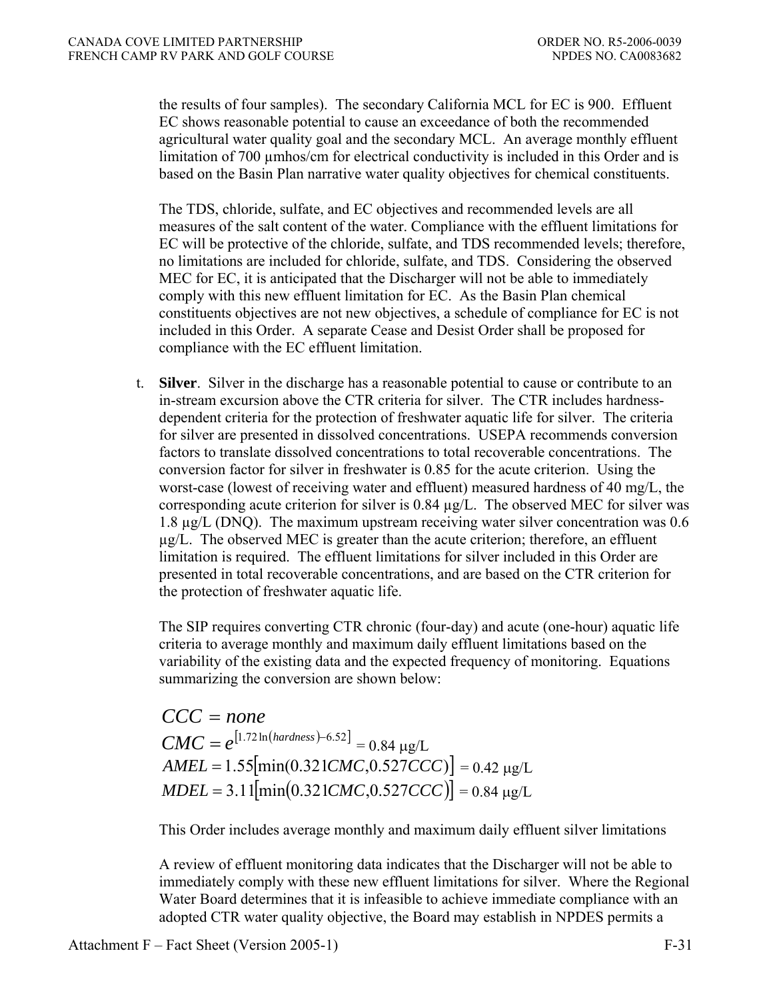the results of four samples). The secondary California MCL for EC is 900. Effluent EC shows reasonable potential to cause an exceedance of both the recommended agricultural water quality goal and the secondary MCL. An average monthly effluent limitation of 700 µmhos/cm for electrical conductivity is included in this Order and is based on the Basin Plan narrative water quality objectives for chemical constituents.

 The TDS, chloride, sulfate, and EC objectives and recommended levels are all measures of the salt content of the water. Compliance with the effluent limitations for EC will be protective of the chloride, sulfate, and TDS recommended levels; therefore, no limitations are included for chloride, sulfate, and TDS. Considering the observed MEC for EC, it is anticipated that the Discharger will not be able to immediately comply with this new effluent limitation for EC. As the Basin Plan chemical constituents objectives are not new objectives, a schedule of compliance for EC is not included in this Order. A separate Cease and Desist Order shall be proposed for compliance with the EC effluent limitation.

 t. **Silver**. Silver in the discharge has a reasonable potential to cause or contribute to an in-stream excursion above the CTR criteria for silver. The CTR includes hardnessdependent criteria for the protection of freshwater aquatic life for silver. The criteria for silver are presented in dissolved concentrations. USEPA recommends conversion factors to translate dissolved concentrations to total recoverable concentrations. The conversion factor for silver in freshwater is 0.85 for the acute criterion. Using the worst-case (lowest of receiving water and effluent) measured hardness of 40 mg/L, the corresponding acute criterion for silver is  $0.84 \mu g/L$ . The observed MEC for silver was 1.8 µg/L (DNQ). The maximum upstream receiving water silver concentration was 0.6  $\mu$ g/L. The observed MEC is greater than the acute criterion; therefore, an effluent limitation is required. The effluent limitations for silver included in this Order are presented in total recoverable concentrations, and are based on the CTR criterion for the protection of freshwater aquatic life.

 The SIP requires converting CTR chronic (four-day) and acute (one-hour) aquatic life criteria to average monthly and maximum daily effluent limitations based on the variability of the existing data and the expected frequency of monitoring. Equations summarizing the conversion are shown below:

*CCC* = *none*  $CMC = e^{[1.72 \ln (hardness) - 6.52]} = 0.84 \text{ µg/L}$  $AMEL = 1.55$ [ $min(0.321CMC, 0.527CCC)$ ] = 0.42 μg/L  $MDEL = 3.11$ [ $min( 0.321 CMC, 0.527 CCC)$ ] = 0.84 μg/L

This Order includes average monthly and maximum daily effluent silver limitations

 A review of effluent monitoring data indicates that the Discharger will not be able to immediately comply with these new effluent limitations for silver. Where the Regional Water Board determines that it is infeasible to achieve immediate compliance with an adopted CTR water quality objective, the Board may establish in NPDES permits a

Attachment F – Fact Sheet (Version 2005-1) F-31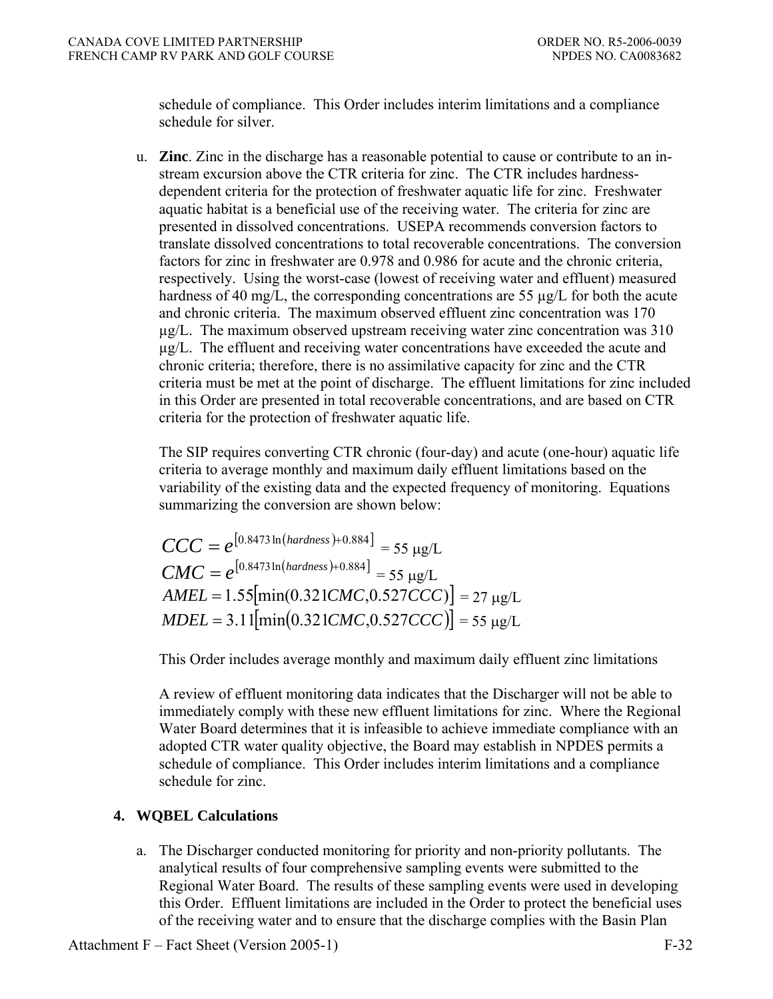schedule of compliance. This Order includes interim limitations and a compliance schedule for silver.

 u. **Zinc**. Zinc in the discharge has a reasonable potential to cause or contribute to an instream excursion above the CTR criteria for zinc. The CTR includes hardnessdependent criteria for the protection of freshwater aquatic life for zinc. Freshwater aquatic habitat is a beneficial use of the receiving water. The criteria for zinc are presented in dissolved concentrations. USEPA recommends conversion factors to translate dissolved concentrations to total recoverable concentrations. The conversion factors for zinc in freshwater are 0.978 and 0.986 for acute and the chronic criteria, respectively. Using the worst-case (lowest of receiving water and effluent) measured hardness of 40 mg/L, the corresponding concentrations are 55  $\mu$ g/L for both the acute and chronic criteria. The maximum observed effluent zinc concentration was 170 µg/L. The maximum observed upstream receiving water zinc concentration was 310 µg/L. The effluent and receiving water concentrations have exceeded the acute and chronic criteria; therefore, there is no assimilative capacity for zinc and the CTR criteria must be met at the point of discharge. The effluent limitations for zinc included in this Order are presented in total recoverable concentrations, and are based on CTR criteria for the protection of freshwater aquatic life.

 The SIP requires converting CTR chronic (four-day) and acute (one-hour) aquatic life criteria to average monthly and maximum daily effluent limitations based on the variability of the existing data and the expected frequency of monitoring. Equations summarizing the conversion are shown below:

$$
CCC = e^{[0.8473 \ln(hardness) + 0.884]} = 55 \text{ µg/L}
$$
  
\n
$$
CMC = e^{[0.8473 \ln(hardness) + 0.884]} = 55 \text{ µg/L}
$$
  
\n
$$
AMEL = 1.55[\text{min}(0.321CMC, 0.527CCC)] = 27 \text{ µg/L}
$$
  
\n
$$
MDEL = 3.11[\text{min}(0.321CMC, 0.527CCC)] = 55 \text{ µg/L}
$$

This Order includes average monthly and maximum daily effluent zinc limitations

 A review of effluent monitoring data indicates that the Discharger will not be able to immediately comply with these new effluent limitations for zinc. Where the Regional Water Board determines that it is infeasible to achieve immediate compliance with an adopted CTR water quality objective, the Board may establish in NPDES permits a schedule of compliance. This Order includes interim limitations and a compliance schedule for zinc.

# **4. WQBEL Calculations**

 a. The Discharger conducted monitoring for priority and non-priority pollutants. The analytical results of four comprehensive sampling events were submitted to the Regional Water Board. The results of these sampling events were used in developing this Order. Effluent limitations are included in the Order to protect the beneficial uses of the receiving water and to ensure that the discharge complies with the Basin Plan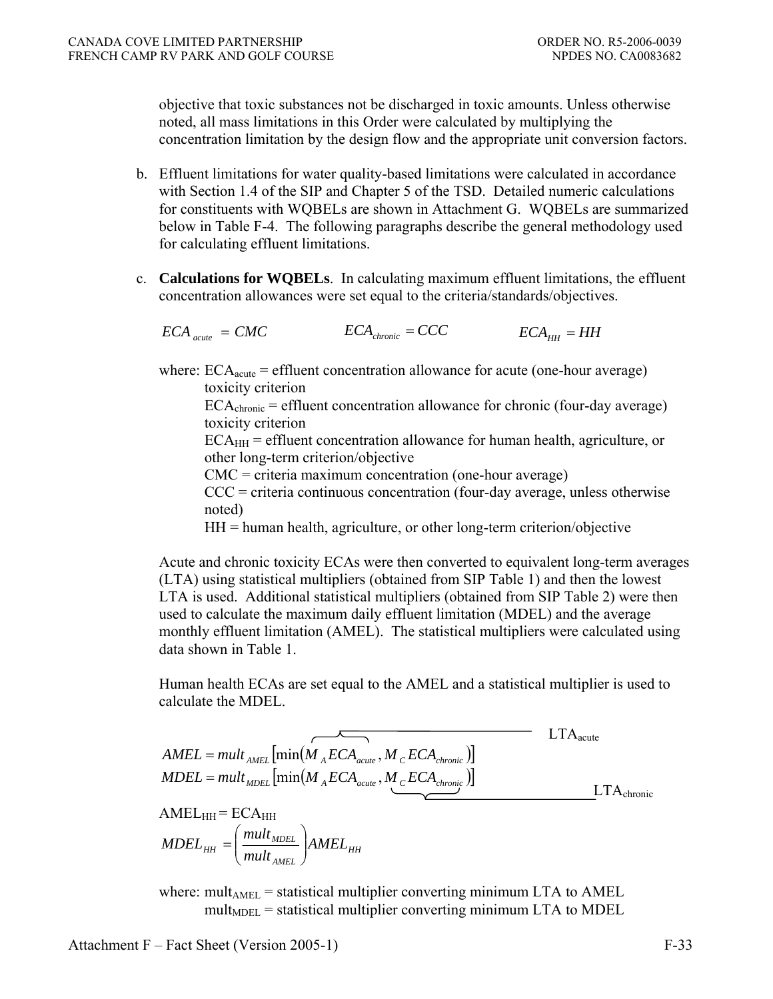objective that toxic substances not be discharged in toxic amounts. Unless otherwise noted, all mass limitations in this Order were calculated by multiplying the concentration limitation by the design flow and the appropriate unit conversion factors.

- b. Effluent limitations for water quality-based limitations were calculated in accordance with Section 1.4 of the SIP and Chapter 5 of the TSD. Detailed numeric calculations for constituents with WQBELs are shown in Attachment G. WQBELs are summarized below in Table F-4. The following paragraphs describe the general methodology used for calculating effluent limitations.
- c. **Calculations for WQBELs**. In calculating maximum effluent limitations, the effluent concentration allowances were set equal to the criteria/standards/objectives.

$$
ECA_{\text{acute}} = CMC
$$
 
$$
ECA_{\text{chromic}} = CCC
$$
 
$$
ECA_{HH} = HH
$$

where:  $ECA<sub>acute</sub>$  = effluent concentration allowance for acute (one-hour average) toxicity criterion

 $ECA<sub>chronic</sub> = effluent concentration allowance for chronic (four-day average)$ toxicity criterion

 $ECA<sub>HH</sub>$  = effluent concentration allowance for human health, agriculture, or other long-term criterion/objective

CMC = criteria maximum concentration (one-hour average)

 $CCC =$  criteria continuous concentration (four-day average, unless otherwise noted)

 $HH =$  human health, agriculture, or other long-term criterion/objective

Acute and chronic toxicity ECAs were then converted to equivalent long-term averages (LTA) using statistical multipliers (obtained from SIP Table 1) and then the lowest LTA is used. Additional statistical multipliers (obtained from SIP Table 2) were then used to calculate the maximum daily effluent limitation (MDEL) and the average monthly effluent limitation (AMEL). The statistical multipliers were calculated using data shown in Table 1.

Human health ECAs are set equal to the AMEL and a statistical multiplier is used to calculate the MDEL.

$$
AMEL = mult_{AMEL} \left[ min(M_{A}ECA_{acute}, M_{C}ECA_{chromic}) \right]
$$
  
\n
$$
MDEL = mult_{MDEL} \left[ min(M_{A}ECA_{acute}, M_{C}ECA_{chromic}) \right]
$$
  
\n
$$
AMEL_{HH} = ECA_{HH}
$$
  
\n
$$
MDEL_{HH} = \left( \frac{mult_{MDEL}}{mult_{AMEL}} \right) AMEL_{HH}
$$
  
\nwhere: mult<sub>AMEL</sub> = statistical multiplier converting minimum LTA to AMEL  
\n
$$
mult_{MDEL} = statistical multiplier converting minimum LTA to AMEL
$$

Attachment F – Fact Sheet (Version 2005-1) F-33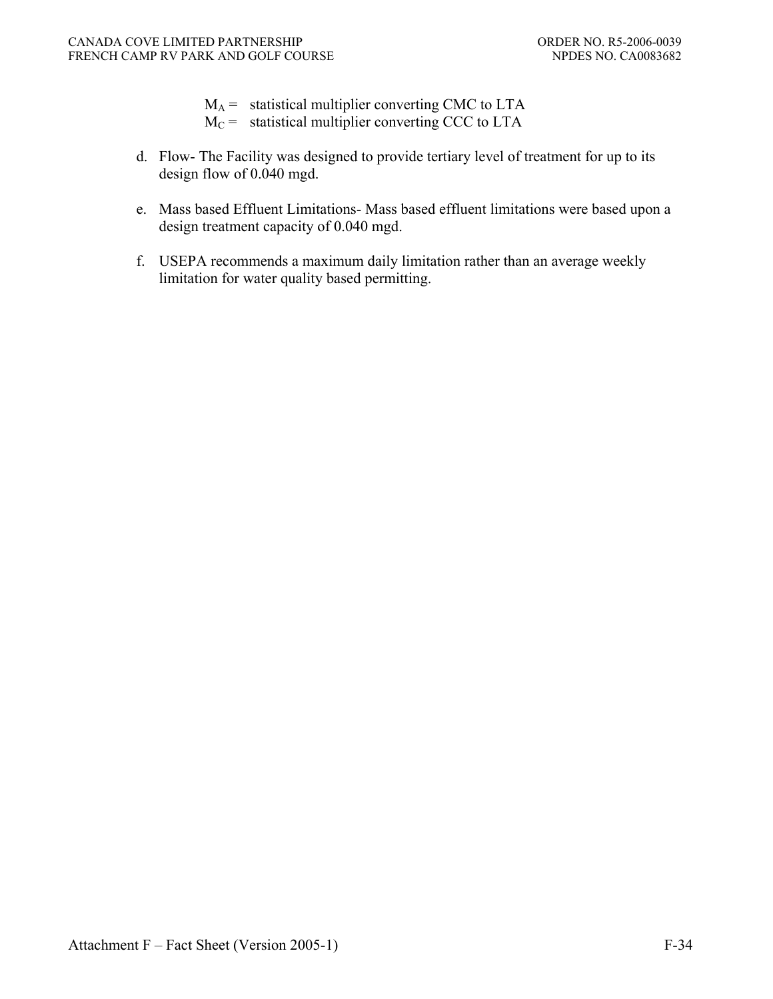- $M_A$  = statistical multiplier converting CMC to LTA
- $M_C$  = statistical multiplier converting CCC to LTA
- d. Flow- The Facility was designed to provide tertiary level of treatment for up to its design flow of 0.040 mgd.
- e. Mass based Effluent Limitations- Mass based effluent limitations were based upon a design treatment capacity of 0.040 mgd.
- f. USEPA recommends a maximum daily limitation rather than an average weekly limitation for water quality based permitting.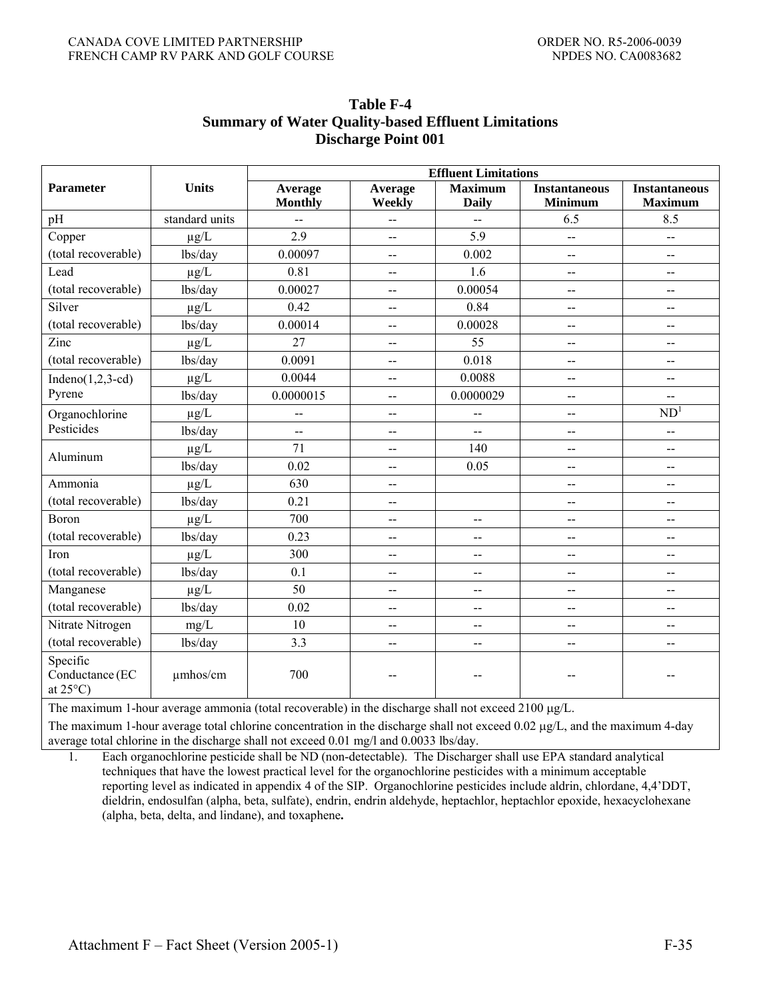|                                                   |                | <b>Effluent Limitations</b> |                                               |                                |                                        |                                        |  |  |  |
|---------------------------------------------------|----------------|-----------------------------|-----------------------------------------------|--------------------------------|----------------------------------------|----------------------------------------|--|--|--|
| Parameter                                         | <b>Units</b>   | Average<br><b>Monthly</b>   | Average<br>Weekly                             | <b>Maximum</b><br><b>Daily</b> | <b>Instantaneous</b><br><b>Minimum</b> | <b>Instantaneous</b><br><b>Maximum</b> |  |  |  |
| pH                                                | standard units | $\overline{\phantom{a}}$    | $\mathbb{L}^2$                                | $-$                            | 6.5                                    | 8.5                                    |  |  |  |
| Copper                                            | $\mu g/L$      | 2.9                         | $-$                                           | 5.9                            | $\overline{a}$                         | $\overline{a}$                         |  |  |  |
| (total recoverable)                               | lbs/day        | 0.00097                     | $\overline{\phantom{m}}$                      | 0.002                          | $\overline{a}$                         | --                                     |  |  |  |
| Lead                                              | $\mu g/L$      | 0.81                        | $\overline{a}$                                | 1.6                            | $\overline{a}$                         | $\overline{a}$                         |  |  |  |
| (total recoverable)                               | lbs/day        | 0.00027                     | $\overline{\phantom{a}}$                      | 0.00054                        | $\overline{a}$                         | $-$                                    |  |  |  |
| Silver                                            | $\mu g/L$      | 0.42                        | $\mathbf{--}$                                 | 0.84                           | $-$                                    | $-$                                    |  |  |  |
| (total recoverable)                               | lbs/day        | 0.00014                     | $\overline{\phantom{a}}$                      | 0.00028                        | --                                     | --                                     |  |  |  |
| Zinc                                              | $\mu$ g/L      | 27                          | $\overline{\phantom{m}}$                      | 55                             | $\overline{\phantom{a}}$               | $\overline{\phantom{a}}$               |  |  |  |
| (total recoverable)                               | lbs/day        | 0.0091                      | $-$                                           | 0.018                          | $\overline{a}$                         | $\overline{a}$                         |  |  |  |
| $Indeno(1,2,3-cd)$                                | $\mu g/L$      | 0.0044                      | $\overline{\phantom{m}}$                      | 0.0088                         | $-$                                    | --                                     |  |  |  |
| Pyrene                                            | lbs/day        | 0.0000015                   | $\overline{a}$                                | 0.0000029                      | $-$                                    | $-$                                    |  |  |  |
| Organochlorine                                    | $\mu g/L$      | $\overline{\phantom{a}}$    | $\hspace{0.05cm}$ $\hspace{0.05cm}$           | $-$                            | $\overline{\phantom{a}}$               | ND <sup>1</sup>                        |  |  |  |
| Pesticides                                        | lbs/day        | $\overline{\phantom{a}}$    | $-$                                           | $-$                            | $\overline{\phantom{a}}$               | $\overline{\phantom{a}}$               |  |  |  |
| Aluminum                                          | $\mu g/L$      | 71                          | $- -$                                         | 140                            | $\overline{\phantom{a}}$               | $\overline{a}$                         |  |  |  |
|                                                   | lbs/day        | 0.02                        | $\overline{\phantom{a}}$                      | 0.05                           | --                                     | $- -$                                  |  |  |  |
| Ammonia                                           | $\mu g/L$      | 630                         | $-$                                           |                                | $\overline{\phantom{a}}$               | --                                     |  |  |  |
| (total recoverable)                               | lbs/day        | 0.21                        | $-$                                           |                                | $\overline{\phantom{m}}$               | --                                     |  |  |  |
| Boron                                             | $\mu g/L$      | 700                         | $\overline{\phantom{m}}$                      | $\overline{a}$                 | $\overline{\phantom{a}}$               | $-$                                    |  |  |  |
| (total recoverable)                               | lbs/day        | 0.23                        | $\overline{\phantom{a}}$                      | $\overline{a}$                 | $\overline{a}$                         | $\overline{a}$                         |  |  |  |
| <b>Iron</b>                                       | $\mu g/L$      | 300                         | --                                            | $-$                            | $\overline{\phantom{a}}$               | $-$                                    |  |  |  |
| (total recoverable)                               | lbs/day        | 0.1                         | $\overline{\phantom{a}}$                      | --                             | $\hspace{0.05cm}$ – $\hspace{0.05cm}$  | $-$                                    |  |  |  |
| Manganese                                         | $\mu g/L$      | 50                          | $\mathord{\hspace{1pt}\text{--}\hspace{1pt}}$ | --                             | $\overline{\phantom{a}}$               | $\overline{\phantom{a}}$               |  |  |  |
| (total recoverable)                               | lbs/day        | 0.02                        | $\hspace{0.05cm}$ $\hspace{0.05cm}$           | $\overline{a}$                 | $\overline{\phantom{a}}$               | $-$                                    |  |  |  |
| Nitrate Nitrogen                                  | mg/L           | 10                          | $\overline{\phantom{a}}$                      | $-$                            | $\overline{\phantom{a}}$               | --                                     |  |  |  |
| (total recoverable)                               | lbs/day        | 3.3                         | $\overline{a}$                                | $-$                            | $\overline{\phantom{a}}$               | $-$                                    |  |  |  |
| Specific<br>Conductance (EC<br>at $25^{\circ}$ C) | umhos/cm       | 700                         | --                                            |                                |                                        |                                        |  |  |  |

## **Table F-4 Summary of Water Quality-based Effluent Limitations Discharge Point 001**

The maximum 1-hour average ammonia (total recoverable) in the discharge shall not exceed 2100 μg/L.

The maximum 1-hour average total chlorine concentration in the discharge shall not exceed 0.02  $\mu$ g/L, and the maximum 4-day average total chlorine in the discharge shall not exceed 0.01 mg/l and 0.0033 lbs/day.

1. Each organochlorine pesticide shall be ND (non-detectable). The Discharger shall use EPA standard analytical techniques that have the lowest practical level for the organochlorine pesticides with a minimum acceptable reporting level as indicated in appendix 4 of the SIP. Organochlorine pesticides include aldrin, chlordane, 4,4'DDT, dieldrin, endosulfan (alpha, beta, sulfate), endrin, endrin aldehyde, heptachlor, heptachlor epoxide, hexacyclohexane (alpha, beta, delta, and lindane), and toxaphene**.**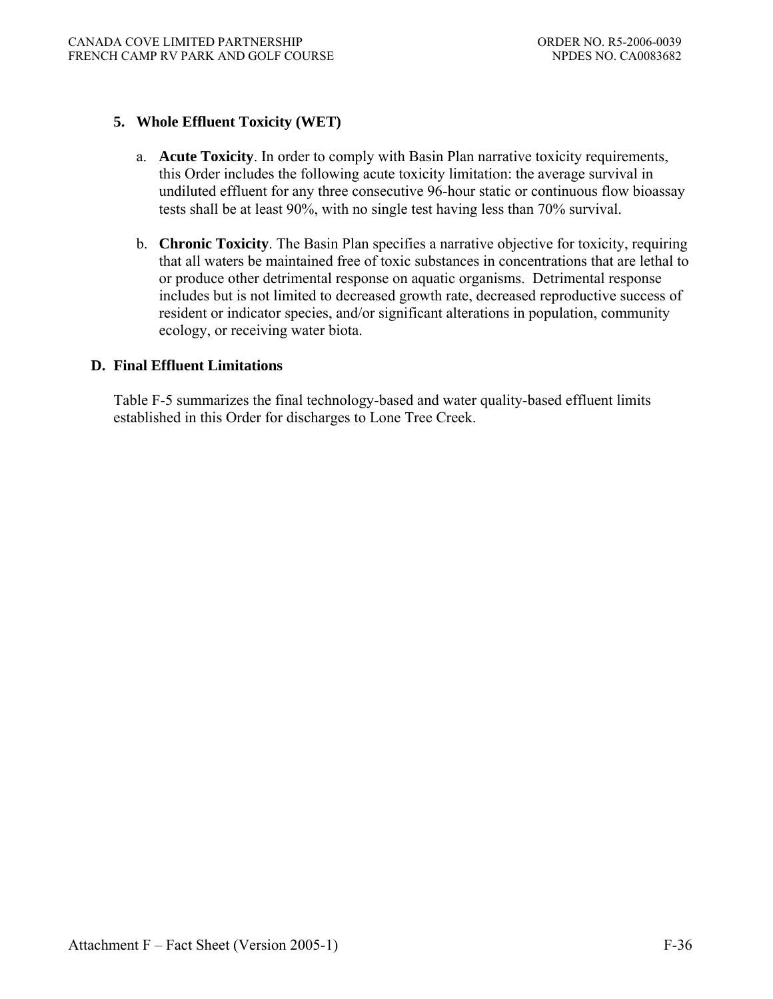# **5. Whole Effluent Toxicity (WET)**

- a. **Acute Toxicity**. In order to comply with Basin Plan narrative toxicity requirements, this Order includes the following acute toxicity limitation: the average survival in undiluted effluent for any three consecutive 96-hour static or continuous flow bioassay tests shall be at least 90%, with no single test having less than 70% survival.
- b. **Chronic Toxicity**. The Basin Plan specifies a narrative objective for toxicity, requiring that all waters be maintained free of toxic substances in concentrations that are lethal to or produce other detrimental response on aquatic organisms. Detrimental response includes but is not limited to decreased growth rate, decreased reproductive success of resident or indicator species, and/or significant alterations in population, community ecology, or receiving water biota.

## **D. Final Effluent Limitations**

 Table F-5 summarizes the final technology-based and water quality-based effluent limits established in this Order for discharges to Lone Tree Creek.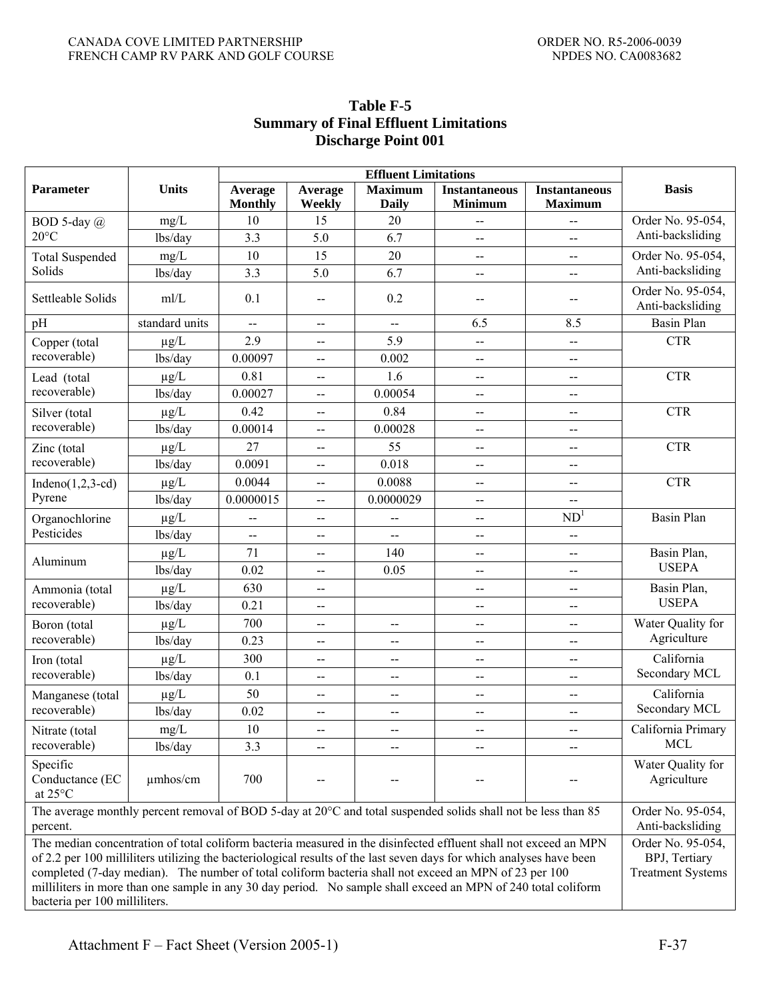| Parameter                                                                                                                           | <b>Units</b>                                                                                                                                                                                                                                                                                                                                                                                                                                                                                                                                                          | Average<br><b>Monthly</b> | Average<br>Weekly                             | <b>Effluent Limitations</b><br><b>Maximum</b><br><b>Daily</b> | <b>Instantaneous</b><br><b>Minimum</b> | <b>Instantaneous</b><br><b>Maximum</b>        | <b>Basis</b>                          |
|-------------------------------------------------------------------------------------------------------------------------------------|-----------------------------------------------------------------------------------------------------------------------------------------------------------------------------------------------------------------------------------------------------------------------------------------------------------------------------------------------------------------------------------------------------------------------------------------------------------------------------------------------------------------------------------------------------------------------|---------------------------|-----------------------------------------------|---------------------------------------------------------------|----------------------------------------|-----------------------------------------------|---------------------------------------|
| BOD 5-day $(a)$                                                                                                                     | mg/L                                                                                                                                                                                                                                                                                                                                                                                                                                                                                                                                                                  | 10                        | 15                                            | 20                                                            |                                        |                                               | Order No. 95-054,                     |
| $20^{\circ}$ C                                                                                                                      | lbs/day                                                                                                                                                                                                                                                                                                                                                                                                                                                                                                                                                               | 3.3                       | 5.0                                           | 6.7                                                           | --                                     | $\mathbf{u}$                                  | Anti-backsliding                      |
| <b>Total Suspended</b>                                                                                                              | mg/L                                                                                                                                                                                                                                                                                                                                                                                                                                                                                                                                                                  | 10                        | 15                                            | 20                                                            | --                                     | $\overline{\phantom{a}}$                      | Order No. 95-054,                     |
| Solids                                                                                                                              | lbs/day                                                                                                                                                                                                                                                                                                                                                                                                                                                                                                                                                               | 3.3                       | 5.0                                           | 6.7                                                           | $-$                                    | --                                            | Anti-backsliding                      |
| Settleable Solids                                                                                                                   | mI/L                                                                                                                                                                                                                                                                                                                                                                                                                                                                                                                                                                  | 0.1                       | $\overline{a}$                                | 0.2                                                           |                                        | $-$                                           | Order No. 95-054.<br>Anti-backsliding |
| pH                                                                                                                                  | standard units                                                                                                                                                                                                                                                                                                                                                                                                                                                                                                                                                        | $\overline{a}$            | $\overline{a}$                                | $\overline{a}$                                                | 6.5                                    | 8.5                                           | <b>Basin Plan</b>                     |
| Copper (total                                                                                                                       | $\mu g/L$                                                                                                                                                                                                                                                                                                                                                                                                                                                                                                                                                             | 2.9                       | $\overline{\phantom{a}}$                      | 5.9                                                           | --                                     | $\overline{a}$                                | <b>CTR</b>                            |
| recoverable)                                                                                                                        | lbs/day                                                                                                                                                                                                                                                                                                                                                                                                                                                                                                                                                               | 0.00097                   | $-$                                           | 0.002                                                         | --                                     | $\overline{\phantom{a}}$                      |                                       |
| Lead (total                                                                                                                         | $\mu g/L$                                                                                                                                                                                                                                                                                                                                                                                                                                                                                                                                                             | 0.81                      | $\mathord{\hspace{1pt}\text{--}\hspace{1pt}}$ | 1.6                                                           | $\overline{a}$                         | $\mathbf{u}$                                  | <b>CTR</b>                            |
| recoverable)                                                                                                                        | lbs/day                                                                                                                                                                                                                                                                                                                                                                                                                                                                                                                                                               | 0.00027                   | $\overline{\phantom{a}}$                      | 0.00054                                                       | $-$                                    | --                                            |                                       |
| Silver (total                                                                                                                       | $\mu g/L$                                                                                                                                                                                                                                                                                                                                                                                                                                                                                                                                                             | 0.42                      | $\overline{a}$                                | 0.84                                                          |                                        | --                                            | <b>CTR</b>                            |
| recoverable)                                                                                                                        | lbs/day                                                                                                                                                                                                                                                                                                                                                                                                                                                                                                                                                               | 0.00014                   | $\overline{\phantom{a}}$                      | 0.00028                                                       | --                                     | $\overline{a}$                                |                                       |
| Zinc (total                                                                                                                         | $\mu g/L$                                                                                                                                                                                                                                                                                                                                                                                                                                                                                                                                                             | 27                        | $\overline{\phantom{a}}$                      | 55                                                            | --                                     | --                                            | <b>CTR</b>                            |
| recoverable)                                                                                                                        | lbs/day                                                                                                                                                                                                                                                                                                                                                                                                                                                                                                                                                               | 0.0091                    | $\overline{a}$                                | 0.018                                                         | --                                     | $\overline{a}$                                |                                       |
| Indeno $(1,2,3-cd)$                                                                                                                 | $\mu g/L$                                                                                                                                                                                                                                                                                                                                                                                                                                                                                                                                                             | 0.0044                    | $\mathord{\hspace{1pt}\text{--}\hspace{1pt}}$ | 0.0088                                                        | $\overline{a}$                         | $\overline{a}$                                | <b>CTR</b>                            |
| Pyrene                                                                                                                              | lbs/day                                                                                                                                                                                                                                                                                                                                                                                                                                                                                                                                                               | 0.0000015                 | $\overline{\phantom{a}}$                      | 0.0000029                                                     | --                                     | --                                            |                                       |
| Organochlorine                                                                                                                      | $\mu$ g/L                                                                                                                                                                                                                                                                                                                                                                                                                                                                                                                                                             | $\overline{a}$            | $\qquad \qquad -$                             | --                                                            | $-$                                    | ND <sup>1</sup>                               | <b>Basin Plan</b>                     |
| Pesticides                                                                                                                          | lbs/day                                                                                                                                                                                                                                                                                                                                                                                                                                                                                                                                                               | --                        | $\overline{\phantom{a}}$                      | $\mathbf{u}$                                                  | --                                     | $\mathord{\hspace{1pt}\text{--}\hspace{1pt}}$ |                                       |
|                                                                                                                                     | $\mu g/L$                                                                                                                                                                                                                                                                                                                                                                                                                                                                                                                                                             | 71                        | $\mathbf{--}$                                 | 140                                                           | --                                     | $-$                                           | Basin Plan,                           |
| Aluminum                                                                                                                            | lbs/day                                                                                                                                                                                                                                                                                                                                                                                                                                                                                                                                                               | 0.02                      | $\overline{a}$                                | 0.05                                                          | $-$                                    | $\overline{a}$                                | <b>USEPA</b>                          |
| Ammonia (total                                                                                                                      | $\mu g/L$                                                                                                                                                                                                                                                                                                                                                                                                                                                                                                                                                             | 630                       | $\mathcal{L}_{\mathcal{F}}$                   |                                                               | --                                     | $\overline{a}$                                | Basin Plan,                           |
| recoverable)                                                                                                                        | lbs/day                                                                                                                                                                                                                                                                                                                                                                                                                                                                                                                                                               | 0.21                      | $\mathbf{--}$                                 |                                                               | --                                     | --                                            | <b>USEPA</b>                          |
| Boron (total                                                                                                                        | $\mu g/L$                                                                                                                                                                                                                                                                                                                                                                                                                                                                                                                                                             | 700                       | $\overline{\phantom{a}}$                      | --                                                            | $-$                                    | $\overline{a}$                                | Water Quality for                     |
| recoverable)                                                                                                                        | lbs/day                                                                                                                                                                                                                                                                                                                                                                                                                                                                                                                                                               | 0.23                      | $\mathcal{L}_{\mathcal{F}}$                   | $\overline{a}$                                                | $-$                                    | $\overline{a}$                                | Agriculture                           |
| Iron (total                                                                                                                         | $\mu g/L$                                                                                                                                                                                                                                                                                                                                                                                                                                                                                                                                                             | 300                       | $\overline{\phantom{a}}$                      | $\overline{\phantom{a}}$                                      | --                                     | --                                            | California                            |
| recoverable)                                                                                                                        | lbs/day                                                                                                                                                                                                                                                                                                                                                                                                                                                                                                                                                               | 0.1                       | $\overline{\phantom{a}}$                      | $\overline{\phantom{m}}$                                      | --                                     | $\overline{a}$                                | Secondary MCL                         |
| Manganese (total                                                                                                                    | $\mu g/L$                                                                                                                                                                                                                                                                                                                                                                                                                                                                                                                                                             | 50                        | $\overline{a}$                                | $\overline{a}$                                                | $-$                                    | $\overline{a}$                                | California                            |
| recoverable)                                                                                                                        | lbs/day                                                                                                                                                                                                                                                                                                                                                                                                                                                                                                                                                               | 0.02                      | $\mathbf{--}$                                 | $\overline{a}$                                                | $-$                                    | $\mathbf{--}$                                 | Secondary MCL                         |
| Nitrate (total                                                                                                                      | $mg/L$                                                                                                                                                                                                                                                                                                                                                                                                                                                                                                                                                                | $10\,$                    | $\overline{\phantom{m}}$                      |                                                               | $-$                                    | $\overline{\phantom{m}}$                      | California Primary                    |
| recoverable)                                                                                                                        | lbs/day                                                                                                                                                                                                                                                                                                                                                                                                                                                                                                                                                               | 3.3                       | $\overline{\phantom{a}}$                      | $\overline{\phantom{a}}$                                      | $-$                                    | $-$                                           | <b>MCL</b>                            |
| Specific<br>Conductance (EC<br>at 25°C                                                                                              | $\mu$ mhos/cm                                                                                                                                                                                                                                                                                                                                                                                                                                                                                                                                                         | 700                       |                                               |                                                               |                                        |                                               | Water Quality for<br>Agriculture      |
| The average monthly percent removal of BOD 5-day at $20^{\circ}$ C and total suspended solids shall not be less than 85<br>percent. |                                                                                                                                                                                                                                                                                                                                                                                                                                                                                                                                                                       |                           |                                               |                                                               |                                        | Order No. 95-054,<br>Anti-backsliding         |                                       |
|                                                                                                                                     | The median concentration of total coliform bacteria measured in the disinfected effluent shall not exceed an MPN<br>Order No. 95-054,<br>of 2.2 per 100 milliliters utilizing the bacteriological results of the last seven days for which analyses have been<br>BPJ, Tertiary<br>completed (7-day median). The number of total coliform bacteria shall not exceed an MPN of 23 per 100<br><b>Treatment Systems</b><br>milliliters in more than one sample in any 30 day period. No sample shall exceed an MPN of 240 total coliform<br>bacteria per 100 milliliters. |                           |                                               |                                                               |                                        |                                               |                                       |

# **Table F-5 Summary of Final Effluent Limitations Discharge Point 001**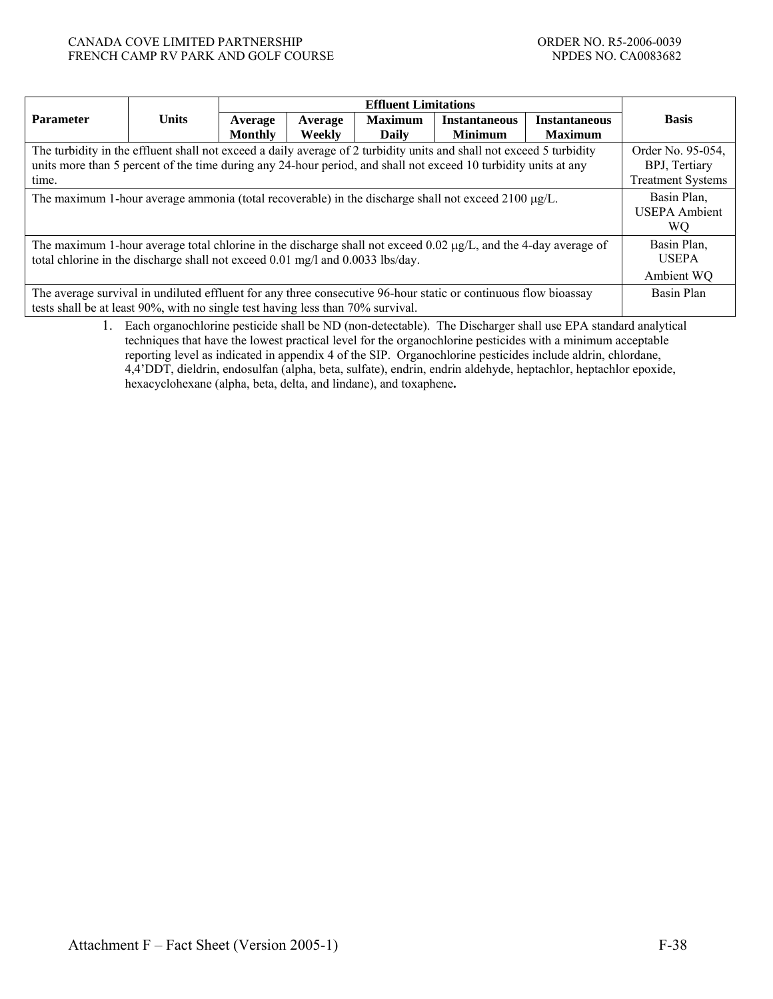#### CANADA COVE LIMITED PARTNERSHIP ORDER NO. R5-2006-0039 FRENCH CAMP RV PARK AND GOLF COURSE NEXT AND SERVE AND SOLL FOR STREET AND SOLL FOR STREET AND SOLL FOR STREET AND SOLL FOR STREET AND SOLL FOR STREET AND SOLL FOR STREET AND SOLL FOR STREET AND SOLL FOR STREET AND SOLL FO

|                                                                                                                                                                                                                                                                                        | <b>Effluent Limitations</b> |                    |                   |                                |                                        |                                        |                                           |
|----------------------------------------------------------------------------------------------------------------------------------------------------------------------------------------------------------------------------------------------------------------------------------------|-----------------------------|--------------------|-------------------|--------------------------------|----------------------------------------|----------------------------------------|-------------------------------------------|
| <b>Parameter</b>                                                                                                                                                                                                                                                                       | <b>Units</b>                | Average<br>Monthly | Average<br>Weekly | <b>Maximum</b><br><b>Daily</b> | <b>Instantaneous</b><br><b>Minimum</b> | <b>Instantaneous</b><br><b>Maximum</b> | <b>Basis</b>                              |
| The turbidity in the effluent shall not exceed a daily average of 2 turbidity units and shall not exceed 5 turbidity<br>Order No. 95-054,<br>units more than 5 percent of the time during any 24-hour period, and shall not exceed 10 turbidity units at any<br>BPJ, Tertiary<br>time. |                             |                    |                   |                                |                                        |                                        | <b>Treatment Systems</b>                  |
| The maximum 1-hour average ammonia (total recoverable) in the discharge shall not exceed 2100 µg/L.                                                                                                                                                                                    |                             |                    |                   |                                |                                        |                                        | Basin Plan,<br><b>USEPA</b> Ambient<br>WО |
| The maximum 1-hour average total chlorine in the discharge shall not exceed 0.02 $\mu g/L$ , and the 4-day average of<br>total chlorine in the discharge shall not exceed 0.01 mg/l and 0.0033 lbs/day.                                                                                |                             |                    |                   |                                |                                        |                                        | Basin Plan,<br><b>USEPA</b><br>Ambient WQ |
| The average survival in undiluted effluent for any three consecutive 96-hour static or continuous flow bioassay<br>tests shall be at least 90%, with no single test having less than 70% survival.                                                                                     |                             |                    |                   |                                |                                        |                                        | Basin Plan                                |

1. Each organochlorine pesticide shall be ND (non-detectable). The Discharger shall use EPA standard analytical techniques that have the lowest practical level for the organochlorine pesticides with a minimum acceptable reporting level as indicated in appendix 4 of the SIP. Organochlorine pesticides include aldrin, chlordane, 4,4'DDT, dieldrin, endosulfan (alpha, beta, sulfate), endrin, endrin aldehyde, heptachlor, heptachlor epoxide, hexacyclohexane (alpha, beta, delta, and lindane), and toxaphene**.**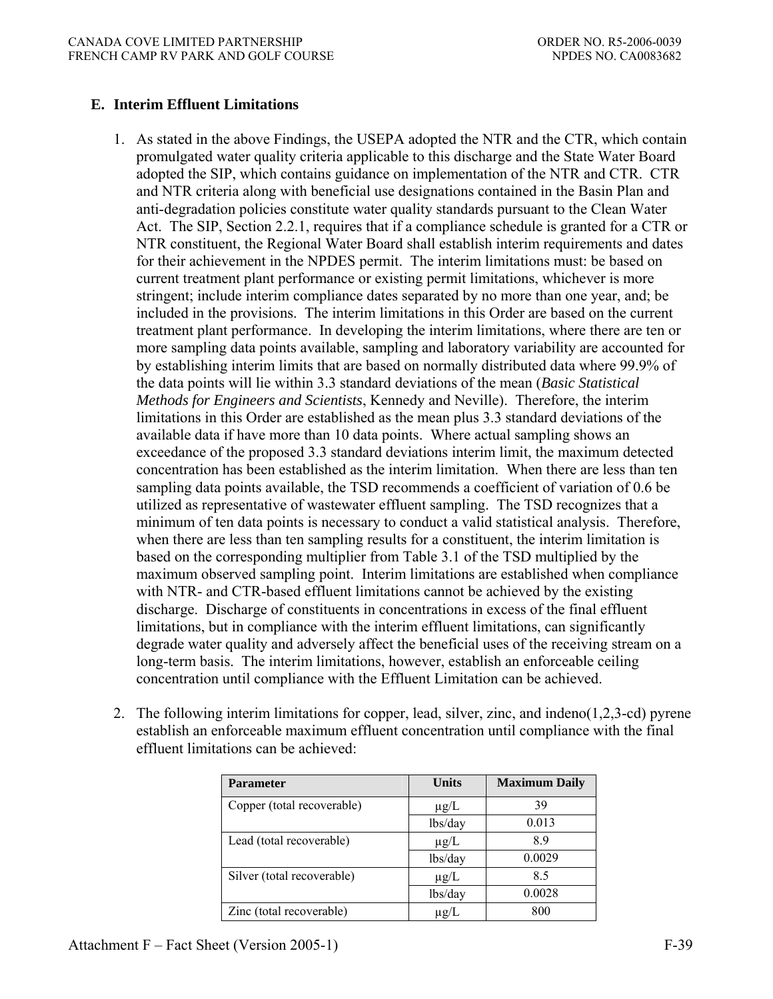# **E. Interim Effluent Limitations**

- 1. As stated in the above Findings, the USEPA adopted the NTR and the CTR, which contain promulgated water quality criteria applicable to this discharge and the State Water Board adopted the SIP, which contains guidance on implementation of the NTR and CTR. CTR and NTR criteria along with beneficial use designations contained in the Basin Plan and anti-degradation policies constitute water quality standards pursuant to the Clean Water Act. The SIP, Section 2.2.1, requires that if a compliance schedule is granted for a CTR or NTR constituent, the Regional Water Board shall establish interim requirements and dates for their achievement in the NPDES permit. The interim limitations must: be based on current treatment plant performance or existing permit limitations, whichever is more stringent; include interim compliance dates separated by no more than one year, and; be included in the provisions. The interim limitations in this Order are based on the current treatment plant performance. In developing the interim limitations, where there are ten or more sampling data points available, sampling and laboratory variability are accounted for by establishing interim limits that are based on normally distributed data where 99.9% of the data points will lie within 3.3 standard deviations of the mean (*Basic Statistical Methods for Engineers and Scientists*, Kennedy and Neville). Therefore, the interim limitations in this Order are established as the mean plus 3.3 standard deviations of the available data if have more than 10 data points. Where actual sampling shows an exceedance of the proposed 3.3 standard deviations interim limit, the maximum detected concentration has been established as the interim limitation. When there are less than ten sampling data points available, the TSD recommends a coefficient of variation of 0.6 be utilized as representative of wastewater effluent sampling. The TSD recognizes that a minimum of ten data points is necessary to conduct a valid statistical analysis. Therefore, when there are less than ten sampling results for a constituent, the interim limitation is based on the corresponding multiplier from Table 3.1 of the TSD multiplied by the maximum observed sampling point. Interim limitations are established when compliance with NTR- and CTR-based effluent limitations cannot be achieved by the existing discharge. Discharge of constituents in concentrations in excess of the final effluent limitations, but in compliance with the interim effluent limitations, can significantly degrade water quality and adversely affect the beneficial uses of the receiving stream on a long-term basis. The interim limitations, however, establish an enforceable ceiling concentration until compliance with the Effluent Limitation can be achieved.
- 2. The following interim limitations for copper, lead, silver, zinc, and indeno(1,2,3-cd) pyrene establish an enforceable maximum effluent concentration until compliance with the final effluent limitations can be achieved:

| <b>Parameter</b>           | <b>Units</b> | <b>Maximum Daily</b> |
|----------------------------|--------------|----------------------|
| Copper (total recoverable) | $\mu$ g/L    | 39                   |
|                            | lbs/day      | 0.013                |
| Lead (total recoverable)   | $\mu$ g/L    | 89                   |
|                            | lbs/day      | 0.0029               |
| Silver (total recoverable) | $\mu$ g/L    | 8.5                  |
|                            | lbs/day      | 0.0028               |
| Zinc (total recoverable)   | $\mu$ g/L    | 800                  |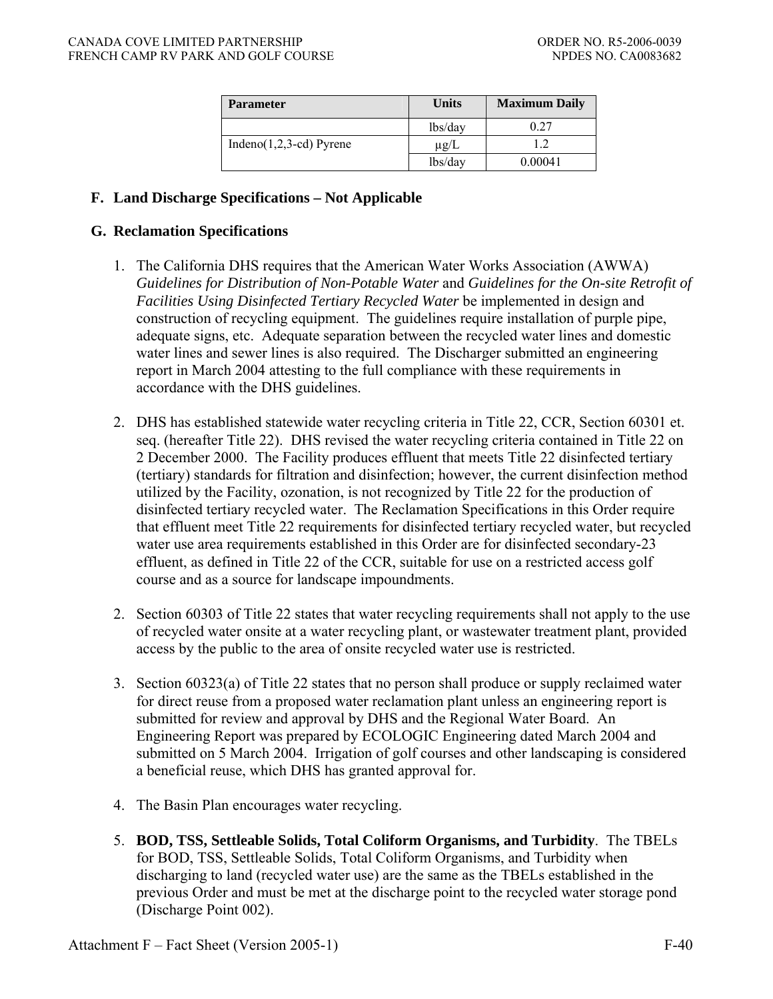| <b>Parameter</b>          | <b>Units</b> | <b>Maximum Daily</b> |
|---------------------------|--------------|----------------------|
|                           | lbs/day      | 0.27                 |
| $Indeno(1,2,3-cd) Pyrene$ | $\mu$ g/L    |                      |
|                           | lbs/day      | 0.00041              |

## **F. Land Discharge Specifications – Not Applicable**

### **G. Reclamation Specifications**

- 1. The California DHS requires that the American Water Works Association (AWWA) *Guidelines for Distribution of Non-Potable Water* and *Guidelines for the On-site Retrofit of Facilities Using Disinfected Tertiary Recycled Water* be implemented in design and construction of recycling equipment. The guidelines require installation of purple pipe, adequate signs, etc. Adequate separation between the recycled water lines and domestic water lines and sewer lines is also required. The Discharger submitted an engineering report in March 2004 attesting to the full compliance with these requirements in accordance with the DHS guidelines.
- 2. DHS has established statewide water recycling criteria in Title 22, CCR, Section 60301 et. seq. (hereafter Title 22). DHS revised the water recycling criteria contained in Title 22 on 2 December 2000. The Facility produces effluent that meets Title 22 disinfected tertiary (tertiary) standards for filtration and disinfection; however, the current disinfection method utilized by the Facility, ozonation, is not recognized by Title 22 for the production of disinfected tertiary recycled water. The Reclamation Specifications in this Order require that effluent meet Title 22 requirements for disinfected tertiary recycled water, but recycled water use area requirements established in this Order are for disinfected secondary-23 effluent, as defined in Title 22 of the CCR, suitable for use on a restricted access golf course and as a source for landscape impoundments.
- 2. Section 60303 of Title 22 states that water recycling requirements shall not apply to the use of recycled water onsite at a water recycling plant, or wastewater treatment plant, provided access by the public to the area of onsite recycled water use is restricted.
- 3. Section 60323(a) of Title 22 states that no person shall produce or supply reclaimed water for direct reuse from a proposed water reclamation plant unless an engineering report is submitted for review and approval by DHS and the Regional Water Board. An Engineering Report was prepared by ECOLOGIC Engineering dated March 2004 and submitted on 5 March 2004. Irrigation of golf courses and other landscaping is considered a beneficial reuse, which DHS has granted approval for.
- 4. The Basin Plan encourages water recycling.
- 5. **BOD, TSS, Settleable Solids, Total Coliform Organisms, and Turbidity**.The TBELs for BOD, TSS, Settleable Solids, Total Coliform Organisms, and Turbidity when discharging to land (recycled water use) are the same as the TBELs established in the previous Order and must be met at the discharge point to the recycled water storage pond (Discharge Point 002).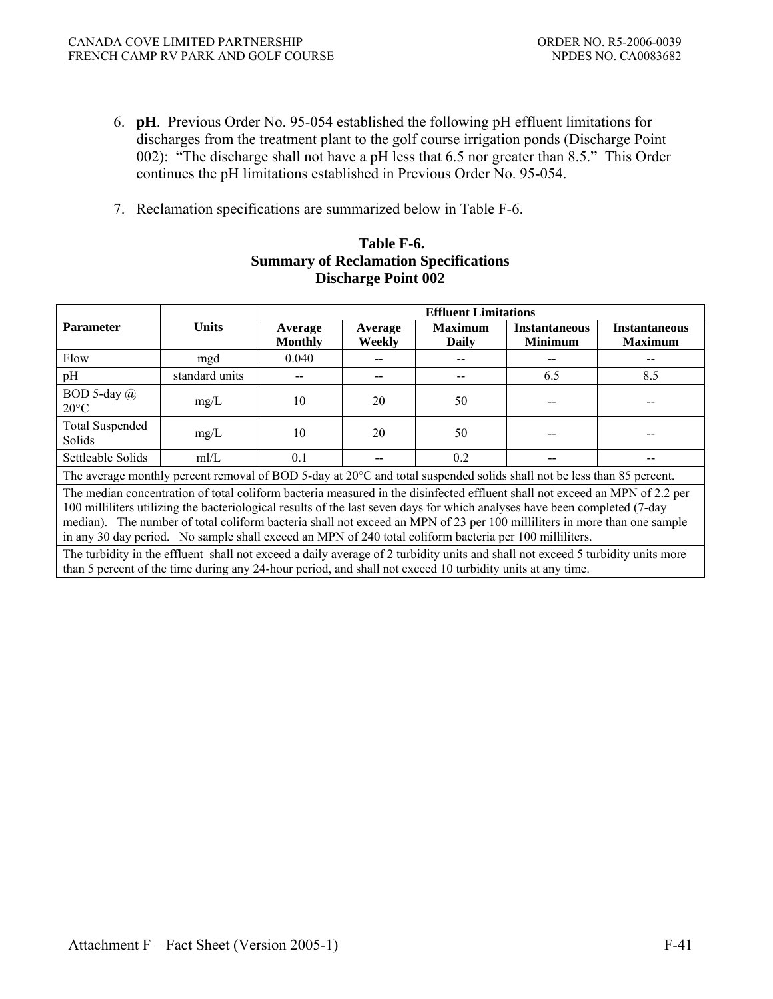- 6. **pH**.Previous Order No. 95-054 established the following pH effluent limitations for discharges from the treatment plant to the golf course irrigation ponds (Discharge Point 002): "The discharge shall not have a pH less that 6.5 nor greater than 8.5." This Order continues the pH limitations established in Previous Order No. 95-054.
- 7. Reclamation specifications are summarized below in Table F-6.

## **Table F-6. Summary of Reclamation Specifications Discharge Point 002**

|                                                                                                                                                                                                                                                                                                                                                                                                                                                                                                                                                                                                                                     |                | <b>Effluent Limitations</b> |                   |                                |                                        |                                        |  |  |
|-------------------------------------------------------------------------------------------------------------------------------------------------------------------------------------------------------------------------------------------------------------------------------------------------------------------------------------------------------------------------------------------------------------------------------------------------------------------------------------------------------------------------------------------------------------------------------------------------------------------------------------|----------------|-----------------------------|-------------------|--------------------------------|----------------------------------------|----------------------------------------|--|--|
| <b>Parameter</b>                                                                                                                                                                                                                                                                                                                                                                                                                                                                                                                                                                                                                    | <b>Units</b>   | Average<br><b>Monthly</b>   | Average<br>Weekly | <b>Maximum</b><br><b>Daily</b> | <b>Instantaneous</b><br><b>Minimum</b> | <b>Instantaneous</b><br><b>Maximum</b> |  |  |
| Flow                                                                                                                                                                                                                                                                                                                                                                                                                                                                                                                                                                                                                                | mgd            | 0.040                       |                   |                                |                                        |                                        |  |  |
| pH                                                                                                                                                                                                                                                                                                                                                                                                                                                                                                                                                                                                                                  | standard units |                             |                   |                                | 6.5                                    | 8.5                                    |  |  |
| BOD 5-day $(a)$<br>$20^{\circ}$ C                                                                                                                                                                                                                                                                                                                                                                                                                                                                                                                                                                                                   | mg/L           | 10                          | 20                | 50                             |                                        |                                        |  |  |
| <b>Total Suspended</b><br>Solids                                                                                                                                                                                                                                                                                                                                                                                                                                                                                                                                                                                                    | mg/L           | 10                          | 20                | 50                             |                                        |                                        |  |  |
| Settleable Solids                                                                                                                                                                                                                                                                                                                                                                                                                                                                                                                                                                                                                   | mI/L           | 0.1                         |                   | 0.2                            |                                        |                                        |  |  |
| The average monthly percent removal of BOD 5-day at $20^{\circ}$ C and total suspended solids shall not be less than 85 percent.                                                                                                                                                                                                                                                                                                                                                                                                                                                                                                    |                |                             |                   |                                |                                        |                                        |  |  |
| The median concentration of total coliform bacteria measured in the disinfected effluent shall not exceed an MPN of 2.2 per<br>100 milliliters utilizing the bacteriological results of the last seven days for which analyses have been completed (7-day<br>median). The number of total coliform bacteria shall not exceed an MPN of 23 per 100 milliliters in more than one sample<br>in any 30 day period. No sample shall exceed an MPN of 240 total coliform bacteria per 100 milliliters.<br>The turbidity in the effluent shall not exceed a daily average of 2 turbidity units and shall not exceed 5 turbidity units more |                |                             |                   |                                |                                        |                                        |  |  |
| than 5 percent of the time during any 24-hour period, and shall not exceed 10 turbidity units at any time.                                                                                                                                                                                                                                                                                                                                                                                                                                                                                                                          |                |                             |                   |                                |                                        |                                        |  |  |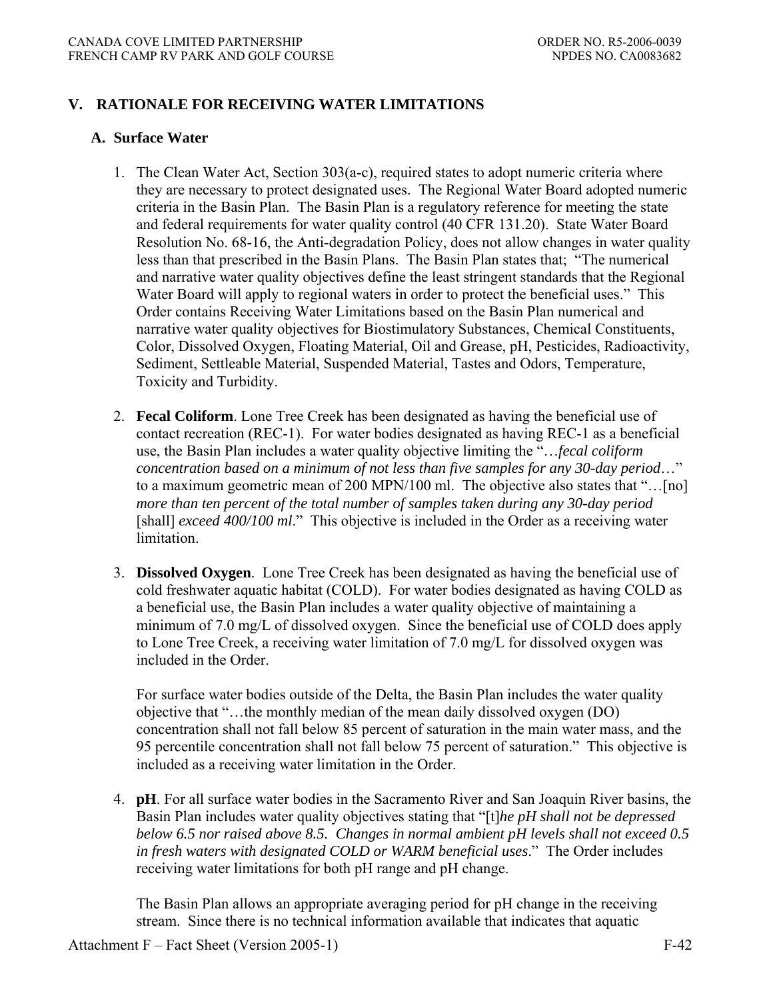# **V. RATIONALE FOR RECEIVING WATER LIMITATIONS**

## **A. Surface Water**

- 1. The Clean Water Act, Section 303(a-c), required states to adopt numeric criteria where they are necessary to protect designated uses. The Regional Water Board adopted numeric criteria in the Basin Plan. The Basin Plan is a regulatory reference for meeting the state and federal requirements for water quality control (40 CFR 131.20). State Water Board Resolution No. 68-16, the Anti-degradation Policy, does not allow changes in water quality less than that prescribed in the Basin Plans. The Basin Plan states that; "The numerical and narrative water quality objectives define the least stringent standards that the Regional Water Board will apply to regional waters in order to protect the beneficial uses." This Order contains Receiving Water Limitations based on the Basin Plan numerical and narrative water quality objectives for Biostimulatory Substances, Chemical Constituents, Color, Dissolved Oxygen, Floating Material, Oil and Grease, pH, Pesticides, Radioactivity, Sediment, Settleable Material, Suspended Material, Tastes and Odors, Temperature, Toxicity and Turbidity.
- 2. **Fecal Coliform**. Lone Tree Creek has been designated as having the beneficial use of contact recreation (REC-1). For water bodies designated as having REC-1 as a beneficial use, the Basin Plan includes a water quality objective limiting the "…*fecal coliform concentration based on a minimum of not less than five samples for any 30-day period*…" to a maximum geometric mean of 200 MPN/100 ml. The objective also states that "…[no] *more than ten percent of the total number of samples taken during any 30-day period*  [shall] *exceed 400/100 ml*." This objective is included in the Order as a receiving water limitation.
- 3. **Dissolved Oxygen**. Lone Tree Creek has been designated as having the beneficial use of cold freshwater aquatic habitat (COLD). For water bodies designated as having COLD as a beneficial use, the Basin Plan includes a water quality objective of maintaining a minimum of 7.0 mg/L of dissolved oxygen. Since the beneficial use of COLD does apply to Lone Tree Creek, a receiving water limitation of 7.0 mg/L for dissolved oxygen was included in the Order.

 For surface water bodies outside of the Delta, the Basin Plan includes the water quality objective that "…the monthly median of the mean daily dissolved oxygen (DO) concentration shall not fall below 85 percent of saturation in the main water mass, and the 95 percentile concentration shall not fall below 75 percent of saturation." This objective is included as a receiving water limitation in the Order.

 4. **pH**. For all surface water bodies in the Sacramento River and San Joaquin River basins, the Basin Plan includes water quality objectives stating that "[t]*he pH shall not be depressed below 6.5 nor raised above 8.5. Changes in normal ambient pH levels shall not exceed 0.5 in fresh waters with designated COLD or WARM beneficial uses*." The Order includes receiving water limitations for both pH range and pH change.

 The Basin Plan allows an appropriate averaging period for pH change in the receiving stream. Since there is no technical information available that indicates that aquatic

Attachment F – Fact Sheet (Version 2005-1) F-42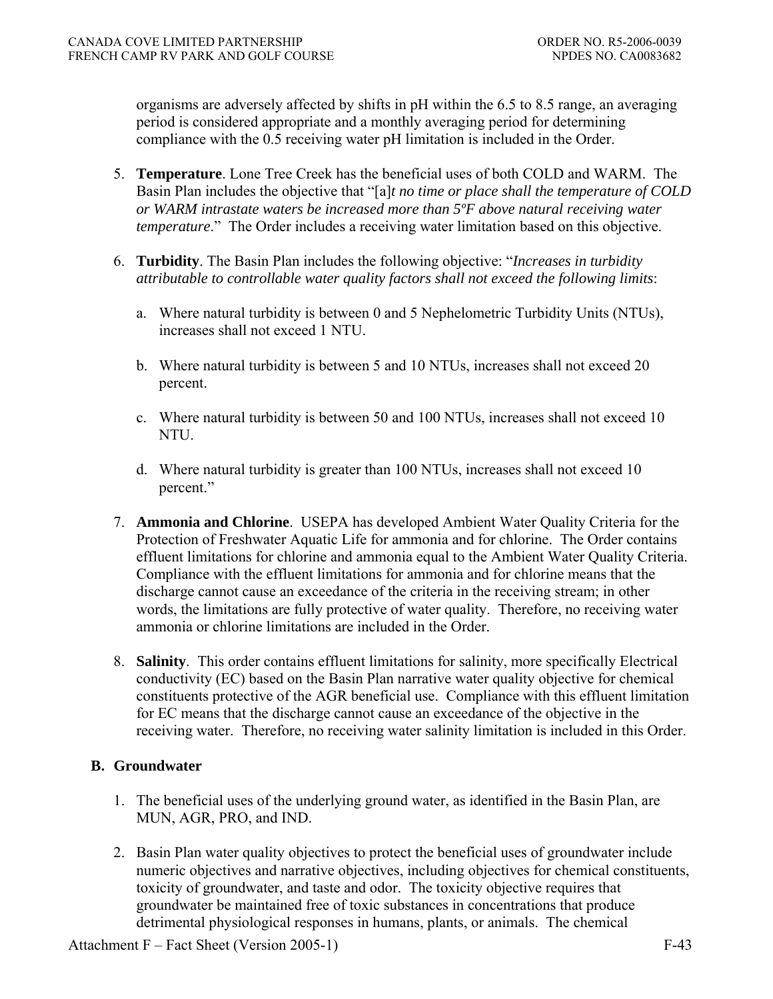organisms are adversely affected by shifts in pH within the 6.5 to 8.5 range, an averaging period is considered appropriate and a monthly averaging period for determining compliance with the 0.5 receiving water pH limitation is included in the Order.

- 5. **Temperature**. Lone Tree Creek has the beneficial uses of both COLD and WARM. The Basin Plan includes the objective that "[a]*t no time or place shall the temperature of COLD or WARM intrastate waters be increased more than 5ºF above natural receiving water temperature*." The Order includes a receiving water limitation based on this objective.
- 6. **Turbidity**. The Basin Plan includes the following objective: "*Increases in turbidity attributable to controllable water quality factors shall not exceed the following limits*:
	- a. Where natural turbidity is between 0 and 5 Nephelometric Turbidity Units (NTUs), increases shall not exceed 1 NTU.
	- b. Where natural turbidity is between 5 and 10 NTUs, increases shall not exceed 20 percent.
	- c. Where natural turbidity is between 50 and 100 NTUs, increases shall not exceed 10 NTU.
	- d. Where natural turbidity is greater than 100 NTUs, increases shall not exceed 10 percent."
- 7. **Ammonia and Chlorine**.USEPA has developed Ambient Water Quality Criteria for the Protection of Freshwater Aquatic Life for ammonia and for chlorine. The Order contains effluent limitations for chlorine and ammonia equal to the Ambient Water Quality Criteria. Compliance with the effluent limitations for ammonia and for chlorine means that the discharge cannot cause an exceedance of the criteria in the receiving stream; in other words, the limitations are fully protective of water quality. Therefore, no receiving water ammonia or chlorine limitations are included in the Order.
- 8. **Salinity**.This order contains effluent limitations for salinity, more specifically Electrical conductivity (EC) based on the Basin Plan narrative water quality objective for chemical constituents protective of the AGR beneficial use. Compliance with this effluent limitation for EC means that the discharge cannot cause an exceedance of the objective in the receiving water. Therefore, no receiving water salinity limitation is included in this Order.

# **B. Groundwater**

- 1. The beneficial uses of the underlying ground water, as identified in the Basin Plan, are MUN, AGR, PRO, and IND.
- 2. Basin Plan water quality objectives to protect the beneficial uses of groundwater include numeric objectives and narrative objectives, including objectives for chemical constituents, toxicity of groundwater, and taste and odor. The toxicity objective requires that groundwater be maintained free of toxic substances in concentrations that produce detrimental physiological responses in humans, plants, or animals. The chemical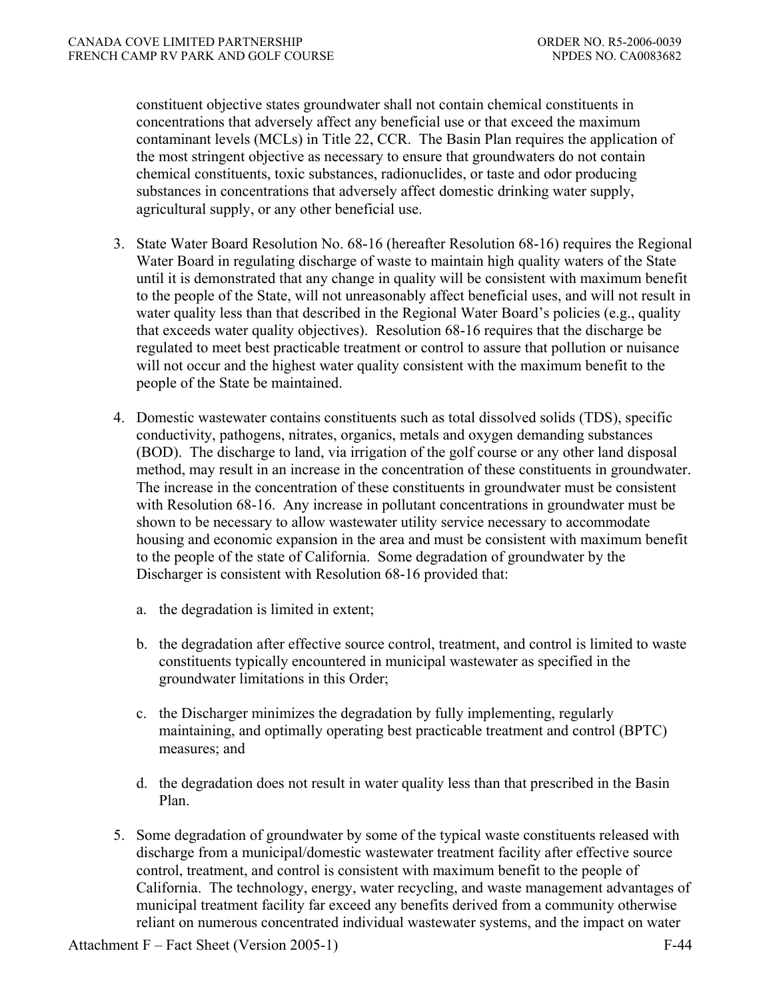constituent objective states groundwater shall not contain chemical constituents in concentrations that adversely affect any beneficial use or that exceed the maximum contaminant levels (MCLs) in Title 22, CCR. The Basin Plan requires the application of the most stringent objective as necessary to ensure that groundwaters do not contain chemical constituents, toxic substances, radionuclides, or taste and odor producing substances in concentrations that adversely affect domestic drinking water supply, agricultural supply, or any other beneficial use.

- 3. State Water Board Resolution No. 68-16 (hereafter Resolution 68-16) requires the Regional Water Board in regulating discharge of waste to maintain high quality waters of the State until it is demonstrated that any change in quality will be consistent with maximum benefit to the people of the State, will not unreasonably affect beneficial uses, and will not result in water quality less than that described in the Regional Water Board's policies (e.g., quality that exceeds water quality objectives). Resolution 68-16 requires that the discharge be regulated to meet best practicable treatment or control to assure that pollution or nuisance will not occur and the highest water quality consistent with the maximum benefit to the people of the State be maintained.
- 4. Domestic wastewater contains constituents such as total dissolved solids (TDS), specific conductivity, pathogens, nitrates, organics, metals and oxygen demanding substances (BOD). The discharge to land, via irrigation of the golf course or any other land disposal method, may result in an increase in the concentration of these constituents in groundwater. The increase in the concentration of these constituents in groundwater must be consistent with Resolution 68-16. Any increase in pollutant concentrations in groundwater must be shown to be necessary to allow wastewater utility service necessary to accommodate housing and economic expansion in the area and must be consistent with maximum benefit to the people of the state of California. Some degradation of groundwater by the Discharger is consistent with Resolution 68-16 provided that:
	- a. the degradation is limited in extent;
	- b. the degradation after effective source control, treatment, and control is limited to waste constituents typically encountered in municipal wastewater as specified in the groundwater limitations in this Order;
	- c. the Discharger minimizes the degradation by fully implementing, regularly maintaining, and optimally operating best practicable treatment and control (BPTC) measures; and
	- d. the degradation does not result in water quality less than that prescribed in the Basin Plan.
- 5. Some degradation of groundwater by some of the typical waste constituents released with discharge from a municipal/domestic wastewater treatment facility after effective source control, treatment, and control is consistent with maximum benefit to the people of California. The technology, energy, water recycling, and waste management advantages of municipal treatment facility far exceed any benefits derived from a community otherwise reliant on numerous concentrated individual wastewater systems, and the impact on water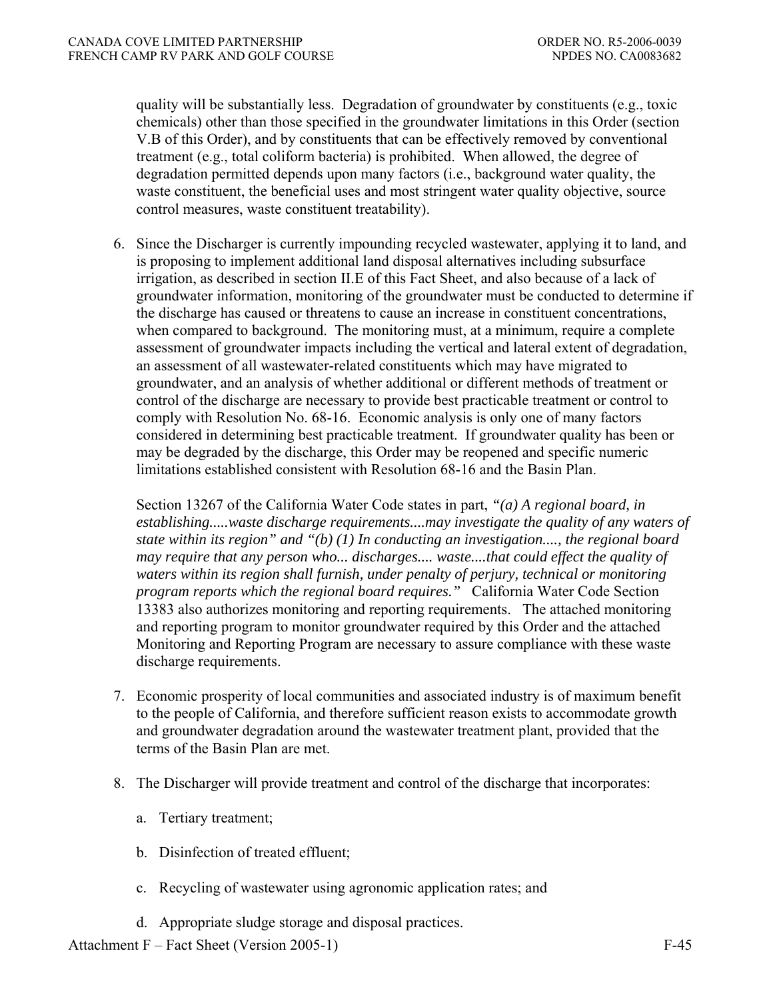quality will be substantially less. Degradation of groundwater by constituents (e.g., toxic chemicals) other than those specified in the groundwater limitations in this Order (section V.B of this Order), and by constituents that can be effectively removed by conventional treatment (e.g., total coliform bacteria) is prohibited. When allowed, the degree of degradation permitted depends upon many factors (i.e., background water quality, the waste constituent, the beneficial uses and most stringent water quality objective, source control measures, waste constituent treatability).

 6. Since the Discharger is currently impounding recycled wastewater, applying it to land, and is proposing to implement additional land disposal alternatives including subsurface irrigation, as described in section II.E of this Fact Sheet, and also because of a lack of groundwater information, monitoring of the groundwater must be conducted to determine if the discharge has caused or threatens to cause an increase in constituent concentrations, when compared to background. The monitoring must, at a minimum, require a complete assessment of groundwater impacts including the vertical and lateral extent of degradation, an assessment of all wastewater-related constituents which may have migrated to groundwater, and an analysis of whether additional or different methods of treatment or control of the discharge are necessary to provide best practicable treatment or control to comply with Resolution No. 68-16. Economic analysis is only one of many factors considered in determining best practicable treatment. If groundwater quality has been or may be degraded by the discharge, this Order may be reopened and specific numeric limitations established consistent with Resolution 68-16 and the Basin Plan.

 Section 13267 of the California Water Code states in part, *"(a) A regional board, in establishing.....waste discharge requirements....may investigate the quality of any waters of state within its region" and "(b) (1) In conducting an investigation...., the regional board may require that any person who... discharges.... waste....that could effect the quality of waters within its region shall furnish, under penalty of perjury, technical or monitoring program reports which the regional board requires."* California Water Code Section 13383 also authorizes monitoring and reporting requirements. The attached monitoring and reporting program to monitor groundwater required by this Order and the attached Monitoring and Reporting Program are necessary to assure compliance with these waste discharge requirements.

- 7. Economic prosperity of local communities and associated industry is of maximum benefit to the people of California, and therefore sufficient reason exists to accommodate growth and groundwater degradation around the wastewater treatment plant, provided that the terms of the Basin Plan are met.
- 8. The Discharger will provide treatment and control of the discharge that incorporates:
	- a. Tertiary treatment;
	- b. Disinfection of treated effluent;
	- c. Recycling of wastewater using agronomic application rates; and
	- d. Appropriate sludge storage and disposal practices.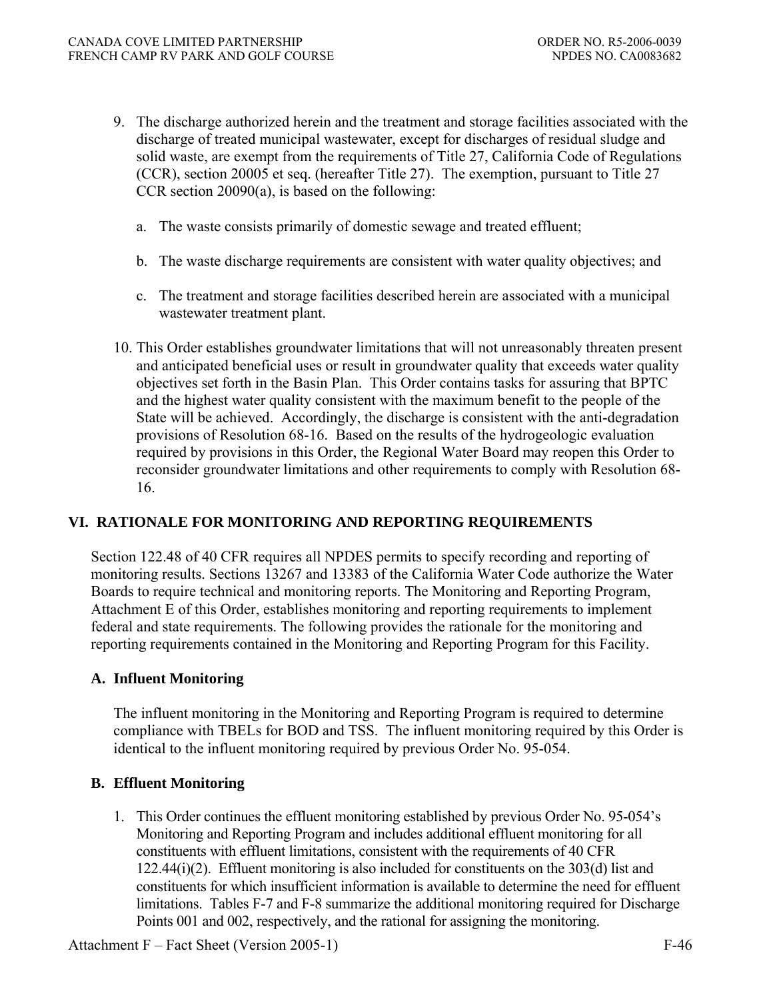- 9. The discharge authorized herein and the treatment and storage facilities associated with the discharge of treated municipal wastewater, except for discharges of residual sludge and solid waste, are exempt from the requirements of Title 27, California Code of Regulations (CCR), section 20005 et seq. (hereafter Title 27). The exemption, pursuant to Title 27 CCR section 20090(a), is based on the following:
	- a. The waste consists primarily of domestic sewage and treated effluent;
	- b. The waste discharge requirements are consistent with water quality objectives; and
	- c. The treatment and storage facilities described herein are associated with a municipal wastewater treatment plant.
- 10. This Order establishes groundwater limitations that will not unreasonably threaten present and anticipated beneficial uses or result in groundwater quality that exceeds water quality objectives set forth in the Basin Plan. This Order contains tasks for assuring that BPTC and the highest water quality consistent with the maximum benefit to the people of the State will be achieved. Accordingly, the discharge is consistent with the anti-degradation provisions of Resolution 68-16. Based on the results of the hydrogeologic evaluation required by provisions in this Order, the Regional Water Board may reopen this Order to reconsider groundwater limitations and other requirements to comply with Resolution 68- 16.

# **VI. RATIONALE FOR MONITORING AND REPORTING REQUIREMENTS**

Section 122.48 of 40 CFR requires all NPDES permits to specify recording and reporting of monitoring results. Sections 13267 and 13383 of the California Water Code authorize the Water Boards to require technical and monitoring reports. The Monitoring and Reporting Program, Attachment E of this Order, establishes monitoring and reporting requirements to implement federal and state requirements. The following provides the rationale for the monitoring and reporting requirements contained in the Monitoring and Reporting Program for this Facility.

# **A. Influent Monitoring**

The influent monitoring in the Monitoring and Reporting Program is required to determine compliance with TBELs for BOD and TSS. The influent monitoring required by this Order is identical to the influent monitoring required by previous Order No. 95-054.

# **B. Effluent Monitoring**

1. This Order continues the effluent monitoring established by previous Order No. 95-054's Monitoring and Reporting Program and includes additional effluent monitoring for all constituents with effluent limitations, consistent with the requirements of 40 CFR 122.44(i)(2). Effluent monitoring is also included for constituents on the 303(d) list and constituents for which insufficient information is available to determine the need for effluent limitations. Tables F-7 and F-8 summarize the additional monitoring required for Discharge Points 001 and 002, respectively, and the rational for assigning the monitoring.

Attachment F – Fact Sheet (Version 2005-1) F-46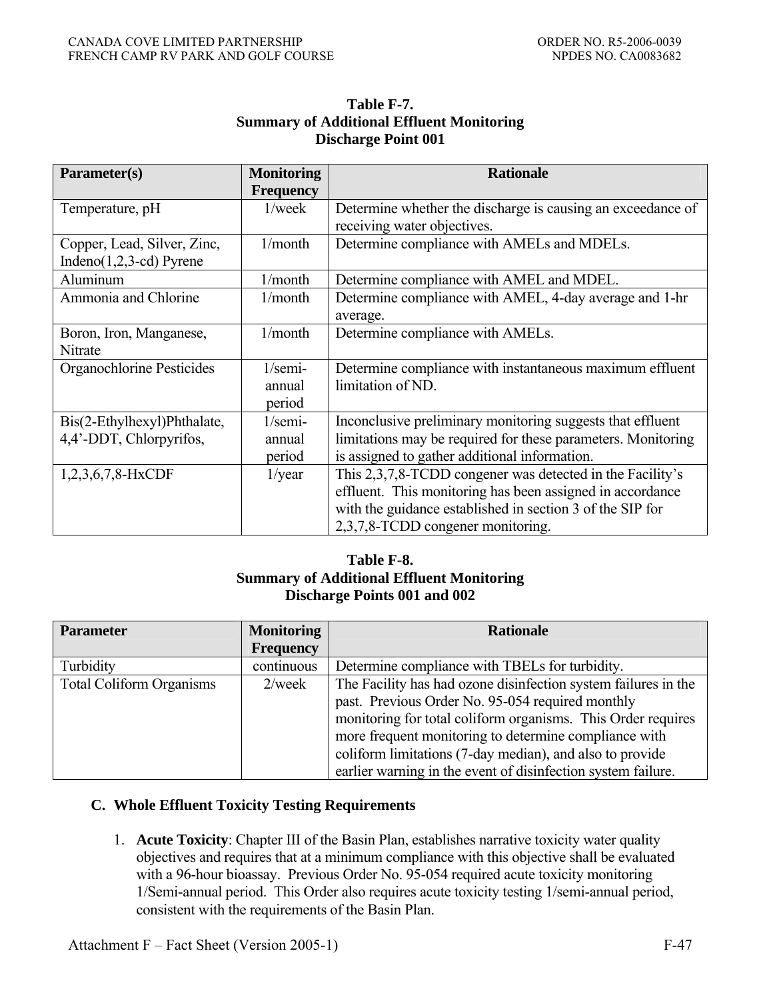## **Table F-7. Summary of Additional Effluent Monitoring Discharge Point 001**

| Parameter(s)                | <b>Monitoring</b> | <b>Rationale</b>                                             |
|-----------------------------|-------------------|--------------------------------------------------------------|
|                             | <b>Frequency</b>  |                                                              |
| Temperature, pH             | $1$ /week         | Determine whether the discharge is causing an exceedance of  |
|                             |                   | receiving water objectives.                                  |
| Copper, Lead, Silver, Zinc, | 1/month           | Determine compliance with AMELs and MDELs.                   |
| Indeno $(1,2,3$ -cd) Pyrene |                   |                                                              |
| Aluminum                    | 1/month           | Determine compliance with AMEL and MDEL.                     |
| Ammonia and Chlorine        | 1/month           | Determine compliance with AMEL, 4-day average and 1-hr       |
|                             |                   | average.                                                     |
| Boron, Iron, Manganese,     | 1/month           | Determine compliance with AMELs.                             |
| Nitrate                     |                   |                                                              |
| Organochlorine Pesticides   | $1$ /semi-        | Determine compliance with instantaneous maximum effluent     |
|                             | annual            | limitation of ND.                                            |
|                             | period            |                                                              |
| Bis(2-Ethylhexyl)Phthalate, | $1$ /semi-        | Inconclusive preliminary monitoring suggests that effluent   |
| 4,4'-DDT, Chlorpyrifos,     | annual            | limitations may be required for these parameters. Monitoring |
|                             | period            | is assigned to gather additional information.                |
| 1,2,3,6,7,8-HxCDF           | $1$ /year         | This 2,3,7,8-TCDD congener was detected in the Facility's    |
|                             |                   | effluent. This monitoring has been assigned in accordance    |
|                             |                   | with the guidance established in section 3 of the SIP for    |
|                             |                   | 2,3,7,8-TCDD congener monitoring.                            |

# **Table F-8. Summary of Additional Effluent Monitoring Discharge Points 001 and 002**

| <b>Parameter</b>                | <b>Monitoring</b> | <b>Rationale</b>                                               |
|---------------------------------|-------------------|----------------------------------------------------------------|
|                                 | <b>Frequency</b>  |                                                                |
| Turbidity                       | continuous        | Determine compliance with TBELs for turbidity.                 |
| <b>Total Coliform Organisms</b> | $2$ /week         | The Facility has had ozone disinfection system failures in the |
|                                 |                   | past. Previous Order No. 95-054 required monthly               |
|                                 |                   | monitoring for total coliform organisms. This Order requires   |
|                                 |                   | more frequent monitoring to determine compliance with          |
|                                 |                   | coliform limitations (7-day median), and also to provide       |
|                                 |                   | earlier warning in the event of disinfection system failure.   |

# **C. Whole Effluent Toxicity Testing Requirements**

 1. **Acute Toxicity**: Chapter III of the Basin Plan, establishes narrative toxicity water quality objectives and requires that at a minimum compliance with this objective shall be evaluated with a 96-hour bioassay. Previous Order No. 95-054 required acute toxicity monitoring 1/Semi-annual period. This Order also requires acute toxicity testing 1/semi-annual period, consistent with the requirements of the Basin Plan.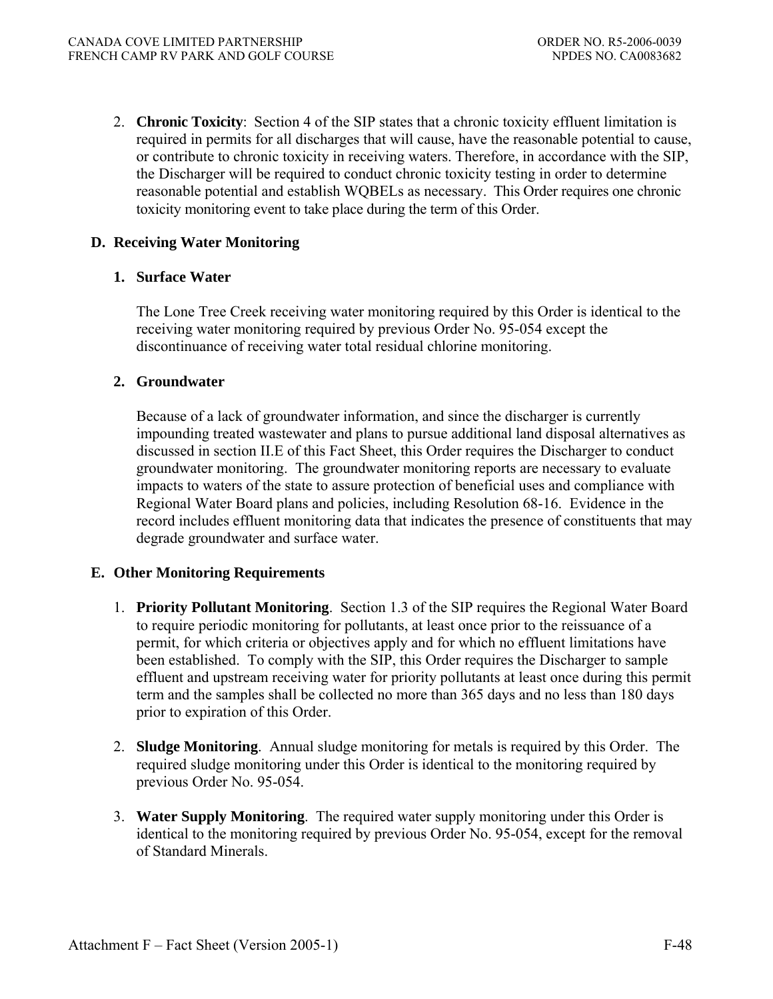2. **Chronic Toxicity**:Section 4 of the SIP states that a chronic toxicity effluent limitation is required in permits for all discharges that will cause, have the reasonable potential to cause, or contribute to chronic toxicity in receiving waters. Therefore, in accordance with the SIP, the Discharger will be required to conduct chronic toxicity testing in order to determine reasonable potential and establish WQBELs as necessary. This Order requires one chronic toxicity monitoring event to take place during the term of this Order.

# **D. Receiving Water Monitoring**

# **1. Surface Water**

The Lone Tree Creek receiving water monitoring required by this Order is identical to the receiving water monitoring required by previous Order No. 95-054 except the discontinuance of receiving water total residual chlorine monitoring.

# **2. Groundwater**

Because of a lack of groundwater information, and since the discharger is currently impounding treated wastewater and plans to pursue additional land disposal alternatives as discussed in section II.E of this Fact Sheet, this Order requires the Discharger to conduct groundwater monitoring. The groundwater monitoring reports are necessary to evaluate impacts to waters of the state to assure protection of beneficial uses and compliance with Regional Water Board plans and policies, including Resolution 68-16. Evidence in the record includes effluent monitoring data that indicates the presence of constituents that may degrade groundwater and surface water.

# **E. Other Monitoring Requirements**

- 1. **Priority Pollutant Monitoring**.Section 1.3 of the SIP requires the Regional Water Board to require periodic monitoring for pollutants, at least once prior to the reissuance of a permit, for which criteria or objectives apply and for which no effluent limitations have been established. To comply with the SIP, this Order requires the Discharger to sample effluent and upstream receiving water for priority pollutants at least once during this permit term and the samples shall be collected no more than 365 days and no less than 180 days prior to expiration of this Order.
- 2. **Sludge Monitoring**. Annual sludge monitoring for metals is required by this Order. The required sludge monitoring under this Order is identical to the monitoring required by previous Order No. 95-054.
- 3. **Water Supply Monitoring**.The required water supply monitoring under this Order is identical to the monitoring required by previous Order No. 95-054, except for the removal of Standard Minerals.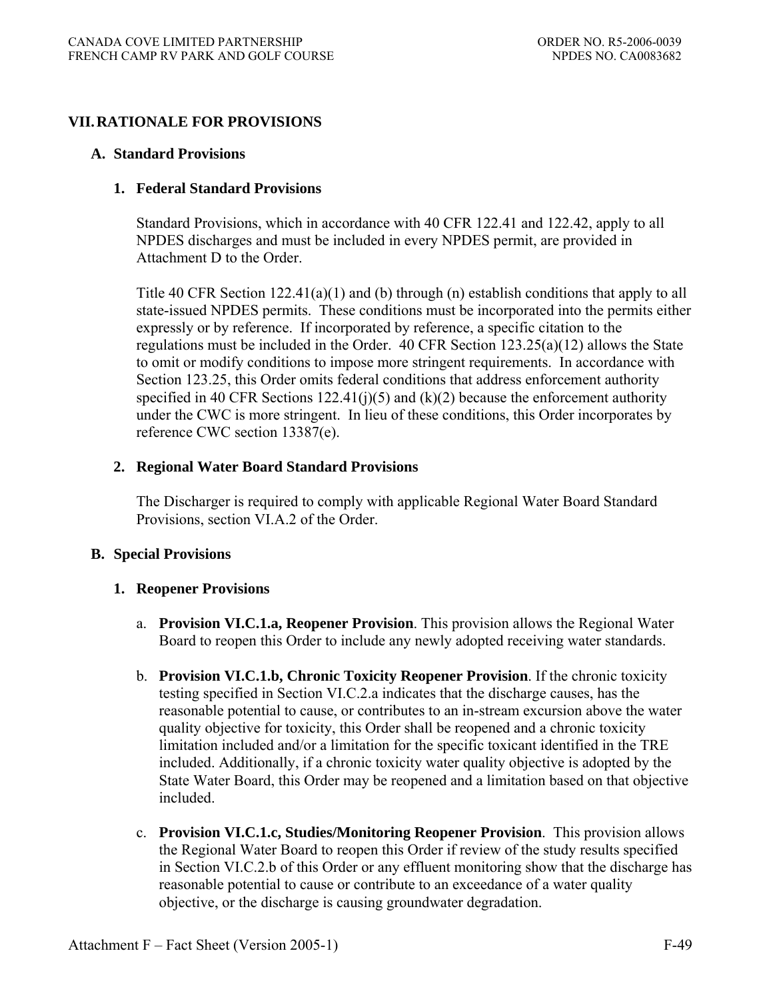# **VII. RATIONALE FOR PROVISIONS**

## **A. Standard Provisions**

## **1. Federal Standard Provisions**

Standard Provisions, which in accordance with 40 CFR 122.41 and 122.42, apply to all NPDES discharges and must be included in every NPDES permit, are provided in Attachment D to the Order.

Title 40 CFR Section  $122.41(a)(1)$  and (b) through (n) establish conditions that apply to all state-issued NPDES permits. These conditions must be incorporated into the permits either expressly or by reference. If incorporated by reference, a specific citation to the regulations must be included in the Order. 40 CFR Section 123.25(a)(12) allows the State to omit or modify conditions to impose more stringent requirements. In accordance with Section 123.25, this Order omits federal conditions that address enforcement authority specified in 40 CFR Sections  $122.41(j)(5)$  and  $(k)(2)$  because the enforcement authority under the CWC is more stringent. In lieu of these conditions, this Order incorporates by reference CWC section 13387(e).

## **2. Regional Water Board Standard Provisions**

The Discharger is required to comply with applicable Regional Water Board Standard Provisions, section VI.A.2 of the Order.

# **B. Special Provisions**

# **1. Reopener Provisions**

- a. **Provision VI.C.1.a, Reopener Provision**. This provision allows the Regional Water Board to reopen this Order to include any newly adopted receiving water standards.
- b. **Provision VI.C.1.b, Chronic Toxicity Reopener Provision**. If the chronic toxicity testing specified in Section VI.C.2.a indicates that the discharge causes, has the reasonable potential to cause, or contributes to an in-stream excursion above the water quality objective for toxicity, this Order shall be reopened and a chronic toxicity limitation included and/or a limitation for the specific toxicant identified in the TRE included. Additionally, if a chronic toxicity water quality objective is adopted by the State Water Board, this Order may be reopened and a limitation based on that objective included.
- c. **Provision VI.C.1.c, Studies/Monitoring Reopener Provision**.This provision allows the Regional Water Board to reopen this Order if review of the study results specified in Section VI.C.2.b of this Order or any effluent monitoring show that the discharge has reasonable potential to cause or contribute to an exceedance of a water quality objective, or the discharge is causing groundwater degradation.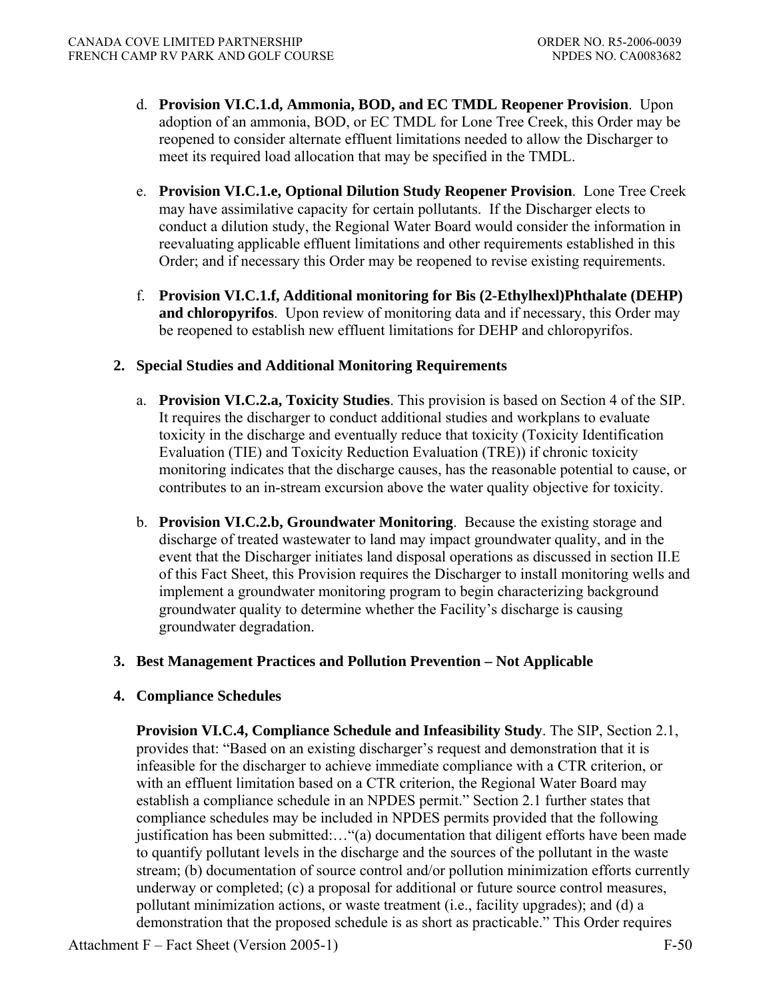- d. **Provision VI.C.1.d, Ammonia, BOD, and EC TMDL Reopener Provision**. Upon adoption of an ammonia, BOD, or EC TMDL for Lone Tree Creek, this Order may be reopened to consider alternate effluent limitations needed to allow the Discharger to meet its required load allocation that may be specified in the TMDL.
- e. **Provision VI.C.1.e, Optional Dilution Study Reopener Provision**.Lone Tree Creek may have assimilative capacity for certain pollutants. If the Discharger elects to conduct a dilution study, the Regional Water Board would consider the information in reevaluating applicable effluent limitations and other requirements established in this Order; and if necessary this Order may be reopened to revise existing requirements.
- f. **Provision VI.C.1.f, Additional monitoring for Bis (2-Ethylhexl)Phthalate (DEHP) and chloropyrifos**. Upon review of monitoring data and if necessary, this Order may be reopened to establish new effluent limitations for DEHP and chloropyrifos.

## **2. Special Studies and Additional Monitoring Requirements**

- a. **Provision VI.C.2.a, Toxicity Studies**. This provision is based on Section 4 of the SIP. It requires the discharger to conduct additional studies and workplans to evaluate toxicity in the discharge and eventually reduce that toxicity (Toxicity Identification Evaluation (TIE) and Toxicity Reduction Evaluation (TRE)) if chronic toxicity monitoring indicates that the discharge causes, has the reasonable potential to cause, or contributes to an in-stream excursion above the water quality objective for toxicity.
- b. **Provision VI.C.2.b, Groundwater Monitoring**. Because the existing storage and discharge of treated wastewater to land may impact groundwater quality, and in the event that the Discharger initiates land disposal operations as discussed in section II.E of this Fact Sheet, this Provision requires the Discharger to install monitoring wells and implement a groundwater monitoring program to begin characterizing background groundwater quality to determine whether the Facility's discharge is causing groundwater degradation.

## **3. Best Management Practices and Pollution Prevention – Not Applicable**

# **4. Compliance Schedules**

**Provision VI.C.4, Compliance Schedule and Infeasibility Study**. The SIP, Section 2.1, provides that: "Based on an existing discharger's request and demonstration that it is infeasible for the discharger to achieve immediate compliance with a CTR criterion, or with an effluent limitation based on a CTR criterion, the Regional Water Board may establish a compliance schedule in an NPDES permit." Section 2.1 further states that compliance schedules may be included in NPDES permits provided that the following justification has been submitted:…"(a) documentation that diligent efforts have been made to quantify pollutant levels in the discharge and the sources of the pollutant in the waste stream; (b) documentation of source control and/or pollution minimization efforts currently underway or completed; (c) a proposal for additional or future source control measures, pollutant minimization actions, or waste treatment (i.e., facility upgrades); and (d) a demonstration that the proposed schedule is as short as practicable." This Order requires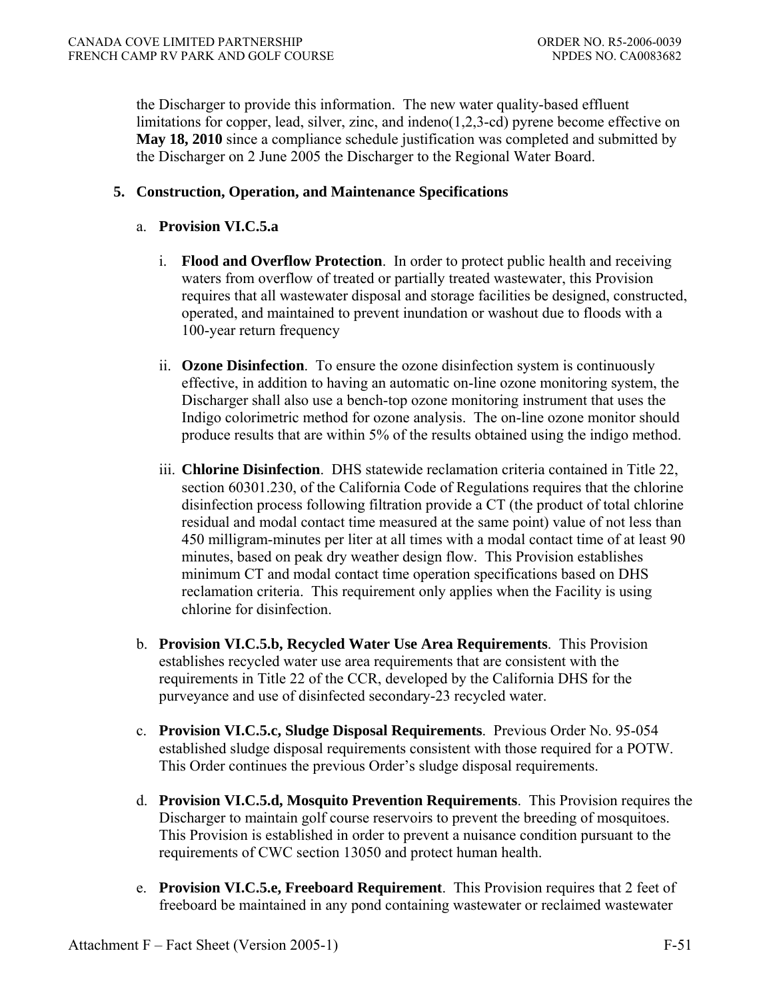the Discharger to provide this information. The new water quality-based effluent limitations for copper, lead, silver, zinc, and indeno(1,2,3-cd) pyrene become effective on **May 18, 2010** since a compliance schedule justification was completed and submitted by the Discharger on 2 June 2005 the Discharger to the Regional Water Board.

## **5. Construction, Operation, and Maintenance Specifications**

### a. **Provision VI.C.5.a**

- i. **Flood and Overflow Protection**. In order to protect public health and receiving waters from overflow of treated or partially treated wastewater, this Provision requires that all wastewater disposal and storage facilities be designed, constructed, operated, and maintained to prevent inundation or washout due to floods with a 100-year return frequency
- ii. **Ozone Disinfection**.To ensure the ozone disinfection system is continuously effective, in addition to having an automatic on-line ozone monitoring system, the Discharger shall also use a bench-top ozone monitoring instrument that uses the Indigo colorimetric method for ozone analysis. The on-line ozone monitor should produce results that are within 5% of the results obtained using the indigo method.
- iii. **Chlorine Disinfection**.DHS statewide reclamation criteria contained in Title 22, section 60301.230, of the California Code of Regulations requires that the chlorine disinfection process following filtration provide a CT (the product of total chlorine residual and modal contact time measured at the same point) value of not less than 450 milligram-minutes per liter at all times with a modal contact time of at least 90 minutes, based on peak dry weather design flow. This Provision establishes minimum CT and modal contact time operation specifications based on DHS reclamation criteria. This requirement only applies when the Facility is using chlorine for disinfection.
- b. **Provision VI.C.5.b, Recycled Water Use Area Requirements**.This Provision establishes recycled water use area requirements that are consistent with the requirements in Title 22 of the CCR, developed by the California DHS for the purveyance and use of disinfected secondary-23 recycled water.
- c. **Provision VI.C.5.c, Sludge Disposal Requirements**.Previous Order No. 95-054 established sludge disposal requirements consistent with those required for a POTW. This Order continues the previous Order's sludge disposal requirements.
- d. **Provision VI.C.5.d, Mosquito Prevention Requirements**.This Provision requires the Discharger to maintain golf course reservoirs to prevent the breeding of mosquitoes. This Provision is established in order to prevent a nuisance condition pursuant to the requirements of CWC section 13050 and protect human health.
- e. **Provision VI.C.5.e, Freeboard Requirement**.This Provision requires that 2 feet of freeboard be maintained in any pond containing wastewater or reclaimed wastewater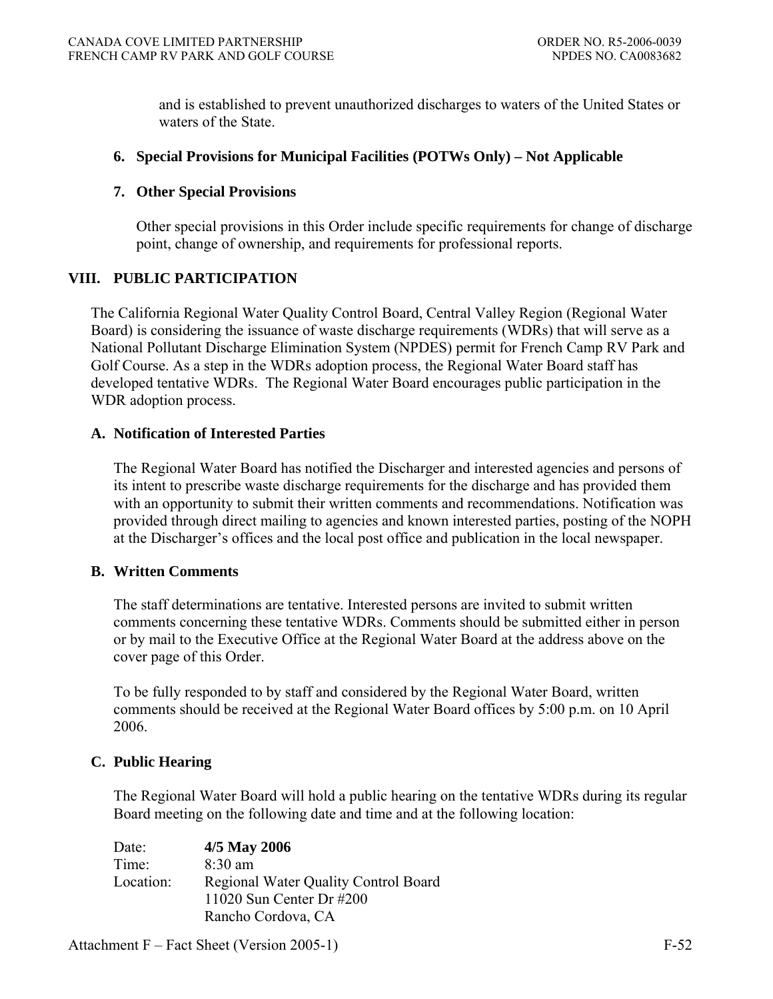and is established to prevent unauthorized discharges to waters of the United States or waters of the State.

## **6. Special Provisions for Municipal Facilities (POTWs Only) – Not Applicable**

### **7. Other Special Provisions**

Other special provisions in this Order include specific requirements for change of discharge point, change of ownership, and requirements for professional reports.

### **VIII. PUBLIC PARTICIPATION**

The California Regional Water Quality Control Board, Central Valley Region (Regional Water Board) is considering the issuance of waste discharge requirements (WDRs) that will serve as a National Pollutant Discharge Elimination System (NPDES) permit for French Camp RV Park and Golf Course. As a step in the WDRs adoption process, the Regional Water Board staff has developed tentative WDRs. The Regional Water Board encourages public participation in the WDR adoption process.

### **A. Notification of Interested Parties**

The Regional Water Board has notified the Discharger and interested agencies and persons of its intent to prescribe waste discharge requirements for the discharge and has provided them with an opportunity to submit their written comments and recommendations. Notification was provided through direct mailing to agencies and known interested parties, posting of the NOPH at the Discharger's offices and the local post office and publication in the local newspaper.

#### **B. Written Comments**

The staff determinations are tentative. Interested persons are invited to submit written comments concerning these tentative WDRs. Comments should be submitted either in person or by mail to the Executive Office at the Regional Water Board at the address above on the cover page of this Order.

To be fully responded to by staff and considered by the Regional Water Board, written comments should be received at the Regional Water Board offices by 5:00 p.m. on 10 April 2006.

# **C. Public Hearing**

The Regional Water Board will hold a public hearing on the tentative WDRs during its regular Board meeting on the following date and time and at the following location:

| Date:     | 4/5 May 2006                                |
|-----------|---------------------------------------------|
| Time:     | $8:30$ am                                   |
| Location: | <b>Regional Water Quality Control Board</b> |
|           | 11020 Sun Center Dr $#200$                  |
|           | Rancho Cordova, CA                          |

Attachment F – Fact Sheet (Version 2005-1) F-52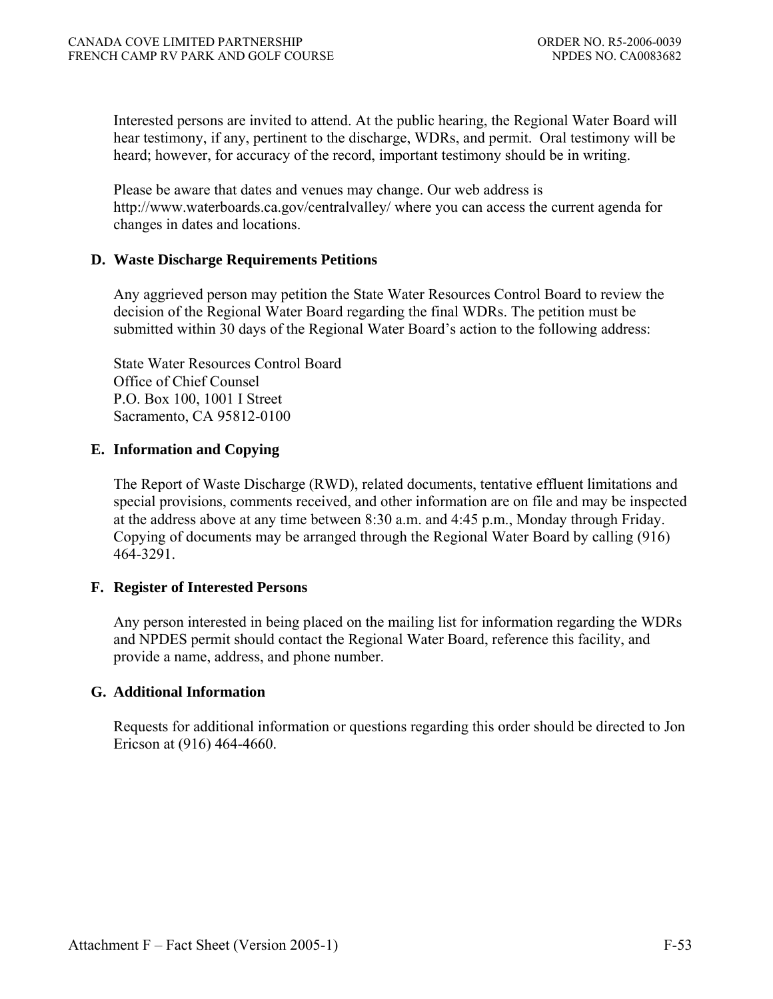Interested persons are invited to attend. At the public hearing, the Regional Water Board will hear testimony, if any, pertinent to the discharge, WDRs, and permit. Oral testimony will be heard; however, for accuracy of the record, important testimony should be in writing.

Please be aware that dates and venues may change. Our web address is http://www.waterboards.ca.gov/centralvalley/ where you can access the current agenda for changes in dates and locations.

### **D. Waste Discharge Requirements Petitions**

Any aggrieved person may petition the State Water Resources Control Board to review the decision of the Regional Water Board regarding the final WDRs. The petition must be submitted within 30 days of the Regional Water Board's action to the following address:

State Water Resources Control Board Office of Chief Counsel P.O. Box 100, 1001 I Street Sacramento, CA 95812-0100

### **E. Information and Copying**

The Report of Waste Discharge (RWD), related documents, tentative effluent limitations and special provisions, comments received, and other information are on file and may be inspected at the address above at any time between 8:30 a.m. and 4:45 p.m., Monday through Friday. Copying of documents may be arranged through the Regional Water Board by calling (916) 464-3291.

# **F. Register of Interested Persons**

Any person interested in being placed on the mailing list for information regarding the WDRs and NPDES permit should contact the Regional Water Board, reference this facility, and provide a name, address, and phone number.

#### **G. Additional Information**

Requests for additional information or questions regarding this order should be directed to Jon Ericson at (916) 464-4660.